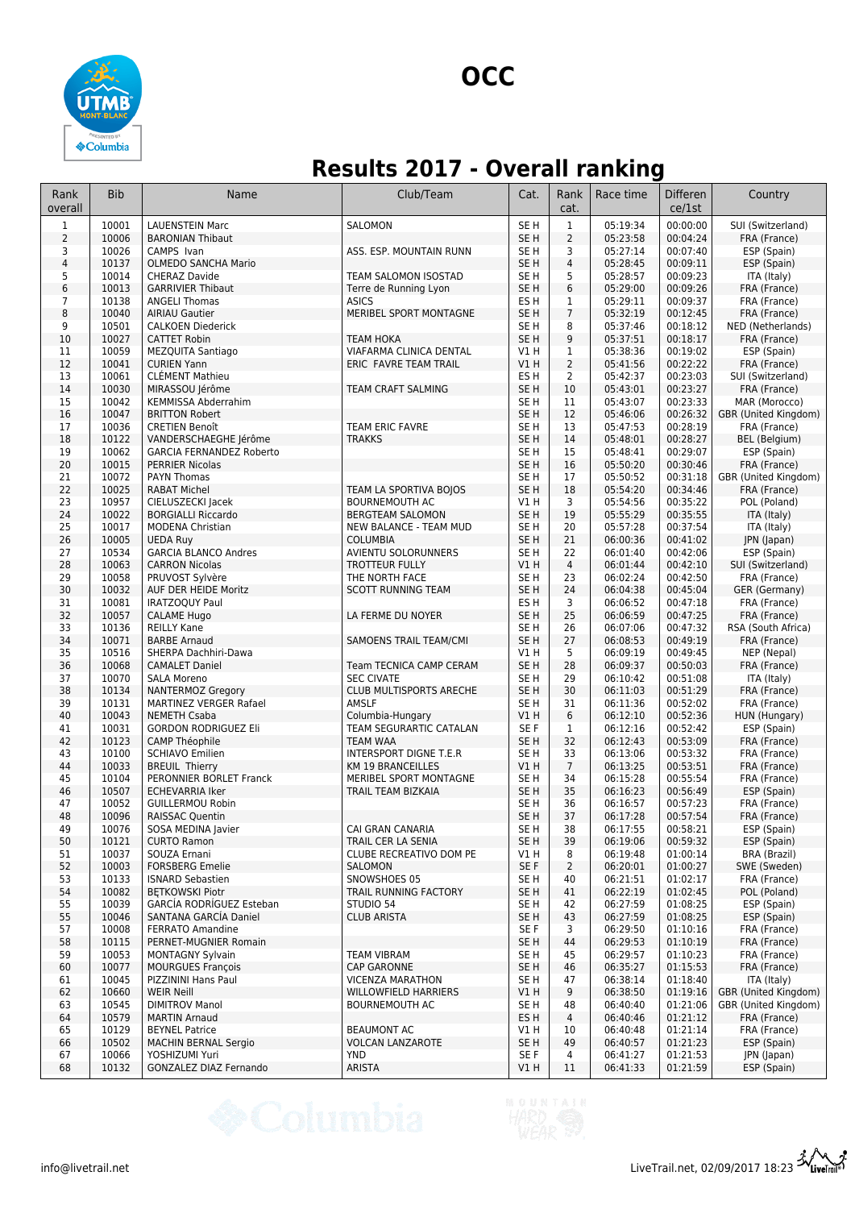

## **Results 2017 - Overall ranking**

| Rank<br>overall         | <b>Bib</b>     | Name                                              | Club/Team                                            | Cat.                               | Rank<br>cat.        | Race time            | <b>Differen</b><br>ce/1st | Country                                      |
|-------------------------|----------------|---------------------------------------------------|------------------------------------------------------|------------------------------------|---------------------|----------------------|---------------------------|----------------------------------------------|
| $\mathbf{1}$            | 10001          | <b>LAUENSTEIN Marc</b>                            | <b>SALOMON</b>                                       | SE <sub>H</sub>                    | $\mathbf{1}$        | 05:19:34             | 00:00:00                  | SUI (Switzerland)                            |
| $\overline{2}$          | 10006          | <b>BARONIAN Thibaut</b>                           |                                                      | SE <sub>H</sub>                    | $\overline{2}$      | 05:23:58             | 00:04:24                  | FRA (France)                                 |
| 3                       | 10026          | CAMPS Ivan                                        | ASS. ESP. MOUNTAIN RUNN                              | SE <sub>H</sub>                    | 3                   | 05:27:14             | 00:07:40                  | ESP (Spain)                                  |
| $\overline{\mathbf{4}}$ | 10137          | <b>OLMEDO SANCHA Mario</b>                        |                                                      | SE <sub>H</sub>                    | $\overline{4}$      | 05:28:45             | 00:09:11                  | ESP (Spain)                                  |
| 5                       | 10014          | <b>CHERAZ Davide</b>                              | TEAM SALOMON ISOSTAD                                 | SE <sub>H</sub>                    | 5                   | 05:28:57             | 00:09:23                  | ITA (Italy)                                  |
| 6                       | 10013          | <b>GARRIVIER Thibaut</b>                          | Terre de Running Lyon                                | SE <sub>H</sub>                    | 6                   | 05:29:00             | 00:09:26                  | FRA (France)                                 |
| $\overline{7}$          | 10138          | <b>ANGELI Thomas</b>                              | <b>ASICS</b>                                         | ES <sub>H</sub>                    | $\mathbf{1}$        | 05:29:11             | 00:09:37                  | FRA (France)                                 |
| 8<br>9                  | 10040<br>10501 | <b>AIRIAU Gautier</b><br><b>CALKOEN Diederick</b> | MERIBEL SPORT MONTAGNE                               | SE <sub>H</sub><br>SE <sub>H</sub> | $\overline{7}$<br>8 | 05:32:19<br>05:37:46 | 00:12:45<br>00:18:12      | FRA (France)<br>NED (Netherlands)            |
| 10                      | 10027          | <b>CATTET Robin</b>                               | <b>TEAM HOKA</b>                                     | SE <sub>H</sub>                    | 9                   | 05:37:51             | 00:18:17                  | FRA (France)                                 |
| 11                      | 10059          | MEZQUITA Santiago                                 | VIAFARMA CLINICA DENTAL                              | V1 H                               | $\mathbf{1}$        | 05:38:36             | 00:19:02                  | ESP (Spain)                                  |
| 12                      | 10041          | <b>CURIEN Yann</b>                                | ERIC FAVRE TEAM TRAIL                                | V1H                                | $\overline{2}$      | 05:41:56             | 00:22:22                  | FRA (France)                                 |
| 13                      | 10061          | <b>CLÉMENT Mathieu</b>                            |                                                      | ES <sub>H</sub>                    | $\overline{2}$      | 05:42:37             | 00:23:03                  | SUI (Switzerland)                            |
| 14                      | 10030          | MIRASSOU Jérôme                                   | TEAM CRAFT SALMING                                   | SE <sub>H</sub>                    | 10                  | 05:43:01             | 00:23:27                  | FRA (France)                                 |
| 15                      | 10042          | <b>KEMMISSA Abderrahim</b>                        |                                                      | SE <sub>H</sub>                    | 11                  | 05:43:07             | 00:23:33                  | MAR (Morocco)                                |
| 16                      | 10047          | <b>BRITTON Robert</b>                             |                                                      | SE <sub>H</sub>                    | 12                  | 05:46:06             | 00:26:32                  | GBR (United Kingdom)                         |
| 17                      | 10036          | <b>CRETIEN Benoît</b>                             | TEAM ERIC FAVRE                                      | SE <sub>H</sub>                    | 13                  | 05:47:53             | 00:28:19                  | FRA (France)                                 |
| 18                      | 10122          | VANDERSCHAEGHE Jérôme                             | <b>TRAKKS</b>                                        | SE <sub>H</sub>                    | 14                  | 05:48:01             | 00:28:27                  | BEL (Belgium)                                |
| 19                      | 10062          | <b>GARCIA FERNANDEZ Roberto</b>                   |                                                      | SE <sub>H</sub>                    | 15                  | 05:48:41             | 00:29:07                  | ESP (Spain)                                  |
| 20                      | 10015          | <b>PERRIER Nicolas</b>                            |                                                      | SE <sub>H</sub>                    | 16                  | 05:50:20             | 00:30:46                  | FRA (France)                                 |
| 21                      | 10072          | <b>PAYN Thomas</b>                                |                                                      | SE <sub>H</sub>                    | 17                  | 05:50:52             | 00:31:18                  | GBR (United Kingdom)                         |
| 22<br>23                | 10025<br>10957 | <b>RABAT Michel</b><br>CIELUSZECKI Jacek          | TEAM LA SPORTIVA BOJOS<br><b>BOURNEMOUTH AC</b>      | SE <sub>H</sub><br>V1 H            | 18<br>3             | 05:54:20             | 00:34:46<br>00:35:22      | FRA (France)                                 |
| 24                      | 10022          | <b>BORGIALLI Riccardo</b>                         | <b>BERGTEAM SALOMON</b>                              | SE <sub>H</sub>                    | 19                  | 05:54:56<br>05:55:29 | 00:35:55                  | POL (Poland)<br>ITA (Italy)                  |
| 25                      | 10017          | <b>MODENA Christian</b>                           | <b>NEW BALANCE - TEAM MUD</b>                        | SE <sub>H</sub>                    | 20                  | 05:57:28             | 00:37:54                  | ITA (Italy)                                  |
| 26                      | 10005          | <b>UEDA Ruy</b>                                   | <b>COLUMBIA</b>                                      | SE <sub>H</sub>                    | 21                  | 06:00:36             | 00:41:02                  | JPN (Japan)                                  |
| 27                      | 10534          | <b>GARCIA BLANCO Andres</b>                       | AVIENTU SOLORUNNERS                                  | SE <sub>H</sub>                    | 22                  | 06:01:40             | 00:42:06                  | ESP (Spain)                                  |
| 28                      | 10063          | <b>CARRON Nicolas</b>                             | <b>TROTTEUR FULLY</b>                                | VIH                                | $\overline{4}$      | 06:01:44             | 00:42:10                  | SUI (Switzerland)                            |
| 29                      | 10058          | PRUVOST Sylvère                                   | THE NORTH FACE                                       | SE <sub>H</sub>                    | 23                  | 06:02:24             | 00:42:50                  | FRA (France)                                 |
| 30                      | 10032          | AUF DER HEIDE Moritz                              | <b>SCOTT RUNNING TEAM</b>                            | SE <sub>H</sub>                    | 24                  | 06:04:38             | 00:45:04                  | GER (Germany)                                |
| 31                      | 10081          | <b>IRATZOQUY Paul</b>                             |                                                      | ES <sub>H</sub>                    | 3                   | 06:06:52             | 00:47:18                  | FRA (France)                                 |
| 32                      | 10057          | <b>CALAME Hugo</b>                                | LA FERME DU NOYER                                    | SE <sub>H</sub>                    | 25                  | 06:06:59             | 00:47:25                  | FRA (France)                                 |
| 33                      | 10136          | <b>REILLY Kane</b>                                |                                                      | SE <sub>H</sub>                    | 26                  | 06:07:06             | 00:47:32                  | RSA (South Africa)                           |
| 34                      | 10071          | <b>BARBE Arnaud</b>                               | <b>SAMOENS TRAIL TEAM/CMI</b>                        | SE <sub>H</sub>                    | 27                  | 06:08:53             | 00:49:19                  | FRA (France)                                 |
| 35                      | 10516          | SHERPA Dachhiri-Dawa                              |                                                      | V1 H                               | 5                   | 06:09:19             | 00:49:45                  | NEP (Nepal)                                  |
| 36<br>37                | 10068<br>10070 | <b>CAMALET Daniel</b><br><b>SALA Moreno</b>       | Team TECNICA CAMP CERAM<br><b>SEC CIVATE</b>         | SE <sub>H</sub><br>SE <sub>H</sub> | 28<br>29            | 06:09:37<br>06:10:42 | 00:50:03<br>00:51:08      | FRA (France)                                 |
| 38                      | 10134          | <b>NANTERMOZ Gregory</b>                          | CLUB MULTISPORTS ARECHE                              | SE <sub>H</sub>                    | 30                  | 06:11:03             | 00:51:29                  | ITA (Italy)<br>FRA (France)                  |
| 39                      | 10131          | <b>MARTINEZ VERGER Rafael</b>                     | AMSLF                                                | SE <sub>H</sub>                    | 31                  | 06:11:36             | 00:52:02                  | FRA (France)                                 |
| 40                      | 10043          | <b>NEMETH Csaba</b>                               | Columbia-Hungary                                     | V1H                                | 6                   | 06:12:10             | 00:52:36                  | HUN (Hungary)                                |
| 41                      | 10031          | <b>GORDON RODRIGUEZ Eli</b>                       | TEAM SEGURARTIC CATALAN                              | SE <sub>F</sub>                    | $\mathbf{1}$        | 06:12:16             | 00:52:42                  | ESP (Spain)                                  |
| 42                      | 10123          | CAMP Théophile                                    | TEAM WAA                                             | SE <sub>H</sub>                    | 32                  | 06:12:43             | 00:53:09                  | FRA (France)                                 |
| 43                      | 10100          | <b>SCHIAVO Emilien</b>                            | INTERSPORT DIGNE T.E.R                               | SE <sub>H</sub>                    | 33                  | 06:13:06             | 00:53:32                  | FRA (France)                                 |
| 44                      | 10033          | <b>BREUIL Thierry</b>                             | <b>KM 19 BRANCEILLES</b>                             | VIH                                | $7\overline{ }$     | 06:13:25             | 00:53:51                  | FRA (France)                                 |
| 45                      | 10104          | PERONNIER BORLET Franck                           | MERIBEL SPORT MONTAGNE                               | SE <sub>H</sub>                    | 34                  | 06:15:28             | 00:55:54                  | FRA (France)                                 |
| 46                      | 10507          | <b>ECHEVARRIA Iker</b>                            | TRAIL TEAM BIZKAIA                                   | SE <sub>H</sub>                    | 35                  | 06:16:23             | 00:56:49                  | ESP (Spain)                                  |
| 47                      | 10052          | <b>GUILLERMOU Robin</b>                           |                                                      | SE <sub>H</sub>                    | 36                  | 06:16:57             | 00:57:23                  | FRA (France)                                 |
| 48                      | 10096          | <b>RAISSAC Quentin</b>                            | CAI GRAN CANARIA                                     | SE <sub>H</sub>                    | 37                  | 06:17:28             | 00:57:54                  | FRA (France)                                 |
| 49<br>50                | 10076<br>10121 | SOSA MEDINA Javier<br><b>CURTO Ramon</b>          | TRAIL CER LA SENIA                                   | SE H<br>SE H                       | 38<br>39            | 06:17:55<br>06:19:06 | 00:58:21<br>00:59:32      | ESP (Spain)<br>ESP (Spain)                   |
| 51                      | 10037          | SOUZA Ernani                                      | CLUBE RECREATIVO DOM PE                              | V1 H                               | 8                   | 06:19:48             | 01:00:14                  | <b>BRA (Brazil)</b>                          |
| 52                      | 10003          | <b>FORSBERG Emelie</b>                            | <b>SALOMON</b>                                       | SE F                               | 2                   | 06:20:01             | 01:00:27                  | SWE (Sweden)                                 |
| 53                      | 10133          | <b>ISNARD Sebastien</b>                           | SNOWSHOES 05                                         | SE <sub>H</sub>                    | 40                  | 06:21:51             | 01:02:17                  | FRA (France)                                 |
| 54                      | 10082          | <b>BETKOWSKI Piotr</b>                            | TRAIL RUNNING FACTORY                                | SE <sub>H</sub>                    | 41                  | 06:22:19             | 01:02:45                  | POL (Poland)                                 |
| 55                      | 10039          | <b>GARCIA RODRIGUEZ Esteban</b>                   | STUDIO 54                                            | SE H                               | 42                  | 06:27:59             | 01:08:25                  | ESP (Spain)                                  |
| 55                      | 10046          | SANTANA GARCÍA Daniel                             | <b>CLUB ARISTA</b>                                   | SE H                               | 43                  | 06:27:59             | 01:08:25                  | ESP (Spain)                                  |
| 57                      | 10008          | <b>FERRATO Amandine</b>                           |                                                      | SE F                               | 3                   | 06:29:50             | 01:10:16                  | FRA (France)                                 |
| 58                      | 10115          | PERNET-MUGNIER Romain                             |                                                      | SE H                               | 44                  | 06:29:53             | 01:10:19                  | FRA (France)                                 |
| 59                      | 10053          | <b>MONTAGNY Sylvain</b>                           | <b>TEAM VIBRAM</b>                                   | SE H                               | 45                  | 06:29:57             | 01:10:23                  | FRA (France)                                 |
| 60                      | 10077          | <b>MOURGUES François</b>                          | <b>CAP GARONNE</b>                                   | SE <sub>H</sub>                    | 46                  | 06:35:27             | 01:15:53                  | FRA (France)                                 |
| 61                      | 10045          | PIZZININI Hans Paul                               | <b>VICENZA MARATHON</b>                              | SE <sub>H</sub>                    | 47                  | 06:38:14             | 01:18:40                  | ITA (Italy)                                  |
| 62<br>63                | 10660<br>10545 | <b>WEIR Neill</b><br><b>DIMITROV Manol</b>        | <b>WILLOWFIELD HARRIERS</b><br><b>BOURNEMOUTH AC</b> | V1 H<br>SE H                       | 9<br>48             | 06:38:50<br>06:40:40 | 01:19:16<br>01:21:06      | GBR (United Kingdom)<br>GBR (United Kingdom) |
| 64                      | 10579          | <b>MARTIN Arnaud</b>                              |                                                      | ES H                               | 4                   | 06:40:46             | 01:21:12                  | FRA (France)                                 |
| 65                      | 10129          | <b>BEYNEL Patrice</b>                             | <b>BEAUMONT AC</b>                                   | V1 H                               | 10                  | 06:40:48             | 01:21:14                  | FRA (France)                                 |
| 66                      | 10502          | <b>MACHIN BERNAL Sergio</b>                       | VOLCAN LANZAROTE                                     | SE <sub>H</sub>                    | 49                  | 06:40:57             | 01:21:23                  | ESP (Spain)                                  |
| 67                      | 10066          | YOSHIZUMI Yuri                                    | <b>YND</b>                                           | SE F                               | 4                   | 06:41:27             | 01:21:53                  | JPN (Japan)                                  |
| 68                      | 10132          | GONZALEZ DIAZ Fernando                            | ARISTA                                               | V1 H                               | 11                  | 06:41:33             | 01:21:59                  | ESP (Spain)                                  |

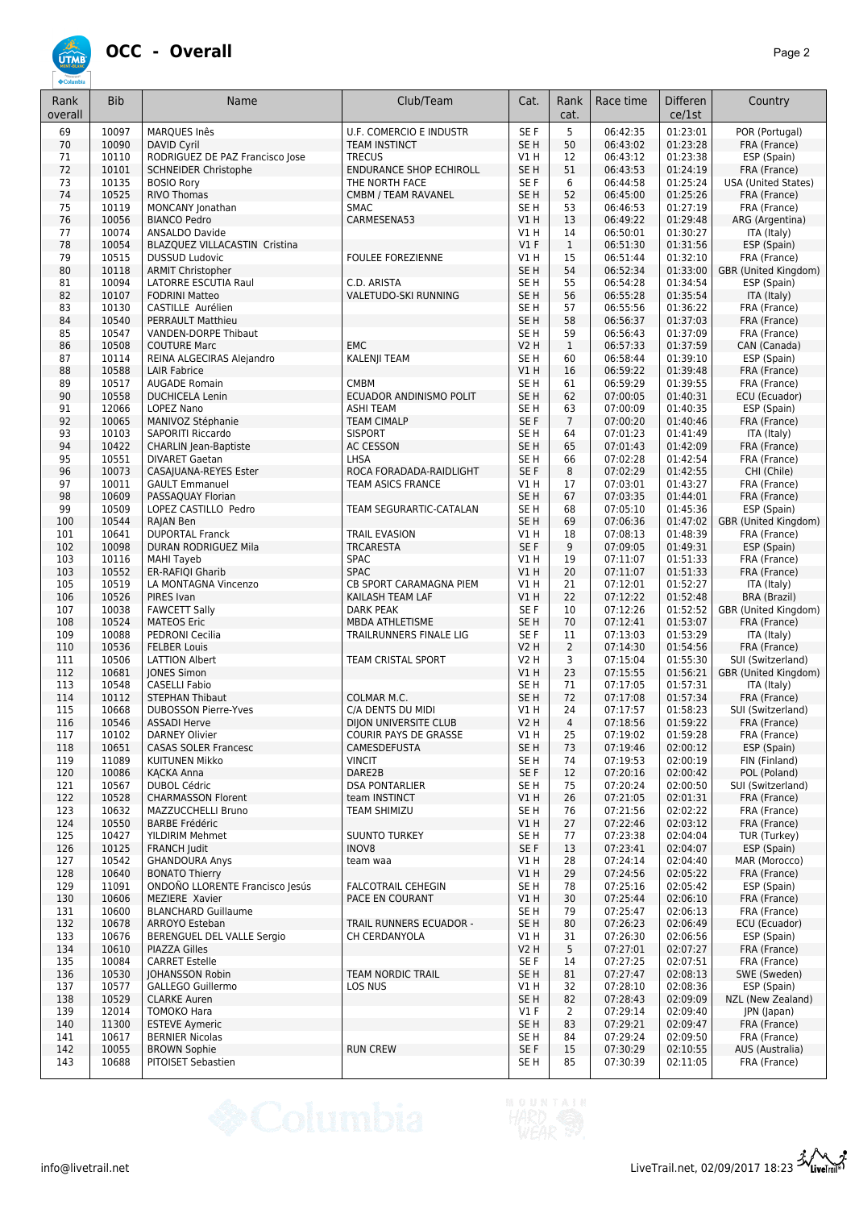

| Rank<br>overall | <b>Bib</b>     | Name                                                 | Club/Team                            | Cat.                    | Rank<br>cat.         | Race time            | Differen<br>ce/1st   | Country                                   |
|-----------------|----------------|------------------------------------------------------|--------------------------------------|-------------------------|----------------------|----------------------|----------------------|-------------------------------------------|
| 69              | 10097          | MARQUES Inês                                         | <b>U.F. COMERCIO E INDUSTR</b>       | SE F                    | 5                    | 06:42:35             | 01:23:01             | POR (Portugal)                            |
| 70              | 10090          | DAVID Cyril                                          | <b>TEAM INSTINCT</b>                 | SE <sub>H</sub>         | 50                   | 06:43:02             | 01:23:28             | FRA (France)                              |
| 71              | 10110          | RODRIGUEZ DE PAZ Francisco Jose                      | <b>TRECUS</b>                        | V1 H                    | 12                   | 06:43:12             | 01:23:38             | ESP (Spain)                               |
| 72              | 10101          | <b>SCHNEIDER Christophe</b>                          | <b>ENDURANCE SHOP ECHIROLL</b>       | SE <sub>H</sub>         | 51                   | 06:43:53             | 01:24:19             | FRA (France)                              |
| 73<br>74        | 10135<br>10525 | <b>BOSIO Rory</b>                                    | THE NORTH FACE                       | SE F<br>SE <sub>H</sub> | 6<br>52              | 06:44:58             | 01:25:24             | USA (United States)                       |
| 75              | 10119          | <b>RIVO Thomas</b><br>MONCANY Jonathan               | CMBM / TEAM RAVANEL<br><b>SMAC</b>   | SE <sub>H</sub>         | 53                   | 06:45:00<br>06:46:53 | 01:25:26<br>01:27:19 | FRA (France)<br>FRA (France)              |
| 76              | 10056          | <b>BIANCO Pedro</b>                                  | CARMESENA53                          | VIH                     | 13                   | 06:49:22             | 01:29:48             | ARG (Argentina)                           |
| 77              | 10074          | <b>ANSALDO Davide</b>                                |                                      | V1H                     | 14                   | 06:50:01             | 01:30:27             | ITA (Italy)                               |
| 78              | 10054          | BLAZQUEZ VILLACASTIN Cristina                        |                                      | $VI$ F                  | $\mathbf{1}$         | 06:51:30             | 01:31:56             | ESP (Spain)                               |
| 79              | 10515          | <b>DUSSUD Ludovic</b>                                | <b>FOULEE FOREZIENNE</b>             | V1 H                    | 15                   | 06:51:44             | 01:32:10             | FRA (France)                              |
| 80              | 10118          | <b>ARMIT Christopher</b>                             |                                      | SE <sub>H</sub>         | 54                   | 06:52:34             | 01:33:00             | GBR (United Kingdom)                      |
| 81              | 10094          | <b>LATORRE ESCUTIA Raul</b>                          | C.D. ARISTA                          | SE <sub>H</sub>         | 55                   | 06:54:28             | 01:34:54             | ESP (Spain)                               |
| 82              | 10107          | <b>FODRINI Matteo</b>                                | VALETUDO-SKI RUNNING                 | SE <sub>H</sub>         | 56<br>57             | 06:55:28             | 01:35:54             | ITA (Italy)                               |
| 83<br>84        | 10130<br>10540 | CASTILLE Aurélien<br><b>PERRAULT Matthieu</b>        |                                      | SE H<br>SE <sub>H</sub> | 58                   | 06:55:56<br>06:56:37 | 01:36:22<br>01:37:03 | FRA (France)<br>FRA (France)              |
| 85              | 10547          | VANDEN-DORPE Thibaut                                 |                                      | SE H                    | 59                   | 06:56:43             | 01:37:09             | FRA (France)                              |
| 86              | 10508          | <b>COUTURE Marc</b>                                  | <b>EMC</b>                           | V2 H                    | $\mathbf{1}$         | 06:57:33             | 01:37:59             | CAN (Canada)                              |
| 87              | 10114          | REINA ALGECIRAS Alejandro                            | KALENJI TEAM                         | SE H                    | 60                   | 06:58:44             | 01:39:10             | ESP (Spain)                               |
| 88              | 10588          | <b>LAIR Fabrice</b>                                  |                                      | VIH                     | 16                   | 06:59:22             | 01:39:48             | FRA (France)                              |
| 89              | 10517          | <b>AUGADE Romain</b>                                 | <b>CMBM</b>                          | SE <sub>H</sub>         | 61                   | 06:59:29             | 01:39:55             | FRA (France)                              |
| 90              | 10558          | <b>DUCHICELA Lenin</b>                               | ECUADOR ANDINISMO POLIT              | SE <sub>H</sub>         | 62                   | 07:00:05             | 01:40:31             | ECU (Ecuador)                             |
| 91              | 12066          | <b>LOPEZ Nano</b>                                    | <b>ASHI TEAM</b>                     | SE <sub>H</sub>         | 63                   | 07:00:09             | 01:40:35             | ESP (Spain)                               |
| 92<br>93        | 10065<br>10103 | MANIVOZ Stéphanie<br>SAPORITI Riccardo               | <b>TEAM CIMALP</b><br><b>SISPORT</b> | SE F<br>SE <sub>H</sub> | $\overline{7}$<br>64 | 07:00:20<br>07:01:23 | 01:40:46<br>01:41:49 | FRA (France)<br>ITA (Italy)               |
| 94              | 10422          | <b>CHARLIN Jean-Baptiste</b>                         | <b>AC CESSON</b>                     | SE <sub>H</sub>         | 65                   | 07:01:43             | 01:42:09             | FRA (France)                              |
| 95              | 10551          | <b>DIVARET Gaetan</b>                                | LHSA                                 | SE H                    | 66                   | 07:02:28             | 01:42:54             | FRA (France)                              |
| 96              | 10073          | CASAJUANA-REYES Ester                                | ROCA FORADADA-RAIDLIGHT              | SE F                    | 8                    | 07:02:29             | 01:42:55             | CHI (Chile)                               |
| 97              | 10011          | <b>GAULT Emmanuel</b>                                | <b>TEAM ASICS FRANCE</b>             | V1 H                    | 17                   | 07:03:01             | 01:43:27             | FRA (France)                              |
| 98              | 10609          | PASSAQUAY Florian                                    |                                      | SE <sub>H</sub>         | 67                   | 07:03:35             | 01:44:01             | FRA (France)                              |
| 99              | 10509          | LOPEZ CASTILLO Pedro                                 | TEAM SEGURARTIC-CATALAN              | SE <sub>H</sub>         | 68                   | 07:05:10             | 01:45:36             | ESP (Spain)                               |
| 100             | 10544          | RAJAN Ben                                            |                                      | SE <sub>H</sub>         | 69                   | 07:06:36             | 01:47:02             | GBR (United Kingdom)                      |
| 101             | 10641          | <b>DUPORTAL Franck</b>                               | <b>TRAIL EVASION</b>                 | V1H                     | 18                   | 07:08:13             | 01:48:39             | FRA (France)                              |
| 102<br>103      | 10098<br>10116 | DURAN RODRIGUEZ Mila<br><b>MAHI Tayeb</b>            | <b>TRCARESTA</b><br><b>SPAC</b>      | SE F<br>V1 H            | 9<br>19              | 07:09:05<br>07:11:07 | 01:49:31<br>01:51:33 | ESP (Spain)<br>FRA (France)               |
| 103             | 10552          | ER-RAFIQI Gharib                                     | <b>SPAC</b>                          | VIH                     | 20                   | 07:11:07             | 01:51:33             | FRA (France)                              |
| 105             | 10519          | LA MONTAGNA Vincenzo                                 | CB SPORT CARAMAGNA PIEM              | V1 H                    | 21                   | 07:12:01             | 01:52:27             | ITA (Italy)                               |
| 106             | 10526          | PIRES Ivan                                           | KAILASH TEAM LAF                     | V1H                     | 22                   | 07:12:22             | 01:52:48             | <b>BRA (Brazil)</b>                       |
| 107             | 10038          | <b>FAWCETT Sally</b>                                 | <b>DARK PEAK</b>                     | SE F                    | 10                   | 07:12:26             | 01:52:52             | GBR (United Kingdom)                      |
| 108             | 10524          | <b>MATEOS Eric</b>                                   | MBDA ATHLETISME                      | SE <sub>H</sub>         | 70                   | 07:12:41             | 01:53:07             | FRA (France)                              |
| 109             | 10088          | PEDRONI Cecilia                                      | TRAILRUNNERS FINALE LIG              | SE F                    | 11                   | 07:13:03             | 01:53:29             | ITA (Italy)                               |
| 110             | 10536<br>10506 | <b>FELBER Louis</b>                                  |                                      | V2 H<br><b>V2 H</b>     | $\overline{2}$<br>3  | 07:14:30             | 01:54:56             | FRA (France)                              |
| 111<br>112      | 10681          | <b>LATTION Albert</b><br><b>JONES Simon</b>          | TEAM CRISTAL SPORT                   | VIH                     | 23                   | 07:15:04<br>07:15:55 | 01:55:30<br>01:56:21 | SUI (Switzerland)<br>GBR (United Kingdom) |
| 113             | 10548          | <b>CASELLI Fabio</b>                                 |                                      | SE <sub>H</sub>         | 71                   | 07:17:05             | 01:57:31             | ITA (Italy)                               |
| 114             | 10112          | <b>STEPHAN Thibaut</b>                               | COLMAR M.C.                          | SE <sub>H</sub>         | 72                   | 07:17:08             | 01:57:34             | FRA (France)                              |
| 115             | 10668          | <b>DUBOSSON Pierre-Yves</b>                          | C/A DENTS DU MIDI                    | V1 H                    | 24                   | 07:17:57             | 01:58:23             | SUI (Switzerland)                         |
| 116             | 10546          | <b>ASSADI Herve</b>                                  | DIJON UNIVERSITE CLUB                | <b>V2 H</b>             | $\overline{4}$       | 07:18:56             | 01:59:22             | FRA (France)                              |
| 117             | 10102          | <b>DARNEY Olivier</b>                                | COURIR PAYS DE GRASSE                | V1 H                    | 25                   | 07:19:02             | 01:59:28             | FRA (France)                              |
| 118<br>119      | 10651<br>11089 | <b>CASAS SOLER Francesc</b><br><b>KUITUNEN Mikko</b> | CAMESDEFUSTA<br><b>VINCIT</b>        | SE H<br>SE <sub>H</sub> | 73<br>74             | 07:19:46<br>07:19:53 | 02:00:12<br>02:00:19 | ESP (Spain)<br>FIN (Finland)              |
| 120             | 10086          | <b>KACKA Anna</b>                                    | DARE2B                               | SE F                    | 12                   | 07:20:16             | 02:00:42             | POL (Poland)                              |
| 121             | 10567          | <b>DUBOL Cédric</b>                                  | <b>DSA PONTARLIER</b>                | SE H                    | 75                   | 07:20:24             | 02:00:50             | SUI (Switzerland)                         |
| 122             | 10528          | <b>CHARMASSON Florent</b>                            | team INSTINCT                        | V1H                     | 26                   | 07:21:05             | 02:01:31             | FRA (France)                              |
| 123             | 10632          | MAZZUCCHELLI Bruno                                   | TEAM SHIMIZU                         | SE H                    | 76                   | 07:21:56             | 02:02:22             | FRA (France)                              |
| 124             | 10550          | <b>BARBE Frédéric</b>                                |                                      | V1H                     | 27                   | 07:22:46             | 02:03:12             | FRA (France)                              |
| 125             | 10427          | YILDIRIM Mehmet                                      | <b>SUUNTO TURKEY</b>                 | SE H                    | 77                   | 07:23:38             | 02:04:04             | TUR (Turkey)                              |
| 126             | 10125<br>10542 | FRANCH Judit                                         | INOV8                                | SE F                    | 13                   | 07:23:41<br>07:24:14 | 02:04:07             | ESP (Spain)                               |
| 127<br>128      | 10640          | <b>GHANDOURA Anys</b><br><b>BONATO Thierry</b>       | team waa                             | V1 H<br>V1H             | 28<br>29             | 07:24:56             | 02:04:40<br>02:05:22 | MAR (Morocco)<br>FRA (France)             |
| 129             | 11091          | ONDOÑO LLORENTE Francisco Jesús                      | <b>FALCOTRAIL CEHEGIN</b>            | SE H                    | 78                   | 07:25:16             | 02:05:42             | ESP (Spain)                               |
| 130             | 10606          | MEZIERE Xavier                                       | PACE EN COURANT                      | V1H                     | 30                   | 07:25:44             | 02:06:10             | FRA (France)                              |
| 131             | 10600          | <b>BLANCHARD Guillaume</b>                           |                                      | SE <sub>H</sub>         | 79                   | 07:25:47             | 02:06:13             | FRA (France)                              |
| 132             | 10678          | ARROYO Esteban                                       | TRAIL RUNNERS ECUADOR -              | SE <sub>H</sub>         | 80                   | 07:26:23             | 02:06:49             | ECU (Ecuador)                             |
| 133             | 10676          | BERENGUEL DEL VALLE Sergio                           | CH CERDANYOLA                        | V1 H                    | 31                   | 07:26:30             | 02:06:56             | ESP (Spain)                               |
| 134             | 10610          | PIAZZA Gilles                                        |                                      | V2 H                    | 5                    | 07:27:01             | 02:07:27             | FRA (France)                              |
| 135<br>136      | 10084<br>10530 | <b>CARRET Estelle</b><br><b>JOHANSSON Robin</b>      | <b>TEAM NORDIC TRAIL</b>             | SE F<br>SE H            | 14<br>81             | 07:27:25<br>07:27:47 | 02:07:51<br>02:08:13 | FRA (France)<br>SWE (Sweden)              |
| 137             | 10577          | GALLEGO Guillermo                                    | LOS NUS                              | V1 H                    | 32                   | 07:28:10             | 02:08:36             | ESP (Spain)                               |
| 138             | 10529          | <b>CLARKE Auren</b>                                  |                                      | SE <sub>H</sub>         | 82                   | 07:28:43             | 02:09:09             | NZL (New Zealand)                         |
| 139             | 12014          | TOMOKO Hara                                          |                                      | $VI$ F                  | $\overline{2}$       | 07:29:14             | 02:09:40             | JPN (Japan)                               |
| 140             | 11300          | <b>ESTEVE Aymeric</b>                                |                                      | SE <sub>H</sub>         | 83                   | 07:29:21             | 02:09:47             | FRA (France)                              |
| 141             | 10617          | <b>BERNIER Nicolas</b>                               |                                      | SE H                    | 84                   | 07:29:24             | 02:09:50             | FRA (France)                              |
| 142             | 10055          | <b>BROWN Sophie</b>                                  | <b>RUN CREW</b>                      | SE F                    | 15<br>85             | 07:30:29             | 02:10:55             | AUS (Australia)                           |
| 143             | 10688          | PITOISET Sebastien                                   |                                      | SE H                    |                      | 07:30:39             | 02:11:05             | FRA (France)                              |

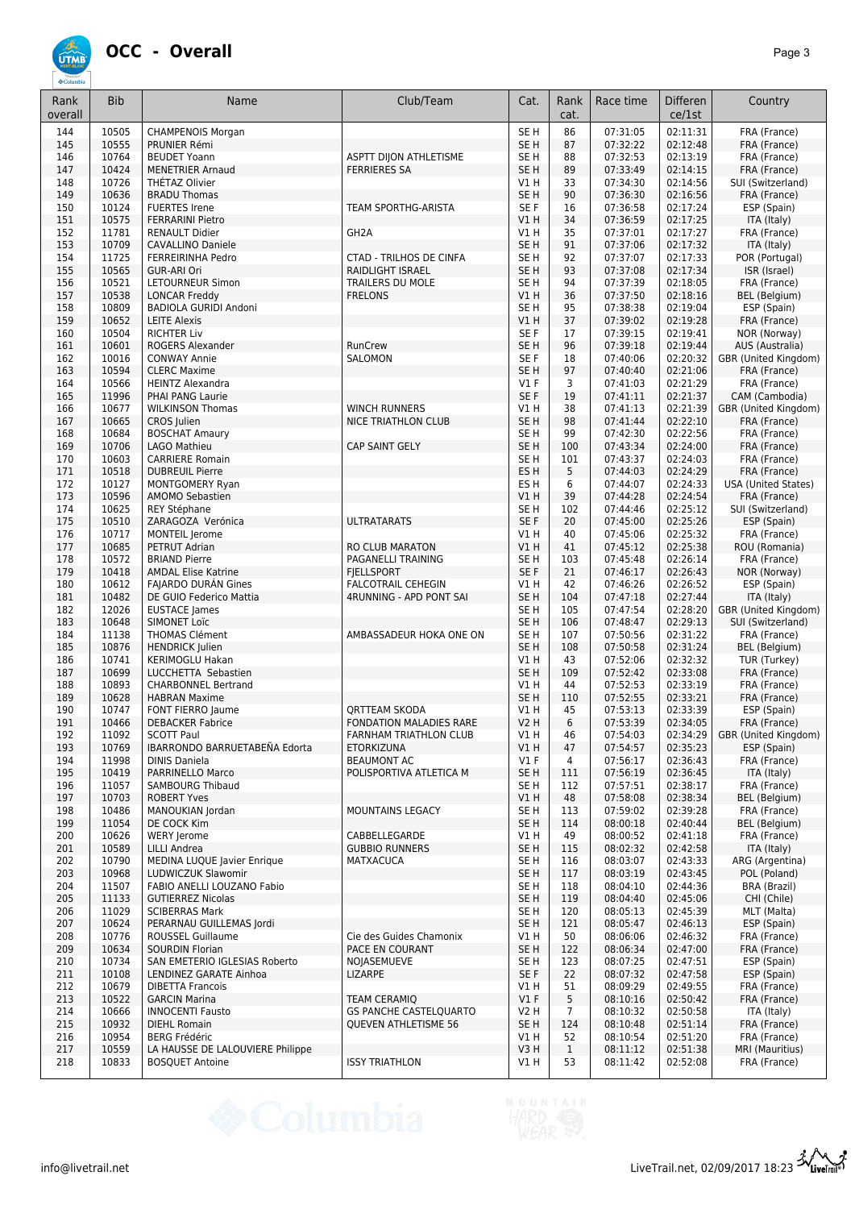## **ÚTME**

| Rank<br>overall | <b>Bib</b>     | Name                                                     | Club/Team                                                 | Cat.                               | Rank<br>cat.       | Race time            | Differen<br>ce/1st   | Country                                   |
|-----------------|----------------|----------------------------------------------------------|-----------------------------------------------------------|------------------------------------|--------------------|----------------------|----------------------|-------------------------------------------|
| 144             | 10505          | <b>CHAMPENOIS Morgan</b>                                 |                                                           | SE <sub>H</sub>                    | 86                 | 07:31:05             | 02:11:31             | FRA (France)                              |
| 145             | 10555          | PRUNIER Rémi                                             |                                                           | SE <sub>H</sub>                    | 87                 | 07:32:22             | 02:12:48             | FRA (France)                              |
| 146             | 10764          | <b>BEUDET Yoann</b>                                      | ASPTT DIJON ATHLETISME                                    | SE <sub>H</sub>                    | 88                 | 07:32:53             | 02:13:19             | FRA (France)                              |
| 147<br>148      | 10424<br>10726 | <b>MENETRIER Arnaud</b><br>THÉTAZ Olivier                | <b>FERRIERES SA</b>                                       | SE <sub>H</sub><br>V1H             | 89<br>33           | 07:33:49<br>07:34:30 | 02:14:15<br>02:14:56 | FRA (France)<br>SUI (Switzerland)         |
| 149             | 10636          | <b>BRADU Thomas</b>                                      |                                                           | SE <sub>H</sub>                    | 90                 | 07:36:30             | 02:16:56             | FRA (France)                              |
| 150             | 10124          | <b>FUERTES Irene</b>                                     | TEAM SPORTHG-ARISTA                                       | SE F                               | 16                 | 07:36:58             | 02:17:24             | ESP (Spain)                               |
| 151             | 10575          | <b>FERRARINI Pietro</b>                                  |                                                           | V1 H                               | 34                 | 07:36:59             | 02:17:25             | ITA (Italy)                               |
| 152             | 11781          | <b>RENAULT Didier</b>                                    | GH <sub>2</sub> A                                         | V1 H                               | 35                 | 07:37:01             | 02:17:27             | FRA (France)                              |
| 153             | 10709          | <b>CAVALLINO Daniele</b>                                 |                                                           | SE <sub>H</sub>                    | $91\,$             | 07:37:06             | 02:17:32             | ITA (Italy)                               |
| 154             | 11725          | FERREIRINHA Pedro                                        | <b>CTAD - TRILHOS DE CINFA</b><br><b>RAIDLIGHT ISRAEL</b> | SE <sub>H</sub>                    | 92<br>93           | 07:37:07             | 02:17:33             | POR (Portugal)                            |
| 155<br>156      | 10565<br>10521 | <b>GUR-ARI Ori</b><br>LETOURNEUR Simon                   | <b>TRAILERS DU MOLE</b>                                   | SE <sub>H</sub><br>SE <sub>H</sub> | 94                 | 07:37:08<br>07:37:39 | 02:17:34<br>02:18:05 | ISR (Israel)<br>FRA (France)              |
| 157             | 10538          | <b>LONCAR Freddy</b>                                     | <b>FRELONS</b>                                            | VIH                                | 36                 | 07:37:50             | 02:18:16             | <b>BEL</b> (Belgium)                      |
| 158             | 10809          | BADIOLA GURIDI Andoni                                    |                                                           | SE <sub>H</sub>                    | 95                 | 07:38:38             | 02:19:04             | ESP (Spain)                               |
| 159             | 10652          | <b>LEITE Alexis</b>                                      |                                                           | VIH                                | 37                 | 07:39:02             | 02:19:28             | FRA (France)                              |
| 160             | 10504          | <b>RICHTER Liv</b>                                       |                                                           | SE F                               | 17                 | 07:39:15             | 02:19:41             | NOR (Norway)                              |
| 161             | 10601          | ROGERS Alexander                                         | RunCrew                                                   | SE <sub>H</sub>                    | 96                 | 07:39:18             | 02:19:44             | AUS (Australia)                           |
| 162             | 10016          | <b>CONWAY Annie</b>                                      | SALOMON                                                   | SE F                               | 18                 | 07:40:06             | 02:20:32             | GBR (United Kingdom)                      |
| 163<br>164      | 10594<br>10566 | <b>CLERC Maxime</b><br><b>HEINTZ Alexandra</b>           |                                                           | SE <sub>H</sub><br>$VI$ F          | 97<br>3            | 07:40:40<br>07:41:03 | 02:21:06<br>02:21:29 | FRA (France)<br>FRA (France)              |
| 165             | 11996          | PHAI PANG Laurie                                         |                                                           | SE F                               | 19                 | 07:41:11             | 02:21:37             | CAM (Cambodia)                            |
| 166             | 10677          | <b>WILKINSON Thomas</b>                                  | <b>WINCH RUNNERS</b>                                      | V1 H                               | 38                 | 07:41:13             | 02:21:39             | GBR (United Kingdom)                      |
| 167             | 10665          | CROS Julien                                              | <b>NICE TRIATHLON CLUB</b>                                | SE <sub>H</sub>                    | 98                 | 07:41:44             | 02:22:10             | FRA (France)                              |
| 168             | 10684          | <b>BOSCHAT Amaury</b>                                    |                                                           | SE <sub>H</sub>                    | 99                 | 07:42:30             | 02:22:56             | FRA (France)                              |
| 169             | 10706          | LAGO Mathieu                                             | <b>CAP SAINT GELY</b>                                     | SE <sub>H</sub>                    | 100                | 07:43:34             | 02:24:00             | FRA (France)                              |
| 170             | 10603          | <b>CARRIERE Romain</b>                                   |                                                           | SE <sub>H</sub>                    | 101                | 07:43:37             | 02:24:03             | FRA (France)                              |
| 171             | 10518          | <b>DUBREUIL Pierre</b>                                   |                                                           | ES H                               | 5                  | 07:44:03             | 02:24:29             | FRA (France)                              |
| 172             | 10127          | <b>MONTGOMERY Ryan</b>                                   |                                                           | ES <sub>H</sub>                    | 6                  | 07:44:07             | 02:24:33             | <b>USA (United States)</b>                |
| 173<br>174      | 10596<br>10625 | <b>AMOMO Sebastien</b><br>REY Stéphane                   |                                                           | V1H<br>SE <sub>H</sub>             | 39<br>102          | 07:44:28<br>07:44:46 | 02:24:54<br>02:25:12 | FRA (France)<br>SUI (Switzerland)         |
| 175             | 10510          | ZARAGOZA Verónica                                        | <b>ULTRATARATS</b>                                        | SE F                               | 20                 | 07:45:00             | 02:25:26             | ESP (Spain)                               |
| 176             | 10717          | MONTEIL Jerome                                           |                                                           | V1H                                | 40                 | 07:45:06             | 02:25:32             | FRA (France)                              |
| 177             | 10685          | PETRUT Adrian                                            | RO CLUB MARATON                                           | V1H                                | 41                 | 07:45:12             | 02:25:38             | ROU (Romania)                             |
| 178             | 10572          | <b>BRIAND Pierre</b>                                     | PAGANELLI TRAINING                                        | SE <sub>H</sub>                    | 103                | 07:45:48             | 02:26:14             | FRA (France)                              |
| 179             | 10418          | <b>AMDAL Elise Katrine</b>                               | <b>FIELLSPORT</b>                                         | SE F                               | 21                 | 07:46:17             | 02:26:43             | NOR (Norway)                              |
| 180             | 10612          | <b>FAJARDO DURAN Gines</b>                               | <b>FALCOTRAIL CEHEGIN</b>                                 | V1H                                | 42                 | 07:46:26             | 02:26:52             | ESP (Spain)                               |
| 181             | 10482          | DE GUIO Federico Mattia                                  | 4RUNNING - APD PONT SAI                                   | SE <sub>H</sub>                    | 104                | 07:47:18             | 02:27:44             | ITA (Italy)                               |
| 182<br>183      | 12026<br>10648 | <b>EUSTACE</b> James<br><b>SIMONET Loïc</b>              |                                                           | SE <sub>H</sub><br>SE <sub>H</sub> | 105<br>106         | 07:47:54<br>07:48:47 | 02:28:20<br>02:29:13 | GBR (United Kingdom)<br>SUI (Switzerland) |
| 184             | 11138          | THOMAS Clément                                           | AMBASSADEUR HOKA ONE ON                                   | SE <sub>H</sub>                    | 107                | 07:50:56             | 02:31:22             | FRA (France)                              |
| 185             | 10876          | <b>HENDRICK Julien</b>                                   |                                                           | SE <sub>H</sub>                    | 108                | 07:50:58             | 02:31:24             | <b>BEL</b> (Belgium)                      |
| 186             | 10741          | <b>KERIMOGLU Hakan</b>                                   |                                                           | V1 H                               | 43                 | 07:52:06             | 02:32:32             | TUR (Turkey)                              |
| 187             | 10699          | LUCCHETTA Sebastien                                      |                                                           | SE <sub>H</sub>                    | 109                | 07:52:42             | 02:33:08             | FRA (France)                              |
| 188             | 10893          | <b>CHARBONNEL Bertrand</b>                               |                                                           | V1 H                               | 44                 | 07:52:53             | 02:33:19             | FRA (France)                              |
| 189             | 10628          | <b>HABRAN Maxime</b>                                     |                                                           | SE <sub>H</sub>                    | 110                | 07:52:55             | 02:33:21             | FRA (France)                              |
| 190<br>191      | 10747<br>10466 | FONT FIERRO Jaume<br><b>DEBACKER Fabrice</b>             | <b>QRTTEAM SKODA</b><br>FONDATION MALADIES RARE           | V1 H<br><b>V2 H</b>                | 45<br>6            | 07:53:13<br>07:53:39 | 02:33:39<br>02:34:05 | ESP (Spain)<br>FRA (France)               |
| 192             | 11092          | <b>SCOTT Paul</b>                                        | FARNHAM TRIATHLON CLUB                                    | V1 H                               | 46                 | 0/34:03              | 02:34:29             | GBR (United Kingdom)                      |
| 193             | 10769          | IBARRONDO BARRUETABEÑA Edorta                            | <b>ETORKIZUNA</b>                                         | V1H                                | 47                 | 07:54:57             | 02:35:23             | ESP (Spain)                               |
| 194             | 11998          | <b>DINIS Daniela</b>                                     | <b>BEAUMONT AC</b>                                        | V1F                                | 4                  | 07:56:17             | 02:36:43             | FRA (France)                              |
| 195             | 10419          | PARRINELLO Marco                                         | POLISPORTIVA ATLETICA M                                   | SE <sub>H</sub>                    | 111                | 07:56:19             | 02:36:45             | ITA (Italy)                               |
| 196             | 11057          | <b>SAMBOURG Thibaud</b>                                  |                                                           | SE H                               | 112                | 07:57:51             | 02:38:17             | FRA (France)                              |
| 197             | 10703          | <b>ROBERT Yves</b>                                       |                                                           | V1 H                               | 48                 | 07:58:08             | 02:38:34             | <b>BEL</b> (Belgium)                      |
| 198<br>199      | 10486<br>11054 | MANOUKIAN Jordan<br>DE COCK Kim                          | MOUNTAINS LEGACY                                          | SE H<br>SE <sub>H</sub>            | 113                | 07:59:02<br>08:00:18 | 02:39:28<br>02:40:44 | FRA (France)<br><b>BEL</b> (Belgium)      |
| 200             | 10626          | <b>WERY Jerome</b>                                       | CABBELLEGARDE                                             | V1H                                | 114<br>49          | 08:00:52             | 02:41:18             | FRA (France)                              |
| 201             | 10589          | LILLI Andrea                                             | <b>GUBBIO RUNNERS</b>                                     | SE <sub>H</sub>                    | 115                | 08:02:32             | 02:42:58             | ITA (Italy)                               |
| 202             | 10790          | MEDINA LUQUE Javier Enrique                              | <b>MATXACUCA</b>                                          | SE H                               | 116                | 08:03:07             | 02:43:33             | ARG (Argentina)                           |
| 203             | 10968          | LUDWICZUK Slawomir                                       |                                                           | SE <sub>H</sub>                    | 117                | 08:03:19             | 02:43:45             | POL (Poland)                              |
| 204             | 11507          | FABIO ANELLI LOUZANO Fabio                               |                                                           | SE H                               | 118                | 08:04:10             | 02:44:36             | BRA (Brazil)                              |
| 205             | 11133          | <b>GUTIERREZ Nicolas</b>                                 |                                                           | SE <sub>H</sub>                    | 119                | 08:04:40             | 02:45:06             | CHI (Chile)                               |
| 206             | 11029          | <b>SCIBERRAS Mark</b>                                    |                                                           | SE H                               | 120                | 08:05:13             | 02:45:39             | MLT (Malta)                               |
| 207<br>208      | 10624<br>10776 | PERARNAU GUILLEMAS Jordi<br><b>ROUSSEL Guillaume</b>     | Cie des Guides Chamonix                                   | SE <sub>H</sub><br>V1 H            | 121<br>50          | 08:05:47<br>08:06:06 | 02:46:13<br>02:46:32 | ESP (Spain)<br>FRA (France)               |
| 209             | 10634          | <b>SOURDIN Florian</b>                                   | PACE EN COURANT                                           | SE <sub>H</sub>                    | 122                | 08:06:34             | 02:47:00             | FRA (France)                              |
| 210             | 10734          | SAN EMETERIO IGLESIAS Roberto                            | NOJASEMUEVE                                               | SE H                               | 123                | 08:07:25             | 02:47:51             | ESP (Spain)                               |
| 211             | 10108          | LENDINEZ GARATE Ainhoa                                   | <b>LIZARPE</b>                                            | SE F                               | 22                 | 08:07:32             | 02:47:58             | ESP (Spain)                               |
| 212             | 10679          | <b>DIBETTA Francois</b>                                  |                                                           | V1 H                               | 51                 | 08:09:29             | 02:49:55             | FRA (France)                              |
| 213             | 10522          | <b>GARCIN Marina</b>                                     | <b>TEAM CERAMIQ</b>                                       | V1 F                               | 5                  | 08:10:16             | 02:50:42             | FRA (France)                              |
| 214             | 10666          | <b>INNOCENTI Fausto</b>                                  | <b>GS PANCHE CASTELQUARTO</b>                             | V <sub>2</sub> H                   | 7                  | 08:10:32             | 02:50:58             | ITA (Italy)                               |
| 215             | 10932          | <b>DIEHL Romain</b>                                      | QUEVEN ATHLETISME 56                                      | SE <sub>H</sub>                    | 124                | 08:10:48             | 02:51:14             | FRA (France)                              |
| 216<br>217      | 10954<br>10559 | <b>BERG Frédéric</b><br>LA HAUSSE DE LALOUVIERE Philippe |                                                           | V1 H<br>V3H                        | 52<br>$\mathbf{1}$ | 08:10:54<br>08:11:12 | 02:51:20<br>02:51:38 | FRA (France)<br>MRI (Mauritius)           |
| 218             | 10833          | <b>BOSQUET Antoine</b>                                   | <b>ISSY TRIATHLON</b>                                     | V1 H                               | 53                 | 08:11:42             | 02:52:08             | FRA (France)                              |
|                 |                |                                                          |                                                           |                                    |                    |                      |                      |                                           |

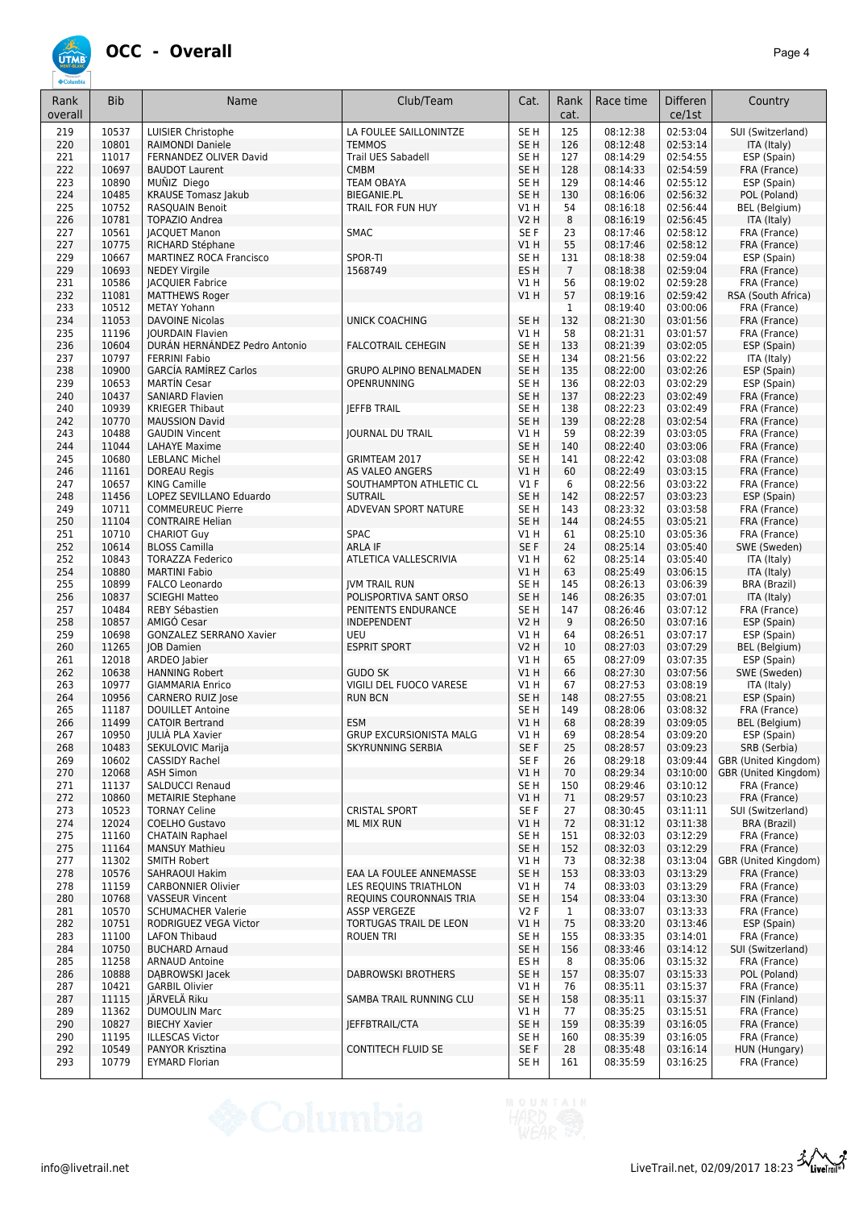

| Rank<br>overall | <b>Bib</b>     | Name                                                | Club/Team                                        | Cat.                               | Rank<br>cat.   | Race time            | <b>Differen</b><br>ce/1st | Country                            |
|-----------------|----------------|-----------------------------------------------------|--------------------------------------------------|------------------------------------|----------------|----------------------|---------------------------|------------------------------------|
| 219             | 10537          | LUISIER Christophe                                  | LA FOULEE SAILLONINTZE                           | SE <sub>H</sub>                    | 125            | 08:12:38             | 02:53:04                  | SUI (Switzerland)                  |
| 220             | 10801          | <b>RAIMONDI Daniele</b>                             | <b>TEMMOS</b>                                    | SE <sub>H</sub>                    | 126            | 08:12:48             | 02:53:14                  | ITA (Italy)                        |
| 221             | 11017          | FERNANDEZ OLIVER David                              | Trail UES Sabadell                               | SE H                               | 127            | 08:14:29             | 02:54:55                  | ESP (Spain)                        |
| 222             | 10697          | <b>BAUDOT Laurent</b>                               | <b>CMBM</b>                                      | SE <sub>H</sub>                    | 128            | 08:14:33             | 02:54:59                  | FRA (France)                       |
| 223<br>224      | 10890<br>10485 | MUÑIZ Diego<br><b>KRAUSE Tomasz Jakub</b>           | <b>TEAM OBAYA</b><br><b>BIEGANIE.PL</b>          | SE H<br>SE <sub>H</sub>            | 129<br>130     | 08:14:46<br>08:16:06 | 02:55:12<br>02:56:32      | ESP (Spain)<br>POL (Poland)        |
| 225             | 10752          | RASQUAIN Benoit                                     | TRAIL FOR FUN HUY                                | V1 H                               | 54             | 08:16:18             | 02:56:44                  | BEL (Belgium)                      |
| 226             | 10781          | <b>TOPAZIO Andrea</b>                               |                                                  | <b>V2 H</b>                        | 8              | 08:16:19             | 02:56:45                  | ITA (Italy)                        |
| 227             | 10561          | <b>JACQUET Manon</b>                                | <b>SMAC</b>                                      | SE F                               | 23             | 08:17:46             | 02:58:12                  | FRA (France)                       |
| 227             | 10775          | RICHARD Stéphane                                    |                                                  | VIH                                | 55             | 08:17:46             | 02:58:12                  | FRA (France)                       |
| 229             | 10667          | <b>MARTINEZ ROCA Francisco</b>                      | SPOR-TI                                          | SE <sub>H</sub>                    | 131            | 08:18:38             | 02:59:04                  | ESP (Spain)                        |
| 229             | 10693          | <b>NEDEY Virgile</b>                                | 1568749                                          | ES H                               | $\overline{7}$ | 08:18:38             | 02:59:04                  | FRA (France)                       |
| 231<br>232      | 10586<br>11081 | <b>JACQUIER Fabrice</b><br><b>MATTHEWS Roger</b>    |                                                  | V1 H<br>VIH                        | 56<br>57       | 08:19:02<br>08:19:16 | 02:59:28<br>02:59:42      | FRA (France)<br>RSA (South Africa) |
| 233             | 10512          | <b>METAY Yohann</b>                                 |                                                  |                                    | $\mathbf{1}$   | 08:19:40             | 03:00:06                  | FRA (France)                       |
| 234             | 11053          | <b>DAVOINE Nicolas</b>                              | <b>UNICK COACHING</b>                            | SE <sub>H</sub>                    | 132            | 08:21:30             | 03:01:56                  | FRA (France)                       |
| 235             | 11196          | <b>JOURDAIN Flavien</b>                             |                                                  | V1 H                               | 58             | 08:21:31             | 03:01:57                  | FRA (France)                       |
| 236             | 10604          | DURÁN HERNÁNDEZ Pedro Antonio                       | <b>FALCOTRAIL CEHEGIN</b>                        | SE <sub>H</sub>                    | 133            | 08:21:39             | 03:02:05                  | ESP (Spain)                        |
| 237             | 10797          | <b>FERRINI Fabio</b>                                |                                                  | SE H                               | 134            | 08:21:56             | 03:02:22                  | ITA (Italy)                        |
| 238             | 10900          | <b>GARCÍA RAMÍREZ Carlos</b>                        | <b>GRUPO ALPINO BENALMADEN</b>                   | SE H                               | 135            | 08:22:00             | 03:02:26                  | ESP (Spain)                        |
| 239<br>240      | 10653<br>10437 | <b>MARTÍN Cesar</b><br><b>SANIARD Flavien</b>       | OPENRUNNING                                      | SE <sub>H</sub><br>SE <sub>H</sub> | 136<br>137     | 08:22:03<br>08:22:23 | 03:02:29<br>03:02:49      | ESP (Spain)                        |
| 240             | 10939          | <b>KRIEGER Thibaut</b>                              | <b>IEFFB TRAIL</b>                               | SE H                               | 138            | 08:22:23             | 03:02:49                  | FRA (France)<br>FRA (France)       |
| 242             | 10770          | <b>MAUSSION David</b>                               |                                                  | SE <sub>H</sub>                    | 139            | 08:22:28             | 03:02:54                  | FRA (France)                       |
| 243             | 10488          | <b>GAUDIN Vincent</b>                               | <b>JOURNAL DU TRAIL</b>                          | V1H                                | 59             | 08:22:39             | 03:03:05                  | FRA (France)                       |
| 244             | 11044          | <b>LAHAYE Maxime</b>                                |                                                  | SE <sub>H</sub>                    | 140            | 08:22:40             | 03:03:06                  | FRA (France)                       |
| 245             | 10680          | <b>LEBLANC Michel</b>                               | GRIMTEAM 2017                                    | SE H                               | 141            | 08:22:42             | 03:03:08                  | FRA (France)                       |
| 246             | 11161          | <b>DOREAU Regis</b>                                 | <b>AS VALEO ANGERS</b>                           | V1 H                               | 60             | 08:22:49             | 03:03:15                  | FRA (France)                       |
| 247             | 10657          | <b>KING Camille</b>                                 | SOUTHAMPTON ATHLETIC CL                          | $VI$ F                             | 6              | 08:22:56             | 03:03:22                  | FRA (France)                       |
| 248<br>249      | 11456<br>10711 | LOPEZ SEVILLANO Eduardo<br><b>COMMEUREUC Pierre</b> | <b>SUTRAIL</b><br>ADVEVAN SPORT NATURE           | SE <sub>H</sub><br>SE H            | 142<br>143     | 08:22:57<br>08:23:32 | 03:03:23<br>03:03:58      | ESP (Spain)<br>FRA (France)        |
| 250             | 11104          | <b>CONTRAIRE Helian</b>                             |                                                  | SE <sub>H</sub>                    | 144            | 08:24:55             | 03:05:21                  | FRA (France)                       |
| 251             | 10710          | <b>CHARIOT Guy</b>                                  | <b>SPAC</b>                                      | V1H                                | 61             | 08:25:10             | 03:05:36                  | FRA (France)                       |
| 252             | 10614          | <b>BLOSS Camilla</b>                                | <b>ARLA IF</b>                                   | SE F                               | 24             | 08:25:14             | 03:05:40                  | SWE (Sweden)                       |
| 252             | 10843          | <b>TORAZZA Federico</b>                             | ATLETICA VALLESCRIVIA                            | V1 H                               | 62             | 08:25:14             | 03:05:40                  | ITA (Italy)                        |
| 254             | 10880          | <b>MARTINI Fabio</b>                                |                                                  | V1 H                               | 63             | 08:25:49             | 03:06:15                  | ITA (Italy)                        |
| 255             | 10899          | FALCO Leonardo                                      | <b>JVM TRAIL RUN</b>                             | SE H                               | 145            | 08:26:13             | 03:06:39                  | BRA (Brazil)                       |
| 256<br>257      | 10837<br>10484 | <b>SCIEGHI Matteo</b><br>REBY Sébastien             | POLISPORTIVA SANT ORSO<br>PENITENTS ENDURANCE    | SE <sub>H</sub><br>SE <sub>H</sub> | 146<br>147     | 08:26:35<br>08:26:46 | 03:07:01<br>03:07:12      | ITA (Italy)<br>FRA (France)        |
| 258             | 10857          | AMIGO Cesar                                         | INDEPENDENT                                      | V2 H                               | 9              | 08:26:50             | 03:07:16                  | ESP (Spain)                        |
| 259             | 10698          | GONZALEZ SERRANO Xavier                             | UEU                                              | V1 H                               | 64             | 08:26:51             | 03:07:17                  | ESP (Spain)                        |
| 260             | 11265          | <b>IOB</b> Damien                                   | <b>ESPRIT SPORT</b>                              | V2 H                               | 10             | 08:27:03             | 03:07:29                  | BEL (Belgium)                      |
| 261             | 12018          | ARDEO Jabier                                        |                                                  | V1 H                               | 65             | 08:27:09             | 03:07:35                  | ESP (Spain)                        |
| 262             | 10638          | <b>HANNING Robert</b>                               | <b>GUDO SK</b><br>VIGILI DEL FUOCO VARESE        | VIH                                | 66             | 08:27:30             | 03:07:56                  | SWE (Sweden)                       |
| 263<br>264      | 10977<br>10956 | <b>GIAMMARIA Enrico</b><br><b>CARNERO RUIZ Jose</b> | <b>RUN BCN</b>                                   | V1 H<br>SE <sub>H</sub>            | 67<br>148      | 08:27:53<br>08:27:55 | 03:08:19<br>03:08:21      | ITA (Italy)<br>ESP (Spain)         |
| 265             | 11187          | <b>DOUILLET Antoine</b>                             |                                                  | SE H                               | 149            | 08:28:06             | 03:08:32                  | FRA (France)                       |
| 266             | 11499          | <b>CATOIR Bertrand</b>                              | <b>ESM</b>                                       | V1 H                               | 68             | 08:28:39             | 03:09:05                  | BEL (Belgium)                      |
| 267             | 10950          | JULIÀ PLA Xavier                                    | GRUP EXCURSIONISTA MALG                          | V1H                                | 69             | 08:28:54             | 03:09:20                  | ESP (Spain)                        |
| 268             | 10483          | SEKULOVIC Marija                                    | SKYRUNNING SERBIA                                | SE F                               | 25             | 08:28:57             | 03:09:23                  | SRB (Serbia)                       |
| 269             | 10602          | <b>CASSIDY Rachel</b>                               |                                                  | SE F                               | 26             | 08:29:18             | 03:09:44                  | GBR (United Kingdom)               |
| 270             | 12068          | <b>ASH Simon</b><br>SALDUCCI Renaud                 |                                                  | V1H                                | 70<br>150      | 08:29:34             | 03:10:00<br>03:10:12      | GBR (United Kingdom)               |
| 271<br>272      | 11137<br>10860 | <b>METAIRIE Stephane</b>                            |                                                  | SE H<br>V1H                        | 71             | 08:29:46<br>08:29:57 | 03:10:23                  | FRA (France)<br>FRA (France)       |
| 273             | 10523          | <b>TORNAY Celine</b>                                | <b>CRISTAL SPORT</b>                             | SE F                               | 27             | 08:30:45             | 03:11:11                  | SUI (Switzerland)                  |
| 274             | 12024          | <b>COELHO Gustavo</b>                               | <b>ML MIX RUN</b>                                | V1H                                | 72             | 08:31:12             | 03:11:38                  | BRA (Brazil)                       |
| 275             | 11160          | <b>CHATAIN Raphael</b>                              |                                                  | SE H                               | 151            | 08:32:03             | 03:12:29                  | FRA (France)                       |
| 275             | 11164          | <b>MANSUY Mathieu</b>                               |                                                  | SE <sub>H</sub>                    | 152            | 08:32:03             | 03:12:29                  | FRA (France)                       |
| 277             | 11302          | <b>SMITH Robert</b>                                 |                                                  | V1 H                               | 73             | 08:32:38             | 03:13:04                  | GBR (United Kingdom)               |
| 278             | 10576          | SAHRAOUI Hakim                                      | EAA LA FOULEE ANNEMASSE                          | SE <sub>H</sub>                    | 153            | 08:33:03             | 03:13:29                  | FRA (France)                       |
| 278<br>280      | 11159<br>10768 | <b>CARBONNIER Olivier</b><br><b>VASSEUR Vincent</b> | LES REQUINS TRIATHLON<br>REQUINS COURONNAIS TRIA | V1 H<br>SE <sub>H</sub>            | 74<br>154      | 08:33:03<br>08:33:04 | 03:13:29<br>03:13:30      | FRA (France)<br>FRA (France)       |
| 281             | 10570          | <b>SCHUMACHER Valerie</b>                           | <b>ASSP VERGEZE</b>                              | V2F                                | $\mathbf{1}$   | 08:33:07             | 03:13:33                  | FRA (France)                       |
| 282             | 10751          | RODRIGUEZ VEGA Victor                               | TORTUGAS TRAIL DE LEON                           | V1 H                               | 75             | 08:33:20             | 03:13:46                  | ESP (Spain)                        |
| 283             | 11100          | <b>LAFON Thibaud</b>                                | <b>ROUEN TRI</b>                                 | SE H                               | 155            | 08:33:35             | 03:14:01                  | FRA (France)                       |
| 284             | 10750          | <b>BUCHARD Arnaud</b>                               |                                                  | SE <sub>H</sub>                    | 156            | 08:33:46             | 03:14:12                  | SUI (Switzerland)                  |
| 285             | 11258          | <b>ARNAUD Antoine</b>                               |                                                  | ES H                               | 8              | 08:35:06             | 03:15:32                  | FRA (France)                       |
| 286             | 10888          | DABROWSKI Jacek                                     | <b>DABROWSKI BROTHERS</b>                        | SE <sub>H</sub>                    | 157            | 08:35:07             | 03:15:33                  | POL (Poland)                       |
| 287<br>287      | 10421<br>11115 | <b>GARBIL Olivier</b><br>JÄRVELÄ Riku               | SAMBA TRAIL RUNNING CLU                          | V1 H<br>SE <sub>H</sub>            | 76<br>158      | 08:35:11<br>08:35:11 | 03:15:37<br>03:15:37      | FRA (France)<br>FIN (Finland)      |
| 289             | 11362          | <b>DUMOULIN Marc</b>                                |                                                  | V1 H                               | 77             | 08:35:25             | 03:15:51                  | FRA (France)                       |
| 290             | 10827          | <b>BIECHY Xavier</b>                                | JEFFBTRAIL/CTA                                   | SE <sub>H</sub>                    | 159            | 08:35:39             | 03:16:05                  | FRA (France)                       |
| 290             | 11195          | <b>ILLESCAS Victor</b>                              |                                                  | SE H                               | 160            | 08:35:39             | 03:16:05                  | FRA (France)                       |
| 292             | 10549          | PANYOR Krisztina                                    | <b>CONTITECH FLUID SE</b>                        | SE F                               | 28             | 08:35:48             | 03:16:14                  | HUN (Hungary)                      |
| 293             | 10779          | <b>EYMARD Florian</b>                               |                                                  | SE <sub>H</sub>                    | 161            | 08:35:59             | 03:16:25                  | FRA (France)                       |

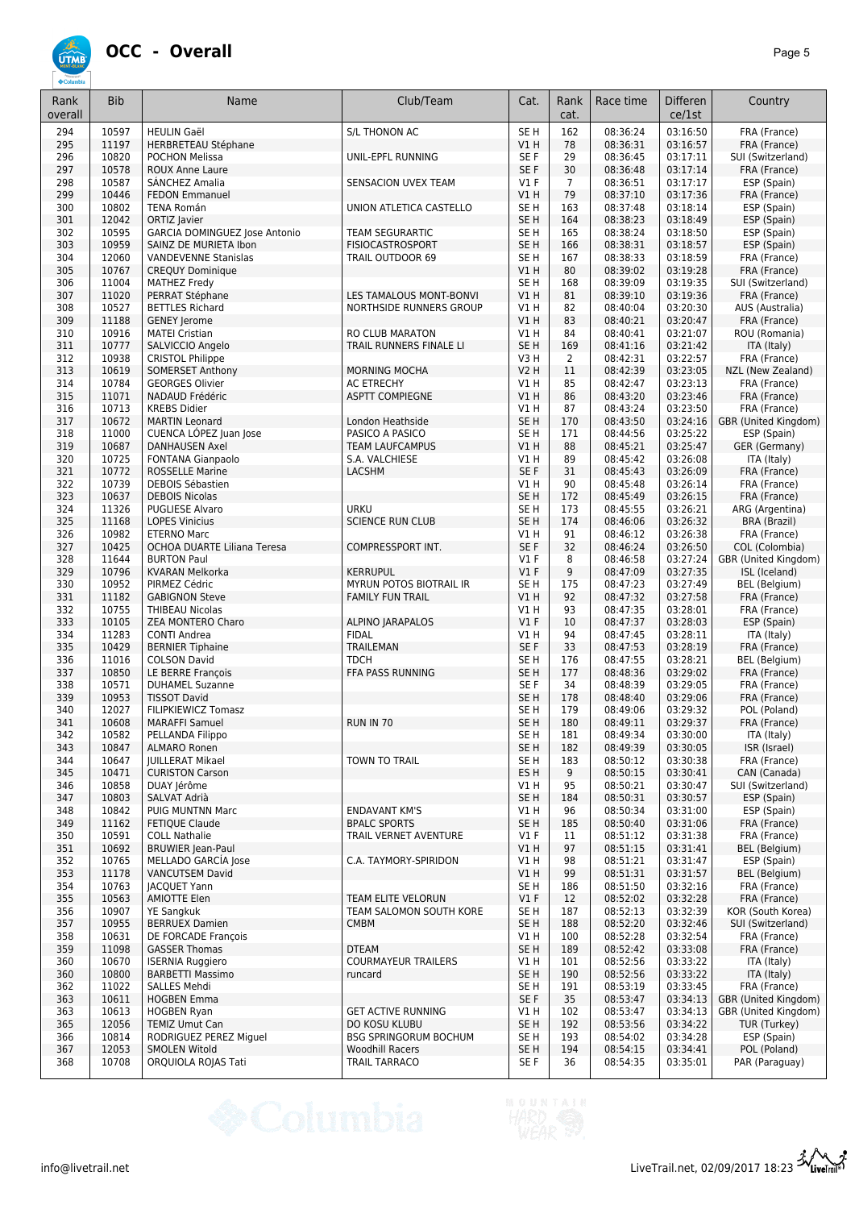

| Rank<br>overall | <b>Bib</b>     | Name                                                   | Club/Team                                | Cat.                      | Rank<br>cat.          | Race time            | <b>Differen</b><br>ce/1st | Country                                      |
|-----------------|----------------|--------------------------------------------------------|------------------------------------------|---------------------------|-----------------------|----------------------|---------------------------|----------------------------------------------|
| 294             | 10597          | <b>HEULIN Gaël</b>                                     | <b>S/L THONON AC</b>                     | SE <sub>H</sub>           | 162                   | 08:36:24             | 03:16:50                  | FRA (France)                                 |
| 295             | 11197          | <b>HERBRETEAU Stéphane</b>                             |                                          | VIH                       | 78                    | 08:36:31             | 03:16:57                  | FRA (France)                                 |
| 296             | 10820          | <b>POCHON Melissa</b>                                  | UNIL-EPFL RUNNING                        | SE F                      | 29                    | 08:36:45             | 03:17:11                  | SUI (Switzerland)                            |
| 297<br>298      | 10578<br>10587 | <b>ROUX Anne Laure</b><br>SÁNCHEZ Amalia               | SENSACION UVEX TEAM                      | SE <sub>F</sub><br>$VI$ F | 30<br>$\overline{7}$  | 08:36:48<br>08:36:51 | 03:17:14<br>03:17:17      | FRA (France)<br>ESP (Spain)                  |
| 299             | 10446          | <b>FEDON Emmanuel</b>                                  |                                          | V1H                       | 79                    | 08:37:10             | 03:17:36                  | FRA (France)                                 |
| 300             | 10802          | <b>TENA Román</b>                                      | UNION ATLETICA CASTELLO                  | SE <sub>H</sub>           | 163                   | 08:37:48             | 03:18:14                  | ESP (Spain)                                  |
| 301             | 12042          | ORTIZ Javier                                           |                                          | SE <sub>H</sub>           | 164                   | 08:38:23             | 03:18:49                  | ESP (Spain)                                  |
| 302             | 10595          | GARCIA DOMINGUEZ Jose Antonio                          | <b>TEAM SEGURARTIC</b>                   | SE <sub>H</sub>           | 165                   | 08:38:24             | 03:18:50                  | ESP (Spain)                                  |
| 303             | 10959          | SAINZ DE MURIETA Ibon                                  | <b>FISIOCASTROSPORT</b>                  | SE <sub>H</sub>           | 166                   | 08:38:31             | 03:18:57                  | ESP (Spain)                                  |
| 304<br>305      | 12060<br>10767 | <b>VANDEVENNE Stanislas</b><br><b>CREQUY Dominique</b> | TRAIL OUTDOOR 69                         | SE <sub>H</sub><br>VIH    | 167<br>80             | 08:38:33<br>08:39:02 | 03:18:59<br>03:19:28      | FRA (France)<br>FRA (France)                 |
| 306             | 11004          | <b>MATHEZ Fredv</b>                                    |                                          | SE H                      | 168                   | 08:39:09             | 03:19:35                  | SUI (Switzerland)                            |
| 307             | 11020          | PERRAT Stéphane                                        | LES TAMALOUS MONT-BONVI                  | VIH                       | 81                    | 08:39:10             | 03:19:36                  | FRA (France)                                 |
| 308             | 10527          | <b>BETTLES Richard</b>                                 | NORTHSIDE RUNNERS GROUP                  | <b>V1 H</b>               | 82                    | 08:40:04             | 03:20:30                  | AUS (Australia)                              |
| 309             | 11188          | <b>GENEY Jerome</b>                                    |                                          | VIH                       | 83                    | 08:40:21             | 03:20:47                  | FRA (France)                                 |
| 310             | 10916          | <b>MATEI Cristian</b>                                  | RO CLUB MARATON                          | V1H                       | 84                    | 08:40:41             | 03:21:07                  | ROU (Romania)                                |
| 311<br>312      | 10777<br>10938 | SALVICCIO Angelo<br><b>CRISTOL Philippe</b>            | TRAIL RUNNERS FINALE LI                  | SE <sub>H</sub><br>V3H    | 169<br>$\overline{2}$ | 08:41:16<br>08:42:31 | 03:21:42<br>03:22:57      | ITA (Italy)<br>FRA (France)                  |
| 313             | 10619          | SOMERSET Anthony                                       | <b>MORNING MOCHA</b>                     | <b>V2 H</b>               | 11                    | 08:42:39             | 03:23:05                  | NZL (New Zealand)                            |
| 314             | 10784          | <b>GEORGES Olivier</b>                                 | <b>AC ETRECHY</b>                        | V1H                       | 85                    | 08:42:47             | 03:23:13                  | FRA (France)                                 |
| 315             | 11071          | NADAUD Frédéric                                        | <b>ASPTT COMPIEGNE</b>                   | V1H                       | 86                    | 08:43:20             | 03:23:46                  | FRA (France)                                 |
| 316             | 10713          | <b>KREBS Didier</b>                                    |                                          | V1H                       | 87                    | 08:43:24             | 03:23:50                  | FRA (France)                                 |
| 317             | 10672          | <b>MARTIN Leonard</b>                                  | London Heathside                         | SE <sub>H</sub>           | 170                   | 08:43:50             | 03:24:16                  | GBR (United Kingdom)                         |
| 318             | 11000          | CUENCA LÓPEZ Juan Jose                                 | PASICO A PASICO                          | SE H                      | 171                   | 08:44:56             | 03:25:22                  | ESP (Spain)                                  |
| 319<br>320      | 10687<br>10725 | <b>DANHAUSEN Axel</b><br><b>FONTANA Gianpaolo</b>      | <b>TEAM LAUFCAMPUS</b><br>S.A. VALCHIESE | VIH<br>V1 H               | 88<br>89              | 08:45:21<br>08:45:42 | 03:25:47<br>03:26:08      | GER (Germany)<br>ITA (Italy)                 |
| 321             | 10772          | <b>ROSSELLE Marine</b>                                 | <b>LACSHM</b>                            | SE F                      | 31                    | 08:45:43             | 03:26:09                  | FRA (France)                                 |
| 322             | 10739          | <b>DEBOIS Sébastien</b>                                |                                          | VIH                       | 90                    | 08:45:48             | 03:26:14                  | FRA (France)                                 |
| 323             | 10637          | <b>DEBOIS Nicolas</b>                                  |                                          | SE <sub>H</sub>           | 172                   | 08:45:49             | 03:26:15                  | FRA (France)                                 |
| 324             | 11326          | <b>PUGLIESE Alvaro</b>                                 | <b>URKU</b>                              | SE <sub>H</sub>           | 173                   | 08:45:55             | 03:26:21                  | ARG (Argentina)                              |
| 325             | 11168          | <b>LOPES Vinicius</b>                                  | <b>SCIENCE RUN CLUB</b>                  | SE <sub>H</sub>           | 174                   | 08:46:06             | 03:26:32                  | <b>BRA</b> (Brazil)                          |
| 326<br>327      | 10982<br>10425 | <b>ETERNO Marc</b><br>OCHOA DUARTE Liliana Teresa      | COMPRESSPORT INT.                        | VIH<br>SE <sub>F</sub>    | 91<br>32              | 08:46:12<br>08:46:24 | 03:26:38<br>03:26:50      | FRA (France)<br>COL (Colombia)               |
| 328             | 11644          | <b>BURTON Paul</b>                                     |                                          | $VI$ F                    | 8                     | 08:46:58             | 03:27:24                  | GBR (United Kingdom)                         |
| 329             | 10796          | <b>KVARAN Melkorka</b>                                 | <b>KERRUPUL</b>                          | V1F                       | 9                     | 08:47:09             | 03:27:35                  | ISL (Iceland)                                |
| 330             | 10952          | PIRMEZ Cédric                                          | MYRUN POTOS BIOTRAIL IR                  | SE H                      | 175                   | 08:47:23             | 03:27:49                  | <b>BEL</b> (Belgium)                         |
| 331             | 11182          | <b>GABIGNON Steve</b>                                  | <b>FAMILY FUN TRAIL</b>                  | VIH                       | 92                    | 08:47:32             | 03:27:58                  | FRA (France)                                 |
| 332             | 10755          | <b>THIBEAU Nicolas</b>                                 |                                          | V1H                       | 93                    | 08:47:35             | 03:28:01                  | FRA (France)                                 |
| 333<br>334      | 10105<br>11283 | ZEA MONTERO Charo                                      | <b>ALPINO JARAPALOS</b><br><b>FIDAL</b>  | V1F<br>VIH                | 10<br>94              | 08:47:37<br>08:47:45 | 03:28:03<br>03:28:11      | ESP (Spain)                                  |
| 335             | 10429          | <b>CONTI Andrea</b><br><b>BERNIER Tiphaine</b>         | <b>TRAILEMAN</b>                         | SE F                      | 33                    | 08:47:53             | 03:28:19                  | ITA (Italy)<br>FRA (France)                  |
| 336             | 11016          | <b>COLSON David</b>                                    | <b>TDCH</b>                              | SE <sub>H</sub>           | 176                   | 08:47:55             | 03:28:21                  | <b>BEL</b> (Belgium)                         |
| 337             | 10850          | LE BERRE François                                      | FFA PASS RUNNING                         | SE <sub>H</sub>           | 177                   | 08:48:36             | 03:29:02                  | FRA (France)                                 |
| 338             | 10571          | <b>DUHAMEL Suzanne</b>                                 |                                          | SE <sub>F</sub>           | 34                    | 08:48:39             | 03:29:05                  | FRA (France)                                 |
| 339             | 10953          | <b>TISSOT David</b>                                    |                                          | SE <sub>H</sub>           | 178                   | 08:48:40             | 03:29:06                  | FRA (France)                                 |
| 340<br>341      | 12027<br>10608 | FILIPKIEWICZ Tomasz<br><b>MARAFFI Samuel</b>           | <b>RUN IN 70</b>                         | SE <sub>H</sub><br>SE H   | 179<br>180            | 08:49:06             | 03:29:32                  | POL (Poland)                                 |
| 342             | 10582          | PELLANDA Filippo                                       |                                          | SE H                      | 181                   | 08:49:11<br>08:49:34 | 03:29:37<br>03:30:00      | FRA (France)<br>ITA (Italy)                  |
| 343             | 10847          | <b>ALMARO Ronen</b>                                    |                                          | SE H                      | 182                   | 08:49:39             | 03:30:05                  | ISR (Israel)                                 |
| 344             | 10647          | <b>JUILLERAT Mikael</b>                                | TOWN TO TRAIL                            | SE H                      | 183                   | 08:50:12             | 03:30:38                  | FRA (France)                                 |
| 345             | 10471          | <b>CURISTON Carson</b>                                 |                                          | ES H                      | 9                     | 08:50:15             | 03:30:41                  | CAN (Canada)                                 |
| 346             | 10858          | DUAY Jérôme                                            |                                          | V1H                       | 95                    | 08:50:21             | 03:30:47                  | SUI (Switzerland)                            |
| 347<br>348      | 10803<br>10842 | SALVAT Adrià<br>PUIG MUNTNN Marc                       | <b>ENDAVANT KM'S</b>                     | SE <sub>H</sub><br>V1H    | 184<br>96             | 08:50:31<br>08:50:34 | 03:30:57<br>03:31:00      | ESP (Spain)<br>ESP (Spain)                   |
| 349             | 11162          | <b>FETIQUE Claude</b>                                  | <b>BPALC SPORTS</b>                      | SE <sub>H</sub>           | 185                   | 08:50:40             | 03:31:06                  | FRA (France)                                 |
| 350             | 10591          | <b>COLL Nathalie</b>                                   | TRAIL VERNET AVENTURE                    | $VI$ F                    | 11                    | 08:51:12             | 03:31:38                  | FRA (France)                                 |
| 351             | 10692          | <b>BRUWIER Jean-Paul</b>                               |                                          | V1H                       | 97                    | 08:51:15             | 03:31:41                  | BEL (Belgium)                                |
| 352             | 10765          | MELLADO GARCÍA Jose                                    | C.A. TAYMORY-SPIRIDON                    | V1H                       | 98                    | 08:51:21             | 03:31:47                  | ESP (Spain)                                  |
| 353             | 11178          | <b>VANCUTSEM David</b>                                 |                                          | V1H                       | 99                    | 08:51:31             | 03:31:57                  | BEL (Belgium)                                |
| 354             | 10763          | <b>JACQUET Yann</b>                                    |                                          | SE H                      | 186                   | 08:51:50             | 03:32:16                  | FRA (France)                                 |
| 355             | 10563          | AMIOTTE Elen                                           | TEAM ELITE VELORUN                       | $VI$ F                    | 12                    | 08:52:02             | 03:32:28                  | FRA (France)                                 |
| 356<br>357      | 10907<br>10955 | <b>YE Sangkuk</b><br><b>BERRUEX Damien</b>             | TEAM SALOMON SOUTH KORE<br><b>CMBM</b>   | SE H<br>SE <sub>H</sub>   | 187<br>188            | 08:52:13<br>08:52:20 | 03:32:39<br>03:32:46      | KOR (South Korea)<br>SUI (Switzerland)       |
| 358             | 10631          | DE FORCADE François                                    |                                          | V1H                       | 100                   | 08:52:28             | 03:32:54                  | FRA (France)                                 |
| 359             | 11098          | <b>GASSER Thomas</b>                                   | <b>DTEAM</b>                             | SE <sub>H</sub>           | 189                   | 08:52:42             | 03:33:08                  | FRA (France)                                 |
| 360             | 10670          | <b>ISERNIA Ruggiero</b>                                | <b>COURMAYEUR TRAILERS</b>               | V1H                       | 101                   | 08:52:56             | 03:33:22                  | ITA (Italy)                                  |
| 360             | 10800          | <b>BARBETTI Massimo</b>                                | runcard                                  | SE <sub>H</sub>           | 190                   | 08:52:56             | 03:33:22                  | ITA (Italy)                                  |
| 362             | 11022<br>10611 | SALLES Mehdi                                           |                                          | SE H<br>SE F              | 191<br>35             | 08:53:19             | 03:33:45                  | FRA (France)                                 |
| 363<br>363      | 10613          | <b>HOGBEN Emma</b><br><b>HOGBEN Ryan</b>               | <b>GET ACTIVE RUNNING</b>                | V1H                       | 102                   | 08:53:47<br>08:53:47 | 03:34:13<br>03:34:13      | GBR (United Kingdom)<br>GBR (United Kingdom) |
| 365             | 12056          | <b>TEMIZ Umut Can</b>                                  | DO KOSU KLUBU                            | SE <sub>H</sub>           | 192                   | 08:53:56             | 03:34:22                  | TUR (Turkey)                                 |
| 366             | 10814          | RODRIGUEZ PEREZ Miguel                                 | <b>BSG SPRINGORUM BOCHUM</b>             | SE H                      | 193                   | 08:54:02             | 03:34:28                  | ESP (Spain)                                  |
| 367             | 12053          | <b>SMOLEN Witold</b>                                   | <b>Woodhill Racers</b>                   | SE <sub>H</sub>           | 194                   | 08:54:15             | 03:34:41                  | POL (Poland)                                 |
| 368             | 10708          | ORQUIOLA ROJAS Tati                                    | TRAIL TARRACO                            | SE F                      | 36                    | 08:54:35             | 03:35:01                  | PAR (Paraguay)                               |

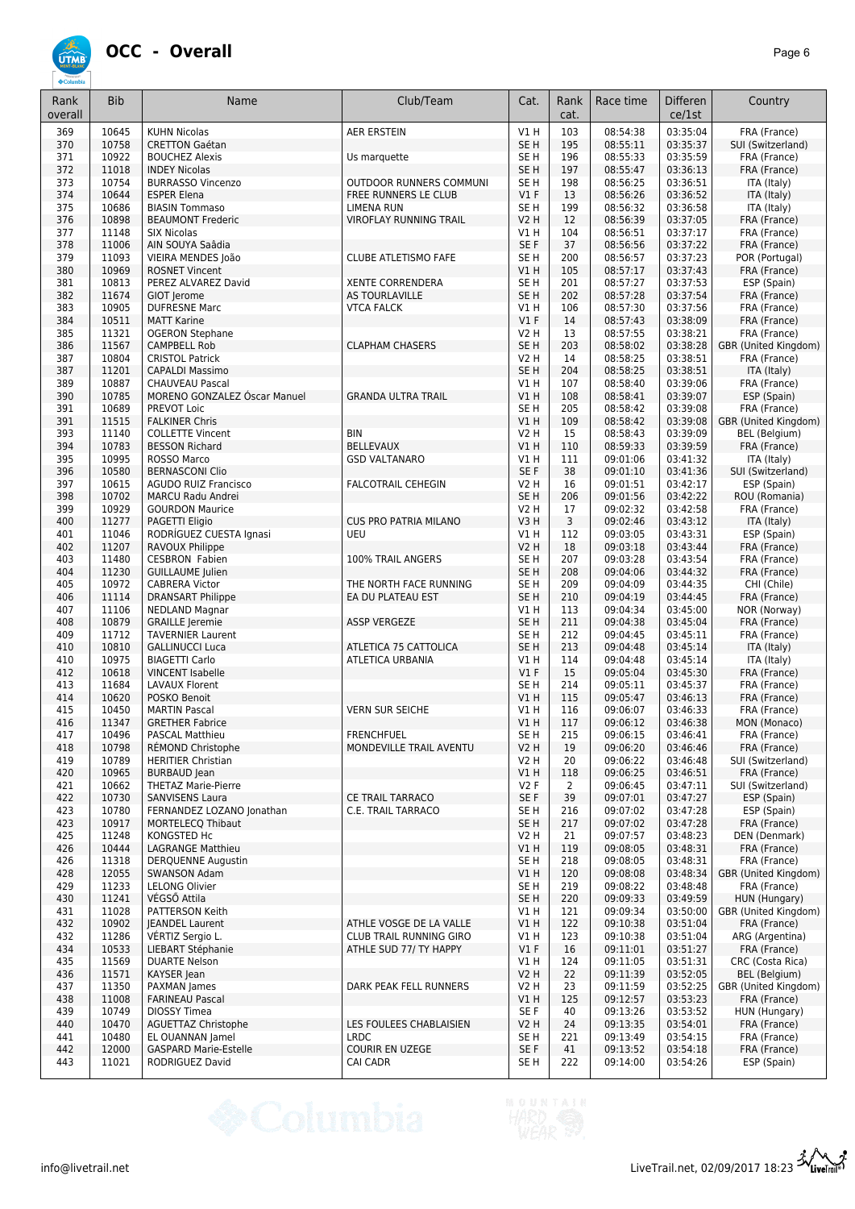## **OCC - Overall** *Page 6*

| 370<br>10758<br>SE <sub>H</sub><br>08:55:11<br>03:35:37<br><b>CRETTON Gaétan</b><br>195<br>371<br>10922<br>SE <sub>H</sub><br>08:55:33<br>03:35:59<br>FRA (France)<br><b>BOUCHEZ Alexis</b><br>Us marquette<br>196<br>372<br>11018<br>SE <sub>H</sub><br>08:55:47<br>03:36:13<br>FRA (France)<br><b>INDEY Nicolas</b><br>197<br>373<br>10754<br>SE <sub>H</sub><br>08:56:25<br>03:36:51<br><b>BURRASSO Vincenzo</b><br>OUTDOOR RUNNERS COMMUNI<br>198<br>ITA (Italy)<br>374<br>10644<br>$VI$ F<br>08:56:26<br>03:36:52<br>ITA (Italy)<br><b>ESPER Elena</b><br>FREE RUNNERS LE CLUB<br>13<br>375<br>10686<br>SE <sub>H</sub><br>03:36:58<br><b>BIASIN Tommaso</b><br><b>LIMENA RUN</b><br>199<br>08:56:32<br>ITA (Italy)<br>10898<br><b>V2 H</b><br>08:56:39<br>03:37:05<br>FRA (France)<br>376<br><b>BEAUMONT Frederic</b><br><b>VIROFLAY RUNNING TRAIL</b><br>12<br>03:37:17<br>377<br>11148<br><b>SIX Nicolas</b><br>V1 H<br>104<br>08:56:51<br>FRA (France)<br>378<br>SE F<br>03:37:22<br>FRA (France)<br>11006<br>AIN SOUYA Saâdia<br>37<br>08:56:56<br>379<br>11093<br>SE <sub>H</sub><br>03:37:23<br>VIEIRA MENDES João<br><b>CLUBE ATLETISMO FAFE</b><br>200<br>08:56:57<br>POR (Portugal)<br>380<br>10969<br>V1H<br>105<br>03:37:43<br>08:57:17<br>FRA (France)<br><b>ROSNET Vincent</b><br>381<br>10813<br>SE <sub>H</sub><br>08:57:27<br>03:37:53<br>ESP (Spain)<br>PEREZ ALVAREZ David<br><b>XENTE CORRENDERA</b><br>201<br>382<br>11674<br>SE <sub>H</sub><br>202<br>08:57:28<br>03:37:54<br>FRA (France)<br>GIOT Jerome<br>AS TOURLAVILLE<br>10905<br>08:57:30<br>03:37:56<br>383<br><b>DUFRESNE Marc</b><br><b>VTCA FALCK</b><br>V1 H<br>106<br>FRA (France)<br>V1F<br>384<br>10511<br><b>MATT Karine</b><br>14<br>08:57:43<br>03:38:09<br>FRA (France)<br>385<br>11321<br><b>V2 H</b><br>08:57:55<br>03:38:21<br>FRA (France)<br><b>OGERON Stephane</b><br>13<br>386<br>11567<br><b>CAMPBELL Rob</b><br><b>CLAPHAM CHASERS</b><br>SE <sub>H</sub><br>203<br>08:58:02<br>03:38:28<br>GBR (United Kingdom)<br>387<br>10804<br><b>CRISTOL Patrick</b><br><b>V2 H</b><br>08:58:25<br>03:38:51<br>14<br>FRA (France)<br>387<br>11201<br>SE <sub>H</sub><br>204<br>08:58:25<br>03:38:51<br><b>CAPALDI Massimo</b><br>ITA (Italy)<br>10887<br>03:39:06<br>389<br><b>CHAUVEAU Pascal</b><br>V1 H<br>107<br>08:58:40<br>FRA (France)<br>10785<br>03:39:07<br>390<br>MORENO GONZALEZ Oscar Manuel<br><b>GRANDA ULTRA TRAIL</b><br>VIH<br>108<br>08:58:41<br>ESP (Spain)<br>10689<br>SE <sub>H</sub><br>03:39:08<br>391<br>PREVOT Loic<br>205<br>08:58:42<br>FRA (France)<br>391<br>11515<br>V1H<br>03:39:08<br><b>FALKINER Chris</b><br>109<br>08:58:42<br>GBR (United Kingdom)<br>393<br>11140<br><b>V2 H</b><br>15<br>03:39:09<br>BEL (Belgium)<br><b>COLLETTE Vincent</b><br>BIN<br>08:58:43<br>394<br>10783<br><b>BELLEVAUX</b><br>V1H<br>08:59:33<br>03:39:59<br>FRA (France)<br><b>BESSON Richard</b><br>110<br>395<br>10995<br>09:01:06<br>03:41:32<br>ROSSO Marco<br><b>GSD VALTANARO</b><br>V1 H<br>111<br>ITA (Italy)<br>396<br>10580<br>SE F<br>38<br>09:01:10<br>03:41:36<br>SUI (Switzerland)<br><b>BERNASCONI Clio</b><br>397<br>10615<br>V2 H<br>09:01:51<br>03:42:17<br>ESP (Spain)<br><b>AGUDO RUIZ Francisco</b><br><b>FALCOTRAIL CEHEGIN</b><br>16<br>398<br>10702<br>SE <sub>H</sub><br>09:01:56<br>03:42:22<br>ROU (Romania)<br><b>MARCU Radu Andrei</b><br>206<br>399<br>10929<br><b>V2 H</b><br>09:02:32<br>03:42:58<br>FRA (France)<br><b>GOURDON Maurice</b><br>17<br>11277<br><b>CUS PRO PATRIA MILANO</b><br>V3H<br>3<br>03:43:12<br>400<br>PAGETTI Eligio<br>09:02:46<br>ITA (Italy)<br>11046<br>RODRÍGUEZ CUESTA Ignasi<br>V1H<br>112<br>09:03:05<br>03:43:31<br>ESP (Spain)<br>401<br>UEU<br>11207<br><b>V2 H</b><br>402<br>RAVOUX Philippe<br>18<br>09:03:18<br>03:43:44<br>FRA (France)<br>SE <sub>H</sub><br>03:43:54<br>403<br>11480<br><b>CESBRON Fabien</b><br>100% TRAIL ANGERS<br>207<br>09:03:28<br>FRA (France)<br>SE <sub>H</sub><br>208<br>404<br>11230<br><b>GUILLAUME Julien</b><br>09:04:06<br>03:44:32<br>FRA (France)<br>10972<br><b>CABRERA Victor</b><br>SE <sub>H</sub><br>209<br>09:04:09<br>03:44:35<br>405<br>THE NORTH FACE RUNNING<br>CHI (Chile)<br>11114<br>SE <sub>H</sub><br>210<br>03:44:45<br>FRA (France)<br>406<br><b>DRANSART Philippe</b><br>EA DU PLATEAU EST<br>09:04:19<br>11106<br>V1H<br>09:04:34<br>03:45:00<br>NOR (Norway)<br>407<br><b>NEDLAND Magnar</b><br>113<br>408<br>10879<br>SE <sub>H</sub><br>211<br>03:45:04<br>FRA (France)<br><b>GRAILLE</b> Jeremie<br><b>ASSP VERGEZE</b><br>09:04:38<br>409<br>11712<br><b>TAVERNIER Laurent</b><br>SE <sub>H</sub><br>09:04:45<br>03:45:11<br>FRA (France)<br>212<br>10810<br>SE <sub>H</sub><br>213<br>09:04:48<br>03:45:14<br>ITA (Italy)<br>410<br><b>GALLINUCCI Luca</b><br>ATLETICA 75 CATTOLICA<br>10975<br>03:45:14<br>410<br><b>BIAGETTI Carlo</b><br>ATLETICA URBANIA<br><b>V1 H</b><br>114<br>09:04:48<br>ITA (Italy)<br>10618<br>$VI$ F<br>412<br><b>VINCENT Isabelle</b><br>15<br>09:05:04<br>03:45:30<br>FRA (France)<br>SE <sub>H</sub><br>03:45:37<br>FRA (France)<br>413<br>11684<br>LAVAUX Florent<br>214<br>09:05:11<br>414<br>10620<br>POSKO Benoit<br>VIH<br>115<br>09:05:47<br>03:46:13<br>FRA (France)<br>415<br>10450<br><b>MARTIN Pascal</b><br><b>VERN SUR SEICHE</b><br>V1H<br>116<br>09:06:07<br>03:46:33<br>FRA (France)<br>416<br>11347<br><b>GRETHER Fabrice</b><br>V1H<br>117<br>09:06:12<br>03:46:38<br>MON (Monaco)<br>10496<br>215<br>417<br><b>FRENCHFUEL</b><br>SE <sub>H</sub><br>09:06:15<br>03:46:41<br>FRA (France)<br><b>PASCAL Matthieu</b><br>10798<br><b>V2 H</b><br>19<br>418<br>RÉMOND Christophe<br>MONDEVILLE TRAIL AVENTU<br>09:06:20<br>03:46:46<br>FRA (France)<br>10789<br><b>V2 H</b><br>419<br><b>HERITIER Christian</b><br>20<br>09:06:22<br>03:46:48<br>SUI (Switzerland)<br>420<br>10965<br><b>BURBAUD</b> Jean<br>V1 H<br>09:06:25<br>03:46:51<br>FRA (France)<br>118<br>V2F<br>421<br>10662<br><b>THETAZ Marie-Pierre</b><br>$\overline{2}$<br>09:06:45<br>03:47:11<br>SUI (Switzerland)<br>10730<br>SE F<br>39<br>422<br><b>SANVISENS Laura</b><br>CE TRAIL TARRACO<br>09:07:01<br>03:47:27<br>ESP (Spain)<br>10780<br>SE <sub>H</sub><br>423<br>FERNANDEZ LOZANO Jonathan<br>C.E. TRAIL TARRACO<br>216<br>09:07:02<br>03:47:28<br>ESP (Spain)<br>10917<br>423<br>SE <sub>H</sub><br>217<br>09:07:02<br>03:47:28<br>FRA (France)<br><b>MORTELECQ Thibaut</b><br><b>V2 H</b><br>03:48:23<br>425<br>11248<br>KONGSTED Hc<br>21<br>09:07:57<br>DEN (Denmark)<br>426<br>10444<br><b>LAGRANGE Matthieu</b><br>VIH<br>119<br>09:08:05<br>03:48:31<br>FRA (France)<br>SE <sub>H</sub><br>426<br>11318<br>218<br>09:08:05<br>03:48:31<br>FRA (France)<br>DERQUENNE Augustin<br>428<br>12055<br><b>SWANSON Adam</b><br>V1H<br>120<br>03:48:34<br>GBR (United Kingdom)<br>09:08:08<br>SE <sub>H</sub><br>429<br>11233<br>LELONG Olivier<br>219<br>09:08:22<br>03:48:48<br>FRA (France)<br>11241<br>VÉGSŐ Attila<br>SE <sub>H</sub><br>430<br>220<br>09:09:33<br>03:49:59<br>HUN (Hungary)<br>11028<br>09:09:34<br>03:50:00<br>431<br>PATTERSON Keith<br>V1 H<br>121<br>GBR (United Kingdom)<br>ATHLE VOSGE DE LA VALLE<br>432<br>10902<br><b>JEANDEL Laurent</b><br>V1H<br>122<br>09:10:38<br>03:51:04<br>FRA (France)<br>VÉRTIZ Sergio L.<br>09:10:38<br>03:51:04<br>432<br>11286<br><b>CLUB TRAIL RUNNING GIRO</b><br>V1 H<br>123<br>ARG (Argentina)<br>434<br>10533<br>V1F<br>03:51:27<br>LIEBART Stéphanie<br>ATHLE SUD 77/ TY HAPPY<br>16<br>09:11:01<br>FRA (France)<br>11569<br>V1H<br>03:51:31<br>435<br><b>DUARTE Nelson</b><br>124<br>09:11:05<br>CRC (Costa Rica)<br>11571<br><b>V2 H</b><br>22<br>03:52:05<br>436<br>KAYSER Jean<br>09:11:39<br>BEL (Belgium)<br>03:52:25<br>437<br>11350<br>PAXMAN James<br>DARK PEAK FELL RUNNERS<br><b>V2 H</b><br>23<br>09:11:59<br>GBR (United Kingdom)<br>438<br>11008<br><b>FARINEAU Pascal</b><br>VIH<br>125<br>09:12:57<br>03:53:23<br>FRA (France)<br>439<br>10749<br>DIOSSY Timea<br>SE F<br>40<br>09:13:26<br>03:53:52<br>HUN (Hungary)<br>440<br>10470<br>LES FOULEES CHABLAISIEN<br><b>V2 H</b><br>09:13:35<br>03:54:01<br>FRA (France)<br><b>AGUETTAZ Christophe</b><br>24<br>441<br>10480<br><b>LRDC</b><br>SE H<br>221<br>03:54:15<br>FRA (France)<br>EL OUANNAN Jamel<br>09:13:49<br>12000<br>SE F<br>03:54:18<br>442<br><b>GASPARD Marie-Estelle</b><br><b>COURIR EN UZEGE</b><br>41<br>09:13:52<br>FRA (France)<br>443<br>11021<br>RODRIGUEZ David<br>CAI CADR<br>SE H<br>222<br>09:14:00<br>03:54:26<br>ESP (Spain) | 369 | 10645 | <b>KUHN Nicolas</b> | <b>AER ERSTEIN</b> | <b>V1 H</b> | 103 | 08:54:38 | 03:35:04 | FRA (France)      |
|------------------------------------------------------------------------------------------------------------------------------------------------------------------------------------------------------------------------------------------------------------------------------------------------------------------------------------------------------------------------------------------------------------------------------------------------------------------------------------------------------------------------------------------------------------------------------------------------------------------------------------------------------------------------------------------------------------------------------------------------------------------------------------------------------------------------------------------------------------------------------------------------------------------------------------------------------------------------------------------------------------------------------------------------------------------------------------------------------------------------------------------------------------------------------------------------------------------------------------------------------------------------------------------------------------------------------------------------------------------------------------------------------------------------------------------------------------------------------------------------------------------------------------------------------------------------------------------------------------------------------------------------------------------------------------------------------------------------------------------------------------------------------------------------------------------------------------------------------------------------------------------------------------------------------------------------------------------------------------------------------------------------------------------------------------------------------------------------------------------------------------------------------------------------------------------------------------------------------------------------------------------------------------------------------------------------------------------------------------------------------------------------------------------------------------------------------------------------------------------------------------------------------------------------------------------------------------------------------------------------------------------------------------------------------------------------------------------------------------------------------------------------------------------------------------------------------------------------------------------------------------------------------------------------------------------------------------------------------------------------------------------------------------------------------------------------------------------------------------------------------------------------------------------------------------------------------------------------------------------------------------------------------------------------------------------------------------------------------------------------------------------------------------------------------------------------------------------------------------------------------------------------------------------------------------------------------------------------------------------------------------------------------------------------------------------------------------------------------------------------------------------------------------------------------------------------------------------------------------------------------------------------------------------------------------------------------------------------------------------------------------------------------------------------------------------------------------------------------------------------------------------------------------------------------------------------------------------------------------------------------------------------------------------------------------------------------------------------------------------------------------------------------------------------------------------------------------------------------------------------------------------------------------------------------------------------------------------------------------------------------------------------------------------------------------------------------------------------------------------------------------------------------------------------------------------------------------------------------------------------------------------------------------------------------------------------------------------------------------------------------------------------------------------------------------------------------------------------------------------------------------------------------------------------------------------------------------------------------------------------------------------------------------------------------------------------------------------------------------------------------------------------------------------------------------------------------------------------------------------------------------------------------------------------------------------------------------------------------------------------------------------------------------------------------------------------------------------------------------------------------------------------------------------------------------------------------------------------------------------------------------------------------------------------------------------------------------------------------------------------------------------------------------------------------------------------------------------------------------------------------------------------------------------------------------------------------------------------------------------------------------------------------------------------------------------------------------------------------------------------------------------------------------------------------------------------------------------------------------------------------------------------------------------------------------------------------------------------------------------------------------------------------------------------------------------------------------------------------------------------------------------------------------------------------------------------------------------------------------------------------------------------------------------------------------------------------------------------------------------------------------------------------------------------------------------------------------------------------------------------------------------------------------------------------------------------------------------------------------------------------------------------------------------------------------------------------------------------------------------------------------------------------------------------------------------------------------------------------------------------------------------------------------------------------------------------------------------------------------------------------------------------------------------------------------------------------------------------------------------------------------------------------------------------------------------------------------------------------------------------------------------------------------------------------------------------------------------------------------------------------------------------------------------------------------------------------------------------------------------------------------------------------------------------------------------------------------------------------------------------------------------------------------------------------------------------------------------------------------------------------------------------------------------------------------------------------------------------------------------------------------------------------------------------------------------------|-----|-------|---------------------|--------------------|-------------|-----|----------|----------|-------------------|
|                                                                                                                                                                                                                                                                                                                                                                                                                                                                                                                                                                                                                                                                                                                                                                                                                                                                                                                                                                                                                                                                                                                                                                                                                                                                                                                                                                                                                                                                                                                                                                                                                                                                                                                                                                                                                                                                                                                                                                                                                                                                                                                                                                                                                                                                                                                                                                                                                                                                                                                                                                                                                                                                                                                                                                                                                                                                                                                                                                                                                                                                                                                                                                                                                                                                                                                                                                                                                                                                                                                                                                                                                                                                                                                                                                                                                                                                                                                                                                                                                                                                                                                                                                                                                                                                                                                                                                                                                                                                                                                                                                                                                                                                                                                                                                                                                                                                                                                                                                                                                                                                                                                                                                                                                                                                                                                                                                                                                                                                                                                                                                                                                                                                                                                                                                                                                                                                                                                                                                                                                                                                                                                                                                                                                                                                                                                                                                                                                                                                                                                                                                                                                                                                                                                                                                                                                                                                                                                                                                                                                                                                                                                                                                                                                                                                                                                                                                                                                                                                                                                                                                                                                                                                                                                                                                                                                                                                                                                                                                                                                                                                                                                                                                                                                                                                                                                                                                                                                                                                                                                                                                        |     |       |                     |                    |             |     |          |          | SUI (Switzerland) |
|                                                                                                                                                                                                                                                                                                                                                                                                                                                                                                                                                                                                                                                                                                                                                                                                                                                                                                                                                                                                                                                                                                                                                                                                                                                                                                                                                                                                                                                                                                                                                                                                                                                                                                                                                                                                                                                                                                                                                                                                                                                                                                                                                                                                                                                                                                                                                                                                                                                                                                                                                                                                                                                                                                                                                                                                                                                                                                                                                                                                                                                                                                                                                                                                                                                                                                                                                                                                                                                                                                                                                                                                                                                                                                                                                                                                                                                                                                                                                                                                                                                                                                                                                                                                                                                                                                                                                                                                                                                                                                                                                                                                                                                                                                                                                                                                                                                                                                                                                                                                                                                                                                                                                                                                                                                                                                                                                                                                                                                                                                                                                                                                                                                                                                                                                                                                                                                                                                                                                                                                                                                                                                                                                                                                                                                                                                                                                                                                                                                                                                                                                                                                                                                                                                                                                                                                                                                                                                                                                                                                                                                                                                                                                                                                                                                                                                                                                                                                                                                                                                                                                                                                                                                                                                                                                                                                                                                                                                                                                                                                                                                                                                                                                                                                                                                                                                                                                                                                                                                                                                                                                                        |     |       |                     |                    |             |     |          |          |                   |
|                                                                                                                                                                                                                                                                                                                                                                                                                                                                                                                                                                                                                                                                                                                                                                                                                                                                                                                                                                                                                                                                                                                                                                                                                                                                                                                                                                                                                                                                                                                                                                                                                                                                                                                                                                                                                                                                                                                                                                                                                                                                                                                                                                                                                                                                                                                                                                                                                                                                                                                                                                                                                                                                                                                                                                                                                                                                                                                                                                                                                                                                                                                                                                                                                                                                                                                                                                                                                                                                                                                                                                                                                                                                                                                                                                                                                                                                                                                                                                                                                                                                                                                                                                                                                                                                                                                                                                                                                                                                                                                                                                                                                                                                                                                                                                                                                                                                                                                                                                                                                                                                                                                                                                                                                                                                                                                                                                                                                                                                                                                                                                                                                                                                                                                                                                                                                                                                                                                                                                                                                                                                                                                                                                                                                                                                                                                                                                                                                                                                                                                                                                                                                                                                                                                                                                                                                                                                                                                                                                                                                                                                                                                                                                                                                                                                                                                                                                                                                                                                                                                                                                                                                                                                                                                                                                                                                                                                                                                                                                                                                                                                                                                                                                                                                                                                                                                                                                                                                                                                                                                                                                        |     |       |                     |                    |             |     |          |          |                   |
|                                                                                                                                                                                                                                                                                                                                                                                                                                                                                                                                                                                                                                                                                                                                                                                                                                                                                                                                                                                                                                                                                                                                                                                                                                                                                                                                                                                                                                                                                                                                                                                                                                                                                                                                                                                                                                                                                                                                                                                                                                                                                                                                                                                                                                                                                                                                                                                                                                                                                                                                                                                                                                                                                                                                                                                                                                                                                                                                                                                                                                                                                                                                                                                                                                                                                                                                                                                                                                                                                                                                                                                                                                                                                                                                                                                                                                                                                                                                                                                                                                                                                                                                                                                                                                                                                                                                                                                                                                                                                                                                                                                                                                                                                                                                                                                                                                                                                                                                                                                                                                                                                                                                                                                                                                                                                                                                                                                                                                                                                                                                                                                                                                                                                                                                                                                                                                                                                                                                                                                                                                                                                                                                                                                                                                                                                                                                                                                                                                                                                                                                                                                                                                                                                                                                                                                                                                                                                                                                                                                                                                                                                                                                                                                                                                                                                                                                                                                                                                                                                                                                                                                                                                                                                                                                                                                                                                                                                                                                                                                                                                                                                                                                                                                                                                                                                                                                                                                                                                                                                                                                                                        |     |       |                     |                    |             |     |          |          |                   |
|                                                                                                                                                                                                                                                                                                                                                                                                                                                                                                                                                                                                                                                                                                                                                                                                                                                                                                                                                                                                                                                                                                                                                                                                                                                                                                                                                                                                                                                                                                                                                                                                                                                                                                                                                                                                                                                                                                                                                                                                                                                                                                                                                                                                                                                                                                                                                                                                                                                                                                                                                                                                                                                                                                                                                                                                                                                                                                                                                                                                                                                                                                                                                                                                                                                                                                                                                                                                                                                                                                                                                                                                                                                                                                                                                                                                                                                                                                                                                                                                                                                                                                                                                                                                                                                                                                                                                                                                                                                                                                                                                                                                                                                                                                                                                                                                                                                                                                                                                                                                                                                                                                                                                                                                                                                                                                                                                                                                                                                                                                                                                                                                                                                                                                                                                                                                                                                                                                                                                                                                                                                                                                                                                                                                                                                                                                                                                                                                                                                                                                                                                                                                                                                                                                                                                                                                                                                                                                                                                                                                                                                                                                                                                                                                                                                                                                                                                                                                                                                                                                                                                                                                                                                                                                                                                                                                                                                                                                                                                                                                                                                                                                                                                                                                                                                                                                                                                                                                                                                                                                                                                                        |     |       |                     |                    |             |     |          |          |                   |
|                                                                                                                                                                                                                                                                                                                                                                                                                                                                                                                                                                                                                                                                                                                                                                                                                                                                                                                                                                                                                                                                                                                                                                                                                                                                                                                                                                                                                                                                                                                                                                                                                                                                                                                                                                                                                                                                                                                                                                                                                                                                                                                                                                                                                                                                                                                                                                                                                                                                                                                                                                                                                                                                                                                                                                                                                                                                                                                                                                                                                                                                                                                                                                                                                                                                                                                                                                                                                                                                                                                                                                                                                                                                                                                                                                                                                                                                                                                                                                                                                                                                                                                                                                                                                                                                                                                                                                                                                                                                                                                                                                                                                                                                                                                                                                                                                                                                                                                                                                                                                                                                                                                                                                                                                                                                                                                                                                                                                                                                                                                                                                                                                                                                                                                                                                                                                                                                                                                                                                                                                                                                                                                                                                                                                                                                                                                                                                                                                                                                                                                                                                                                                                                                                                                                                                                                                                                                                                                                                                                                                                                                                                                                                                                                                                                                                                                                                                                                                                                                                                                                                                                                                                                                                                                                                                                                                                                                                                                                                                                                                                                                                                                                                                                                                                                                                                                                                                                                                                                                                                                                                                        |     |       |                     |                    |             |     |          |          |                   |
|                                                                                                                                                                                                                                                                                                                                                                                                                                                                                                                                                                                                                                                                                                                                                                                                                                                                                                                                                                                                                                                                                                                                                                                                                                                                                                                                                                                                                                                                                                                                                                                                                                                                                                                                                                                                                                                                                                                                                                                                                                                                                                                                                                                                                                                                                                                                                                                                                                                                                                                                                                                                                                                                                                                                                                                                                                                                                                                                                                                                                                                                                                                                                                                                                                                                                                                                                                                                                                                                                                                                                                                                                                                                                                                                                                                                                                                                                                                                                                                                                                                                                                                                                                                                                                                                                                                                                                                                                                                                                                                                                                                                                                                                                                                                                                                                                                                                                                                                                                                                                                                                                                                                                                                                                                                                                                                                                                                                                                                                                                                                                                                                                                                                                                                                                                                                                                                                                                                                                                                                                                                                                                                                                                                                                                                                                                                                                                                                                                                                                                                                                                                                                                                                                                                                                                                                                                                                                                                                                                                                                                                                                                                                                                                                                                                                                                                                                                                                                                                                                                                                                                                                                                                                                                                                                                                                                                                                                                                                                                                                                                                                                                                                                                                                                                                                                                                                                                                                                                                                                                                                                                        |     |       |                     |                    |             |     |          |          |                   |
|                                                                                                                                                                                                                                                                                                                                                                                                                                                                                                                                                                                                                                                                                                                                                                                                                                                                                                                                                                                                                                                                                                                                                                                                                                                                                                                                                                                                                                                                                                                                                                                                                                                                                                                                                                                                                                                                                                                                                                                                                                                                                                                                                                                                                                                                                                                                                                                                                                                                                                                                                                                                                                                                                                                                                                                                                                                                                                                                                                                                                                                                                                                                                                                                                                                                                                                                                                                                                                                                                                                                                                                                                                                                                                                                                                                                                                                                                                                                                                                                                                                                                                                                                                                                                                                                                                                                                                                                                                                                                                                                                                                                                                                                                                                                                                                                                                                                                                                                                                                                                                                                                                                                                                                                                                                                                                                                                                                                                                                                                                                                                                                                                                                                                                                                                                                                                                                                                                                                                                                                                                                                                                                                                                                                                                                                                                                                                                                                                                                                                                                                                                                                                                                                                                                                                                                                                                                                                                                                                                                                                                                                                                                                                                                                                                                                                                                                                                                                                                                                                                                                                                                                                                                                                                                                                                                                                                                                                                                                                                                                                                                                                                                                                                                                                                                                                                                                                                                                                                                                                                                                                                        |     |       |                     |                    |             |     |          |          |                   |
|                                                                                                                                                                                                                                                                                                                                                                                                                                                                                                                                                                                                                                                                                                                                                                                                                                                                                                                                                                                                                                                                                                                                                                                                                                                                                                                                                                                                                                                                                                                                                                                                                                                                                                                                                                                                                                                                                                                                                                                                                                                                                                                                                                                                                                                                                                                                                                                                                                                                                                                                                                                                                                                                                                                                                                                                                                                                                                                                                                                                                                                                                                                                                                                                                                                                                                                                                                                                                                                                                                                                                                                                                                                                                                                                                                                                                                                                                                                                                                                                                                                                                                                                                                                                                                                                                                                                                                                                                                                                                                                                                                                                                                                                                                                                                                                                                                                                                                                                                                                                                                                                                                                                                                                                                                                                                                                                                                                                                                                                                                                                                                                                                                                                                                                                                                                                                                                                                                                                                                                                                                                                                                                                                                                                                                                                                                                                                                                                                                                                                                                                                                                                                                                                                                                                                                                                                                                                                                                                                                                                                                                                                                                                                                                                                                                                                                                                                                                                                                                                                                                                                                                                                                                                                                                                                                                                                                                                                                                                                                                                                                                                                                                                                                                                                                                                                                                                                                                                                                                                                                                                                                        |     |       |                     |                    |             |     |          |          |                   |
|                                                                                                                                                                                                                                                                                                                                                                                                                                                                                                                                                                                                                                                                                                                                                                                                                                                                                                                                                                                                                                                                                                                                                                                                                                                                                                                                                                                                                                                                                                                                                                                                                                                                                                                                                                                                                                                                                                                                                                                                                                                                                                                                                                                                                                                                                                                                                                                                                                                                                                                                                                                                                                                                                                                                                                                                                                                                                                                                                                                                                                                                                                                                                                                                                                                                                                                                                                                                                                                                                                                                                                                                                                                                                                                                                                                                                                                                                                                                                                                                                                                                                                                                                                                                                                                                                                                                                                                                                                                                                                                                                                                                                                                                                                                                                                                                                                                                                                                                                                                                                                                                                                                                                                                                                                                                                                                                                                                                                                                                                                                                                                                                                                                                                                                                                                                                                                                                                                                                                                                                                                                                                                                                                                                                                                                                                                                                                                                                                                                                                                                                                                                                                                                                                                                                                                                                                                                                                                                                                                                                                                                                                                                                                                                                                                                                                                                                                                                                                                                                                                                                                                                                                                                                                                                                                                                                                                                                                                                                                                                                                                                                                                                                                                                                                                                                                                                                                                                                                                                                                                                                                                        |     |       |                     |                    |             |     |          |          |                   |
|                                                                                                                                                                                                                                                                                                                                                                                                                                                                                                                                                                                                                                                                                                                                                                                                                                                                                                                                                                                                                                                                                                                                                                                                                                                                                                                                                                                                                                                                                                                                                                                                                                                                                                                                                                                                                                                                                                                                                                                                                                                                                                                                                                                                                                                                                                                                                                                                                                                                                                                                                                                                                                                                                                                                                                                                                                                                                                                                                                                                                                                                                                                                                                                                                                                                                                                                                                                                                                                                                                                                                                                                                                                                                                                                                                                                                                                                                                                                                                                                                                                                                                                                                                                                                                                                                                                                                                                                                                                                                                                                                                                                                                                                                                                                                                                                                                                                                                                                                                                                                                                                                                                                                                                                                                                                                                                                                                                                                                                                                                                                                                                                                                                                                                                                                                                                                                                                                                                                                                                                                                                                                                                                                                                                                                                                                                                                                                                                                                                                                                                                                                                                                                                                                                                                                                                                                                                                                                                                                                                                                                                                                                                                                                                                                                                                                                                                                                                                                                                                                                                                                                                                                                                                                                                                                                                                                                                                                                                                                                                                                                                                                                                                                                                                                                                                                                                                                                                                                                                                                                                                                                        |     |       |                     |                    |             |     |          |          |                   |
|                                                                                                                                                                                                                                                                                                                                                                                                                                                                                                                                                                                                                                                                                                                                                                                                                                                                                                                                                                                                                                                                                                                                                                                                                                                                                                                                                                                                                                                                                                                                                                                                                                                                                                                                                                                                                                                                                                                                                                                                                                                                                                                                                                                                                                                                                                                                                                                                                                                                                                                                                                                                                                                                                                                                                                                                                                                                                                                                                                                                                                                                                                                                                                                                                                                                                                                                                                                                                                                                                                                                                                                                                                                                                                                                                                                                                                                                                                                                                                                                                                                                                                                                                                                                                                                                                                                                                                                                                                                                                                                                                                                                                                                                                                                                                                                                                                                                                                                                                                                                                                                                                                                                                                                                                                                                                                                                                                                                                                                                                                                                                                                                                                                                                                                                                                                                                                                                                                                                                                                                                                                                                                                                                                                                                                                                                                                                                                                                                                                                                                                                                                                                                                                                                                                                                                                                                                                                                                                                                                                                                                                                                                                                                                                                                                                                                                                                                                                                                                                                                                                                                                                                                                                                                                                                                                                                                                                                                                                                                                                                                                                                                                                                                                                                                                                                                                                                                                                                                                                                                                                                                                        |     |       |                     |                    |             |     |          |          |                   |
|                                                                                                                                                                                                                                                                                                                                                                                                                                                                                                                                                                                                                                                                                                                                                                                                                                                                                                                                                                                                                                                                                                                                                                                                                                                                                                                                                                                                                                                                                                                                                                                                                                                                                                                                                                                                                                                                                                                                                                                                                                                                                                                                                                                                                                                                                                                                                                                                                                                                                                                                                                                                                                                                                                                                                                                                                                                                                                                                                                                                                                                                                                                                                                                                                                                                                                                                                                                                                                                                                                                                                                                                                                                                                                                                                                                                                                                                                                                                                                                                                                                                                                                                                                                                                                                                                                                                                                                                                                                                                                                                                                                                                                                                                                                                                                                                                                                                                                                                                                                                                                                                                                                                                                                                                                                                                                                                                                                                                                                                                                                                                                                                                                                                                                                                                                                                                                                                                                                                                                                                                                                                                                                                                                                                                                                                                                                                                                                                                                                                                                                                                                                                                                                                                                                                                                                                                                                                                                                                                                                                                                                                                                                                                                                                                                                                                                                                                                                                                                                                                                                                                                                                                                                                                                                                                                                                                                                                                                                                                                                                                                                                                                                                                                                                                                                                                                                                                                                                                                                                                                                                                                        |     |       |                     |                    |             |     |          |          |                   |
|                                                                                                                                                                                                                                                                                                                                                                                                                                                                                                                                                                                                                                                                                                                                                                                                                                                                                                                                                                                                                                                                                                                                                                                                                                                                                                                                                                                                                                                                                                                                                                                                                                                                                                                                                                                                                                                                                                                                                                                                                                                                                                                                                                                                                                                                                                                                                                                                                                                                                                                                                                                                                                                                                                                                                                                                                                                                                                                                                                                                                                                                                                                                                                                                                                                                                                                                                                                                                                                                                                                                                                                                                                                                                                                                                                                                                                                                                                                                                                                                                                                                                                                                                                                                                                                                                                                                                                                                                                                                                                                                                                                                                                                                                                                                                                                                                                                                                                                                                                                                                                                                                                                                                                                                                                                                                                                                                                                                                                                                                                                                                                                                                                                                                                                                                                                                                                                                                                                                                                                                                                                                                                                                                                                                                                                                                                                                                                                                                                                                                                                                                                                                                                                                                                                                                                                                                                                                                                                                                                                                                                                                                                                                                                                                                                                                                                                                                                                                                                                                                                                                                                                                                                                                                                                                                                                                                                                                                                                                                                                                                                                                                                                                                                                                                                                                                                                                                                                                                                                                                                                                                                        |     |       |                     |                    |             |     |          |          |                   |
|                                                                                                                                                                                                                                                                                                                                                                                                                                                                                                                                                                                                                                                                                                                                                                                                                                                                                                                                                                                                                                                                                                                                                                                                                                                                                                                                                                                                                                                                                                                                                                                                                                                                                                                                                                                                                                                                                                                                                                                                                                                                                                                                                                                                                                                                                                                                                                                                                                                                                                                                                                                                                                                                                                                                                                                                                                                                                                                                                                                                                                                                                                                                                                                                                                                                                                                                                                                                                                                                                                                                                                                                                                                                                                                                                                                                                                                                                                                                                                                                                                                                                                                                                                                                                                                                                                                                                                                                                                                                                                                                                                                                                                                                                                                                                                                                                                                                                                                                                                                                                                                                                                                                                                                                                                                                                                                                                                                                                                                                                                                                                                                                                                                                                                                                                                                                                                                                                                                                                                                                                                                                                                                                                                                                                                                                                                                                                                                                                                                                                                                                                                                                                                                                                                                                                                                                                                                                                                                                                                                                                                                                                                                                                                                                                                                                                                                                                                                                                                                                                                                                                                                                                                                                                                                                                                                                                                                                                                                                                                                                                                                                                                                                                                                                                                                                                                                                                                                                                                                                                                                                                                        |     |       |                     |                    |             |     |          |          |                   |
|                                                                                                                                                                                                                                                                                                                                                                                                                                                                                                                                                                                                                                                                                                                                                                                                                                                                                                                                                                                                                                                                                                                                                                                                                                                                                                                                                                                                                                                                                                                                                                                                                                                                                                                                                                                                                                                                                                                                                                                                                                                                                                                                                                                                                                                                                                                                                                                                                                                                                                                                                                                                                                                                                                                                                                                                                                                                                                                                                                                                                                                                                                                                                                                                                                                                                                                                                                                                                                                                                                                                                                                                                                                                                                                                                                                                                                                                                                                                                                                                                                                                                                                                                                                                                                                                                                                                                                                                                                                                                                                                                                                                                                                                                                                                                                                                                                                                                                                                                                                                                                                                                                                                                                                                                                                                                                                                                                                                                                                                                                                                                                                                                                                                                                                                                                                                                                                                                                                                                                                                                                                                                                                                                                                                                                                                                                                                                                                                                                                                                                                                                                                                                                                                                                                                                                                                                                                                                                                                                                                                                                                                                                                                                                                                                                                                                                                                                                                                                                                                                                                                                                                                                                                                                                                                                                                                                                                                                                                                                                                                                                                                                                                                                                                                                                                                                                                                                                                                                                                                                                                                                                        |     |       |                     |                    |             |     |          |          |                   |
|                                                                                                                                                                                                                                                                                                                                                                                                                                                                                                                                                                                                                                                                                                                                                                                                                                                                                                                                                                                                                                                                                                                                                                                                                                                                                                                                                                                                                                                                                                                                                                                                                                                                                                                                                                                                                                                                                                                                                                                                                                                                                                                                                                                                                                                                                                                                                                                                                                                                                                                                                                                                                                                                                                                                                                                                                                                                                                                                                                                                                                                                                                                                                                                                                                                                                                                                                                                                                                                                                                                                                                                                                                                                                                                                                                                                                                                                                                                                                                                                                                                                                                                                                                                                                                                                                                                                                                                                                                                                                                                                                                                                                                                                                                                                                                                                                                                                                                                                                                                                                                                                                                                                                                                                                                                                                                                                                                                                                                                                                                                                                                                                                                                                                                                                                                                                                                                                                                                                                                                                                                                                                                                                                                                                                                                                                                                                                                                                                                                                                                                                                                                                                                                                                                                                                                                                                                                                                                                                                                                                                                                                                                                                                                                                                                                                                                                                                                                                                                                                                                                                                                                                                                                                                                                                                                                                                                                                                                                                                                                                                                                                                                                                                                                                                                                                                                                                                                                                                                                                                                                                                                        |     |       |                     |                    |             |     |          |          |                   |
|                                                                                                                                                                                                                                                                                                                                                                                                                                                                                                                                                                                                                                                                                                                                                                                                                                                                                                                                                                                                                                                                                                                                                                                                                                                                                                                                                                                                                                                                                                                                                                                                                                                                                                                                                                                                                                                                                                                                                                                                                                                                                                                                                                                                                                                                                                                                                                                                                                                                                                                                                                                                                                                                                                                                                                                                                                                                                                                                                                                                                                                                                                                                                                                                                                                                                                                                                                                                                                                                                                                                                                                                                                                                                                                                                                                                                                                                                                                                                                                                                                                                                                                                                                                                                                                                                                                                                                                                                                                                                                                                                                                                                                                                                                                                                                                                                                                                                                                                                                                                                                                                                                                                                                                                                                                                                                                                                                                                                                                                                                                                                                                                                                                                                                                                                                                                                                                                                                                                                                                                                                                                                                                                                                                                                                                                                                                                                                                                                                                                                                                                                                                                                                                                                                                                                                                                                                                                                                                                                                                                                                                                                                                                                                                                                                                                                                                                                                                                                                                                                                                                                                                                                                                                                                                                                                                                                                                                                                                                                                                                                                                                                                                                                                                                                                                                                                                                                                                                                                                                                                                                                                        |     |       |                     |                    |             |     |          |          |                   |
|                                                                                                                                                                                                                                                                                                                                                                                                                                                                                                                                                                                                                                                                                                                                                                                                                                                                                                                                                                                                                                                                                                                                                                                                                                                                                                                                                                                                                                                                                                                                                                                                                                                                                                                                                                                                                                                                                                                                                                                                                                                                                                                                                                                                                                                                                                                                                                                                                                                                                                                                                                                                                                                                                                                                                                                                                                                                                                                                                                                                                                                                                                                                                                                                                                                                                                                                                                                                                                                                                                                                                                                                                                                                                                                                                                                                                                                                                                                                                                                                                                                                                                                                                                                                                                                                                                                                                                                                                                                                                                                                                                                                                                                                                                                                                                                                                                                                                                                                                                                                                                                                                                                                                                                                                                                                                                                                                                                                                                                                                                                                                                                                                                                                                                                                                                                                                                                                                                                                                                                                                                                                                                                                                                                                                                                                                                                                                                                                                                                                                                                                                                                                                                                                                                                                                                                                                                                                                                                                                                                                                                                                                                                                                                                                                                                                                                                                                                                                                                                                                                                                                                                                                                                                                                                                                                                                                                                                                                                                                                                                                                                                                                                                                                                                                                                                                                                                                                                                                                                                                                                                                                        |     |       |                     |                    |             |     |          |          |                   |
|                                                                                                                                                                                                                                                                                                                                                                                                                                                                                                                                                                                                                                                                                                                                                                                                                                                                                                                                                                                                                                                                                                                                                                                                                                                                                                                                                                                                                                                                                                                                                                                                                                                                                                                                                                                                                                                                                                                                                                                                                                                                                                                                                                                                                                                                                                                                                                                                                                                                                                                                                                                                                                                                                                                                                                                                                                                                                                                                                                                                                                                                                                                                                                                                                                                                                                                                                                                                                                                                                                                                                                                                                                                                                                                                                                                                                                                                                                                                                                                                                                                                                                                                                                                                                                                                                                                                                                                                                                                                                                                                                                                                                                                                                                                                                                                                                                                                                                                                                                                                                                                                                                                                                                                                                                                                                                                                                                                                                                                                                                                                                                                                                                                                                                                                                                                                                                                                                                                                                                                                                                                                                                                                                                                                                                                                                                                                                                                                                                                                                                                                                                                                                                                                                                                                                                                                                                                                                                                                                                                                                                                                                                                                                                                                                                                                                                                                                                                                                                                                                                                                                                                                                                                                                                                                                                                                                                                                                                                                                                                                                                                                                                                                                                                                                                                                                                                                                                                                                                                                                                                                                                        |     |       |                     |                    |             |     |          |          |                   |
|                                                                                                                                                                                                                                                                                                                                                                                                                                                                                                                                                                                                                                                                                                                                                                                                                                                                                                                                                                                                                                                                                                                                                                                                                                                                                                                                                                                                                                                                                                                                                                                                                                                                                                                                                                                                                                                                                                                                                                                                                                                                                                                                                                                                                                                                                                                                                                                                                                                                                                                                                                                                                                                                                                                                                                                                                                                                                                                                                                                                                                                                                                                                                                                                                                                                                                                                                                                                                                                                                                                                                                                                                                                                                                                                                                                                                                                                                                                                                                                                                                                                                                                                                                                                                                                                                                                                                                                                                                                                                                                                                                                                                                                                                                                                                                                                                                                                                                                                                                                                                                                                                                                                                                                                                                                                                                                                                                                                                                                                                                                                                                                                                                                                                                                                                                                                                                                                                                                                                                                                                                                                                                                                                                                                                                                                                                                                                                                                                                                                                                                                                                                                                                                                                                                                                                                                                                                                                                                                                                                                                                                                                                                                                                                                                                                                                                                                                                                                                                                                                                                                                                                                                                                                                                                                                                                                                                                                                                                                                                                                                                                                                                                                                                                                                                                                                                                                                                                                                                                                                                                                                                        |     |       |                     |                    |             |     |          |          |                   |
|                                                                                                                                                                                                                                                                                                                                                                                                                                                                                                                                                                                                                                                                                                                                                                                                                                                                                                                                                                                                                                                                                                                                                                                                                                                                                                                                                                                                                                                                                                                                                                                                                                                                                                                                                                                                                                                                                                                                                                                                                                                                                                                                                                                                                                                                                                                                                                                                                                                                                                                                                                                                                                                                                                                                                                                                                                                                                                                                                                                                                                                                                                                                                                                                                                                                                                                                                                                                                                                                                                                                                                                                                                                                                                                                                                                                                                                                                                                                                                                                                                                                                                                                                                                                                                                                                                                                                                                                                                                                                                                                                                                                                                                                                                                                                                                                                                                                                                                                                                                                                                                                                                                                                                                                                                                                                                                                                                                                                                                                                                                                                                                                                                                                                                                                                                                                                                                                                                                                                                                                                                                                                                                                                                                                                                                                                                                                                                                                                                                                                                                                                                                                                                                                                                                                                                                                                                                                                                                                                                                                                                                                                                                                                                                                                                                                                                                                                                                                                                                                                                                                                                                                                                                                                                                                                                                                                                                                                                                                                                                                                                                                                                                                                                                                                                                                                                                                                                                                                                                                                                                                                                        |     |       |                     |                    |             |     |          |          |                   |
|                                                                                                                                                                                                                                                                                                                                                                                                                                                                                                                                                                                                                                                                                                                                                                                                                                                                                                                                                                                                                                                                                                                                                                                                                                                                                                                                                                                                                                                                                                                                                                                                                                                                                                                                                                                                                                                                                                                                                                                                                                                                                                                                                                                                                                                                                                                                                                                                                                                                                                                                                                                                                                                                                                                                                                                                                                                                                                                                                                                                                                                                                                                                                                                                                                                                                                                                                                                                                                                                                                                                                                                                                                                                                                                                                                                                                                                                                                                                                                                                                                                                                                                                                                                                                                                                                                                                                                                                                                                                                                                                                                                                                                                                                                                                                                                                                                                                                                                                                                                                                                                                                                                                                                                                                                                                                                                                                                                                                                                                                                                                                                                                                                                                                                                                                                                                                                                                                                                                                                                                                                                                                                                                                                                                                                                                                                                                                                                                                                                                                                                                                                                                                                                                                                                                                                                                                                                                                                                                                                                                                                                                                                                                                                                                                                                                                                                                                                                                                                                                                                                                                                                                                                                                                                                                                                                                                                                                                                                                                                                                                                                                                                                                                                                                                                                                                                                                                                                                                                                                                                                                                                        |     |       |                     |                    |             |     |          |          |                   |
|                                                                                                                                                                                                                                                                                                                                                                                                                                                                                                                                                                                                                                                                                                                                                                                                                                                                                                                                                                                                                                                                                                                                                                                                                                                                                                                                                                                                                                                                                                                                                                                                                                                                                                                                                                                                                                                                                                                                                                                                                                                                                                                                                                                                                                                                                                                                                                                                                                                                                                                                                                                                                                                                                                                                                                                                                                                                                                                                                                                                                                                                                                                                                                                                                                                                                                                                                                                                                                                                                                                                                                                                                                                                                                                                                                                                                                                                                                                                                                                                                                                                                                                                                                                                                                                                                                                                                                                                                                                                                                                                                                                                                                                                                                                                                                                                                                                                                                                                                                                                                                                                                                                                                                                                                                                                                                                                                                                                                                                                                                                                                                                                                                                                                                                                                                                                                                                                                                                                                                                                                                                                                                                                                                                                                                                                                                                                                                                                                                                                                                                                                                                                                                                                                                                                                                                                                                                                                                                                                                                                                                                                                                                                                                                                                                                                                                                                                                                                                                                                                                                                                                                                                                                                                                                                                                                                                                                                                                                                                                                                                                                                                                                                                                                                                                                                                                                                                                                                                                                                                                                                                                        |     |       |                     |                    |             |     |          |          |                   |
|                                                                                                                                                                                                                                                                                                                                                                                                                                                                                                                                                                                                                                                                                                                                                                                                                                                                                                                                                                                                                                                                                                                                                                                                                                                                                                                                                                                                                                                                                                                                                                                                                                                                                                                                                                                                                                                                                                                                                                                                                                                                                                                                                                                                                                                                                                                                                                                                                                                                                                                                                                                                                                                                                                                                                                                                                                                                                                                                                                                                                                                                                                                                                                                                                                                                                                                                                                                                                                                                                                                                                                                                                                                                                                                                                                                                                                                                                                                                                                                                                                                                                                                                                                                                                                                                                                                                                                                                                                                                                                                                                                                                                                                                                                                                                                                                                                                                                                                                                                                                                                                                                                                                                                                                                                                                                                                                                                                                                                                                                                                                                                                                                                                                                                                                                                                                                                                                                                                                                                                                                                                                                                                                                                                                                                                                                                                                                                                                                                                                                                                                                                                                                                                                                                                                                                                                                                                                                                                                                                                                                                                                                                                                                                                                                                                                                                                                                                                                                                                                                                                                                                                                                                                                                                                                                                                                                                                                                                                                                                                                                                                                                                                                                                                                                                                                                                                                                                                                                                                                                                                                                                        |     |       |                     |                    |             |     |          |          |                   |
|                                                                                                                                                                                                                                                                                                                                                                                                                                                                                                                                                                                                                                                                                                                                                                                                                                                                                                                                                                                                                                                                                                                                                                                                                                                                                                                                                                                                                                                                                                                                                                                                                                                                                                                                                                                                                                                                                                                                                                                                                                                                                                                                                                                                                                                                                                                                                                                                                                                                                                                                                                                                                                                                                                                                                                                                                                                                                                                                                                                                                                                                                                                                                                                                                                                                                                                                                                                                                                                                                                                                                                                                                                                                                                                                                                                                                                                                                                                                                                                                                                                                                                                                                                                                                                                                                                                                                                                                                                                                                                                                                                                                                                                                                                                                                                                                                                                                                                                                                                                                                                                                                                                                                                                                                                                                                                                                                                                                                                                                                                                                                                                                                                                                                                                                                                                                                                                                                                                                                                                                                                                                                                                                                                                                                                                                                                                                                                                                                                                                                                                                                                                                                                                                                                                                                                                                                                                                                                                                                                                                                                                                                                                                                                                                                                                                                                                                                                                                                                                                                                                                                                                                                                                                                                                                                                                                                                                                                                                                                                                                                                                                                                                                                                                                                                                                                                                                                                                                                                                                                                                                                                        |     |       |                     |                    |             |     |          |          |                   |
|                                                                                                                                                                                                                                                                                                                                                                                                                                                                                                                                                                                                                                                                                                                                                                                                                                                                                                                                                                                                                                                                                                                                                                                                                                                                                                                                                                                                                                                                                                                                                                                                                                                                                                                                                                                                                                                                                                                                                                                                                                                                                                                                                                                                                                                                                                                                                                                                                                                                                                                                                                                                                                                                                                                                                                                                                                                                                                                                                                                                                                                                                                                                                                                                                                                                                                                                                                                                                                                                                                                                                                                                                                                                                                                                                                                                                                                                                                                                                                                                                                                                                                                                                                                                                                                                                                                                                                                                                                                                                                                                                                                                                                                                                                                                                                                                                                                                                                                                                                                                                                                                                                                                                                                                                                                                                                                                                                                                                                                                                                                                                                                                                                                                                                                                                                                                                                                                                                                                                                                                                                                                                                                                                                                                                                                                                                                                                                                                                                                                                                                                                                                                                                                                                                                                                                                                                                                                                                                                                                                                                                                                                                                                                                                                                                                                                                                                                                                                                                                                                                                                                                                                                                                                                                                                                                                                                                                                                                                                                                                                                                                                                                                                                                                                                                                                                                                                                                                                                                                                                                                                                                        |     |       |                     |                    |             |     |          |          |                   |
|                                                                                                                                                                                                                                                                                                                                                                                                                                                                                                                                                                                                                                                                                                                                                                                                                                                                                                                                                                                                                                                                                                                                                                                                                                                                                                                                                                                                                                                                                                                                                                                                                                                                                                                                                                                                                                                                                                                                                                                                                                                                                                                                                                                                                                                                                                                                                                                                                                                                                                                                                                                                                                                                                                                                                                                                                                                                                                                                                                                                                                                                                                                                                                                                                                                                                                                                                                                                                                                                                                                                                                                                                                                                                                                                                                                                                                                                                                                                                                                                                                                                                                                                                                                                                                                                                                                                                                                                                                                                                                                                                                                                                                                                                                                                                                                                                                                                                                                                                                                                                                                                                                                                                                                                                                                                                                                                                                                                                                                                                                                                                                                                                                                                                                                                                                                                                                                                                                                                                                                                                                                                                                                                                                                                                                                                                                                                                                                                                                                                                                                                                                                                                                                                                                                                                                                                                                                                                                                                                                                                                                                                                                                                                                                                                                                                                                                                                                                                                                                                                                                                                                                                                                                                                                                                                                                                                                                                                                                                                                                                                                                                                                                                                                                                                                                                                                                                                                                                                                                                                                                                                                        |     |       |                     |                    |             |     |          |          |                   |
|                                                                                                                                                                                                                                                                                                                                                                                                                                                                                                                                                                                                                                                                                                                                                                                                                                                                                                                                                                                                                                                                                                                                                                                                                                                                                                                                                                                                                                                                                                                                                                                                                                                                                                                                                                                                                                                                                                                                                                                                                                                                                                                                                                                                                                                                                                                                                                                                                                                                                                                                                                                                                                                                                                                                                                                                                                                                                                                                                                                                                                                                                                                                                                                                                                                                                                                                                                                                                                                                                                                                                                                                                                                                                                                                                                                                                                                                                                                                                                                                                                                                                                                                                                                                                                                                                                                                                                                                                                                                                                                                                                                                                                                                                                                                                                                                                                                                                                                                                                                                                                                                                                                                                                                                                                                                                                                                                                                                                                                                                                                                                                                                                                                                                                                                                                                                                                                                                                                                                                                                                                                                                                                                                                                                                                                                                                                                                                                                                                                                                                                                                                                                                                                                                                                                                                                                                                                                                                                                                                                                                                                                                                                                                                                                                                                                                                                                                                                                                                                                                                                                                                                                                                                                                                                                                                                                                                                                                                                                                                                                                                                                                                                                                                                                                                                                                                                                                                                                                                                                                                                                                                        |     |       |                     |                    |             |     |          |          |                   |
|                                                                                                                                                                                                                                                                                                                                                                                                                                                                                                                                                                                                                                                                                                                                                                                                                                                                                                                                                                                                                                                                                                                                                                                                                                                                                                                                                                                                                                                                                                                                                                                                                                                                                                                                                                                                                                                                                                                                                                                                                                                                                                                                                                                                                                                                                                                                                                                                                                                                                                                                                                                                                                                                                                                                                                                                                                                                                                                                                                                                                                                                                                                                                                                                                                                                                                                                                                                                                                                                                                                                                                                                                                                                                                                                                                                                                                                                                                                                                                                                                                                                                                                                                                                                                                                                                                                                                                                                                                                                                                                                                                                                                                                                                                                                                                                                                                                                                                                                                                                                                                                                                                                                                                                                                                                                                                                                                                                                                                                                                                                                                                                                                                                                                                                                                                                                                                                                                                                                                                                                                                                                                                                                                                                                                                                                                                                                                                                                                                                                                                                                                                                                                                                                                                                                                                                                                                                                                                                                                                                                                                                                                                                                                                                                                                                                                                                                                                                                                                                                                                                                                                                                                                                                                                                                                                                                                                                                                                                                                                                                                                                                                                                                                                                                                                                                                                                                                                                                                                                                                                                                                                        |     |       |                     |                    |             |     |          |          |                   |
|                                                                                                                                                                                                                                                                                                                                                                                                                                                                                                                                                                                                                                                                                                                                                                                                                                                                                                                                                                                                                                                                                                                                                                                                                                                                                                                                                                                                                                                                                                                                                                                                                                                                                                                                                                                                                                                                                                                                                                                                                                                                                                                                                                                                                                                                                                                                                                                                                                                                                                                                                                                                                                                                                                                                                                                                                                                                                                                                                                                                                                                                                                                                                                                                                                                                                                                                                                                                                                                                                                                                                                                                                                                                                                                                                                                                                                                                                                                                                                                                                                                                                                                                                                                                                                                                                                                                                                                                                                                                                                                                                                                                                                                                                                                                                                                                                                                                                                                                                                                                                                                                                                                                                                                                                                                                                                                                                                                                                                                                                                                                                                                                                                                                                                                                                                                                                                                                                                                                                                                                                                                                                                                                                                                                                                                                                                                                                                                                                                                                                                                                                                                                                                                                                                                                                                                                                                                                                                                                                                                                                                                                                                                                                                                                                                                                                                                                                                                                                                                                                                                                                                                                                                                                                                                                                                                                                                                                                                                                                                                                                                                                                                                                                                                                                                                                                                                                                                                                                                                                                                                                                                        |     |       |                     |                    |             |     |          |          |                   |
|                                                                                                                                                                                                                                                                                                                                                                                                                                                                                                                                                                                                                                                                                                                                                                                                                                                                                                                                                                                                                                                                                                                                                                                                                                                                                                                                                                                                                                                                                                                                                                                                                                                                                                                                                                                                                                                                                                                                                                                                                                                                                                                                                                                                                                                                                                                                                                                                                                                                                                                                                                                                                                                                                                                                                                                                                                                                                                                                                                                                                                                                                                                                                                                                                                                                                                                                                                                                                                                                                                                                                                                                                                                                                                                                                                                                                                                                                                                                                                                                                                                                                                                                                                                                                                                                                                                                                                                                                                                                                                                                                                                                                                                                                                                                                                                                                                                                                                                                                                                                                                                                                                                                                                                                                                                                                                                                                                                                                                                                                                                                                                                                                                                                                                                                                                                                                                                                                                                                                                                                                                                                                                                                                                                                                                                                                                                                                                                                                                                                                                                                                                                                                                                                                                                                                                                                                                                                                                                                                                                                                                                                                                                                                                                                                                                                                                                                                                                                                                                                                                                                                                                                                                                                                                                                                                                                                                                                                                                                                                                                                                                                                                                                                                                                                                                                                                                                                                                                                                                                                                                                                                        |     |       |                     |                    |             |     |          |          |                   |
|                                                                                                                                                                                                                                                                                                                                                                                                                                                                                                                                                                                                                                                                                                                                                                                                                                                                                                                                                                                                                                                                                                                                                                                                                                                                                                                                                                                                                                                                                                                                                                                                                                                                                                                                                                                                                                                                                                                                                                                                                                                                                                                                                                                                                                                                                                                                                                                                                                                                                                                                                                                                                                                                                                                                                                                                                                                                                                                                                                                                                                                                                                                                                                                                                                                                                                                                                                                                                                                                                                                                                                                                                                                                                                                                                                                                                                                                                                                                                                                                                                                                                                                                                                                                                                                                                                                                                                                                                                                                                                                                                                                                                                                                                                                                                                                                                                                                                                                                                                                                                                                                                                                                                                                                                                                                                                                                                                                                                                                                                                                                                                                                                                                                                                                                                                                                                                                                                                                                                                                                                                                                                                                                                                                                                                                                                                                                                                                                                                                                                                                                                                                                                                                                                                                                                                                                                                                                                                                                                                                                                                                                                                                                                                                                                                                                                                                                                                                                                                                                                                                                                                                                                                                                                                                                                                                                                                                                                                                                                                                                                                                                                                                                                                                                                                                                                                                                                                                                                                                                                                                                                                        |     |       |                     |                    |             |     |          |          |                   |
|                                                                                                                                                                                                                                                                                                                                                                                                                                                                                                                                                                                                                                                                                                                                                                                                                                                                                                                                                                                                                                                                                                                                                                                                                                                                                                                                                                                                                                                                                                                                                                                                                                                                                                                                                                                                                                                                                                                                                                                                                                                                                                                                                                                                                                                                                                                                                                                                                                                                                                                                                                                                                                                                                                                                                                                                                                                                                                                                                                                                                                                                                                                                                                                                                                                                                                                                                                                                                                                                                                                                                                                                                                                                                                                                                                                                                                                                                                                                                                                                                                                                                                                                                                                                                                                                                                                                                                                                                                                                                                                                                                                                                                                                                                                                                                                                                                                                                                                                                                                                                                                                                                                                                                                                                                                                                                                                                                                                                                                                                                                                                                                                                                                                                                                                                                                                                                                                                                                                                                                                                                                                                                                                                                                                                                                                                                                                                                                                                                                                                                                                                                                                                                                                                                                                                                                                                                                                                                                                                                                                                                                                                                                                                                                                                                                                                                                                                                                                                                                                                                                                                                                                                                                                                                                                                                                                                                                                                                                                                                                                                                                                                                                                                                                                                                                                                                                                                                                                                                                                                                                                                                        |     |       |                     |                    |             |     |          |          |                   |
|                                                                                                                                                                                                                                                                                                                                                                                                                                                                                                                                                                                                                                                                                                                                                                                                                                                                                                                                                                                                                                                                                                                                                                                                                                                                                                                                                                                                                                                                                                                                                                                                                                                                                                                                                                                                                                                                                                                                                                                                                                                                                                                                                                                                                                                                                                                                                                                                                                                                                                                                                                                                                                                                                                                                                                                                                                                                                                                                                                                                                                                                                                                                                                                                                                                                                                                                                                                                                                                                                                                                                                                                                                                                                                                                                                                                                                                                                                                                                                                                                                                                                                                                                                                                                                                                                                                                                                                                                                                                                                                                                                                                                                                                                                                                                                                                                                                                                                                                                                                                                                                                                                                                                                                                                                                                                                                                                                                                                                                                                                                                                                                                                                                                                                                                                                                                                                                                                                                                                                                                                                                                                                                                                                                                                                                                                                                                                                                                                                                                                                                                                                                                                                                                                                                                                                                                                                                                                                                                                                                                                                                                                                                                                                                                                                                                                                                                                                                                                                                                                                                                                                                                                                                                                                                                                                                                                                                                                                                                                                                                                                                                                                                                                                                                                                                                                                                                                                                                                                                                                                                                                                        |     |       |                     |                    |             |     |          |          |                   |
|                                                                                                                                                                                                                                                                                                                                                                                                                                                                                                                                                                                                                                                                                                                                                                                                                                                                                                                                                                                                                                                                                                                                                                                                                                                                                                                                                                                                                                                                                                                                                                                                                                                                                                                                                                                                                                                                                                                                                                                                                                                                                                                                                                                                                                                                                                                                                                                                                                                                                                                                                                                                                                                                                                                                                                                                                                                                                                                                                                                                                                                                                                                                                                                                                                                                                                                                                                                                                                                                                                                                                                                                                                                                                                                                                                                                                                                                                                                                                                                                                                                                                                                                                                                                                                                                                                                                                                                                                                                                                                                                                                                                                                                                                                                                                                                                                                                                                                                                                                                                                                                                                                                                                                                                                                                                                                                                                                                                                                                                                                                                                                                                                                                                                                                                                                                                                                                                                                                                                                                                                                                                                                                                                                                                                                                                                                                                                                                                                                                                                                                                                                                                                                                                                                                                                                                                                                                                                                                                                                                                                                                                                                                                                                                                                                                                                                                                                                                                                                                                                                                                                                                                                                                                                                                                                                                                                                                                                                                                                                                                                                                                                                                                                                                                                                                                                                                                                                                                                                                                                                                                                                        |     |       |                     |                    |             |     |          |          |                   |
|                                                                                                                                                                                                                                                                                                                                                                                                                                                                                                                                                                                                                                                                                                                                                                                                                                                                                                                                                                                                                                                                                                                                                                                                                                                                                                                                                                                                                                                                                                                                                                                                                                                                                                                                                                                                                                                                                                                                                                                                                                                                                                                                                                                                                                                                                                                                                                                                                                                                                                                                                                                                                                                                                                                                                                                                                                                                                                                                                                                                                                                                                                                                                                                                                                                                                                                                                                                                                                                                                                                                                                                                                                                                                                                                                                                                                                                                                                                                                                                                                                                                                                                                                                                                                                                                                                                                                                                                                                                                                                                                                                                                                                                                                                                                                                                                                                                                                                                                                                                                                                                                                                                                                                                                                                                                                                                                                                                                                                                                                                                                                                                                                                                                                                                                                                                                                                                                                                                                                                                                                                                                                                                                                                                                                                                                                                                                                                                                                                                                                                                                                                                                                                                                                                                                                                                                                                                                                                                                                                                                                                                                                                                                                                                                                                                                                                                                                                                                                                                                                                                                                                                                                                                                                                                                                                                                                                                                                                                                                                                                                                                                                                                                                                                                                                                                                                                                                                                                                                                                                                                                                                        |     |       |                     |                    |             |     |          |          |                   |
|                                                                                                                                                                                                                                                                                                                                                                                                                                                                                                                                                                                                                                                                                                                                                                                                                                                                                                                                                                                                                                                                                                                                                                                                                                                                                                                                                                                                                                                                                                                                                                                                                                                                                                                                                                                                                                                                                                                                                                                                                                                                                                                                                                                                                                                                                                                                                                                                                                                                                                                                                                                                                                                                                                                                                                                                                                                                                                                                                                                                                                                                                                                                                                                                                                                                                                                                                                                                                                                                                                                                                                                                                                                                                                                                                                                                                                                                                                                                                                                                                                                                                                                                                                                                                                                                                                                                                                                                                                                                                                                                                                                                                                                                                                                                                                                                                                                                                                                                                                                                                                                                                                                                                                                                                                                                                                                                                                                                                                                                                                                                                                                                                                                                                                                                                                                                                                                                                                                                                                                                                                                                                                                                                                                                                                                                                                                                                                                                                                                                                                                                                                                                                                                                                                                                                                                                                                                                                                                                                                                                                                                                                                                                                                                                                                                                                                                                                                                                                                                                                                                                                                                                                                                                                                                                                                                                                                                                                                                                                                                                                                                                                                                                                                                                                                                                                                                                                                                                                                                                                                                                                                        |     |       |                     |                    |             |     |          |          |                   |
|                                                                                                                                                                                                                                                                                                                                                                                                                                                                                                                                                                                                                                                                                                                                                                                                                                                                                                                                                                                                                                                                                                                                                                                                                                                                                                                                                                                                                                                                                                                                                                                                                                                                                                                                                                                                                                                                                                                                                                                                                                                                                                                                                                                                                                                                                                                                                                                                                                                                                                                                                                                                                                                                                                                                                                                                                                                                                                                                                                                                                                                                                                                                                                                                                                                                                                                                                                                                                                                                                                                                                                                                                                                                                                                                                                                                                                                                                                                                                                                                                                                                                                                                                                                                                                                                                                                                                                                                                                                                                                                                                                                                                                                                                                                                                                                                                                                                                                                                                                                                                                                                                                                                                                                                                                                                                                                                                                                                                                                                                                                                                                                                                                                                                                                                                                                                                                                                                                                                                                                                                                                                                                                                                                                                                                                                                                                                                                                                                                                                                                                                                                                                                                                                                                                                                                                                                                                                                                                                                                                                                                                                                                                                                                                                                                                                                                                                                                                                                                                                                                                                                                                                                                                                                                                                                                                                                                                                                                                                                                                                                                                                                                                                                                                                                                                                                                                                                                                                                                                                                                                                                                        |     |       |                     |                    |             |     |          |          |                   |
|                                                                                                                                                                                                                                                                                                                                                                                                                                                                                                                                                                                                                                                                                                                                                                                                                                                                                                                                                                                                                                                                                                                                                                                                                                                                                                                                                                                                                                                                                                                                                                                                                                                                                                                                                                                                                                                                                                                                                                                                                                                                                                                                                                                                                                                                                                                                                                                                                                                                                                                                                                                                                                                                                                                                                                                                                                                                                                                                                                                                                                                                                                                                                                                                                                                                                                                                                                                                                                                                                                                                                                                                                                                                                                                                                                                                                                                                                                                                                                                                                                                                                                                                                                                                                                                                                                                                                                                                                                                                                                                                                                                                                                                                                                                                                                                                                                                                                                                                                                                                                                                                                                                                                                                                                                                                                                                                                                                                                                                                                                                                                                                                                                                                                                                                                                                                                                                                                                                                                                                                                                                                                                                                                                                                                                                                                                                                                                                                                                                                                                                                                                                                                                                                                                                                                                                                                                                                                                                                                                                                                                                                                                                                                                                                                                                                                                                                                                                                                                                                                                                                                                                                                                                                                                                                                                                                                                                                                                                                                                                                                                                                                                                                                                                                                                                                                                                                                                                                                                                                                                                                                                        |     |       |                     |                    |             |     |          |          |                   |
|                                                                                                                                                                                                                                                                                                                                                                                                                                                                                                                                                                                                                                                                                                                                                                                                                                                                                                                                                                                                                                                                                                                                                                                                                                                                                                                                                                                                                                                                                                                                                                                                                                                                                                                                                                                                                                                                                                                                                                                                                                                                                                                                                                                                                                                                                                                                                                                                                                                                                                                                                                                                                                                                                                                                                                                                                                                                                                                                                                                                                                                                                                                                                                                                                                                                                                                                                                                                                                                                                                                                                                                                                                                                                                                                                                                                                                                                                                                                                                                                                                                                                                                                                                                                                                                                                                                                                                                                                                                                                                                                                                                                                                                                                                                                                                                                                                                                                                                                                                                                                                                                                                                                                                                                                                                                                                                                                                                                                                                                                                                                                                                                                                                                                                                                                                                                                                                                                                                                                                                                                                                                                                                                                                                                                                                                                                                                                                                                                                                                                                                                                                                                                                                                                                                                                                                                                                                                                                                                                                                                                                                                                                                                                                                                                                                                                                                                                                                                                                                                                                                                                                                                                                                                                                                                                                                                                                                                                                                                                                                                                                                                                                                                                                                                                                                                                                                                                                                                                                                                                                                                                                        |     |       |                     |                    |             |     |          |          |                   |
|                                                                                                                                                                                                                                                                                                                                                                                                                                                                                                                                                                                                                                                                                                                                                                                                                                                                                                                                                                                                                                                                                                                                                                                                                                                                                                                                                                                                                                                                                                                                                                                                                                                                                                                                                                                                                                                                                                                                                                                                                                                                                                                                                                                                                                                                                                                                                                                                                                                                                                                                                                                                                                                                                                                                                                                                                                                                                                                                                                                                                                                                                                                                                                                                                                                                                                                                                                                                                                                                                                                                                                                                                                                                                                                                                                                                                                                                                                                                                                                                                                                                                                                                                                                                                                                                                                                                                                                                                                                                                                                                                                                                                                                                                                                                                                                                                                                                                                                                                                                                                                                                                                                                                                                                                                                                                                                                                                                                                                                                                                                                                                                                                                                                                                                                                                                                                                                                                                                                                                                                                                                                                                                                                                                                                                                                                                                                                                                                                                                                                                                                                                                                                                                                                                                                                                                                                                                                                                                                                                                                                                                                                                                                                                                                                                                                                                                                                                                                                                                                                                                                                                                                                                                                                                                                                                                                                                                                                                                                                                                                                                                                                                                                                                                                                                                                                                                                                                                                                                                                                                                                                                        |     |       |                     |                    |             |     |          |          |                   |
|                                                                                                                                                                                                                                                                                                                                                                                                                                                                                                                                                                                                                                                                                                                                                                                                                                                                                                                                                                                                                                                                                                                                                                                                                                                                                                                                                                                                                                                                                                                                                                                                                                                                                                                                                                                                                                                                                                                                                                                                                                                                                                                                                                                                                                                                                                                                                                                                                                                                                                                                                                                                                                                                                                                                                                                                                                                                                                                                                                                                                                                                                                                                                                                                                                                                                                                                                                                                                                                                                                                                                                                                                                                                                                                                                                                                                                                                                                                                                                                                                                                                                                                                                                                                                                                                                                                                                                                                                                                                                                                                                                                                                                                                                                                                                                                                                                                                                                                                                                                                                                                                                                                                                                                                                                                                                                                                                                                                                                                                                                                                                                                                                                                                                                                                                                                                                                                                                                                                                                                                                                                                                                                                                                                                                                                                                                                                                                                                                                                                                                                                                                                                                                                                                                                                                                                                                                                                                                                                                                                                                                                                                                                                                                                                                                                                                                                                                                                                                                                                                                                                                                                                                                                                                                                                                                                                                                                                                                                                                                                                                                                                                                                                                                                                                                                                                                                                                                                                                                                                                                                                                                        |     |       |                     |                    |             |     |          |          |                   |
|                                                                                                                                                                                                                                                                                                                                                                                                                                                                                                                                                                                                                                                                                                                                                                                                                                                                                                                                                                                                                                                                                                                                                                                                                                                                                                                                                                                                                                                                                                                                                                                                                                                                                                                                                                                                                                                                                                                                                                                                                                                                                                                                                                                                                                                                                                                                                                                                                                                                                                                                                                                                                                                                                                                                                                                                                                                                                                                                                                                                                                                                                                                                                                                                                                                                                                                                                                                                                                                                                                                                                                                                                                                                                                                                                                                                                                                                                                                                                                                                                                                                                                                                                                                                                                                                                                                                                                                                                                                                                                                                                                                                                                                                                                                                                                                                                                                                                                                                                                                                                                                                                                                                                                                                                                                                                                                                                                                                                                                                                                                                                                                                                                                                                                                                                                                                                                                                                                                                                                                                                                                                                                                                                                                                                                                                                                                                                                                                                                                                                                                                                                                                                                                                                                                                                                                                                                                                                                                                                                                                                                                                                                                                                                                                                                                                                                                                                                                                                                                                                                                                                                                                                                                                                                                                                                                                                                                                                                                                                                                                                                                                                                                                                                                                                                                                                                                                                                                                                                                                                                                                                                        |     |       |                     |                    |             |     |          |          |                   |
|                                                                                                                                                                                                                                                                                                                                                                                                                                                                                                                                                                                                                                                                                                                                                                                                                                                                                                                                                                                                                                                                                                                                                                                                                                                                                                                                                                                                                                                                                                                                                                                                                                                                                                                                                                                                                                                                                                                                                                                                                                                                                                                                                                                                                                                                                                                                                                                                                                                                                                                                                                                                                                                                                                                                                                                                                                                                                                                                                                                                                                                                                                                                                                                                                                                                                                                                                                                                                                                                                                                                                                                                                                                                                                                                                                                                                                                                                                                                                                                                                                                                                                                                                                                                                                                                                                                                                                                                                                                                                                                                                                                                                                                                                                                                                                                                                                                                                                                                                                                                                                                                                                                                                                                                                                                                                                                                                                                                                                                                                                                                                                                                                                                                                                                                                                                                                                                                                                                                                                                                                                                                                                                                                                                                                                                                                                                                                                                                                                                                                                                                                                                                                                                                                                                                                                                                                                                                                                                                                                                                                                                                                                                                                                                                                                                                                                                                                                                                                                                                                                                                                                                                                                                                                                                                                                                                                                                                                                                                                                                                                                                                                                                                                                                                                                                                                                                                                                                                                                                                                                                                                                        |     |       |                     |                    |             |     |          |          |                   |
|                                                                                                                                                                                                                                                                                                                                                                                                                                                                                                                                                                                                                                                                                                                                                                                                                                                                                                                                                                                                                                                                                                                                                                                                                                                                                                                                                                                                                                                                                                                                                                                                                                                                                                                                                                                                                                                                                                                                                                                                                                                                                                                                                                                                                                                                                                                                                                                                                                                                                                                                                                                                                                                                                                                                                                                                                                                                                                                                                                                                                                                                                                                                                                                                                                                                                                                                                                                                                                                                                                                                                                                                                                                                                                                                                                                                                                                                                                                                                                                                                                                                                                                                                                                                                                                                                                                                                                                                                                                                                                                                                                                                                                                                                                                                                                                                                                                                                                                                                                                                                                                                                                                                                                                                                                                                                                                                                                                                                                                                                                                                                                                                                                                                                                                                                                                                                                                                                                                                                                                                                                                                                                                                                                                                                                                                                                                                                                                                                                                                                                                                                                                                                                                                                                                                                                                                                                                                                                                                                                                                                                                                                                                                                                                                                                                                                                                                                                                                                                                                                                                                                                                                                                                                                                                                                                                                                                                                                                                                                                                                                                                                                                                                                                                                                                                                                                                                                                                                                                                                                                                                                                        |     |       |                     |                    |             |     |          |          |                   |
|                                                                                                                                                                                                                                                                                                                                                                                                                                                                                                                                                                                                                                                                                                                                                                                                                                                                                                                                                                                                                                                                                                                                                                                                                                                                                                                                                                                                                                                                                                                                                                                                                                                                                                                                                                                                                                                                                                                                                                                                                                                                                                                                                                                                                                                                                                                                                                                                                                                                                                                                                                                                                                                                                                                                                                                                                                                                                                                                                                                                                                                                                                                                                                                                                                                                                                                                                                                                                                                                                                                                                                                                                                                                                                                                                                                                                                                                                                                                                                                                                                                                                                                                                                                                                                                                                                                                                                                                                                                                                                                                                                                                                                                                                                                                                                                                                                                                                                                                                                                                                                                                                                                                                                                                                                                                                                                                                                                                                                                                                                                                                                                                                                                                                                                                                                                                                                                                                                                                                                                                                                                                                                                                                                                                                                                                                                                                                                                                                                                                                                                                                                                                                                                                                                                                                                                                                                                                                                                                                                                                                                                                                                                                                                                                                                                                                                                                                                                                                                                                                                                                                                                                                                                                                                                                                                                                                                                                                                                                                                                                                                                                                                                                                                                                                                                                                                                                                                                                                                                                                                                                                                        |     |       |                     |                    |             |     |          |          |                   |
|                                                                                                                                                                                                                                                                                                                                                                                                                                                                                                                                                                                                                                                                                                                                                                                                                                                                                                                                                                                                                                                                                                                                                                                                                                                                                                                                                                                                                                                                                                                                                                                                                                                                                                                                                                                                                                                                                                                                                                                                                                                                                                                                                                                                                                                                                                                                                                                                                                                                                                                                                                                                                                                                                                                                                                                                                                                                                                                                                                                                                                                                                                                                                                                                                                                                                                                                                                                                                                                                                                                                                                                                                                                                                                                                                                                                                                                                                                                                                                                                                                                                                                                                                                                                                                                                                                                                                                                                                                                                                                                                                                                                                                                                                                                                                                                                                                                                                                                                                                                                                                                                                                                                                                                                                                                                                                                                                                                                                                                                                                                                                                                                                                                                                                                                                                                                                                                                                                                                                                                                                                                                                                                                                                                                                                                                                                                                                                                                                                                                                                                                                                                                                                                                                                                                                                                                                                                                                                                                                                                                                                                                                                                                                                                                                                                                                                                                                                                                                                                                                                                                                                                                                                                                                                                                                                                                                                                                                                                                                                                                                                                                                                                                                                                                                                                                                                                                                                                                                                                                                                                                                                        |     |       |                     |                    |             |     |          |          |                   |
|                                                                                                                                                                                                                                                                                                                                                                                                                                                                                                                                                                                                                                                                                                                                                                                                                                                                                                                                                                                                                                                                                                                                                                                                                                                                                                                                                                                                                                                                                                                                                                                                                                                                                                                                                                                                                                                                                                                                                                                                                                                                                                                                                                                                                                                                                                                                                                                                                                                                                                                                                                                                                                                                                                                                                                                                                                                                                                                                                                                                                                                                                                                                                                                                                                                                                                                                                                                                                                                                                                                                                                                                                                                                                                                                                                                                                                                                                                                                                                                                                                                                                                                                                                                                                                                                                                                                                                                                                                                                                                                                                                                                                                                                                                                                                                                                                                                                                                                                                                                                                                                                                                                                                                                                                                                                                                                                                                                                                                                                                                                                                                                                                                                                                                                                                                                                                                                                                                                                                                                                                                                                                                                                                                                                                                                                                                                                                                                                                                                                                                                                                                                                                                                                                                                                                                                                                                                                                                                                                                                                                                                                                                                                                                                                                                                                                                                                                                                                                                                                                                                                                                                                                                                                                                                                                                                                                                                                                                                                                                                                                                                                                                                                                                                                                                                                                                                                                                                                                                                                                                                                                                        |     |       |                     |                    |             |     |          |          |                   |
|                                                                                                                                                                                                                                                                                                                                                                                                                                                                                                                                                                                                                                                                                                                                                                                                                                                                                                                                                                                                                                                                                                                                                                                                                                                                                                                                                                                                                                                                                                                                                                                                                                                                                                                                                                                                                                                                                                                                                                                                                                                                                                                                                                                                                                                                                                                                                                                                                                                                                                                                                                                                                                                                                                                                                                                                                                                                                                                                                                                                                                                                                                                                                                                                                                                                                                                                                                                                                                                                                                                                                                                                                                                                                                                                                                                                                                                                                                                                                                                                                                                                                                                                                                                                                                                                                                                                                                                                                                                                                                                                                                                                                                                                                                                                                                                                                                                                                                                                                                                                                                                                                                                                                                                                                                                                                                                                                                                                                                                                                                                                                                                                                                                                                                                                                                                                                                                                                                                                                                                                                                                                                                                                                                                                                                                                                                                                                                                                                                                                                                                                                                                                                                                                                                                                                                                                                                                                                                                                                                                                                                                                                                                                                                                                                                                                                                                                                                                                                                                                                                                                                                                                                                                                                                                                                                                                                                                                                                                                                                                                                                                                                                                                                                                                                                                                                                                                                                                                                                                                                                                                                                        |     |       |                     |                    |             |     |          |          |                   |
|                                                                                                                                                                                                                                                                                                                                                                                                                                                                                                                                                                                                                                                                                                                                                                                                                                                                                                                                                                                                                                                                                                                                                                                                                                                                                                                                                                                                                                                                                                                                                                                                                                                                                                                                                                                                                                                                                                                                                                                                                                                                                                                                                                                                                                                                                                                                                                                                                                                                                                                                                                                                                                                                                                                                                                                                                                                                                                                                                                                                                                                                                                                                                                                                                                                                                                                                                                                                                                                                                                                                                                                                                                                                                                                                                                                                                                                                                                                                                                                                                                                                                                                                                                                                                                                                                                                                                                                                                                                                                                                                                                                                                                                                                                                                                                                                                                                                                                                                                                                                                                                                                                                                                                                                                                                                                                                                                                                                                                                                                                                                                                                                                                                                                                                                                                                                                                                                                                                                                                                                                                                                                                                                                                                                                                                                                                                                                                                                                                                                                                                                                                                                                                                                                                                                                                                                                                                                                                                                                                                                                                                                                                                                                                                                                                                                                                                                                                                                                                                                                                                                                                                                                                                                                                                                                                                                                                                                                                                                                                                                                                                                                                                                                                                                                                                                                                                                                                                                                                                                                                                                                                        |     |       |                     |                    |             |     |          |          |                   |
|                                                                                                                                                                                                                                                                                                                                                                                                                                                                                                                                                                                                                                                                                                                                                                                                                                                                                                                                                                                                                                                                                                                                                                                                                                                                                                                                                                                                                                                                                                                                                                                                                                                                                                                                                                                                                                                                                                                                                                                                                                                                                                                                                                                                                                                                                                                                                                                                                                                                                                                                                                                                                                                                                                                                                                                                                                                                                                                                                                                                                                                                                                                                                                                                                                                                                                                                                                                                                                                                                                                                                                                                                                                                                                                                                                                                                                                                                                                                                                                                                                                                                                                                                                                                                                                                                                                                                                                                                                                                                                                                                                                                                                                                                                                                                                                                                                                                                                                                                                                                                                                                                                                                                                                                                                                                                                                                                                                                                                                                                                                                                                                                                                                                                                                                                                                                                                                                                                                                                                                                                                                                                                                                                                                                                                                                                                                                                                                                                                                                                                                                                                                                                                                                                                                                                                                                                                                                                                                                                                                                                                                                                                                                                                                                                                                                                                                                                                                                                                                                                                                                                                                                                                                                                                                                                                                                                                                                                                                                                                                                                                                                                                                                                                                                                                                                                                                                                                                                                                                                                                                                                                        |     |       |                     |                    |             |     |          |          |                   |
|                                                                                                                                                                                                                                                                                                                                                                                                                                                                                                                                                                                                                                                                                                                                                                                                                                                                                                                                                                                                                                                                                                                                                                                                                                                                                                                                                                                                                                                                                                                                                                                                                                                                                                                                                                                                                                                                                                                                                                                                                                                                                                                                                                                                                                                                                                                                                                                                                                                                                                                                                                                                                                                                                                                                                                                                                                                                                                                                                                                                                                                                                                                                                                                                                                                                                                                                                                                                                                                                                                                                                                                                                                                                                                                                                                                                                                                                                                                                                                                                                                                                                                                                                                                                                                                                                                                                                                                                                                                                                                                                                                                                                                                                                                                                                                                                                                                                                                                                                                                                                                                                                                                                                                                                                                                                                                                                                                                                                                                                                                                                                                                                                                                                                                                                                                                                                                                                                                                                                                                                                                                                                                                                                                                                                                                                                                                                                                                                                                                                                                                                                                                                                                                                                                                                                                                                                                                                                                                                                                                                                                                                                                                                                                                                                                                                                                                                                                                                                                                                                                                                                                                                                                                                                                                                                                                                                                                                                                                                                                                                                                                                                                                                                                                                                                                                                                                                                                                                                                                                                                                                                                        |     |       |                     |                    |             |     |          |          |                   |
|                                                                                                                                                                                                                                                                                                                                                                                                                                                                                                                                                                                                                                                                                                                                                                                                                                                                                                                                                                                                                                                                                                                                                                                                                                                                                                                                                                                                                                                                                                                                                                                                                                                                                                                                                                                                                                                                                                                                                                                                                                                                                                                                                                                                                                                                                                                                                                                                                                                                                                                                                                                                                                                                                                                                                                                                                                                                                                                                                                                                                                                                                                                                                                                                                                                                                                                                                                                                                                                                                                                                                                                                                                                                                                                                                                                                                                                                                                                                                                                                                                                                                                                                                                                                                                                                                                                                                                                                                                                                                                                                                                                                                                                                                                                                                                                                                                                                                                                                                                                                                                                                                                                                                                                                                                                                                                                                                                                                                                                                                                                                                                                                                                                                                                                                                                                                                                                                                                                                                                                                                                                                                                                                                                                                                                                                                                                                                                                                                                                                                                                                                                                                                                                                                                                                                                                                                                                                                                                                                                                                                                                                                                                                                                                                                                                                                                                                                                                                                                                                                                                                                                                                                                                                                                                                                                                                                                                                                                                                                                                                                                                                                                                                                                                                                                                                                                                                                                                                                                                                                                                                                                        |     |       |                     |                    |             |     |          |          |                   |
|                                                                                                                                                                                                                                                                                                                                                                                                                                                                                                                                                                                                                                                                                                                                                                                                                                                                                                                                                                                                                                                                                                                                                                                                                                                                                                                                                                                                                                                                                                                                                                                                                                                                                                                                                                                                                                                                                                                                                                                                                                                                                                                                                                                                                                                                                                                                                                                                                                                                                                                                                                                                                                                                                                                                                                                                                                                                                                                                                                                                                                                                                                                                                                                                                                                                                                                                                                                                                                                                                                                                                                                                                                                                                                                                                                                                                                                                                                                                                                                                                                                                                                                                                                                                                                                                                                                                                                                                                                                                                                                                                                                                                                                                                                                                                                                                                                                                                                                                                                                                                                                                                                                                                                                                                                                                                                                                                                                                                                                                                                                                                                                                                                                                                                                                                                                                                                                                                                                                                                                                                                                                                                                                                                                                                                                                                                                                                                                                                                                                                                                                                                                                                                                                                                                                                                                                                                                                                                                                                                                                                                                                                                                                                                                                                                                                                                                                                                                                                                                                                                                                                                                                                                                                                                                                                                                                                                                                                                                                                                                                                                                                                                                                                                                                                                                                                                                                                                                                                                                                                                                                                                        |     |       |                     |                    |             |     |          |          |                   |
|                                                                                                                                                                                                                                                                                                                                                                                                                                                                                                                                                                                                                                                                                                                                                                                                                                                                                                                                                                                                                                                                                                                                                                                                                                                                                                                                                                                                                                                                                                                                                                                                                                                                                                                                                                                                                                                                                                                                                                                                                                                                                                                                                                                                                                                                                                                                                                                                                                                                                                                                                                                                                                                                                                                                                                                                                                                                                                                                                                                                                                                                                                                                                                                                                                                                                                                                                                                                                                                                                                                                                                                                                                                                                                                                                                                                                                                                                                                                                                                                                                                                                                                                                                                                                                                                                                                                                                                                                                                                                                                                                                                                                                                                                                                                                                                                                                                                                                                                                                                                                                                                                                                                                                                                                                                                                                                                                                                                                                                                                                                                                                                                                                                                                                                                                                                                                                                                                                                                                                                                                                                                                                                                                                                                                                                                                                                                                                                                                                                                                                                                                                                                                                                                                                                                                                                                                                                                                                                                                                                                                                                                                                                                                                                                                                                                                                                                                                                                                                                                                                                                                                                                                                                                                                                                                                                                                                                                                                                                                                                                                                                                                                                                                                                                                                                                                                                                                                                                                                                                                                                                                                        |     |       |                     |                    |             |     |          |          |                   |
|                                                                                                                                                                                                                                                                                                                                                                                                                                                                                                                                                                                                                                                                                                                                                                                                                                                                                                                                                                                                                                                                                                                                                                                                                                                                                                                                                                                                                                                                                                                                                                                                                                                                                                                                                                                                                                                                                                                                                                                                                                                                                                                                                                                                                                                                                                                                                                                                                                                                                                                                                                                                                                                                                                                                                                                                                                                                                                                                                                                                                                                                                                                                                                                                                                                                                                                                                                                                                                                                                                                                                                                                                                                                                                                                                                                                                                                                                                                                                                                                                                                                                                                                                                                                                                                                                                                                                                                                                                                                                                                                                                                                                                                                                                                                                                                                                                                                                                                                                                                                                                                                                                                                                                                                                                                                                                                                                                                                                                                                                                                                                                                                                                                                                                                                                                                                                                                                                                                                                                                                                                                                                                                                                                                                                                                                                                                                                                                                                                                                                                                                                                                                                                                                                                                                                                                                                                                                                                                                                                                                                                                                                                                                                                                                                                                                                                                                                                                                                                                                                                                                                                                                                                                                                                                                                                                                                                                                                                                                                                                                                                                                                                                                                                                                                                                                                                                                                                                                                                                                                                                                                                        |     |       |                     |                    |             |     |          |          |                   |
|                                                                                                                                                                                                                                                                                                                                                                                                                                                                                                                                                                                                                                                                                                                                                                                                                                                                                                                                                                                                                                                                                                                                                                                                                                                                                                                                                                                                                                                                                                                                                                                                                                                                                                                                                                                                                                                                                                                                                                                                                                                                                                                                                                                                                                                                                                                                                                                                                                                                                                                                                                                                                                                                                                                                                                                                                                                                                                                                                                                                                                                                                                                                                                                                                                                                                                                                                                                                                                                                                                                                                                                                                                                                                                                                                                                                                                                                                                                                                                                                                                                                                                                                                                                                                                                                                                                                                                                                                                                                                                                                                                                                                                                                                                                                                                                                                                                                                                                                                                                                                                                                                                                                                                                                                                                                                                                                                                                                                                                                                                                                                                                                                                                                                                                                                                                                                                                                                                                                                                                                                                                                                                                                                                                                                                                                                                                                                                                                                                                                                                                                                                                                                                                                                                                                                                                                                                                                                                                                                                                                                                                                                                                                                                                                                                                                                                                                                                                                                                                                                                                                                                                                                                                                                                                                                                                                                                                                                                                                                                                                                                                                                                                                                                                                                                                                                                                                                                                                                                                                                                                                                                        |     |       |                     |                    |             |     |          |          |                   |
|                                                                                                                                                                                                                                                                                                                                                                                                                                                                                                                                                                                                                                                                                                                                                                                                                                                                                                                                                                                                                                                                                                                                                                                                                                                                                                                                                                                                                                                                                                                                                                                                                                                                                                                                                                                                                                                                                                                                                                                                                                                                                                                                                                                                                                                                                                                                                                                                                                                                                                                                                                                                                                                                                                                                                                                                                                                                                                                                                                                                                                                                                                                                                                                                                                                                                                                                                                                                                                                                                                                                                                                                                                                                                                                                                                                                                                                                                                                                                                                                                                                                                                                                                                                                                                                                                                                                                                                                                                                                                                                                                                                                                                                                                                                                                                                                                                                                                                                                                                                                                                                                                                                                                                                                                                                                                                                                                                                                                                                                                                                                                                                                                                                                                                                                                                                                                                                                                                                                                                                                                                                                                                                                                                                                                                                                                                                                                                                                                                                                                                                                                                                                                                                                                                                                                                                                                                                                                                                                                                                                                                                                                                                                                                                                                                                                                                                                                                                                                                                                                                                                                                                                                                                                                                                                                                                                                                                                                                                                                                                                                                                                                                                                                                                                                                                                                                                                                                                                                                                                                                                                                                        |     |       |                     |                    |             |     |          |          |                   |
|                                                                                                                                                                                                                                                                                                                                                                                                                                                                                                                                                                                                                                                                                                                                                                                                                                                                                                                                                                                                                                                                                                                                                                                                                                                                                                                                                                                                                                                                                                                                                                                                                                                                                                                                                                                                                                                                                                                                                                                                                                                                                                                                                                                                                                                                                                                                                                                                                                                                                                                                                                                                                                                                                                                                                                                                                                                                                                                                                                                                                                                                                                                                                                                                                                                                                                                                                                                                                                                                                                                                                                                                                                                                                                                                                                                                                                                                                                                                                                                                                                                                                                                                                                                                                                                                                                                                                                                                                                                                                                                                                                                                                                                                                                                                                                                                                                                                                                                                                                                                                                                                                                                                                                                                                                                                                                                                                                                                                                                                                                                                                                                                                                                                                                                                                                                                                                                                                                                                                                                                                                                                                                                                                                                                                                                                                                                                                                                                                                                                                                                                                                                                                                                                                                                                                                                                                                                                                                                                                                                                                                                                                                                                                                                                                                                                                                                                                                                                                                                                                                                                                                                                                                                                                                                                                                                                                                                                                                                                                                                                                                                                                                                                                                                                                                                                                                                                                                                                                                                                                                                                                                        |     |       |                     |                    |             |     |          |          |                   |
|                                                                                                                                                                                                                                                                                                                                                                                                                                                                                                                                                                                                                                                                                                                                                                                                                                                                                                                                                                                                                                                                                                                                                                                                                                                                                                                                                                                                                                                                                                                                                                                                                                                                                                                                                                                                                                                                                                                                                                                                                                                                                                                                                                                                                                                                                                                                                                                                                                                                                                                                                                                                                                                                                                                                                                                                                                                                                                                                                                                                                                                                                                                                                                                                                                                                                                                                                                                                                                                                                                                                                                                                                                                                                                                                                                                                                                                                                                                                                                                                                                                                                                                                                                                                                                                                                                                                                                                                                                                                                                                                                                                                                                                                                                                                                                                                                                                                                                                                                                                                                                                                                                                                                                                                                                                                                                                                                                                                                                                                                                                                                                                                                                                                                                                                                                                                                                                                                                                                                                                                                                                                                                                                                                                                                                                                                                                                                                                                                                                                                                                                                                                                                                                                                                                                                                                                                                                                                                                                                                                                                                                                                                                                                                                                                                                                                                                                                                                                                                                                                                                                                                                                                                                                                                                                                                                                                                                                                                                                                                                                                                                                                                                                                                                                                                                                                                                                                                                                                                                                                                                                                                        |     |       |                     |                    |             |     |          |          |                   |
|                                                                                                                                                                                                                                                                                                                                                                                                                                                                                                                                                                                                                                                                                                                                                                                                                                                                                                                                                                                                                                                                                                                                                                                                                                                                                                                                                                                                                                                                                                                                                                                                                                                                                                                                                                                                                                                                                                                                                                                                                                                                                                                                                                                                                                                                                                                                                                                                                                                                                                                                                                                                                                                                                                                                                                                                                                                                                                                                                                                                                                                                                                                                                                                                                                                                                                                                                                                                                                                                                                                                                                                                                                                                                                                                                                                                                                                                                                                                                                                                                                                                                                                                                                                                                                                                                                                                                                                                                                                                                                                                                                                                                                                                                                                                                                                                                                                                                                                                                                                                                                                                                                                                                                                                                                                                                                                                                                                                                                                                                                                                                                                                                                                                                                                                                                                                                                                                                                                                                                                                                                                                                                                                                                                                                                                                                                                                                                                                                                                                                                                                                                                                                                                                                                                                                                                                                                                                                                                                                                                                                                                                                                                                                                                                                                                                                                                                                                                                                                                                                                                                                                                                                                                                                                                                                                                                                                                                                                                                                                                                                                                                                                                                                                                                                                                                                                                                                                                                                                                                                                                                                                        |     |       |                     |                    |             |     |          |          |                   |
|                                                                                                                                                                                                                                                                                                                                                                                                                                                                                                                                                                                                                                                                                                                                                                                                                                                                                                                                                                                                                                                                                                                                                                                                                                                                                                                                                                                                                                                                                                                                                                                                                                                                                                                                                                                                                                                                                                                                                                                                                                                                                                                                                                                                                                                                                                                                                                                                                                                                                                                                                                                                                                                                                                                                                                                                                                                                                                                                                                                                                                                                                                                                                                                                                                                                                                                                                                                                                                                                                                                                                                                                                                                                                                                                                                                                                                                                                                                                                                                                                                                                                                                                                                                                                                                                                                                                                                                                                                                                                                                                                                                                                                                                                                                                                                                                                                                                                                                                                                                                                                                                                                                                                                                                                                                                                                                                                                                                                                                                                                                                                                                                                                                                                                                                                                                                                                                                                                                                                                                                                                                                                                                                                                                                                                                                                                                                                                                                                                                                                                                                                                                                                                                                                                                                                                                                                                                                                                                                                                                                                                                                                                                                                                                                                                                                                                                                                                                                                                                                                                                                                                                                                                                                                                                                                                                                                                                                                                                                                                                                                                                                                                                                                                                                                                                                                                                                                                                                                                                                                                                                                                        |     |       |                     |                    |             |     |          |          |                   |
|                                                                                                                                                                                                                                                                                                                                                                                                                                                                                                                                                                                                                                                                                                                                                                                                                                                                                                                                                                                                                                                                                                                                                                                                                                                                                                                                                                                                                                                                                                                                                                                                                                                                                                                                                                                                                                                                                                                                                                                                                                                                                                                                                                                                                                                                                                                                                                                                                                                                                                                                                                                                                                                                                                                                                                                                                                                                                                                                                                                                                                                                                                                                                                                                                                                                                                                                                                                                                                                                                                                                                                                                                                                                                                                                                                                                                                                                                                                                                                                                                                                                                                                                                                                                                                                                                                                                                                                                                                                                                                                                                                                                                                                                                                                                                                                                                                                                                                                                                                                                                                                                                                                                                                                                                                                                                                                                                                                                                                                                                                                                                                                                                                                                                                                                                                                                                                                                                                                                                                                                                                                                                                                                                                                                                                                                                                                                                                                                                                                                                                                                                                                                                                                                                                                                                                                                                                                                                                                                                                                                                                                                                                                                                                                                                                                                                                                                                                                                                                                                                                                                                                                                                                                                                                                                                                                                                                                                                                                                                                                                                                                                                                                                                                                                                                                                                                                                                                                                                                                                                                                                                                        |     |       |                     |                    |             |     |          |          |                   |
|                                                                                                                                                                                                                                                                                                                                                                                                                                                                                                                                                                                                                                                                                                                                                                                                                                                                                                                                                                                                                                                                                                                                                                                                                                                                                                                                                                                                                                                                                                                                                                                                                                                                                                                                                                                                                                                                                                                                                                                                                                                                                                                                                                                                                                                                                                                                                                                                                                                                                                                                                                                                                                                                                                                                                                                                                                                                                                                                                                                                                                                                                                                                                                                                                                                                                                                                                                                                                                                                                                                                                                                                                                                                                                                                                                                                                                                                                                                                                                                                                                                                                                                                                                                                                                                                                                                                                                                                                                                                                                                                                                                                                                                                                                                                                                                                                                                                                                                                                                                                                                                                                                                                                                                                                                                                                                                                                                                                                                                                                                                                                                                                                                                                                                                                                                                                                                                                                                                                                                                                                                                                                                                                                                                                                                                                                                                                                                                                                                                                                                                                                                                                                                                                                                                                                                                                                                                                                                                                                                                                                                                                                                                                                                                                                                                                                                                                                                                                                                                                                                                                                                                                                                                                                                                                                                                                                                                                                                                                                                                                                                                                                                                                                                                                                                                                                                                                                                                                                                                                                                                                                                        |     |       |                     |                    |             |     |          |          |                   |
|                                                                                                                                                                                                                                                                                                                                                                                                                                                                                                                                                                                                                                                                                                                                                                                                                                                                                                                                                                                                                                                                                                                                                                                                                                                                                                                                                                                                                                                                                                                                                                                                                                                                                                                                                                                                                                                                                                                                                                                                                                                                                                                                                                                                                                                                                                                                                                                                                                                                                                                                                                                                                                                                                                                                                                                                                                                                                                                                                                                                                                                                                                                                                                                                                                                                                                                                                                                                                                                                                                                                                                                                                                                                                                                                                                                                                                                                                                                                                                                                                                                                                                                                                                                                                                                                                                                                                                                                                                                                                                                                                                                                                                                                                                                                                                                                                                                                                                                                                                                                                                                                                                                                                                                                                                                                                                                                                                                                                                                                                                                                                                                                                                                                                                                                                                                                                                                                                                                                                                                                                                                                                                                                                                                                                                                                                                                                                                                                                                                                                                                                                                                                                                                                                                                                                                                                                                                                                                                                                                                                                                                                                                                                                                                                                                                                                                                                                                                                                                                                                                                                                                                                                                                                                                                                                                                                                                                                                                                                                                                                                                                                                                                                                                                                                                                                                                                                                                                                                                                                                                                                                                        |     |       |                     |                    |             |     |          |          |                   |
|                                                                                                                                                                                                                                                                                                                                                                                                                                                                                                                                                                                                                                                                                                                                                                                                                                                                                                                                                                                                                                                                                                                                                                                                                                                                                                                                                                                                                                                                                                                                                                                                                                                                                                                                                                                                                                                                                                                                                                                                                                                                                                                                                                                                                                                                                                                                                                                                                                                                                                                                                                                                                                                                                                                                                                                                                                                                                                                                                                                                                                                                                                                                                                                                                                                                                                                                                                                                                                                                                                                                                                                                                                                                                                                                                                                                                                                                                                                                                                                                                                                                                                                                                                                                                                                                                                                                                                                                                                                                                                                                                                                                                                                                                                                                                                                                                                                                                                                                                                                                                                                                                                                                                                                                                                                                                                                                                                                                                                                                                                                                                                                                                                                                                                                                                                                                                                                                                                                                                                                                                                                                                                                                                                                                                                                                                                                                                                                                                                                                                                                                                                                                                                                                                                                                                                                                                                                                                                                                                                                                                                                                                                                                                                                                                                                                                                                                                                                                                                                                                                                                                                                                                                                                                                                                                                                                                                                                                                                                                                                                                                                                                                                                                                                                                                                                                                                                                                                                                                                                                                                                                                        |     |       |                     |                    |             |     |          |          |                   |
|                                                                                                                                                                                                                                                                                                                                                                                                                                                                                                                                                                                                                                                                                                                                                                                                                                                                                                                                                                                                                                                                                                                                                                                                                                                                                                                                                                                                                                                                                                                                                                                                                                                                                                                                                                                                                                                                                                                                                                                                                                                                                                                                                                                                                                                                                                                                                                                                                                                                                                                                                                                                                                                                                                                                                                                                                                                                                                                                                                                                                                                                                                                                                                                                                                                                                                                                                                                                                                                                                                                                                                                                                                                                                                                                                                                                                                                                                                                                                                                                                                                                                                                                                                                                                                                                                                                                                                                                                                                                                                                                                                                                                                                                                                                                                                                                                                                                                                                                                                                                                                                                                                                                                                                                                                                                                                                                                                                                                                                                                                                                                                                                                                                                                                                                                                                                                                                                                                                                                                                                                                                                                                                                                                                                                                                                                                                                                                                                                                                                                                                                                                                                                                                                                                                                                                                                                                                                                                                                                                                                                                                                                                                                                                                                                                                                                                                                                                                                                                                                                                                                                                                                                                                                                                                                                                                                                                                                                                                                                                                                                                                                                                                                                                                                                                                                                                                                                                                                                                                                                                                                                                        |     |       |                     |                    |             |     |          |          |                   |

Bib Name Name Club/Team Club Cat. Rank



cat.

Race time  $\vert$  Differen

ce/1st

**Country** 



Rank overall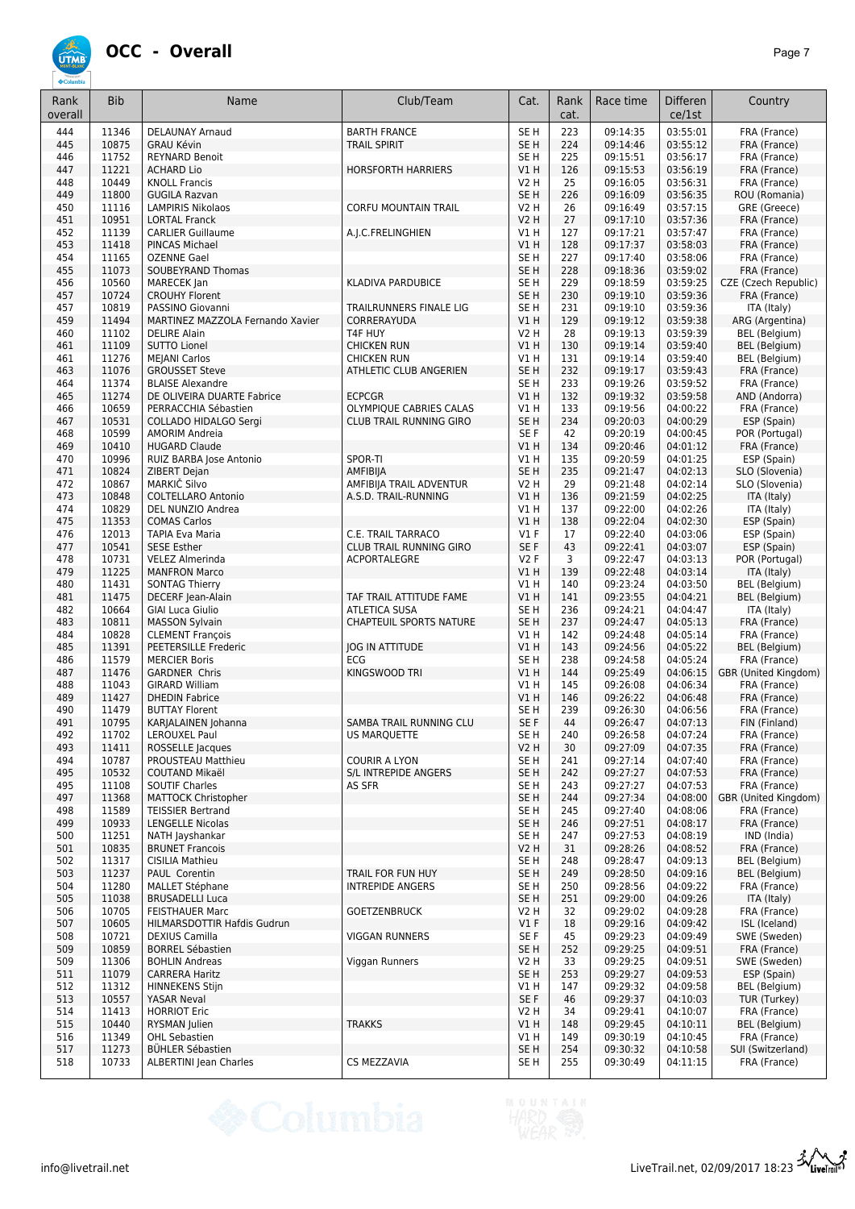

| Rank<br>overall | <b>Bib</b>     | Name                                             | Club/Team                                      | Cat.                               | Rank<br>cat. | Race time            | <b>Differen</b><br>ce/1st | Country                              |
|-----------------|----------------|--------------------------------------------------|------------------------------------------------|------------------------------------|--------------|----------------------|---------------------------|--------------------------------------|
| 444             | 11346          | <b>DELAUNAY Arnaud</b>                           | <b>BARTH FRANCE</b>                            | SE <sub>H</sub>                    | 223          | 09:14:35             | 03:55:01                  | FRA (France)                         |
| 445             | 10875          | <b>GRAU Kévin</b>                                | <b>TRAIL SPIRIT</b>                            | SE <sub>H</sub>                    | 224          | 09:14:46             | 03:55:12                  | FRA (France)                         |
| 446             | 11752          | <b>REYNARD Benoit</b>                            |                                                | SE <sub>H</sub>                    | 225          | 09:15:51             | 03:56:17                  | FRA (France)                         |
| 447             | 11221          | <b>ACHARD Lio</b>                                | <b>HORSFORTH HARRIERS</b>                      | V1H                                | 126          | 09:15:53             | 03:56:19                  | FRA (France)                         |
| 448<br>449      | 10449<br>11800 | <b>KNOLL Francis</b><br><b>GUGILA Razvan</b>     |                                                | <b>V2 H</b><br>SE <sub>H</sub>     | 25<br>226    | 09:16:05<br>09:16:09 | 03:56:31<br>03:56:35      | FRA (France)<br>ROU (Romania)        |
| 450             | 11116          | <b>LAMPIRIS Nikolaos</b>                         | <b>CORFU MOUNTAIN TRAIL</b>                    | <b>V2 H</b>                        | 26           | 09:16:49             | 03:57:15                  | GRE (Greece)                         |
| 451             | 10951          | <b>LORTAL Franck</b>                             |                                                | <b>V2 H</b>                        | 27           | 09:17:10             | 03:57:36                  | FRA (France)                         |
| 452             | 11139          | <b>CARLIER Guillaume</b>                         | A.J.C.FRELINGHIEN                              | V1H                                | 127          | 09:17:21             | 03:57:47                  | FRA (France)                         |
| 453             | 11418          | PINCAS Michael                                   |                                                | V1H                                | 128          | 09:17:37             | 03:58:03                  | FRA (France)                         |
| 454             | 11165          | <b>OZENNE Gael</b>                               |                                                | SE <sub>H</sub>                    | 227          | 09:17:40             | 03:58:06                  | FRA (France)                         |
| 455             | 11073          | SOUBEYRAND Thomas                                |                                                | SE <sub>H</sub>                    | 228          | 09:18:36             | 03:59:02                  | FRA (France)<br>CZE (Czech Republic) |
| 456<br>457      | 10560<br>10724 | MARECEK Jan<br><b>CROUHY Florent</b>             | KLADIVA PARDUBICE                              | SE <sub>H</sub><br>SE <sub>H</sub> | 229<br>230   | 09:18:59<br>09:19:10 | 03:59:25<br>03:59:36      | FRA (France)                         |
| 457             | 10819          | PASSINO Giovanni                                 | TRAILRUNNERS FINALE LIG                        | SE <sub>H</sub>                    | 231          | 09:19:10             | 03:59:36                  | ITA (Italy)                          |
| 459             | 11494          | MARTINEZ MAZZOLA Fernando Xavier                 | CORRERAYUDA                                    | V1H                                | 129          | 09:19:12             | 03:59:38                  | ARG (Argentina)                      |
| 460             | 11102          | <b>DELIRE Alain</b>                              | T4F HUY                                        | <b>V2 H</b>                        | 28           | 09:19:13             | 03:59:39                  | BEL (Belgium)                        |
| 461             | 11109          | <b>SUTTO Lionel</b>                              | <b>CHICKEN RUN</b>                             | V1H                                | 130          | 09:19:14             | 03:59:40                  | <b>BEL</b> (Belgium)                 |
| 461             | 11276          | <b>MEJANI Carlos</b>                             | <b>CHICKEN RUN</b>                             | V1H                                | 131          | 09:19:14             | 03:59:40                  | BEL (Belgium)                        |
| 463<br>464      | 11076<br>11374 | <b>GROUSSET Steve</b><br><b>BLAISE Alexandre</b> | ATHLETIC CLUB ANGERIEN                         | SE <sub>H</sub><br>SE <sub>H</sub> | 232<br>233   | 09:19:17<br>09:19:26 | 03:59:43<br>03:59:52      | FRA (France)<br>FRA (France)         |
| 465             | 11274          | DE OLIVEIRA DUARTE Fabrice                       | <b>ECPCGR</b>                                  | V1H                                | 132          | 09:19:32             | 03:59:58                  | AND (Andorra)                        |
| 466             | 10659          | PERRACCHIA Sébastien                             | OLYMPIQUE CABRIES CALAS                        | VIH                                | 133          | 09:19:56             | 04:00:22                  | FRA (France)                         |
| 467             | 10531          | COLLADO HIDALGO Sergi                            | <b>CLUB TRAIL RUNNING GIRO</b>                 | SE <sub>H</sub>                    | 234          | 09:20:03             | 04:00:29                  | ESP (Spain)                          |
| 468             | 10599          | <b>AMORIM Andreia</b>                            |                                                | SE <sub>F</sub>                    | 42           | 09:20:19             | 04:00:45                  | POR (Portugal)                       |
| 469             | 10410          | <b>HUGARD Claude</b>                             |                                                | V1H                                | 134          | 09:20:46             | 04:01:12                  | FRA (France)                         |
| 470<br>471      | 10996<br>10824 | RUIZ BARBA Jose Antonio<br>ZIBERT Dejan          | SPOR-TI<br>AMFIBIJA                            | V1H<br>SE <sub>H</sub>             | 135<br>235   | 09:20:59<br>09:21:47 | 04:01:25<br>04:02:13      | ESP (Spain)<br>SLO (Slovenia)        |
| 472             | 10867          | MARKIČ Silvo                                     | AMFIBIJA TRAIL ADVENTUR                        | <b>V2 H</b>                        | 29           | 09:21:48             | 04:02:14                  | SLO (Slovenia)                       |
| 473             | 10848          | COLTELLARO Antonio                               | A.S.D. TRAIL-RUNNING                           | V1H                                | 136          | 09:21:59             | 04:02:25                  | ITA (Italy)                          |
| 474             | 10829          | DEL NUNZIO Andrea                                |                                                | V1H                                | 137          | 09:22:00             | 04:02:26                  | ITA (Italy)                          |
| 475             | 11353          | <b>COMAS Carlos</b>                              |                                                | V1H                                | 138          | 09:22:04             | 04:02:30                  | ESP (Spain)                          |
| 476             | 12013          | <b>TAPIA Eva Maria</b>                           | C.E. TRAIL TARRACO                             | V1F                                | 17           | 09:22:40             | 04:03:06                  | ESP (Spain)                          |
| 477<br>478      | 10541<br>10731 | <b>SESE Esther</b><br><b>VELEZ Almerinda</b>     | <b>CLUB TRAIL RUNNING GIRO</b><br>ACPORTALEGRE | SE F<br><b>V2F</b>                 | 43<br>3      | 09:22:41<br>09:22:47 | 04:03:07<br>04:03:13      | ESP (Spain)<br>POR (Portugal)        |
| 479             | 11225          | <b>MANFRON Marco</b>                             |                                                | V1H                                | 139          | 09:22:48             | 04:03:14                  | ITA (Italy)                          |
| 480             | 11431          | <b>SONTAG Thierry</b>                            |                                                | V1H                                | 140          | 09:23:24             | 04:03:50                  | BEL (Belgium)                        |
| 481             | 11475          | DECERF Jean-Alain                                | TAF TRAIL ATTITUDE FAME                        | V1H                                | 141          | 09:23:55             | 04:04:21                  | <b>BEL</b> (Belgium)                 |
| 482             | 10664          | <b>GIAI Luca Giulio</b>                          | <b>ATLETICA SUSA</b>                           | SE <sub>H</sub>                    | 236          | 09:24:21             | 04:04:47                  | ITA (Italy)                          |
| 483<br>484      | 10811<br>10828 | <b>MASSON Sylvain</b><br><b>CLEMENT François</b> | <b>CHAPTEUIL SPORTS NATURE</b>                 | SE <sub>H</sub><br>V1H             | 237<br>142   | 09:24:47<br>09:24:48 | 04:05:13<br>04:05:14      | FRA (France)<br>FRA (France)         |
| 485             | 11391          | PEETERSILLE Frederic                             | <b>JOG IN ATTITUDE</b>                         | V1H                                | 143          | 09:24:56             | 04:05:22                  | <b>BEL</b> (Belgium)                 |
| 486             | 11579          | <b>MERCIER Boris</b>                             | <b>ECG</b>                                     | SE <sub>H</sub>                    | 238          | 09:24:58             | 04:05:24                  | FRA (France)                         |
| 487             | 11476          | <b>GARDNER Chris</b>                             | KINGSWOOD TRI                                  | V1H                                | 144          | 09:25:49             | 04:06:15                  | GBR (United Kingdom)                 |
| 488             | 11043          | <b>GIRARD William</b>                            |                                                | V1H                                | 145          | 09:26:08             | 04:06:34                  | FRA (France)                         |
| 489<br>490      | 11427<br>11479 | <b>DHEDIN Fabrice</b><br><b>BUTTAY Florent</b>   |                                                | V1H<br>SE H                        | 146<br>239   | 09:26:22<br>09:26:30 | 04:06:48<br>04:06:56      | FRA (France)<br>FRA (France)         |
| 491             | 10795          | KARJALAINEN Johanna                              | SAMBA TRAIL RUNNING CLU                        | SE F                               | 44           | 09:26:47             | 04:07:13                  | FIN (Finland)                        |
| 492             | 11702          | LEROUXEL Paul                                    | US MARQUETTE                                   | SE H                               | 240          | 09:26:58             | 04:07:24                  | FRA (France)                         |
| 493             | 11411          | ROSSELLE Jacques                                 |                                                | V2H                                | 30           | 09:27:09             | 04:07:35                  | FRA (France)                         |
| 494             | 10787          | PROUSTEAU Matthieu                               | <b>COURIR A LYON</b>                           | SE <sub>H</sub>                    | 241          | 09:27:14             | 04:07:40                  | FRA (France)                         |
| 495<br>495      | 10532          | COUTAND Mikaël                                   | S/L INTREPIDE ANGERS<br>AS SFR                 | SE <sub>H</sub><br>SE <sub>H</sub> | 242<br>243   | 09:27:27<br>09:27:27 | 04:07:53<br>04:07:53      | FRA (France)<br>FRA (France)         |
| 497             | 11108<br>11368 | <b>SOUTIF Charles</b><br>MATTOCK Christopher     |                                                | SE <sub>H</sub>                    | 244          | 09:27:34             | 04:08:00                  | GBR (United Kingdom)                 |
| 498             | 11589          | <b>TEISSIER Bertrand</b>                         |                                                | SE <sub>H</sub>                    | 245          | 09:27:40             | 04:08:06                  | FRA (France)                         |
| 499             | 10933          | <b>LENGELLE Nicolas</b>                          |                                                | SE <sub>H</sub>                    | 246          | 09:27:51             | 04:08:17                  | FRA (France)                         |
| 500             | 11251          | NATH Jayshankar                                  |                                                | SE <sub>H</sub>                    | 247          | 09:27:53             | 04:08:19                  | IND (India)                          |
| 501             | 10835          | <b>BRUNET Francois</b>                           |                                                | <b>V2 H</b>                        | 31           | 09:28:26             | 04:08:52                  | FRA (France)                         |
| 502<br>503      | 11317<br>11237 | <b>CISILIA Mathieu</b><br>PAUL Corentin          | <b>TRAIL FOR FUN HUY</b>                       | SE H<br>SE H                       | 248<br>249   | 09:28:47<br>09:28:50 | 04:09:13<br>04:09:16      | BEL (Belgium)<br>BEL (Belgium)       |
| 504             | 11280          | <b>MALLET Stéphane</b>                           | INTREPIDE ANGERS                               | SE H                               | 250          | 09:28:56             | 04:09:22                  | FRA (France)                         |
| 505             | 11038          | <b>BRUSADELLI Luca</b>                           |                                                | SE <sub>H</sub>                    | 251          | 09:29:00             | 04:09:26                  | ITA (Italy)                          |
| 506             | 10705          | <b>FEISTHAUER Marc</b>                           | <b>GOETZENBRUCK</b>                            | V2 H                               | 32           | 09:29:02             | 04:09:28                  | FRA (France)                         |
| 507             | 10605          | HILMARSDOTTIR Hafdis Gudrun                      |                                                | V1F                                | 18           | 09:29:16             | 04:09:42                  | ISL (Iceland)                        |
| 508<br>509      | 10721<br>10859 | <b>DEXIUS Camilla</b><br><b>BORREL Sébastien</b> | <b>VIGGAN RUNNERS</b>                          | SE <sub>F</sub><br>SE H            | 45<br>252    | 09:29:23<br>09:29:25 | 04:09:49<br>04:09:51      | SWE (Sweden)<br>FRA (France)         |
| 509             | 11306          | <b>BOHLIN Andreas</b>                            | Viggan Runners                                 | V2 H                               | 33           | 09:29:25             | 04:09:51                  | SWE (Sweden)                         |
| 511             | 11079          | <b>CARRERA Haritz</b>                            |                                                | SE <sub>H</sub>                    | 253          | 09:29:27             | 04:09:53                  | ESP (Spain)                          |
| 512             | 11312          | <b>HINNEKENS Stijn</b>                           |                                                | V1 H                               | 147          | 09:29:32             | 04:09:58                  | <b>BEL</b> (Belgium)                 |
| 513             | 10557          | YASAR Neval                                      |                                                | SE F                               | 46           | 09:29:37             | 04:10:03                  | TUR (Turkey)                         |
| 514<br>515      | 11413<br>10440 | <b>HORRIOT Eric</b><br>RYSMAN Julien             | <b>TRAKKS</b>                                  | V2 H<br>VIH                        | 34<br>148    | 09:29:41<br>09:29:45 | 04:10:07<br>04:10:11      | FRA (France)<br>BEL (Belgium)        |
| 516             | 11349          | <b>OHL Sebastien</b>                             |                                                | V1 H                               | 149          | 09:30:19             | 04:10:45                  | FRA (France)                         |
| 517             | 11273          | <b>BÜHLER Sébastien</b>                          |                                                | SE <sub>H</sub>                    | 254          | 09:30:32             | 04:10:58                  | SUI (Switzerland)                    |
| 518             | 10733          | ALBERTINI Jean Charles                           | CS MEZZAVIA                                    | SE H                               | 255          | 09:30:49             | 04:11:15                  | FRA (France)                         |

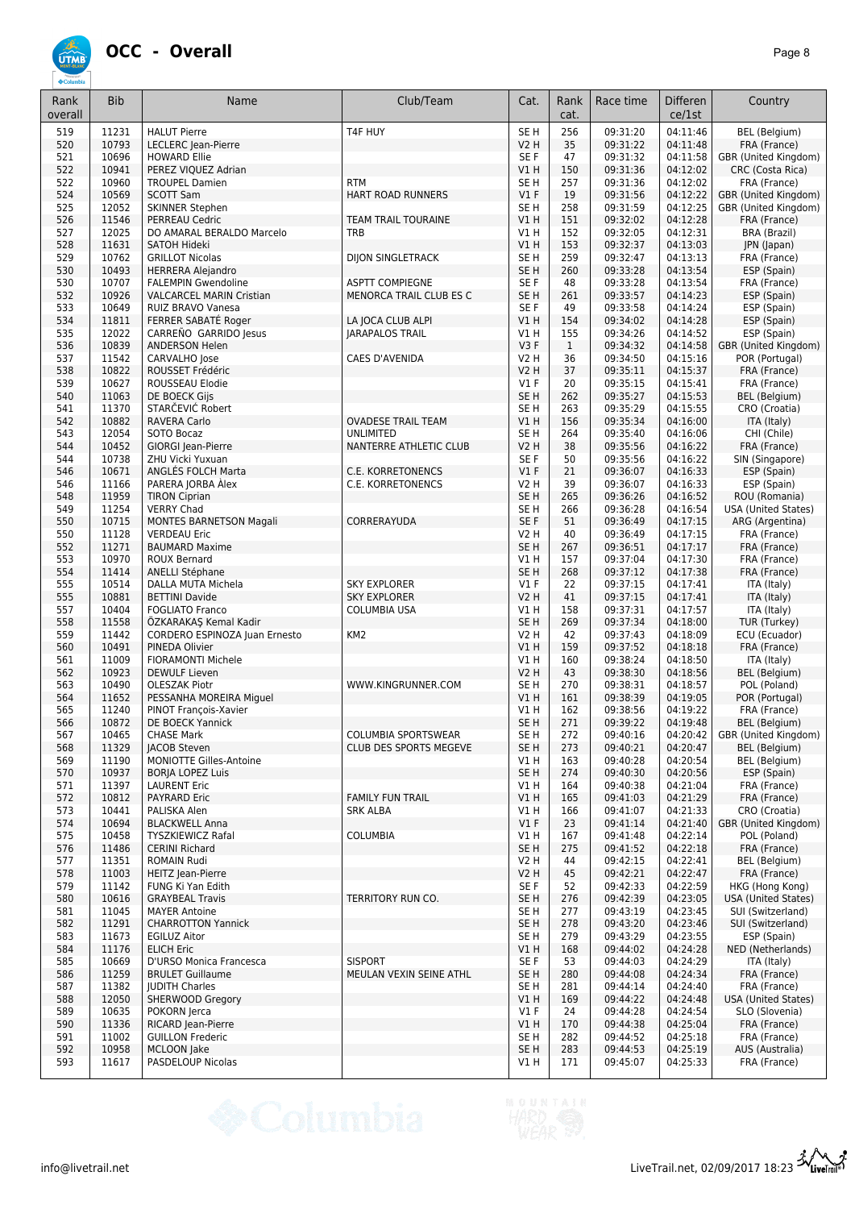

| Rank<br>overall | <b>Bib</b>     | Name                                               | Club/Team                                 | Cat.                      | Rank<br>cat.        | Race time            | Differen<br>ce/1st   | Country                                |
|-----------------|----------------|----------------------------------------------------|-------------------------------------------|---------------------------|---------------------|----------------------|----------------------|----------------------------------------|
| 519             | 11231          | <b>HALUT Pierre</b>                                | T4F HUY                                   | SE <sub>H</sub>           | 256                 | 09:31:20             | 04:11:46             | BEL (Belgium)                          |
| 520             | 10793          | LECLERC Jean-Pierre                                |                                           | <b>V2 H</b>               | 35                  | 09:31:22             | 04:11:48             | FRA (France)                           |
| 521             | 10696          | <b>HOWARD Ellie</b>                                |                                           | SE F                      | 47                  | 09:31:32             | 04:11:58             | GBR (United Kingdom)                   |
| 522             | 10941          | PEREZ VIQUEZ Adrian                                |                                           | V1 H                      | 150                 | 09:31:36             | 04:12:02             | CRC (Costa Rica)                       |
| 522             | 10960          | <b>TROUPEL Damien</b>                              | <b>RTM</b>                                | SE H                      | 257                 | 09:31:36             | 04:12:02             | FRA (France)                           |
| 524             | 10569          | <b>SCOTT Sam</b>                                   | <b>HART ROAD RUNNERS</b>                  | $VI$ F                    | 19                  | 09:31:56             | 04:12:22             | GBR (United Kingdom)                   |
| 525             | 12052          | <b>SKINNER Stephen</b>                             |                                           | SE <sub>H</sub>           | 258                 | 09:31:59             | 04:12:25             | GBR (United Kingdom)                   |
| 526             | 11546          | <b>PERREAU Cedric</b>                              | <b>TEAM TRAIL TOURAINE</b>                | V1H                       | 151                 | 09:32:02             | 04:12:28             | FRA (France)                           |
| 527<br>528      | 12025<br>11631 | DO AMARAL BERALDO Marcelo                          | <b>TRB</b>                                | V1 H<br>V1H               | 152<br>153          | 09:32:05<br>09:32:37 | 04:12:31<br>04:13:03 | BRA (Brazil)                           |
| 529             | 10762          | <b>SATOH Hideki</b><br><b>GRILLOT Nicolas</b>      | <b>DIJON SINGLETRACK</b>                  | SE <sub>H</sub>           | 259                 | 09:32:47             | 04:13:13             | JPN (Japan)<br>FRA (France)            |
| 530             | 10493          | <b>HERRERA Alejandro</b>                           |                                           | SE <sub>H</sub>           | 260                 | 09:33:28             | 04:13:54             | ESP (Spain)                            |
| 530             | 10707          | <b>FALEMPIN Gwendoline</b>                         | <b>ASPTT COMPIEGNE</b>                    | SE F                      | 48                  | 09:33:28             | 04:13:54             | FRA (France)                           |
| 532             | 10926          | <b>VALCARCEL MARIN Cristian</b>                    | MENORCA TRAIL CLUB ES C                   | SE H                      | 261                 | 09:33:57             | 04:14:23             | ESP (Spain)                            |
| 533             | 10649          | RUIZ BRAVO Vanesa                                  |                                           | SE F                      | 49                  | 09:33:58             | 04:14:24             | ESP (Spain)                            |
| 534             | 11811          | FERRER SABATÉ Roger                                | LA JOCA CLUB ALPI                         | V1 H                      | 154                 | 09:34:02             | 04:14:28             | ESP (Spain)                            |
| 535<br>536      | 12022<br>10839 | CARREÑO GARRIDO Jesus                              | <b>JARAPALOS TRAIL</b>                    | V1 H<br>V3F               | 155<br>$\mathbf{1}$ | 09:34:26             | 04:14:52<br>04:14:58 | ESP (Spain)                            |
| 537             | 11542          | <b>ANDERSON Helen</b><br>CARVALHO Jose             | CAES D'AVENIDA                            | <b>V2 H</b>               | 36                  | 09:34:32<br>09:34:50 | 04:15:16             | GBR (United Kingdom)<br>POR (Portugal) |
| 538             | 10822          | ROUSSET Frédéric                                   |                                           | <b>V2 H</b>               | 37                  | 09:35:11             | 04:15:37             | FRA (France)                           |
| 539             | 10627          | ROUSSEAU Elodie                                    |                                           | $VI$ F                    | 20                  | 09:35:15             | 04:15:41             | FRA (France)                           |
| 540             | 11063          | DE BOECK Gijs                                      |                                           | SE <sub>H</sub>           | 262                 | 09:35:27             | 04:15:53             | BEL (Belgium)                          |
| 541             | 11370          | STARČEVIĆ Robert                                   |                                           | SE <sub>H</sub>           | 263                 | 09:35:29             | 04:15:55             | CRO (Croatia)                          |
| 542             | 10882          | <b>RAVERA Carlo</b>                                | <b>OVADESE TRAIL TEAM</b>                 | V1H                       | 156                 | 09:35:34             | 04:16:00             | ITA (Italy)                            |
| 543             | 12054          | SOTO Bocaz                                         | <b>UNLIMITED</b>                          | SE <sub>H</sub>           | 264                 | 09:35:40             | 04:16:06             | CHI (Chile)                            |
| 544<br>544      | 10452<br>10738 | GIORGI Jean-Pierre<br>ZHU Vicki Yuxuan             | NANTERRE ATHLETIC CLUB                    | <b>V2 H</b><br>SE F       | 38<br>50            | 09:35:56<br>09:35:56 | 04:16:22<br>04:16:22 | FRA (France)<br>SIN (Singapore)        |
| 546             | 10671          | ANGLES FOLCH Marta                                 | C.E. KORRETONENCS                         | $VI$ F                    | 21                  | 09:36:07             | 04:16:33             | ESP (Spain)                            |
| 546             | 11166          | PARERA JORBA Alex                                  | C.E. KORRETONENCS                         | <b>V2 H</b>               | 39                  | 09:36:07             | 04:16:33             | ESP (Spain)                            |
| 548             | 11959          | <b>TIRON Ciprian</b>                               |                                           | SE <sub>H</sub>           | 265                 | 09:36:26             | 04:16:52             | ROU (Romania)                          |
| 549             | 11254          | <b>VERRY Chad</b>                                  |                                           | SE <sub>H</sub>           | 266                 | 09:36:28             | 04:16:54             | <b>USA (United States)</b>             |
| 550             | 10715          | <b>MONTES BARNETSON Magali</b>                     | CORRERAYUDA                               | SE F                      | 51                  | 09:36:49             | 04:17:15             | ARG (Argentina)                        |
| 550             | 11128          | <b>VERDEAU Eric</b>                                |                                           | <b>V2 H</b>               | 40                  | 09:36:49             | 04:17:15             | FRA (France)                           |
| 552             | 11271<br>10970 | <b>BAUMARD Maxime</b>                              |                                           | SE <sub>H</sub><br>$VI$ H | 267                 | 09:36:51             | 04:17:17<br>04:17:30 | FRA (France)                           |
| 553<br>554      | 11414          | <b>ROUX Bernard</b><br><b>ANELLI Stéphane</b>      |                                           | SE <sub>H</sub>           | 157<br>268          | 09:37:04<br>09:37:12 | 04:17:38             | FRA (France)<br>FRA (France)           |
| 555             | 10514          | DALLA MUTA Michela                                 | <b>SKY EXPLORER</b>                       | $VI$ F                    | 22                  | 09:37:15             | 04:17:41             | ITA (Italy)                            |
| 555             | 10881          | <b>BETTINI Davide</b>                              | <b>SKY EXPLORER</b>                       | V2 H                      | 41                  | 09:37:15             | 04:17:41             | ITA (Italy)                            |
| 557             | 10404          | <b>FOGLIATO Franco</b>                             | COLUMBIA USA                              | V1 H                      | 158                 | 09:37:31             | 04:17:57             | ITA (Italy)                            |
| 558             | 11558          | ÖZKARAKAŞ Kemal Kadir                              |                                           | SE <sub>H</sub>           | 269                 | 09:37:34             | 04:18:00             | TUR (Turkey)                           |
| 559             | 11442          | CORDERO ESPINOZA Juan Ernesto                      | KM <sub>2</sub>                           | <b>V2 H</b>               | 42                  | 09:37:43             | 04:18:09             | ECU (Ecuador)                          |
| 560             | 10491          | PINEDA Olivier<br><b>FIORAMONTI Michele</b>        |                                           | V1 H                      | 159                 | 09:37:52<br>09:38:24 | 04:18:18<br>04:18:50 | FRA (France)                           |
| 561<br>562      | 11009<br>10923 | <b>DEWULF Lieven</b>                               |                                           | V1 H<br><b>V2 H</b>       | 160<br>43           | 09:38:30             | 04:18:56             | ITA (Italy)<br>BEL (Belgium)           |
| 563             | 10490          | <b>OLESZAK Piotr</b>                               | WWW.KINGRUNNER.COM                        | SE H                      | 270                 | 09:38:31             | 04:18:57             | POL (Poland)                           |
| 564             | 11652          | PESSANHA MOREIRA Miguel                            |                                           | VIH                       | 161                 | 09:38:39             | 04:19:05             | POR (Portugal)                         |
| 565             | 11240          | PINOT François-Xavier                              |                                           | V1 H                      | 162                 | 09:38:56             | 04:19:22             | FRA (France)                           |
| 566             | 10872          | DE BOECK Yannick                                   |                                           | SE <sub>H</sub>           | 271                 | 09:39:22             | 04:19:48             | BEL (Belgium)                          |
| 567             | 10465          | <b>CHASE Mark</b>                                  | <b>COLUMBIA SPORTSWEAR</b>                | SE H                      | 272                 | 09:40:16             | 04:20:42             | GBR (United Kingdom)                   |
| 568             | 11329          | <b>JACOB Steven</b>                                | CLUB DES SPORTS MEGEVE                    | SE <sub>H</sub>           | 273                 | 09:40:21             | 04:20:47             | BEL (Belgium)                          |
| 569<br>570      | 11190<br>10937 | MONIOTTE Gilles-Antoine<br><b>BORJA LOPEZ Luis</b> |                                           | VIH<br>SE <sub>H</sub>    | 163<br>274          | 09:40:28<br>09:40:30 | 04:20:54<br>04:20:56 | BEL (Belgium)<br>ESP (Spain)           |
| 571             | 11397          | <b>LAURENT Eric</b>                                |                                           | V1 H                      | 164                 | 09:40:38             | 04:21:04             | FRA (France)                           |
| 572             | 10812          | PAYRARD Eric                                       | <b>FAMILY FUN TRAIL</b>                   | V1H                       | 165                 | 09:41:03             | 04:21:29             | FRA (France)                           |
| 573             | 10441          | PALISKA Alen                                       | <b>SRK ALBA</b>                           | V1 H                      | 166                 | 09:41:07             | 04:21:33             | CRO (Croatia)                          |
| 574             | 10694          | <b>BLACKWELL Anna</b>                              |                                           | V1F                       | 23                  | 09:41:14             | 04:21:40             | GBR (United Kingdom)                   |
| 575             | 10458          | <b>TYSZKIEWICZ Rafal</b>                           | <b>COLUMBIA</b>                           | V1H                       | 167                 | 09:41:48             | 04:22:14             | POL (Poland)                           |
| 576             | 11486          | <b>CERINI Richard</b>                              |                                           | SE <sub>H</sub>           | 275                 | 09:41:52             | 04:22:18             | FRA (France)                           |
| 577<br>578      | 11351<br>11003 | ROMAIN Rudi<br>HEITZ Jean-Pierre                   |                                           | V2 H<br><b>V2 H</b>       | 44<br>45            | 09:42:15<br>09:42:21 | 04:22:41<br>04:22:47 | BEL (Belgium)<br>FRA (France)          |
| 579             | 11142          | FUNG Ki Yan Edith                                  |                                           | SE F                      | 52                  | 09:42:33             | 04:22:59             | HKG (Hong Kong)                        |
| 580             | 10616          | <b>GRAYBEAL Travis</b>                             | TERRITORY RUN CO.                         | SE <sub>H</sub>           | 276                 | 09:42:39             | 04:23:05             | <b>USA (United States)</b>             |
| 581             | 11045          | <b>MAYER Antoine</b>                               |                                           | SE H                      | 277                 | 09:43:19             | 04:23:45             | SUI (Switzerland)                      |
| 582             | 11291          | <b>CHARROTTON Yannick</b>                          |                                           | SE <sub>H</sub>           | 278                 | 09:43:20             | 04:23:46             | SUI (Switzerland)                      |
| 583             | 11673          | <b>EGILUZ Aitor</b>                                |                                           | SE H                      | 279                 | 09:43:29             | 04:23:55             | ESP (Spain)                            |
| 584             | 11176          | <b>ELICH Eric</b>                                  |                                           | V1 H                      | 168                 | 09:44:02             | 04:24:28             | NED (Netherlands)                      |
| 585<br>586      | 10669<br>11259 | D'URSO Monica Francesca<br><b>BRULET Guillaume</b> | <b>SISPORT</b><br>MEULAN VEXIN SEINE ATHL | SE F<br>SE <sub>H</sub>   | 53<br>280           | 09:44:03<br>09:44:08 | 04:24:29<br>04:24:34 | ITA (Italy)<br>FRA (France)            |
| 587             | 11382          | <b>JUDITH Charles</b>                              |                                           | SE H                      | 281                 | 09:44:14             | 04:24:40             | FRA (France)                           |
| 588             | 12050          | SHERWOOD Gregory                                   |                                           | V1H                       | 169                 | 09:44:22             | 04:24:48             | USA (United States)                    |
| 589             | 10635          | POKORN Jerca                                       |                                           | $VI$ F                    | 24                  | 09:44:28             | 04:24:54             | SLO (Slovenia)                         |
| 590             | 11336          | RICARD Jean-Pierre                                 |                                           | V1 H                      | 170                 | 09:44:38             | 04:25:04             | FRA (France)                           |
| 591             | 11002          | <b>GUILLON Frederic</b>                            |                                           | SE H                      | 282                 | 09:44:52             | 04:25:18             | FRA (France)                           |
| 592             | 10958          | MCLOON Jake                                        |                                           | SE <sub>H</sub>           | 283                 | 09:44:53             | 04:25:19             | AUS (Australia)                        |
| 593             | 11617          | PASDELOUP Nicolas                                  |                                           | V1 H                      | 171                 | 09:45:07             | 04:25:33             | FRA (France)                           |

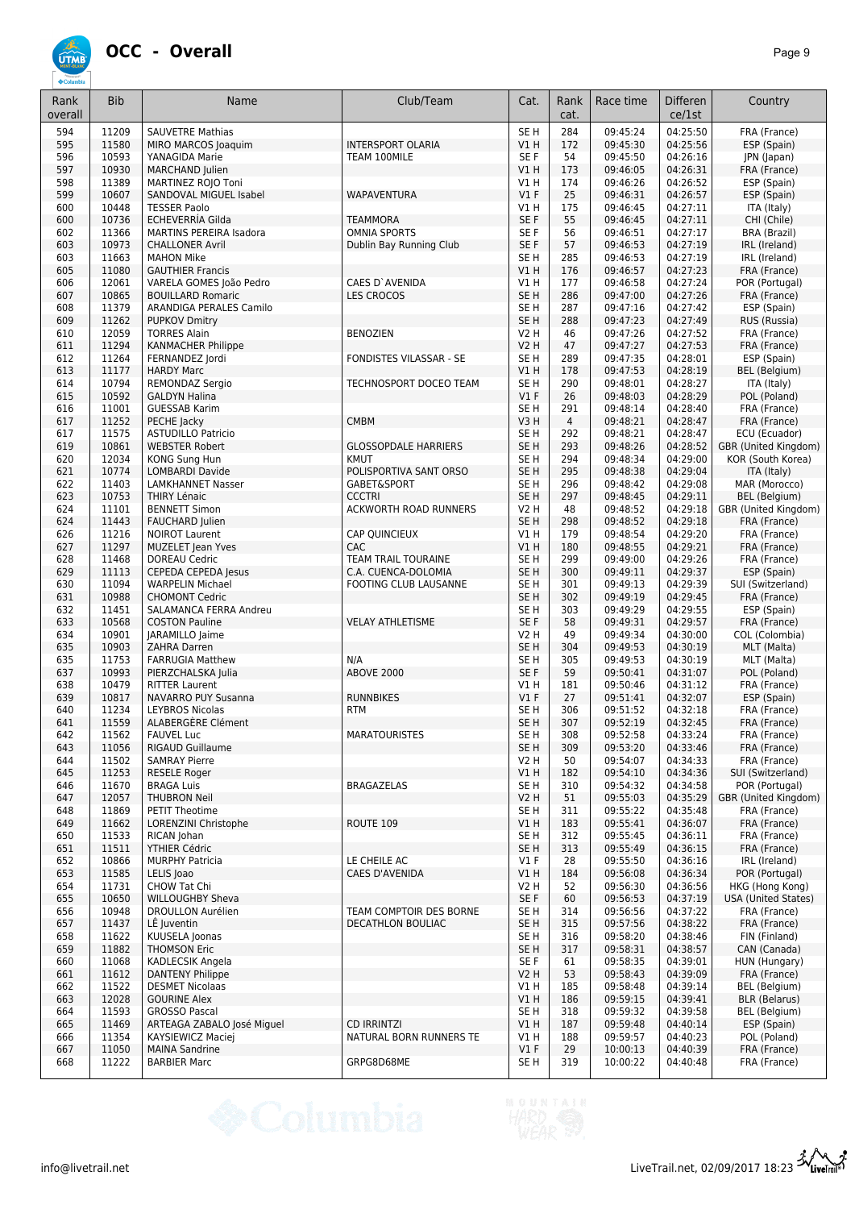

| Rank<br>overall | <b>Bib</b>     | Name                                              | Club/Team                                    | Cat.                           | Rank<br>cat. | Race time            | <b>Differen</b><br>ce/1st | Country                             |
|-----------------|----------------|---------------------------------------------------|----------------------------------------------|--------------------------------|--------------|----------------------|---------------------------|-------------------------------------|
|                 |                |                                                   |                                              |                                |              |                      |                           |                                     |
| 594<br>595      | 11209<br>11580 | <b>SAUVETRE Mathias</b><br>MIRO MARCOS Joaquim    | <b>INTERSPORT OLARIA</b>                     | SE <sub>H</sub><br>VIH         | 284<br>172   | 09:45:24<br>09:45:30 | 04:25:50<br>04:25:56      | FRA (France)<br>ESP (Spain)         |
| 596             | 10593          | YANAGIDA Marie                                    | TEAM 100MILE                                 | SE F                           | 54           | 09:45:50             | 04:26:16                  | JPN (Japan)                         |
| 597             | 10930          | <b>MARCHAND Julien</b>                            |                                              | VIH                            | 173          | 09:46:05             | 04:26:31                  | FRA (France)                        |
| 598             | 11389          | MARTINEZ ROJO Toni                                |                                              | V1H                            | 174          | 09:46:26             | 04:26:52                  | ESP (Spain)                         |
| 599             | 10607          | <b>SANDOVAL MIGUEL Isabel</b>                     | WAPAVENTURA                                  | V1F                            | 25           | 09:46:31             | 04:26:57                  | ESP (Spain)                         |
| 600             | 10448          | <b>TESSER Paolo</b>                               |                                              | V1H                            | 175          | 09:46:45             | 04:27:11                  | ITA (Italy)                         |
| 600             | 10736          | ECHEVERRIA Gilda                                  | <b>TEAMMORA</b>                              | SE F                           | 55           | 09:46:45             | 04:27:11                  | CHI (Chile)                         |
| 602             | 11366          | <b>MARTINS PEREIRA Isadora</b>                    | <b>OMNIA SPORTS</b>                          | SE F                           | 56           | 09:46:51             | 04:27:17                  | BRA (Brazil)                        |
| 603<br>603      | 10973<br>11663 | <b>CHALLONER Avril</b><br><b>MAHON Mike</b>       | Dublin Bay Running Club                      | SE F<br>SE H                   | 57<br>285    | 09:46:53<br>09:46:53 | 04:27:19<br>04:27:19      | IRL (Ireland)<br>IRL (Ireland)      |
| 605             | 11080          | <b>GAUTHIER Francis</b>                           |                                              | VIH                            | 176          | 09:46:57             | 04:27:23                  | FRA (France)                        |
| 606             | 12061          | VARELA GOMES João Pedro                           | CAES D'AVENIDA                               | V1 H                           | 177          | 09:46:58             | 04:27:24                  | POR (Portugal)                      |
| 607             | 10865          | <b>BOUILLARD Romaric</b>                          | <b>LES CROCOS</b>                            | SE H                           | 286          | 09:47:00             | 04:27:26                  | FRA (France)                        |
| 608             | 11379          | ARANDIGA PERALES Camilo                           |                                              | SE H                           | 287          | 09:47:16             | 04:27:42                  | ESP (Spain)                         |
| 609             | 11262          | <b>PUPKOV Dmitry</b>                              |                                              | SE H                           | 288          | 09:47:23             | 04:27:49                  | RUS (Russia)                        |
| 610             | 12059          | <b>TORRES Alain</b>                               | <b>BENOZIEN</b>                              | <b>V2 H</b>                    | 46           | 09:47:26             | 04:27:52                  | FRA (France)                        |
| 611             | 11294          | <b>KANMACHER Philippe</b>                         |                                              | <b>V2 H</b>                    | 47           | 09:47:27             | 04:27:53                  | FRA (France)                        |
| 612<br>613      | 11264<br>11177 | FERNANDEZ Jordi<br><b>HARDY Marc</b>              | FONDISTES VILASSAR - SE                      | SE <sub>H</sub><br><b>V1 H</b> | 289<br>178   | 09:47:35<br>09:47:53 | 04:28:01<br>04:28:19      | ESP (Spain)<br>BEL (Belgium)        |
| 614             | 10794          | REMONDAZ Sergio                                   | TECHNOSPORT DOCEO TEAM                       | SE H                           | 290          | 09:48:01             | 04:28:27                  | ITA (Italy)                         |
| 615             | 10592          | <b>GALDYN Halina</b>                              |                                              | V1F                            | 26           | 09:48:03             | 04:28:29                  | POL (Poland)                        |
| 616             | 11001          | <b>GUESSAB Karim</b>                              |                                              | SE <sub>H</sub>                | 291          | 09:48:14             | 04:28:40                  | FRA (France)                        |
| 617             | 11252          | PECHE Jacky                                       | <b>CMBM</b>                                  | V3H                            | 4            | 09:48:21             | 04:28:47                  | FRA (France)                        |
| 617             | 11575          | <b>ASTUDILLO Patricio</b>                         |                                              | SE <sub>H</sub>                | 292          | 09:48:21             | 04:28:47                  | ECU (Ecuador)                       |
| 619             | 10861          | <b>WEBSTER Robert</b>                             | <b>GLOSSOPDALE HARRIERS</b>                  | SE H                           | 293          | 09:48:26             | 04:28:52                  | GBR (United Kingdom)                |
| 620             | 12034<br>10774 | KONG Sung Hun<br><b>LOMBARDI Davide</b>           | <b>KMUT</b>                                  | SE H<br>SE <sub>H</sub>        | 294          | 09:48:34             | 04:29:00                  | KOR (South Korea)                   |
| 621<br>622      | 11403          | <b>LAMKHANNET Nasser</b>                          | POLISPORTIVA SANT ORSO<br>GABET&SPORT        | SE H                           | 295<br>296   | 09:48:38<br>09:48:42 | 04:29:04<br>04:29:08      | ITA (Italy)<br>MAR (Morocco)        |
| 623             | 10753          | <b>THIRY Lénaic</b>                               | <b>CCCTRI</b>                                | SE <sub>H</sub>                | 297          | 09:48:45             | 04:29:11                  | BEL (Belgium)                       |
| 624             | 11101          | <b>BENNETT Simon</b>                              | <b>ACKWORTH ROAD RUNNERS</b>                 | <b>V2 H</b>                    | 48           | 09:48:52             | 04:29:18                  | GBR (United Kingdom)                |
| 624             | 11443          | <b>FAUCHARD Julien</b>                            |                                              | SE <sub>H</sub>                | 298          | 09:48:52             | 04:29:18                  | FRA (France)                        |
| 626             | 11216          | <b>NOIROT Laurent</b>                             | <b>CAP QUINCIEUX</b>                         | V1 H                           | 179          | 09:48:54             | 04:29:20                  | FRA (France)                        |
| 627             | 11297          | <b>MUZELET Jean Yves</b>                          | <b>CAC</b>                                   | V1H                            | 180          | 09:48:55             | 04:29:21                  | FRA (France)                        |
| 628             | 11468          | <b>DOREAU Cedric</b>                              | TEAM TRAIL TOURAINE                          | SE <sub>H</sub>                | 299          | 09:49:00             | 04:29:26                  | FRA (France)                        |
| 629<br>630      | 11113<br>11094 | CEPEDA CEPEDA Jesus<br><b>WARPELIN Michael</b>    | C.A. CUENCA-DOLOMIA<br>FOOTING CLUB LAUSANNE | SE <sub>H</sub><br>SE H        | 300<br>301   | 09:49:11<br>09:49:13 | 04:29:37<br>04:29:39      | ESP (Spain)<br>SUI (Switzerland)    |
| 631             | 10988          | <b>CHOMONT Cedric</b>                             |                                              | SE H                           | 302          | 09:49:19             | 04:29:45                  | FRA (France)                        |
| 632             | 11451          | SALAMANCA FERRA Andreu                            |                                              | SE H                           | 303          | 09:49:29             | 04:29:55                  | ESP (Spain)                         |
| 633             | 10568          | <b>COSTON Pauline</b>                             | <b>VELAY ATHLETISME</b>                      | SE F                           | 58           | 09:49:31             | 04:29:57                  | FRA (France)                        |
| 634             | 10901          | JARAMILLO Jaime                                   |                                              | <b>V2 H</b>                    | 49           | 09:49:34             | 04:30:00                  | COL (Colombia)                      |
| 635             | 10903          | ZAHRA Darren                                      |                                              | SE <sub>H</sub>                | 304          | 09:49:53             | 04:30:19                  | MLT (Malta)                         |
| 635             | 11753<br>10993 | <b>FARRUGIA Matthew</b>                           | N/A<br><b>ABOVE 2000</b>                     | SE <sub>H</sub><br>SE F        | 305          | 09:49:53             | 04:30:19<br>04:31:07      | MLT (Malta)                         |
| 637<br>638      | 10479          | PIERZCHALSKA Julia<br><b>RITTER Laurent</b>       |                                              | V1 H                           | 59<br>181    | 09:50:41<br>09:50:46 | 04:31:12                  | POL (Poland)<br>FRA (France)        |
| 639             | 10817          | NAVARRO PUY Susanna                               | <b>RUNNBIKES</b>                             | $VI$ F                         | 27           | 09:51:41             | 04:32:07                  | ESP (Spain)                         |
| 640             | 11234          | <b>LEYBROS Nicolas</b>                            | <b>RTM</b>                                   | SE H                           | 306          | 09:51:52             | 04:32:18                  | FRA (France)                        |
| 641             | 11559          | ALABERGÈRE Clément                                |                                              | SE <sub>H</sub>                | 307          | 09:52:19             | 04:32:45                  | FRA (France)                        |
| 642             | 11562          | <b>FAUVEL Luc</b>                                 | MARATOURISTES                                | SE H                           | 308          | 09:52:58             | 04:33:24                  | FRA (France)                        |
| 643             | 11056          | RIGAUD Guillaume                                  |                                              | SE H                           | 309          | 09:53:20             | 04:33:46                  | FRA (France)                        |
| 644             | 11502          | <b>SAMRAY Pierre</b>                              |                                              | V2H                            | 50           | 09:54:07             | 04:34:33                  | FRA (France)                        |
| 645<br>646      | 11253<br>11670 | RESELE Roger<br><b>BRAGA Luis</b>                 | <b>BRAGAZELAS</b>                            | V1 H<br>SE H                   | 182<br>310   | 09:54:10<br>09:54:32 | 04:34:36<br>04:34:58      | SUI (Switzerland)<br>POR (Portugal) |
| 647             | 12057          | <b>THUBRON Neil</b>                               |                                              | <b>V2 H</b>                    | 51           | 09:55:03             | 04:35:29                  | GBR (United Kingdom)                |
| 648             | 11869          | PETIT Theotime                                    |                                              | SE H                           | 311          | 09:55:22             | 04:35:48                  | FRA (France)                        |
| 649             | 11662          | LORENZINI Christophe                              | ROUTE 109                                    | V1H                            | 183          | 09:55:41             | 04:36:07                  | FRA (France)                        |
| 650             | 11533          | RICAN Johan                                       |                                              | SE H                           | 312          | 09:55:45             | 04:36:11                  | FRA (France)                        |
| 651             | 11511          | YTHIER Cédric                                     |                                              | SE H                           | 313          | 09:55:49             | 04:36:15                  | FRA (France)                        |
| 652             | 10866          | <b>MURPHY Patricia</b>                            | LE CHEILE AC                                 | $VI$ F                         | 28           | 09:55:50             | 04:36:16                  | IRL (Ireland)                       |
| 653<br>654      | 11585<br>11731 | LELIS Joao<br><b>CHOW Tat Chi</b>                 | <b>CAES D'AVENIDA</b>                        | VIH<br>V2 H                    | 184<br>52    | 09:56:08<br>09:56:30 | 04:36:34<br>04:36:56      | POR (Portugal)<br>HKG (Hong Kong)   |
| 655             | 10650          | <b>WILLOUGHBY Sheva</b>                           |                                              | SE F                           | 60           | 09:56:53             | 04:37:19                  | <b>USA (United States)</b>          |
| 656             | 10948          | <b>DROULLON Aurélien</b>                          | TEAM COMPTOIR DES BORNE                      | SE H                           | 314          | 09:56:56             | 04:37:22                  | FRA (France)                        |
| 657             | 11437          | LË Juventin                                       | DECATHLON BOULIAC                            | SE H                           | 315          | 09:57:56             | 04:38:22                  | FRA (France)                        |
| 658             | 11622          | KUUSELA Joonas                                    |                                              | SE H                           | 316          | 09:58:20             | 04:38:46                  | FIN (Finland)                       |
| 659             | 11882          | <b>THOMSON Eric</b>                               |                                              | SE H                           | 317          | 09:58:31             | 04:38:57                  | CAN (Canada)                        |
| 660             | 11068          | KADLECSIK Angela                                  |                                              | SE F                           | 61           | 09:58:35             | 04:39:01                  | HUN (Hungary)                       |
| 661<br>662      | 11612<br>11522 | <b>DANTENY Philippe</b><br><b>DESMET Nicolaas</b> |                                              | <b>V2 H</b><br>V1 H            | 53<br>185    | 09:58:43<br>09:58:48 | 04:39:09<br>04:39:14      | FRA (France)<br>BEL (Belgium)       |
| 663             | 12028          | <b>GOURINE Alex</b>                               |                                              | V1H                            | 186          | 09:59:15             | 04:39:41                  | <b>BLR</b> (Belarus)                |
| 664             | 11593          | <b>GROSSO Pascal</b>                              |                                              | SE <sub>H</sub>                | 318          | 09:59:32             | 04:39:58                  | BEL (Belgium)                       |
| 665             | 11469          | ARTEAGA ZABALO José Miguel                        | <b>CD IRRINTZI</b>                           | V1H                            | 187          | 09:59:48             | 04:40:14                  | ESP (Spain)                         |
| 666             | 11354          | KAYSIEWICZ Maciej                                 | NATURAL BORN RUNNERS TE                      | V1 H                           | 188          | 09:59:57             | 04:40:23                  | POL (Poland)                        |
| 667             | 11050          | <b>MAINA Sandrine</b>                             |                                              | $VI$ F                         | 29           | 10:00:13             | 04:40:39                  | FRA (France)                        |
| 668             | 11222          | <b>BARBIER Marc</b>                               | GRPG8D68ME                                   | SE H                           | 319          | 10:00:22             | 04:40:48                  | FRA (France)                        |

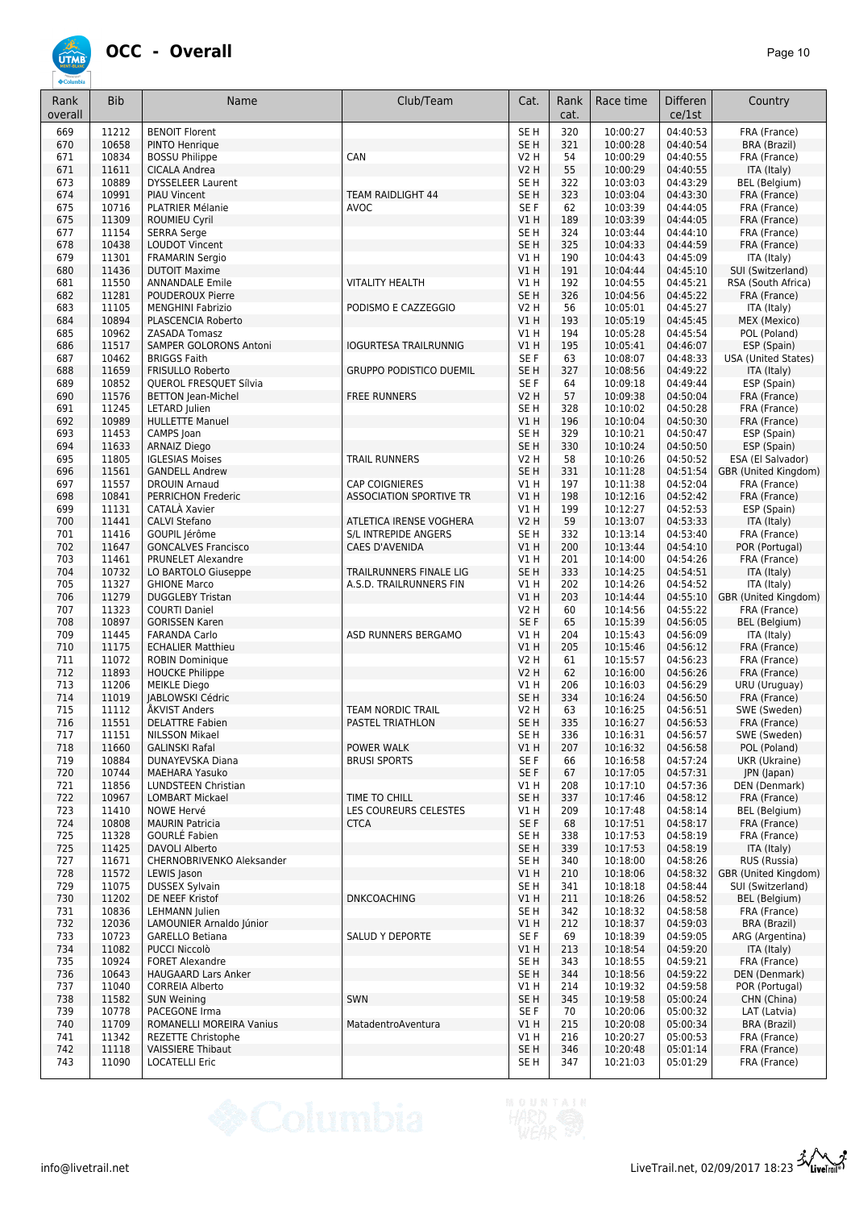

| Rank<br>overall | <b>Bib</b>     | Name                                          | Club/Team                              | Cat.                               | Rank<br>cat. | Race time            | Differen<br>ce/1st   | Country                                   |
|-----------------|----------------|-----------------------------------------------|----------------------------------------|------------------------------------|--------------|----------------------|----------------------|-------------------------------------------|
| 669             | 11212          | <b>BENOIT Florent</b>                         |                                        | SE <sub>H</sub>                    | 320          | 10:00:27             | 04:40:53             | FRA (France)                              |
| 670             | 10658          | PINTO Henrique                                |                                        | SE <sub>H</sub>                    | 321          | 10:00:28             | 04:40:54             | <b>BRA (Brazil)</b>                       |
| 671             | 10834          | <b>BOSSU Philippe</b>                         | CAN                                    | <b>V2 H</b>                        | 54           | 10:00:29             | 04:40:55             | FRA (France)                              |
| 671             | 11611          | CICALA Andrea                                 |                                        | <b>V2 H</b>                        | 55           | 10:00:29             | 04:40:55             | ITA (Italy)                               |
| 673             | 10889<br>10991 | <b>DYSSELEER Laurent</b>                      | <b>TEAM RAIDLIGHT 44</b>               | SE <sub>H</sub><br>SE <sub>H</sub> | 322<br>323   | 10:03:03             | 04:43:29<br>04:43:30 | <b>BEL</b> (Belgium)<br>FRA (France)      |
| 674<br>675      | 10716          | <b>PIAU Vincent</b><br>PLATRIER Mélanie       | <b>AVOC</b>                            | SE F                               | 62           | 10:03:04<br>10:03:39 | 04:44:05             | FRA (France)                              |
| 675             | 11309          | <b>ROUMIEU Cyril</b>                          |                                        | V1 H                               | 189          | 10:03:39             | 04:44:05             | FRA (France)                              |
| 677             | 11154          | <b>SERRA Serge</b>                            |                                        | SE <sub>H</sub>                    | 324          | 10:03:44             | 04:44:10             | FRA (France)                              |
| 678             | 10438          | <b>LOUDOT Vincent</b>                         |                                        | SE <sub>H</sub>                    | 325          | 10:04:33             | 04:44:59             | FRA (France)                              |
| 679             | 11301          | <b>FRAMARIN Sergio</b>                        |                                        | V1H                                | 190          | 10:04:43             | 04:45:09             | ITA (Italy)                               |
| 680             | 11436          | <b>DUTOIT Maxime</b>                          |                                        | V1H                                | 191          | 10:04:44             | 04:45:10             | SUI (Switzerland)                         |
| 681             | 11550          | <b>ANNANDALE Emile</b>                        | <b>VITALITY HEALTH</b>                 | V1H                                | 192          | 10:04:55             | 04:45:21             | RSA (South Africa)                        |
| 682             | 11281          | <b>POUDEROUX Pierre</b>                       |                                        | SE <sub>H</sub>                    | 326          | 10:04:56             | 04:45:22             | FRA (France)                              |
| 683             | 11105          | <b>MENGHINI Fabrizio</b>                      | PODISMO E CAZZEGGIO                    | <b>V2 H</b>                        | 56           | 10:05:01             | 04:45:27             | ITA (Italy)                               |
| 684             | 10894          | PLASCENCIA Roberto                            |                                        | V1H                                | 193          | 10:05:19             | 04:45:45             | MEX (Mexico)                              |
| 685             | 10962          | ZASADA Tomasz                                 |                                        | V1H                                | 194          | 10:05:28             | 04:45:54             | POL (Poland)                              |
| 686             | 11517          | SAMPER GOLORONS Antoni<br><b>BRIGGS Faith</b> | <b>IOGURTESA TRAILRUNNIG</b>           | V1H                                | 195          | 10:05:41             | 04:46:07             | ESP (Spain)                               |
| 687<br>688      | 10462<br>11659 | <b>FRISULLO Roberto</b>                       | <b>GRUPPO PODISTICO DUEMIL</b>         | SE F<br>SE <sub>H</sub>            | 63<br>327    | 10:08:07<br>10:08:56 | 04:48:33<br>04:49:22 | <b>USA (United States)</b><br>ITA (Italy) |
| 689             | 10852          | QUEROL FRESQUET Sílvia                        |                                        | SE F                               | 64           | 10:09:18             | 04:49:44             | ESP (Spain)                               |
| 690             | 11576          | <b>BETTON Jean-Michel</b>                     | <b>FREE RUNNERS</b>                    | <b>V2 H</b>                        | 57           | 10:09:38             | 04:50:04             | FRA (France)                              |
| 691             | 11245          | LETARD Julien                                 |                                        | SE <sub>H</sub>                    | 328          | 10:10:02             | 04:50:28             | FRA (France)                              |
| 692             | 10989          | <b>HULLETTE Manuel</b>                        |                                        | V1H                                | 196          | 10:10:04             | 04:50:30             | FRA (France)                              |
| 693             | 11453          | CAMPS Joan                                    |                                        | SE <sub>H</sub>                    | 329          | 10:10:21             | 04:50:47             | ESP (Spain)                               |
| 694             | 11633          | <b>ARNAIZ Diego</b>                           |                                        | SE <sub>H</sub>                    | 330          | 10:10:24             | 04:50:50             | ESP (Spain)                               |
| 695             | 11805          | <b>IGLESIAS Moises</b>                        | <b>TRAIL RUNNERS</b>                   | V2 H                               | 58           | 10:10:26             | 04:50:52             | ESA (El Salvador)                         |
| 696             | 11561          | <b>GANDELL Andrew</b>                         |                                        | SE <sub>H</sub>                    | 331          | 10:11:28             | 04:51:54             | GBR (United Kingdom)                      |
| 697             | 11557          | <b>DROUIN Arnaud</b>                          | <b>CAP COIGNIERES</b>                  | V1H                                | 197          | 10:11:38             | 04:52:04             | FRA (France)                              |
| 698             | 10841          | <b>PERRICHON Frederic</b>                     | <b>ASSOCIATION SPORTIVE TR</b>         | V1H                                | 198          | 10:12:16             | 04:52:42             | FRA (France)                              |
| 699             | 11131          | CATALÀ Xavier                                 |                                        | V1 H                               | 199          | 10:12:27             | 04:52:53             | ESP (Spain)                               |
| 700             | 11441<br>11416 | <b>CALVI Stefano</b>                          | ATLETICA IRENSE VOGHERA                | V2 H                               | 59           | 10:13:07             | 04:53:33             | ITA (Italy)                               |
| 701<br>702      | 11647          | GOUPIL Jérôme<br><b>GONCALVES Francisco</b>   | S/L INTREPIDE ANGERS<br>CAES D'AVENIDA | SE <sub>H</sub><br>V1H             | 332<br>200   | 10:13:14<br>10:13:44 | 04:53:40<br>04:54:10 | FRA (France)<br>POR (Portugal)            |
| 703             | 11461          | PRUNELET Alexandre                            |                                        | <b>V1 H</b>                        | 201          | 10:14:00             | 04:54:26             | FRA (France)                              |
| 704             | 10732          | LO BARTOLO Giuseppe                           | TRAILRUNNERS FINALE LIG                | SE <sub>H</sub>                    | 333          | 10:14:25             | 04:54:51             | ITA (Italy)                               |
| 705             | 11327          | <b>GHIONE Marco</b>                           | A.S.D. TRAILRUNNERS FIN                | V1H                                | 202          | 10:14:26             | 04:54:52             | ITA (Italy)                               |
| 706             | 11279          | <b>DUGGLEBY Tristan</b>                       |                                        | V1H                                | 203          | 10:14:44             | 04:55:10             | GBR (United Kingdom)                      |
| 707             | 11323          | <b>COURTI Daniel</b>                          |                                        | <b>V2 H</b>                        | 60           | 10:14:56             | 04:55:22             | FRA (France)                              |
| 708             | 10897          | <b>GORISSEN Karen</b>                         |                                        | SE F                               | 65           | 10:15:39             | 04:56:05             | BEL (Belgium)                             |
| 709             | 11445          | <b>FARANDA Carlo</b>                          | ASD RUNNERS BERGAMO                    | V1H                                | 204          | 10:15:43             | 04:56:09             | ITA (Italy)                               |
| 710             | 11175          | <b>ECHALIER Matthieu</b>                      |                                        | V1H                                | 205          | 10:15:46             | 04:56:12             | FRA (France)                              |
| 711             | 11072          | <b>ROBIN Dominique</b>                        |                                        | <b>V2 H</b>                        | 61           | 10:15:57             | 04:56:23             | FRA (France)                              |
| 712<br>713      | 11893<br>11206 | <b>HOUCKE Philippe</b><br><b>MEIKLE Diego</b> |                                        | V2 H<br>V1 H                       | 62<br>206    | 10:16:00<br>10:16:03 | 04:56:26<br>04:56:29 | FRA (France)<br>URU (Uruguay)             |
| 714             | 11019          | JABLOWSKI Cédric                              |                                        | SE <sub>H</sub>                    | 334          | 10:16:24             | 04:56:50             | FRA (France)                              |
| 715             | 11112          | ÅKVIST Anders                                 | TEAM NORDIC TRAIL                      | V2 H                               | 63           | 10:16:25             | 04:56:51             | SWE (Sweden)                              |
| 716             | 11551          | <b>DELATTRE Fabien</b>                        | PASTEL TRIATHLON                       | SE <sub>H</sub>                    | 335          | 10:16:27             | 04:56:53             | FRA (France)                              |
| 11/             | 11151          | NILSSON Mikael                                |                                        | SE H                               | 336          | 10:16:31             | 04:56:57             | SWE (Sweden)                              |
| 718             | 11660          | <b>GALINSKI Rafal</b>                         | POWER WALK                             | V1H                                | 207          | 10:16:32             | 04:56:58             | POL (Poland)                              |
| 719             | 10884          | DUNAYEVSKA Diana                              | <b>BRUSI SPORTS</b>                    | SE F                               | 66           | 10:16:58             | 04:57:24             | UKR (Ukraine)                             |
| 720             | 10744          | <b>MAEHARA Yasuko</b>                         |                                        | SE F                               | 67           | 10:17:05             | 04:57:31             | JPN (Japan)                               |
| 721             | 11856          | LUNDSTEEN Christian                           |                                        | V1 H                               | 208          | 10:17:10             | 04:57:36             | DEN (Denmark)                             |
| 722             | 10967          | <b>LOMBART Mickael</b>                        | TIME TO CHILL                          | SE <sub>H</sub>                    | 337          | 10:17:46             | 04:58:12             | FRA (France)                              |
| 723             | 11410          | NOWE Hervé                                    | LES COUREURS CELESTES                  | V1 H                               | 209          | 10:17:48             | 04:58:14             | BEL (Belgium)                             |
| 724             | 10808<br>11328 | <b>MAURIN Patricia</b>                        | <b>CTCA</b>                            | SE F                               | 68           | 10:17:51             | 04:58:17             | FRA (France)                              |
| 725<br>725      | 11425          | GOURLE Fabien<br>DAVOLI Alberto               |                                        | SE H<br>SE <sub>H</sub>            | 338<br>339   | 10:17:53<br>10:17:53 | 04:58:19<br>04:58:19 | FRA (France)<br>ITA (Italy)               |
| 727             | 11671          | CHERNOBRIVENKO Aleksander                     |                                        | SE H                               | 340          | 10:18:00             | 04:58:26             | RUS (Russia)                              |
| 728             | 11572          | LEWIS Jason                                   |                                        | V1 H                               | 210          | 10:18:06             | 04:58:32             | GBR (United Kingdom)                      |
| 729             | 11075          | <b>DUSSEX Sylvain</b>                         |                                        | SE H                               | 341          | 10:18:18             | 04:58:44             | SUI (Switzerland)                         |
| 730             | 11202          | DE NEEF Kristof                               | <b>DNKCOACHING</b>                     | V1 H                               | 211          | 10:18:26             | 04:58:52             | BEL (Belgium)                             |
| 731             | 10836          | LEHMANN Julien                                |                                        | SE H                               | 342          | 10:18:32             | 04:58:58             | FRA (France)                              |
| 732             | 12036          | LAMOUNIER Arnaldo Júnior                      |                                        | V1H                                | 212          | 10:18:37             | 04:59:03             | BRA (Brazil)                              |
| 733             | 10723          | <b>GARELLO Betiana</b>                        | <b>SALUD Y DEPORTE</b>                 | SE F                               | 69           | 10:18:39             | 04:59:05             | ARG (Argentina)                           |
| 734             | 11082          | <b>PUCCI Niccolò</b>                          |                                        | V1 H                               | 213          | 10:18:54             | 04:59:20             | ITA (Italy)                               |
| 735             | 10924          | <b>FORET Alexandre</b>                        |                                        | SE <sub>H</sub>                    | 343          | 10:18:55             | 04:59:21             | FRA (France)                              |
| 736             | 10643          | <b>HAUGAARD Lars Anker</b>                    |                                        | SE <sub>H</sub>                    | 344          | 10:18:56             | 04:59:22             | DEN (Denmark)                             |
| 737             | 11040<br>11582 | <b>CORREIA Alberto</b>                        | SWN                                    | V1 H                               | 214          | 10:19:32             | 04:59:58             | POR (Portugal)                            |
| 738<br>739      | 10778          | <b>SUN Weining</b><br>PACEGONE Irma           |                                        | SE <sub>H</sub><br>SE F            | 345<br>70    | 10:19:58<br>10:20:06 | 05:00:24<br>05:00:32 | CHN (China)<br>LAT (Latvia)               |
| 740             | 11709          | ROMANELLI MOREIRA Vanius                      | MatadentroAventura                     | V1H                                | 215          | 10:20:08             | 05:00:34             | BRA (Brazil)                              |
| 741             | 11342          | REZETTE Christophe                            |                                        | V1 H                               | 216          | 10:20:27             | 05:00:53             | FRA (France)                              |
| 742             | 11118          | <b>VAISSIERE Thibaut</b>                      |                                        | SE <sub>H</sub>                    | 346          | 10:20:48             | 05:01:14             | FRA (France)                              |
| 743             | 11090          | <b>LOCATELLI Eric</b>                         |                                        | SE H                               | 347          | 10:21:03             | 05:01:29             | FRA (France)                              |



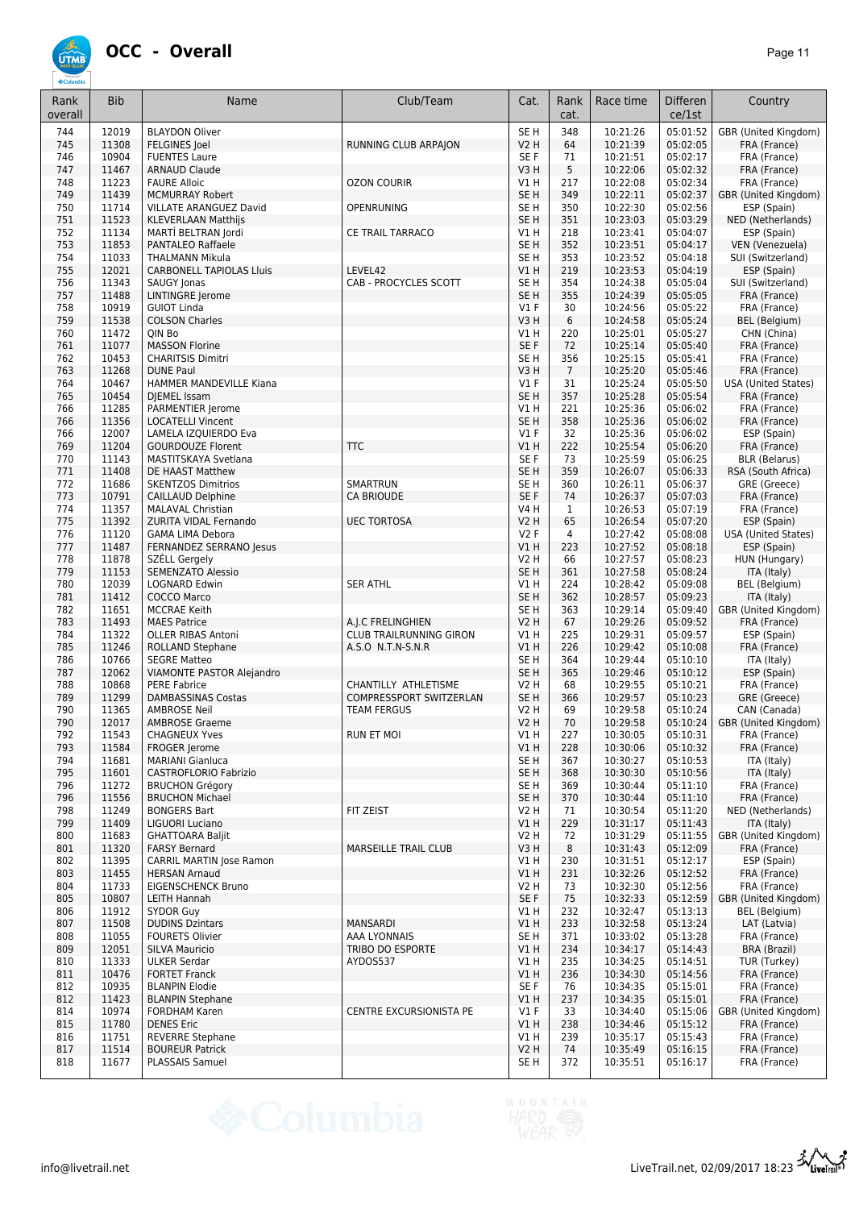

| Rank<br>overall | <b>Bib</b>     | Name                                                      | Club/Team                                           | Cat.                | Rank<br>cat.    | Race time            | <b>Differen</b><br>ce/1st | Country                                   |
|-----------------|----------------|-----------------------------------------------------------|-----------------------------------------------------|---------------------|-----------------|----------------------|---------------------------|-------------------------------------------|
| 744             | 12019          | <b>BLAYDON Oliver</b>                                     |                                                     | SE <sub>H</sub>     | 348             | 10:21:26             | 05:01:52                  | GBR (United Kingdom)                      |
| 745             | 11308          | <b>FELGINES Joel</b>                                      | RUNNING CLUB ARPAJON                                | V2H                 | 64              | 10:21:39             | 05:02:05                  | FRA (France)                              |
| 746<br>747      | 10904<br>11467 | <b>FUENTES Laure</b><br><b>ARNAUD Claude</b>              |                                                     | SE F<br>V3H         | 71<br>5         | 10:21:51<br>10:22:06 | 05:02:17<br>05:02:32      | FRA (France)<br>FRA (France)              |
| 748             | 11223          | <b>FAURE Alloic</b>                                       | <b>OZON COURIR</b>                                  | V1 H                | 217             | 10:22:08             | 05:02:34                  | FRA (France)                              |
| 749             | 11439          | <b>MCMURRAY Robert</b>                                    |                                                     | SE <sub>H</sub>     | 349             | 10:22:11             | 05:02:37                  | GBR (United Kingdom)                      |
| 750             | 11714          | VILLATE ARANGUEZ David                                    | <b>OPENRUNING</b>                                   | SE <sub>H</sub>     | 350             | 10:22:30             | 05:02:56                  | ESP (Spain)                               |
| 751             | 11523          | <b>KLEVERLAAN Matthijs</b>                                |                                                     | SE <sub>H</sub>     | 351             | 10:23:03             | 05:03:29                  | NED (Netherlands)                         |
| 752             | 11134          | MARTÍ BELTRAN Jordi                                       | <b>CE TRAIL TARRACO</b>                             | V1 H                | 218             | 10:23:41             | 05:04:07                  | ESP (Spain)                               |
| 753             | 11853          | <b>PANTALEO Raffaele</b>                                  |                                                     | SE <sub>H</sub>     | 352             | 10:23:51             | 05:04:17                  | VEN (Venezuela)                           |
| 754<br>755      | 11033<br>12021 | <b>THALMANN Mikula</b><br><b>CARBONELL TAPIOLAS Lluis</b> | LEVEL42                                             | SE H<br>V1H         | 353<br>219      | 10:23:52<br>10:23:53 | 05:04:18<br>05:04:19      | SUI (Switzerland)<br>ESP (Spain)          |
| 756             | 11343          | SAUGY Jonas                                               | CAB - PROCYCLES SCOTT                               | SE <sub>H</sub>     | 354             | 10:24:38             | 05:05:04                  | SUI (Switzerland)                         |
| 757             | 11488          | <b>LINTINGRE Jerome</b>                                   |                                                     | SE <sub>H</sub>     | 355             | 10:24:39             | 05:05:05                  | FRA (France)                              |
| 758             | 10919          | <b>GUIOT Linda</b>                                        |                                                     | $VI$ F              | 30              | 10:24:56             | 05:05:22                  | FRA (France)                              |
| 759             | 11538          | <b>COLSON Charles</b>                                     |                                                     | V3H                 | 6               | 10:24:58             | 05:05:24                  | <b>BEL</b> (Belgium)                      |
| 760<br>761      | 11472<br>11077 | QIN Bo<br><b>MASSON Florine</b>                           |                                                     | V1 H<br>SE F        | 220<br>72       | 10:25:01<br>10:25:14 | 05:05:27<br>05:05:40      | CHN (China)<br>FRA (France)               |
| 762             | 10453          | <b>CHARITSIS Dimitri</b>                                  |                                                     | SE <sub>H</sub>     | 356             | 10:25:15             | 05:05:41                  | FRA (France)                              |
| 763             | 11268          | <b>DUNE Paul</b>                                          |                                                     | V3H                 | $7\overline{ }$ | 10:25:20             | 05:05:46                  | FRA (France)                              |
| 764             | 10467          | <b>HAMMER MANDEVILLE Kiana</b>                            |                                                     | $VI$ F              | 31              | 10:25:24             | 05:05:50                  | <b>USA (United States)</b>                |
| 765             | 10454          | <b>DIEMEL Issam</b>                                       |                                                     | SE <sub>H</sub>     | 357             | 10:25:28             | 05:05:54                  | FRA (France)                              |
| 766             | 11285          | PARMENTIER Jerome                                         |                                                     | V1 H                | 221             | 10:25:36             | 05:06:02                  | FRA (France)                              |
| 766             | 11356          | <b>LOCATELLI Vincent</b>                                  |                                                     | SE <sub>H</sub>     | 358             | 10:25:36             | 05:06:02                  | FRA (France)                              |
| 766<br>769      | 12007<br>11204 | LAMELA IZQUIERDO Eva<br><b>GOURDOUZE Florent</b>          | <b>TTC</b>                                          | $VI$ F<br>VIH       | 32<br>222       | 10:25:36<br>10:25:54 | 05:06:02<br>05:06:20      | ESP (Spain)<br>FRA (France)               |
| 770             | 11143          | MASTITSKAYA Svetlana                                      |                                                     | SE F                | 73              | 10:25:59             | 05:06:25                  | <b>BLR (Belarus)</b>                      |
| 771             | 11408          | DE HAAST Matthew                                          |                                                     | SE <sub>H</sub>     | 359             | 10:26:07             | 05:06:33                  | RSA (South Africa)                        |
| 772             | 11686          | <b>SKENTZOS Dimitrios</b>                                 | SMARTRUN                                            | SE <sub>H</sub>     | 360             | 10:26:11             | 05:06:37                  | GRE (Greece)                              |
| 773             | 10791          | CAILLAUD Delphine                                         | <b>CA BRIOUDE</b>                                   | SE F                | 74              | 10:26:37             | 05:07:03                  | FRA (France)                              |
| 774             | 11357          | <b>MALAVAL Christian</b>                                  |                                                     | V4 H                | 1               | 10:26:53             | 05:07:19                  | FRA (France)                              |
| 775             | 11392          | ZURITA VIDAL Fernando                                     | <b>UEC TORTOSA</b>                                  | <b>V2 H</b>         | 65              | 10:26:54             | 05:07:20                  | ESP (Spain)                               |
| 776<br>777      | 11120<br>11487 | <b>GAMA LIMA Debora</b><br>FERNANDEZ SERRANO Jesus        |                                                     | V2F<br>V1H          | 4<br>223        | 10:27:42<br>10:27:52 | 05:08:08<br>05:08:18      | <b>USA (United States)</b><br>ESP (Spain) |
| 778             | 11878          | SZÉLL Gergely                                             |                                                     | V2 H                | 66              | 10:27:57             | 05:08:23                  | HUN (Hungary)                             |
| 779             | 11153          | <b>SEMENZATO Alessio</b>                                  |                                                     | SE <sub>H</sub>     | 361             | 10:27:58             | 05:08:24                  | ITA (Italy)                               |
| 780             | 12039          | <b>LOGNARD Edwin</b>                                      | <b>SER ATHL</b>                                     | V1H                 | 224             | 10:28:42             | 05:09:08                  | BEL (Belgium)                             |
| 781             | 11412          | <b>COCCO Marco</b>                                        |                                                     | SE <sub>H</sub>     | 362             | 10:28:57             | 05:09:23                  | ITA (Italy)                               |
| 782             | 11651          | <b>MCCRAE Keith</b>                                       |                                                     | SE <sub>H</sub>     | 363             | 10:29:14             | 05:09:40                  | GBR (United Kingdom)                      |
| 783<br>784      | 11493<br>11322 | <b>MAES Patrice</b><br><b>OLLER RIBAS Antoni</b>          | A.J.C FRELINGHIEN<br><b>CLUB TRAILRUNNING GIRON</b> | <b>V2 H</b><br>V1 H | 67<br>225       | 10:29:26<br>10:29:31 | 05:09:52<br>05:09:57      | FRA (France)<br>ESP (Spain)               |
| 785             | 11246          | ROLLAND Stephane                                          | A.S.O N.T.N-S.N.R                                   | V1H                 | 226             | 10:29:42             | 05:10:08                  | FRA (France)                              |
| 786             | 10766          | <b>SEGRE Matteo</b>                                       |                                                     | SE <sub>H</sub>     | 364             | 10:29:44             | 05:10:10                  | ITA (Italy)                               |
| 787             | 12062          | <b>VIAMONTE PASTOR Alejandro</b>                          |                                                     | SE <sub>H</sub>     | 365             | 10:29:46             | 05:10:12                  | ESP (Spain)                               |
| 788             | 10868          | PERE Fabrice                                              | CHANTILLY ATHLETISME                                | <b>V2 H</b>         | 68              | 10:29:55             | 05:10:21                  | FRA (France)                              |
| 789             | 11299          | <b>DAMBASSINAS Costas</b>                                 | COMPRESSPORT SWITZERLAN                             | SE <sub>H</sub>     | 366             | 10:29:57             | 05:10:23                  | GRE (Greece)                              |
| 790             | 11365          | <b>AMBROSE Neil</b><br><b>AMBROSE Graeme</b>              | <b>TEAM FERGUS</b>                                  | V2 H                | 69              | 10:29:58             | 05:10:24                  | CAN (Canada)                              |
| 790<br>792      | 12017<br>11543 | <b>CHAGNEUX Yves</b>                                      | RUN ET MOI                                          | V2 H<br>V1 H        | 70<br>227       | 10:29:58<br>10:30:05 | 05:10:24<br>05:10:31      | GBR (United Kingdom)<br>FRA (France)      |
| 793             | 11584          | FROGER Jerome                                             |                                                     | V1H                 | 228             | 10:30:06             | 05:10:32                  | FRA (France)                              |
| 794             | 11681          | <b>MARIANI Gianluca</b>                                   |                                                     | SE <sub>H</sub>     | 367             | 10:30:27             | 05:10:53                  | ITA (Italy)                               |
| 795             | 11601          | CASTROFLORIO Fabrizio                                     |                                                     | SE <sub>H</sub>     | 368             | 10:30:30             | 05:10:56                  | ITA (Italy)                               |
| 796             | 11272          | <b>BRUCHON Grégory</b>                                    |                                                     | SE <sub>H</sub>     | 369             | 10:30:44             | 05:11:10                  | FRA (France)                              |
| 796             | 11556          | <b>BRUCHON Michael</b>                                    |                                                     | SE <sub>H</sub>     | 370             | 10:30:44             | 05:11:10                  | FRA (France)                              |
| 798<br>799      | 11249<br>11409 | <b>BONGERS Bart</b><br><b>LIGUORI Luciano</b>             | FIT ZEIST                                           | V2 H<br>V1H         | 71<br>229       | 10:30:54<br>10:31:17 | 05:11:20<br>05:11:43      | NED (Netherlands)<br>ITA (Italy)          |
| 800             | 11683          | <b>GHATTOARA Baljit</b>                                   |                                                     | <b>V2 H</b>         | 72              | 10:31:29             | 05:11:55                  | GBR (United Kingdom)                      |
| 801             | 11320          | <b>FARSY Bernard</b>                                      | <b>MARSEILLE TRAIL CLUB</b>                         | V3H                 | 8               | 10:31:43             | 05:12:09                  | FRA (France)                              |
| 802             | 11395          | CARRIL MARTIN Jose Ramon                                  |                                                     | V1H                 | 230             | 10:31:51             | 05:12:17                  | ESP (Spain)                               |
| 803             | 11455          | <b>HERSAN Arnaud</b>                                      |                                                     | V1 H                | 231             | 10:32:26             | 05:12:52                  | FRA (France)                              |
| 804             | 11733          | <b>EIGENSCHENCK Bruno</b>                                 |                                                     | V2 H                | 73              | 10:32:30             | 05:12:56                  | FRA (France)                              |
| 805<br>806      | 10807<br>11912 | LEITH Hannah<br>SYDOR Guy                                 |                                                     | SE F<br>V1 H        | 75<br>232       | 10:32:33<br>10:32:47 | 05:12:59<br>05:13:13      | GBR (United Kingdom)<br>BEL (Belgium)     |
| 807             | 11508          | <b>DUDINS Dzintars</b>                                    | MANSARDI                                            | V1H                 | 233             | 10:32:58             | 05:13:24                  | LAT (Latvia)                              |
| 808             | 11055          | <b>FOURETS Olivier</b>                                    | AAA LYONNAIS                                        | SE <sub>H</sub>     | 371             | 10:33:02             | 05:13:28                  | FRA (France)                              |
| 809             | 12051          | <b>SILVA Mauricio</b>                                     | TRIBO DO ESPORTE                                    | V1 H                | 234             | 10:34:17             | 05:14:43                  | BRA (Brazil)                              |
| 810             | 11333          | <b>ULKER Serdar</b>                                       | AYDOS537                                            | V1 H                | 235             | 10:34:25             | 05:14:51                  | TUR (Turkey)                              |
| 811             | 10476          | <b>FORTET Franck</b>                                      |                                                     | V1 H<br>SE F        | 236             | 10:34:30             | 05:14:56<br>05:15:01      | FRA (France)                              |
| 812<br>812      | 10935<br>11423 | <b>BLANPIN Elodie</b><br><b>BLANPIN Stephane</b>          |                                                     | VIH                 | 76<br>237       | 10:34:35<br>10:34:35 | 05:15:01                  | FRA (France)<br>FRA (France)              |
| 814             | 10974          | <b>FORDHAM Karen</b>                                      | CENTRE EXCURSIONISTA PE                             | $VI$ F              | 33              | 10:34:40             | 05:15:06                  | GBR (United Kingdom)                      |
| 815             | 11780          | <b>DENES Eric</b>                                         |                                                     | V1 H                | 238             | 10:34:46             | 05:15:12                  | FRA (France)                              |
| 816             | 11751          | <b>REVERRE Stephane</b>                                   |                                                     | V1 H                | 239             | 10:35:17             | 05:15:43                  | FRA (France)                              |
| 817             | 11514          | <b>BOUREUR Patrick</b>                                    |                                                     | V2 H                | 74              | 10:35:49             | 05:16:15                  | FRA (France)                              |
| 818             | 11677          | PLASSAIS Samuel                                           |                                                     | SE H                | 372             | 10:35:51             | 05:16:17                  | FRA (France)                              |

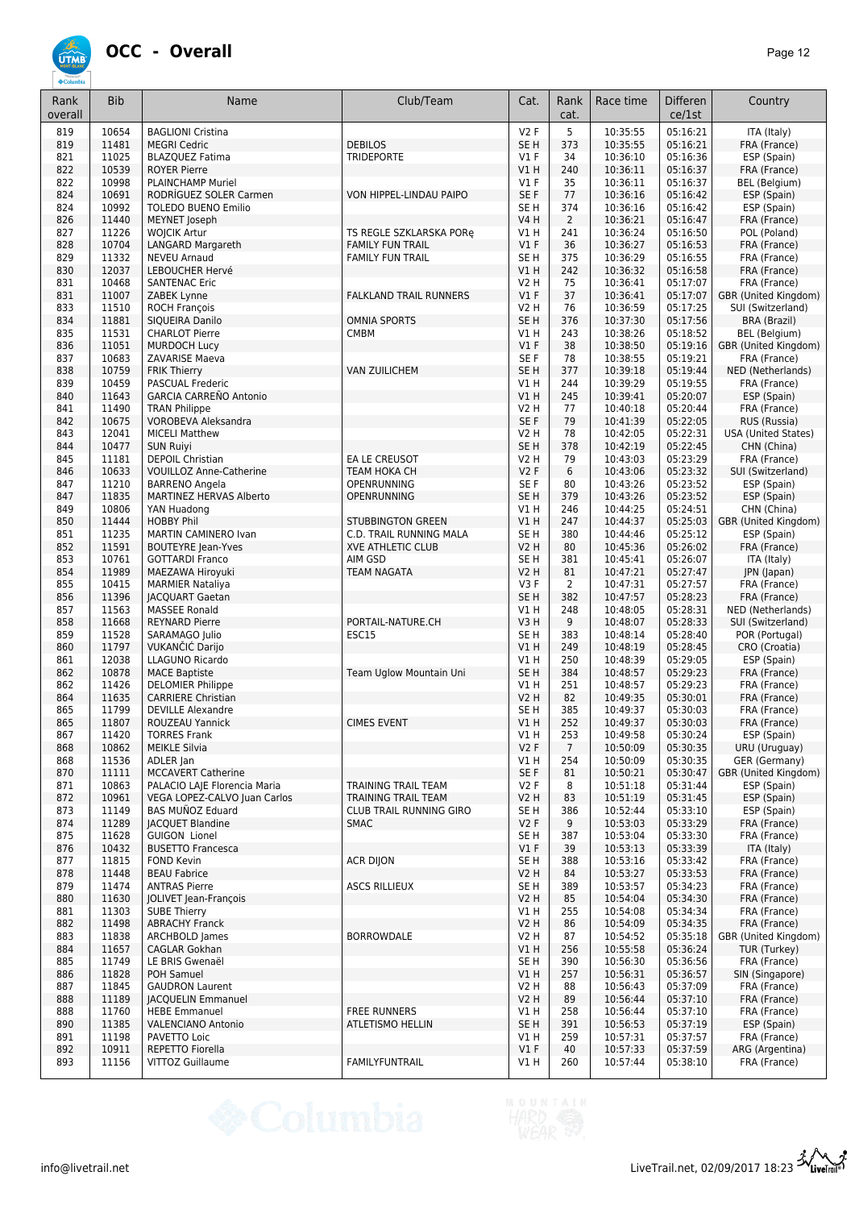

| Rank<br>overall | <b>Bib</b>     | Name                                                    | Club/Team                                           | Cat.                           | Rank<br>cat.    | Race time            | <b>Differen</b><br>ce/1st | Country                                   |
|-----------------|----------------|---------------------------------------------------------|-----------------------------------------------------|--------------------------------|-----------------|----------------------|---------------------------|-------------------------------------------|
| 819             | 10654          | <b>BAGLIONI Cristina</b>                                |                                                     | V2F                            | 5               | 10:35:55             | 05:16:21                  | ITA (Italy)                               |
| 819             | 11481          | <b>MEGRI Cedric</b>                                     | <b>DEBILOS</b>                                      | SE <sub>H</sub>                | 373             | 10:35:55             | 05:16:21                  | FRA (France)                              |
| 821<br>822      | 11025<br>10539 | <b>BLAZQUEZ Fatima</b><br><b>ROYER Pierre</b>           | <b>TRIDEPORTE</b>                                   | $VI$ F<br>V1H                  | 34<br>240       | 10:36:10<br>10:36:11 | 05:16:36<br>05:16:37      | ESP (Spain)<br>FRA (France)               |
| 822             | 10998          | <b>PLAINCHAMP Muriel</b>                                |                                                     | <b>V1 F</b>                    | 35              | 10:36:11             | 05:16:37                  | BEL (Belgium)                             |
| 824             | 10691          | RODRIGUEZ SOLER Carmen                                  | VON HIPPEL-LINDAU PAIPO                             | SE F                           | 77              | 10:36:16             | 05:16:42                  | ESP (Spain)                               |
| 824             | 10992          | <b>TOLEDO BUENO Emilio</b>                              |                                                     | SE <sub>H</sub>                | 374             | 10:36:16             | 05:16:42                  | ESP (Spain)                               |
| 826             | 11440          | MEYNET Joseph                                           |                                                     | <b>V4 H</b>                    | $\overline{2}$  | 10:36:21             | 05:16:47                  | FRA (France)                              |
| 827             | 11226          | <b>WOJCIK Artur</b>                                     | TS REGLE SZKLARSKA PORę                             | V1 H                           | 241             | 10:36:24             | 05:16:50                  | POL (Poland)                              |
| 828<br>829      | 10704<br>11332 | <b>LANGARD Margareth</b><br><b>NEVEU Arnaud</b>         | <b>FAMILY FUN TRAIL</b><br><b>FAMILY FUN TRAIL</b>  | $VI$ F<br>SE <sub>H</sub>      | 36<br>375       | 10:36:27<br>10:36:29 | 05:16:53<br>05:16:55      | FRA (France)<br>FRA (France)              |
| 830             | 12037          | <b>LEBOUCHER Hervé</b>                                  |                                                     | V1H                            | 242             | 10:36:32             | 05:16:58                  | FRA (France)                              |
| 831             | 10468          | <b>SANTENAC Eric</b>                                    |                                                     | <b>V2 H</b>                    | 75              | 10:36:41             | 05:17:07                  | FRA (France)                              |
| 831             | 11007          | ZABEK Lynne                                             | <b>FALKLAND TRAIL RUNNERS</b>                       | V1F                            | 37              | 10:36:41             | 05:17:07                  | GBR (United Kingdom)                      |
| 833             | 11510          | <b>ROCH François</b>                                    |                                                     | <b>V2 H</b>                    | 76              | 10:36:59             | 05:17:25                  | SUI (Switzerland)                         |
| 834             | 11881          | SIQUEIRA Danilo                                         | <b>OMNIA SPORTS</b>                                 | SE <sub>H</sub>                | 376             | 10:37:30             | 05:17:56                  | <b>BRA (Brazil)</b>                       |
| 835             | 11531<br>11051 | <b>CHARLOT Pierre</b>                                   | <b>CMBM</b>                                         | V1H<br>V1F                     | 243<br>38       | 10:38:26             | 05:18:52<br>05:19:16      | BEL (Belgium)                             |
| 836<br>837      | 10683          | <b>MURDOCH Lucy</b><br>ZAVARISE Maeva                   |                                                     | SE <sub>F</sub>                | 78              | 10:38:50<br>10:38:55 | 05:19:21                  | GBR (United Kingdom)<br>FRA (France)      |
| 838             | 10759          | <b>FRIK Thierry</b>                                     | <b>VAN ZUILICHEM</b>                                | SE <sub>H</sub>                | 377             | 10:39:18             | 05:19:44                  | NED (Netherlands)                         |
| 839             | 10459          | <b>PASCUAL Frederic</b>                                 |                                                     | V1H                            | 244             | 10:39:29             | 05:19:55                  | FRA (France)                              |
| 840             | 11643          | <b>GARCIA CARREÑO Antonio</b>                           |                                                     | V1H                            | 245             | 10:39:41             | 05:20:07                  | ESP (Spain)                               |
| 841             | 11490          | <b>TRAN Philippe</b>                                    |                                                     | <b>V2 H</b>                    | 77              | 10:40:18             | 05:20:44                  | FRA (France)                              |
| 842             | 10675          | VOROBEVA Aleksandra                                     |                                                     | SE F                           | 79              | 10:41:39             | 05:22:05                  | RUS (Russia)                              |
| 843<br>844      | 12041<br>10477 | <b>MICELI Matthew</b><br><b>SUN Ruiyi</b>               |                                                     | <b>V2 H</b><br>SE <sub>H</sub> | 78<br>378       | 10:42:05<br>10:42:19 | 05:22:31<br>05:22:45      | <b>USA</b> (United States)<br>CHN (China) |
| 845             | 11181          | <b>DEPOIL Christian</b>                                 | EA LE CREUSOT                                       | V2 H                           | 79              | 10:43:03             | 05:23:29                  | FRA (France)                              |
| 846             | 10633          | <b>VOUILLOZ Anne-Catherine</b>                          | TEAM HOKA CH                                        | V2F                            | 6               | 10:43:06             | 05:23:32                  | SUI (Switzerland)                         |
| 847             | 11210          | <b>BARRENO Angela</b>                                   | OPENRUNNING                                         | SE F                           | 80              | 10:43:26             | 05:23:52                  | ESP (Spain)                               |
| 847             | 11835          | MARTINEZ HERVAS Alberto                                 | OPENRUNNING                                         | SE <sub>H</sub>                | 379             | 10:43:26             | 05:23:52                  | ESP (Spain)                               |
| 849             | 10806          | YAN Huadong                                             |                                                     | V1 H                           | 246             | 10:44:25             | 05:24:51                  | CHN (China)                               |
| 850             | 11444          | <b>HOBBY Phil</b>                                       | <b>STUBBINGTON GREEN</b>                            | V1H                            | 247             | 10:44:37             | 05:25:03                  | GBR (United Kingdom)                      |
| 851<br>852      | 11235<br>11591 | MARTIN CAMINERO Ivan<br><b>BOUTEYRE Jean-Yves</b>       | C.D. TRAIL RUNNING MALA<br><b>XVE ATHLETIC CLUB</b> | SE <sub>H</sub><br><b>V2 H</b> | 380<br>80       | 10:44:46<br>10:45:36 | 05:25:12<br>05:26:02      | ESP (Spain)<br>FRA (France)               |
| 853             | 10761          | <b>GOTTARDI Franco</b>                                  | AIM GSD                                             | SE <sub>H</sub>                | 381             | 10:45:41             | 05:26:07                  | ITA (Italy)                               |
| 854             | 11989          | MAEZAWA Hiroyuki                                        | TEAM NAGATA                                         | <b>V2 H</b>                    | 81              | 10:47:21             | 05:27:47                  | JPN (Japan)                               |
| 855             | 10415          | <b>MARMIER Nataliya</b>                                 |                                                     | V3F                            | $\overline{2}$  | 10:47:31             | 05:27:57                  | FRA (France)                              |
| 856             | 11396          | <b>JACQUART Gaetan</b>                                  |                                                     | SE <sub>H</sub>                | 382             | 10:47:57             | 05:28:23                  | FRA (France)                              |
| 857             | 11563          | <b>MASSEE Ronald</b>                                    |                                                     | V1H                            | 248             | 10:48:05             | 05:28:31                  | NED (Netherlands)                         |
| 858<br>859      | 11668<br>11528 | <b>REYNARD Pierre</b><br>SARAMAGO Julio                 | PORTAIL-NATURE.CH<br>ESC15                          | V3H<br>SE <sub>H</sub>         | 9<br>383        | 10:48:07<br>10:48:14 | 05:28:33<br>05:28:40      | SUI (Switzerland)<br>POR (Portugal)       |
| 860             | 11797          | <b>VUKANČIĆ Darijo</b>                                  |                                                     | VIH                            | 249             | 10:48:19             | 05:28:45                  | CRO (Croatia)                             |
| 861             | 12038          | <b>LLAGUNO Ricardo</b>                                  |                                                     | V1H                            | 250             | 10:48:39             | 05:29:05                  | ESP (Spain)                               |
| 862             | 10878          | <b>MACE Baptiste</b>                                    | Team Uglow Mountain Uni                             | SE <sub>H</sub>                | 384             | 10:48:57             | 05:29:23                  | FRA (France)                              |
| 862             | 11426          | <b>DELOMIER Philippe</b>                                |                                                     | V1H                            | 251             | 10:48:57             | 05:29:23                  | FRA (France)                              |
| 864             | 11635<br>11799 | <b>CARRIERE Christian</b><br><b>DEVILLE Alexandre</b>   |                                                     | <b>V2 H</b>                    | 82              | 10:49:35<br>10:49:37 | 05:30:01                  | FRA (France)                              |
| 865<br>865      | 11807          | ROUZEAU Yannick                                         | <b>CIMES EVENT</b>                                  | SE <sub>H</sub><br>V1H         | 385<br>252      | 10:49:37             | 05:30:03<br>05:30:03      | FRA (France)<br>FRA (France)              |
| 867             | 11420          | <b>TORRES Frank</b>                                     |                                                     | V1 H                           | 253             | 10:49:58             | 05:30:24                  | ESP (Spain)                               |
| 868             | 10862          | <b>MEIKLE Silvia</b>                                    |                                                     | V2F                            | $7\overline{ }$ | 10:50:09             | 05:30:35                  | URU (Uruguay)                             |
| 868             | 11536          | ADLER Jan                                               |                                                     | V1 H                           | 254             | 10:50:09             | 05:30:35                  | GER (Germany)                             |
| 870             | 11111          | <b>MCCAVERT Catherine</b>                               |                                                     | SE F                           | 81              | 10:50:21             | 05:30:47                  | GBR (United Kingdom)                      |
| 871             | 10863          | PALACIO LAJE Florencia Maria                            | TRAINING TRAIL TEAM                                 | V2F                            | 8               | 10:51:18             | 05:31:44                  | ESP (Spain)                               |
| 872<br>873      | 10961<br>11149 | VEGA LOPEZ-CALVO Juan Carlos<br><b>BAS MUÑOZ Eduard</b> | TRAINING TRAIL TEAM<br>CLUB TRAIL RUNNING GIRO      | <b>V2 H</b><br>SE H            | 83<br>386       | 10:51:19<br>10:52:44 | 05:31:45<br>05:33:10      | ESP (Spain)<br>ESP (Spain)                |
| 874             | 11289          | <b>JACQUET Blandine</b>                                 | <b>SMAC</b>                                         | V2F                            | 9               | 10:53:03             | 05:33:29                  | FRA (France)                              |
| 875             | 11628          | <b>GUIGON Lionel</b>                                    |                                                     | SE H                           | 387             | 10:53:04             | 05:33:30                  | FRA (France)                              |
| 876             | 10432          | <b>BUSETTO Francesca</b>                                |                                                     | $VI$ F                         | 39              | 10:53:13             | 05:33:39                  | ITA (Italy)                               |
| 877             | 11815          | <b>FOND Kevin</b>                                       | <b>ACR DIION</b>                                    | SE <sub>H</sub>                | 388             | 10:53:16             | 05:33:42                  | FRA (France)                              |
| 878             | 11448          | <b>BEAU Fabrice</b>                                     |                                                     | <b>V2 H</b>                    | 84              | 10:53:27             | 05:33:53                  | FRA (France)                              |
| 879             | 11474<br>11630 | <b>ANTRAS Pierre</b><br>JOLIVET Jean-François           | <b>ASCS RILLIEUX</b>                                | SE <sub>H</sub>                | 389             | 10:53:57<br>10:54:04 | 05:34:23<br>05:34:30      | FRA (France)                              |
| 880<br>881      | 11303          | <b>SUBE Thierry</b>                                     |                                                     | <b>V2 H</b><br>V1 H            | 85<br>255       | 10:54:08             | 05:34:34                  | FRA (France)<br>FRA (France)              |
| 882             | 11498          | <b>ABRACHY Franck</b>                                   |                                                     | <b>V2 H</b>                    | 86              | 10:54:09             | 05:34:35                  | FRA (France)                              |
| 883             | 11838          | ARCHBOLD James                                          | <b>BORROWDALE</b>                                   | <b>V2 H</b>                    | 87              | 10:54:52             | 05:35:18                  | GBR (United Kingdom)                      |
| 884             | 11657          | CAGLAR Gokhan                                           |                                                     | VIH                            | 256             | 10:55:58             | 05:36:24                  | TUR (Turkey)                              |
| 885             | 11749          | LE BRIS Gwenaël                                         |                                                     | SE H                           | 390             | 10:56:30             | 05:36:56                  | FRA (France)                              |
| 886             | 11828          | POH Samuel                                              |                                                     | V1H                            | 257             | 10:56:31             | 05:36:57                  | SIN (Singapore)                           |
| 887<br>888      | 11845<br>11189 | <b>GAUDRON Laurent</b><br><b>JACQUELIN Emmanuel</b>     |                                                     | V2 H<br><b>V2 H</b>            | 88<br>89        | 10:56:43<br>10:56:44 | 05:37:09<br>05:37:10      | FRA (France)<br>FRA (France)              |
| 888             | 11760          | <b>HEBE Emmanuel</b>                                    | <b>FREE RUNNERS</b>                                 | V1 H                           | 258             | 10:56:44             | 05:37:10                  | FRA (France)                              |
| 890             | 11385          | <b>VALENCIANO Antonio</b>                               | ATLETISMO HELLIN                                    | SE <sub>H</sub>                | 391             | 10:56:53             | 05:37:19                  | ESP (Spain)                               |
| 891             | 11198          | PAVETTO Loic                                            |                                                     | V1 H                           | 259             | 10:57:31             | 05:37:57                  | FRA (France)                              |
| 892             | 10911          | REPETTO Fiorella                                        |                                                     | $VI$ F                         | 40              | 10:57:33             | 05:37:59                  | ARG (Argentina)                           |
| 893             | 11156          | VITTOZ Guillaume                                        | FAMILYFUNTRAIL                                      | V1 H                           | 260             | 10:57:44             | 05:38:10                  | FRA (France)                              |

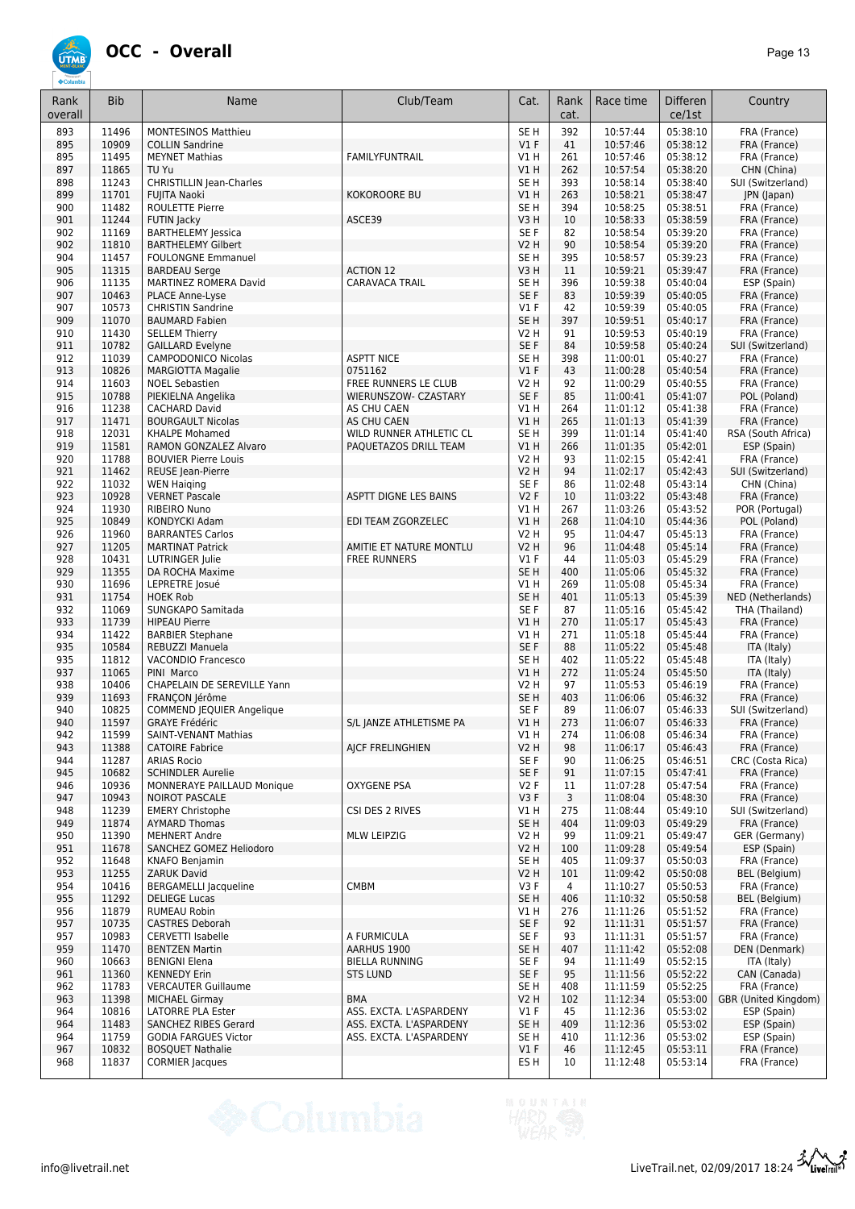

| Rank<br>overall | <b>Bib</b>     | Name                                                   | Club/Team                             | Cat.                           | Rank<br>cat. | Race time            | <b>Differen</b><br>ce/1st | Country                             |
|-----------------|----------------|--------------------------------------------------------|---------------------------------------|--------------------------------|--------------|----------------------|---------------------------|-------------------------------------|
| 893             | 11496          | <b>MONTESINOS Matthieu</b>                             |                                       | SE <sub>H</sub>                | 392          | 10:57:44             | 05:38:10                  | FRA (France)                        |
| 895             | 10909          | <b>COLLIN Sandrine</b>                                 |                                       | $VI$ F                         | 41           | 10:57:46             | 05:38:12                  | FRA (France)                        |
| 895             | 11495          | <b>MEYNET Mathias</b>                                  | FAMILYFUNTRAIL                        | V1H                            | 261          | 10:57:46             | 05:38:12                  | FRA (France)                        |
| 897<br>898      | 11865<br>11243 | TU Yu<br><b>CHRISTILLIN Jean-Charles</b>               |                                       | V1H<br>SE <sub>H</sub>         | 262<br>393   | 10:57:54<br>10:58:14 | 05:38:20<br>05:38:40      | CHN (China)<br>SUI (Switzerland)    |
| 899             | 11701          | <b>FUJITA Naoki</b>                                    | <b>KOKOROORE BU</b>                   | V1H                            | 263          | 10:58:21             | 05:38:47                  | JPN (Japan)                         |
| 900             | 11482          | <b>ROULETTE Pierre</b>                                 |                                       | SE <sub>H</sub>                | 394          | 10:58:25             | 05:38:51                  | FRA (France)                        |
| 901             | 11244          | FUTIN Jacky                                            | ASCE39                                | V3H                            | 10           | 10:58:33             | 05:38:59                  | FRA (France)                        |
| 902             | 11169          | <b>BARTHELEMY Jessica</b>                              |                                       | SE F                           | 82           | 10:58:54             | 05:39:20                  | FRA (France)                        |
| 902             | 11810          | <b>BARTHELEMY Gilbert</b>                              |                                       | <b>V2 H</b>                    | 90           | 10:58:54             | 05:39:20                  | FRA (France)                        |
| 904             | 11457<br>11315 | <b>FOULONGNE Emmanuel</b>                              | <b>ACTION 12</b>                      | SE H                           | 395<br>11    | 10:58:57<br>10:59:21 | 05:39:23<br>05:39:47      | FRA (France)                        |
| 905<br>906      | 11135          | <b>BARDEAU Serge</b><br>MARTINEZ ROMERA David          | CARAVACA TRAIL                        | V3H<br>SE <sub>H</sub>         | 396          | 10:59:38             | 05:40:04                  | FRA (France)<br>ESP (Spain)         |
| 907             | 10463          | PLACE Anne-Lyse                                        |                                       | SE F                           | 83           | 10:59:39             | 05:40:05                  | FRA (France)                        |
| 907             | 10573          | <b>CHRISTIN Sandrine</b>                               |                                       | $VI$ F                         | 42           | 10:59:39             | 05:40:05                  | FRA (France)                        |
| 909             | 11070          | <b>BAUMARD Fabien</b>                                  |                                       | SE <sub>H</sub>                | 397          | 10:59:51             | 05:40:17                  | FRA (France)                        |
| 910             | 11430          | <b>SELLEM Thierry</b>                                  |                                       | <b>V2 H</b>                    | 91           | 10:59:53             | 05:40:19                  | FRA (France)                        |
| 911             | 10782          | <b>GAILLARD Evelyne</b>                                |                                       | SE F                           | 84           | 10:59:58             | 05:40:24                  | SUI (Switzerland)                   |
| 912<br>913      | 11039<br>10826 | <b>CAMPODONICO Nicolas</b><br><b>MARGIOTTA Magalie</b> | <b>ASPTT NICE</b><br>0751162          | SE <sub>H</sub><br>V1F         | 398<br>43    | 11:00:01<br>11:00:28 | 05:40:27<br>05:40:54      | FRA (France)<br>FRA (France)        |
| 914             | 11603          | <b>NOEL Sebastien</b>                                  | FREE RUNNERS LE CLUB                  | V2 H                           | 92           | 11:00:29             | 05:40:55                  | FRA (France)                        |
| 915             | 10788          | PIEKIELNA Angelika                                     | WIERUNSZOW- CZASTARY                  | SE F                           | 85           | 11:00:41             | 05:41:07                  | POL (Poland)                        |
| 916             | 11238          | <b>CACHARD David</b>                                   | AS CHU CAEN                           | V1 H                           | 264          | 11:01:12             | 05:41:38                  | FRA (France)                        |
| 917             | 11471          | <b>BOURGAULT Nicolas</b>                               | AS CHU CAEN                           | V1H                            | 265          | 11:01:13             | 05:41:39                  | FRA (France)                        |
| 918             | 12031          | <b>KHALPE Mohamed</b>                                  | WILD RUNNER ATHLETIC CL               | SE <sub>H</sub>                | 399          | 11:01:14             | 05:41:40                  | RSA (South Africa)                  |
| 919             | 11581          | RAMON GONZALEZ Alvaro                                  | PAQUETAZOS DRILL TEAM                 | V1H                            | 266          | 11:01:35             | 05:42:01                  | ESP (Spain)                         |
| 920             | 11788<br>11462 | <b>BOUVIER Pierre Louis</b>                            |                                       | <b>V2 H</b>                    | 93<br>94     | 11:02:15             | 05:42:41                  | FRA (France)<br>SUI (Switzerland)   |
| 921<br>922      | 11032          | REUSE Jean-Pierre<br><b>WEN Haiging</b>                |                                       | <b>V2 H</b><br>SE F            | 86           | 11:02:17<br>11:02:48 | 05:42:43<br>05:43:14      | CHN (China)                         |
| 923             | 10928          | <b>VERNET Pascale</b>                                  | ASPTT DIGNE LES BAINS                 | V <sub>2</sub> F               | 10           | 11:03:22             | 05:43:48                  | FRA (France)                        |
| 924             | 11930          | <b>RIBEIRO Nuno</b>                                    |                                       | V1H                            | 267          | 11:03:26             | 05:43:52                  | POR (Portugal)                      |
| 925             | 10849          | KONDYCKI Adam                                          | EDI TEAM ZGORZELEC                    | V1H                            | 268          | 11:04:10             | 05:44:36                  | POL (Poland)                        |
| 926             | 11960          | <b>BARRANTES Carlos</b>                                |                                       | <b>V2 H</b>                    | 95           | 11:04:47             | 05:45:13                  | FRA (France)                        |
| 927             | 11205          | <b>MARTINAT Patrick</b>                                | AMITIE ET NATURE MONTLU               | <b>V2 H</b>                    | 96           | 11:04:48             | 05:45:14                  | FRA (France)                        |
| 928             | 10431          | LUTRINGER Julie                                        | <b>FREE RUNNERS</b>                   | $VI$ F                         | 44           | 11:05:03             | 05:45:29                  | FRA (France)                        |
| 929             | 11355          | DA ROCHA Maxime                                        |                                       | SE <sub>H</sub>                | 400          | 11:05:06             | 05:45:32                  | FRA (France)                        |
| 930<br>931      | 11696<br>11754 | LEPRETRE Josué<br><b>HOEK Rob</b>                      |                                       | V1H<br>SE <sub>H</sub>         | 269<br>401   | 11:05:08<br>11:05:13 | 05:45:34<br>05:45:39      | FRA (France)<br>NED (Netherlands)   |
| 932             | 11069          | SUNGKAPO Samitada                                      |                                       | SE F                           | 87           | 11:05:16             | 05:45:42                  | THA (Thailand)                      |
| 933             | 11739          | <b>HIPEAU Pierre</b>                                   |                                       | V1H                            | 270          | 11:05:17             | 05:45:43                  | FRA (France)                        |
| 934             | 11422          | <b>BARBIER Stephane</b>                                |                                       | V1 H                           | 271          | 11:05:18             | 05:45:44                  | FRA (France)                        |
| 935             | 10584          | REBUZZI Manuela                                        |                                       | SE F                           | 88           | 11:05:22             | 05:45:48                  | ITA (Italy)                         |
| 935             | 11812          | <b>VACONDIO Francesco</b>                              |                                       | SE <sub>H</sub>                | 402          | 11:05:22             | 05:45:48                  | ITA (Italy)                         |
| 937             | 11065          | PINI Marco                                             |                                       | V1H                            | 272          | 11:05:24             | 05:45:50                  | ITA (Italy)                         |
| 938<br>939      | 10406<br>11693 | CHAPELAIN DE SEREVILLE Yann<br>FRANCON Jérôme          |                                       | <b>V2 H</b><br>SE <sub>H</sub> | 97<br>403    | 11:05:53<br>11:06:06 | 05:46:19<br>05:46:32      | FRA (France)<br>FRA (France)        |
| 940             | 10825          | <b>COMMEND JEQUIER Angelique</b>                       |                                       | SE F                           | 89           | 11:06:07             | 05:46:33                  | SUI (Switzerland)                   |
| 940             | 11597          | <b>GRAYE Frédéric</b>                                  | S/L JANZE ATHLETISME PA               | V1 H                           | 273          | 11:06:07             | 05:46:33                  | FRA (France)                        |
| 942             | 11599          | SAINT-VENANT Mathias                                   |                                       | V1 H                           | 274          | 11:06:08             | 05:46:34                  | FRA (France)                        |
| 943             | 11388          | <b>CATOIRE Fabrice</b>                                 | AJCF FRELINGHIEN                      | <b>V2 H</b>                    | 98           | 11:06:17             | 05:46:43                  | FRA (France)                        |
| 944             | 11287          | <b>ARIAS Rocio</b>                                     |                                       | SE F                           | 90           | 11:06:25             | 05:46:51                  | CRC (Costa Rica)                    |
| 945             | 10682          | <b>SCHINDLER Aurelie</b>                               |                                       | SE F                           | 91           | 11:07:15             | 05:47:41                  | FRA (France)                        |
| 946<br>947      | 10936<br>10943 | MONNERAYE PAILLAUD Monique<br><b>NOIROT PASCALE</b>    | <b>OXYGENE PSA</b>                    | V2F<br>V3F                     | 11<br>3      | 11:07:28<br>11:08:04 | 05:47:54<br>05:48:30      | FRA (France)<br>FRA (France)        |
| 948             | 11239          | <b>EMERY Christophe</b>                                | CSI DES 2 RIVES                       | V1 H                           | 275          | 11:08:44             | 05:49:10                  | SUI (Switzerland)                   |
| 949             | 11874          | <b>AYMARD Thomas</b>                                   |                                       | SE <sub>H</sub>                | 404          | 11:09:03             | 05:49:29                  | FRA (France)                        |
| 950             | 11390          | <b>MEHNERT Andre</b>                                   | <b>MLW LEIPZIG</b>                    | V2 H                           | 99           | 11:09:21             | 05:49:47                  | GER (Germany)                       |
| 951             | 11678          | SANCHEZ GOMEZ Heliodoro                                |                                       | <b>V2 H</b>                    | 100          | 11:09:28             | 05:49:54                  | ESP (Spain)                         |
| 952             | 11648          | KNAFO Benjamin                                         |                                       | SE H                           | 405          | 11:09:37             | 05:50:03                  | FRA (France)                        |
| 953             | 11255          | <b>ZARUK David</b>                                     |                                       | V2 H                           | 101          | 11:09:42             | 05:50:08                  | BEL (Belgium)                       |
| 954<br>955      | 10416<br>11292 | <b>BERGAMELLI Jacqueline</b><br><b>DELIEGE Lucas</b>   | CMBM                                  | V3F<br>SE <sub>H</sub>         | 4<br>406     | 11:10:27<br>11:10:32 | 05:50:53<br>05:50:58      | FRA (France)<br>BEL (Belgium)       |
| 956             | 11879          | <b>RUMEAU Robin</b>                                    |                                       | V1 H                           | 276          | 11:11:26             | 05:51:52                  | FRA (France)                        |
| 957             | 10735          | <b>CASTRES Deborah</b>                                 |                                       | SE F                           | 92           | 11:11:31             | 05:51:57                  | FRA (France)                        |
| 957             | 10983          | <b>CERVETTI Isabelle</b>                               | A FURMICULA                           | SE F                           | 93           | 11:11:31             | 05:51:57                  | FRA (France)                        |
| 959             | 11470          | <b>BENTZEN Martin</b>                                  | AARHUS 1900                           | SE <sub>H</sub>                | 407          | 11:11:42             | 05:52:08                  | DEN (Denmark)                       |
| 960             | 10663          | <b>BENIGNI Elena</b>                                   | <b>BIELLA RUNNING</b>                 | SE F                           | 94           | 11:11:49             | 05:52:15                  | ITA (Italy)                         |
| 961             | 11360          | <b>KENNEDY Erin</b>                                    | <b>STS LUND</b>                       | SE F                           | 95           | 11:11:56             | 05:52:22                  | CAN (Canada)                        |
| 962             | 11783          | <b>VERCAUTER Guillaume</b>                             |                                       | SE H                           | 408          | 11:11:59             | 05:52:25                  | FRA (France)                        |
| 963<br>964      | 11398          | <b>MICHAEL Girmay</b><br><b>LATORRE PLA Ester</b>      | <b>BMA</b><br>ASS. EXCTA. L'ASPARDENY | <b>V2 H</b><br>$VI$ F          | 102<br>45    | 11:12:34<br>11:12:36 | 05:53:00                  | GBR (United Kingdom)<br>ESP (Spain) |
| 964             | 10816<br>11483 | SANCHEZ RIBES Gerard                                   | ASS. EXCTA. L'ASPARDENY               | SE <sub>H</sub>                | 409          | 11:12:36             | 05:53:02<br>05:53:02      | ESP (Spain)                         |
| 964             | 11759          | <b>GODIA FARGUES Victor</b>                            | ASS. EXCTA. L'ASPARDENY               | SE H                           | 410          | 11:12:36             | 05:53:02                  | ESP (Spain)                         |
| 967             | 10832          | <b>BOSQUET Nathalie</b>                                |                                       | $VI$ F                         | 46           | 11:12:45             | 05:53:11                  | FRA (France)                        |
| 968             | 11837          | <b>CORMIER Jacques</b>                                 |                                       | ES H                           | 10           | 11:12:48             | 05:53:14                  | FRA (France)                        |

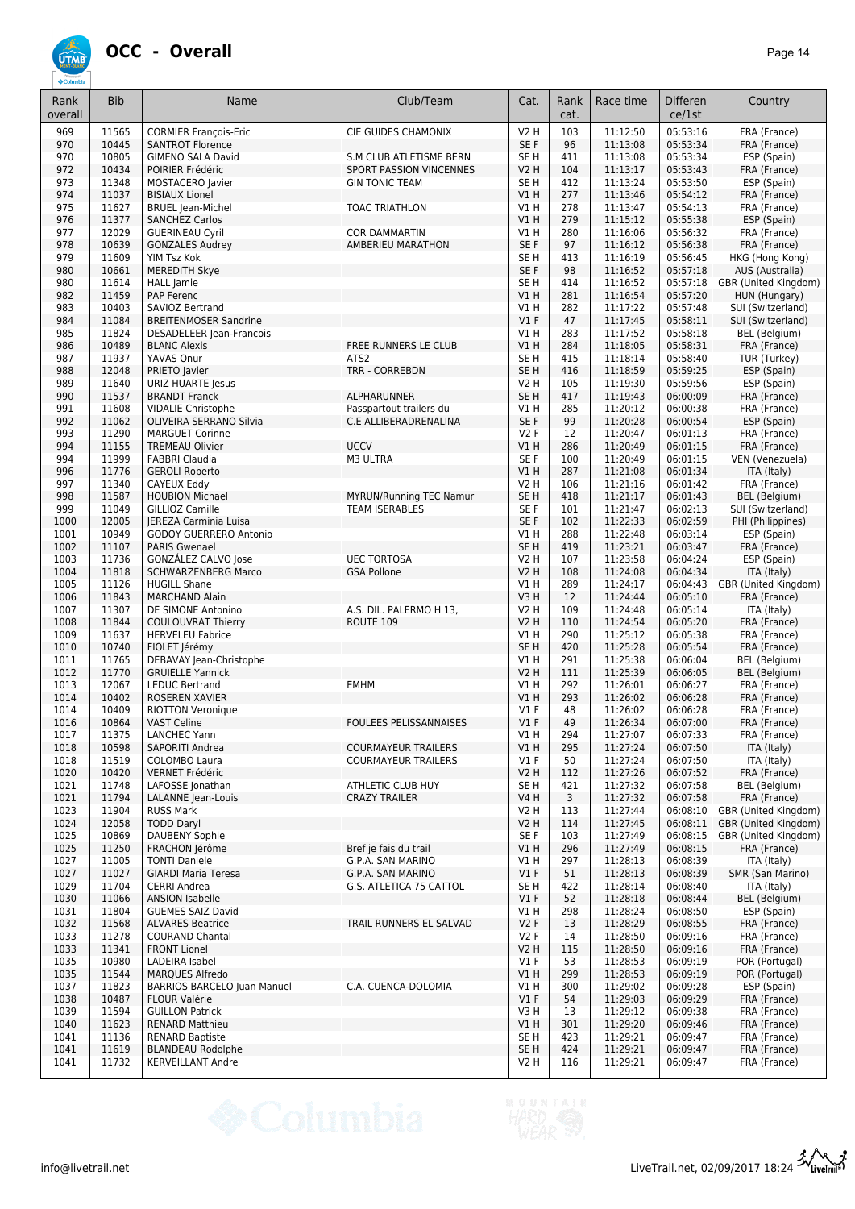

| Rank<br>overall | <b>Bib</b>     | Name                                              | Club/Team                                               | Cat.                               | Rank<br>cat. | Race time            | <b>Differen</b><br>ce/1st | Country                                      |
|-----------------|----------------|---------------------------------------------------|---------------------------------------------------------|------------------------------------|--------------|----------------------|---------------------------|----------------------------------------------|
| 969             | 11565          | <b>CORMIER François-Eric</b>                      | CIE GUIDES CHAMONIX                                     | V2 H                               | 103          | 11:12:50             | 05:53:16                  | FRA (France)                                 |
| 970             | 10445          | <b>SANTROT Florence</b>                           |                                                         | SE F                               | 96           | 11:13:08             | 05:53:34                  | FRA (France)                                 |
| 970             | 10805          | <b>GIMENO SALA David</b>                          | S.M CLUB ATLETISME BERN                                 | SE H                               | 411          | 11:13:08             | 05:53:34                  | ESP (Spain)                                  |
| 972<br>973      | 10434<br>11348 | POIRIER Frédéric<br>MOSTACERO Javier              | <b>SPORT PASSION VINCENNES</b><br><b>GIN TONIC TEAM</b> | <b>V2 H</b><br>SE H                | 104<br>412   | 11:13:17<br>11:13:24 | 05:53:43<br>05:53:50      | FRA (France)<br>ESP (Spain)                  |
| 974             | 11037          | <b>BISIAUX Lionel</b>                             |                                                         | V1 H                               | 277          | 11:13:46             | 05:54:12                  | FRA (France)                                 |
| 975             | 11627          | <b>BRUEL Jean-Michel</b>                          | <b>TOAC TRIATHLON</b>                                   | V1 H                               | 278          | 11:13:47             | 05:54:13                  | FRA (France)                                 |
| 976             | 11377          | <b>SANCHEZ Carlos</b>                             |                                                         | VIH                                | 279          | 11:15:12             | 05:55:38                  | ESP (Spain)                                  |
| 977             | 12029          | <b>GUERINEAU Cyril</b>                            | <b>COR DAMMARTIN</b>                                    | V1H                                | 280          | 11:16:06             | 05:56:32                  | FRA (France)                                 |
| 978             | 10639          | <b>GONZALES Audrey</b>                            | AMBERIEU MARATHON                                       | SE F                               | 97           | 11:16:12             | 05:56:38                  | FRA (France)                                 |
| 979             | 11609<br>10661 | YIM Tsz Kok                                       |                                                         | SE <sub>H</sub>                    | 413          | 11:16:19             | 05:56:45                  | HKG (Hong Kong)                              |
| 980<br>980      | 11614          | <b>MEREDITH Skye</b><br><b>HALL</b> Jamie         |                                                         | SE F<br>SE <sub>H</sub>            | 98<br>414    | 11:16:52<br>11:16:52 | 05:57:18<br>05:57:18      | AUS (Australia)<br>GBR (United Kingdom)      |
| 982             | 11459          | PAP Ferenc                                        |                                                         | VIH                                | 281          | 11:16:54             | 05:57:20                  | HUN (Hungary)                                |
| 983             | 10403          | SAVIOZ Bertrand                                   |                                                         | V1H                                | 282          | 11:17:22             | 05:57:48                  | SUI (Switzerland)                            |
| 984             | 11084          | <b>BREITENMOSER Sandrine</b>                      |                                                         | V1F                                | 47           | 11:17:45             | 05:58:11                  | SUI (Switzerland)                            |
| 985             | 11824          | DESADELEER Jean-Francois                          |                                                         | V1 H                               | 283          | 11:17:52             | 05:58:18                  | BEL (Belgium)                                |
| 986             | 10489          | <b>BLANC Alexis</b>                               | FREE RUNNERS LE CLUB                                    | V1H                                | 284          | 11:18:05             | 05:58:31                  | FRA (France)                                 |
| 987<br>988      | 11937<br>12048 | YAVAS Onur<br>PRIETO Javier                       | ATS <sub>2</sub><br><b>TRR - CORREBDN</b>               | SE <sub>H</sub><br>SE <sub>H</sub> | 415<br>416   | 11:18:14<br>11:18:59 | 05:58:40<br>05:59:25      | TUR (Turkey)<br>ESP (Spain)                  |
| 989             | 11640          | URIZ HUARTE Jesus                                 |                                                         | <b>V2 H</b>                        | 105          | 11:19:30             | 05:59:56                  | ESP (Spain)                                  |
| 990             | 11537          | <b>BRANDT Franck</b>                              | ALPHARUNNER                                             | SE <sub>H</sub>                    | 417          | 11:19:43             | 06:00:09                  | FRA (France)                                 |
| 991             | 11608          | <b>VIDALIE Christophe</b>                         | Passpartout trailers du                                 | V1 H                               | 285          | 11:20:12             | 06:00:38                  | FRA (France)                                 |
| 992             | 11062          | OLIVEIRA SERRANO Silvia                           | C.E ALLIBERADRENALINA                                   | SE F                               | 99           | 11:20:28             | 06:00:54                  | ESP (Spain)                                  |
| 993             | 11290          | <b>MARGUET Corinne</b>                            |                                                         | V2F                                | 12           | 11:20:47             | 06:01:13                  | FRA (France)                                 |
| 994<br>994      | 11155<br>11999 | <b>TREMEAU Olivier</b>                            | <b>UCCV</b><br>M3 ULTRA                                 | VIH<br>SE F                        | 286<br>100   | 11:20:49             | 06:01:15<br>06:01:15      | FRA (France)<br>VEN (Venezuela)              |
| 996             | 11776          | <b>FABBRI Claudia</b><br><b>GEROLI Roberto</b>    |                                                         | VIH                                | 287          | 11:20:49<br>11:21:08 | 06:01:34                  | ITA (Italy)                                  |
| 997             | 11340          | CAYEUX Eddy                                       |                                                         | <b>V2 H</b>                        | 106          | 11:21:16             | 06:01:42                  | FRA (France)                                 |
| 998             | 11587          | <b>HOUBION Michael</b>                            | <b>MYRUN/Running TEC Namur</b>                          | SE <sub>H</sub>                    | 418          | 11:21:17             | 06:01:43                  | BEL (Belgium)                                |
| 999             | 11049          | GILLIOZ Camille                                   | <b>TEAM ISERABLES</b>                                   | SE F                               | 101          | 11:21:47             | 06:02:13                  | SUI (Switzerland)                            |
| 1000            | 12005          | JEREZA Carminia Luisa                             |                                                         | SE F                               | 102          | 11:22:33             | 06:02:59                  | PHI (Philippines)                            |
| 1001            | 10949          | GODOY GUERRERO Antonio                            |                                                         | V1 H                               | 288          | 11:22:48             | 06:03:14                  | ESP (Spain)                                  |
| 1002<br>1003    | 11107<br>11736 | <b>PARIS Gwenael</b><br>GONZÁLEZ CALVO Jose       | <b>UEC TORTOSA</b>                                      | SE <sub>H</sub><br>V2 H            | 419<br>107   | 11:23:21<br>11:23:58 | 06:03:47<br>06:04:24      | FRA (France)<br>ESP (Spain)                  |
| 1004            | 11818          | <b>SCHWARZENBERG Marco</b>                        | <b>GSA Pollone</b>                                      | <b>V2 H</b>                        | 108          | 11:24:08             | 06:04:34                  | ITA (Italy)                                  |
| 1005            | 11126          | <b>HUGILL Shane</b>                               |                                                         | V1H                                | 289          | 11:24:17             | 06:04:43                  | GBR (United Kingdom)                         |
| 1006            | 11843          | <b>MARCHAND Alain</b>                             |                                                         | V3H                                | 12           | 11:24:44             | 06:05:10                  | FRA (France)                                 |
| 1007            | 11307          | DE SIMONE Antonino                                | A.S. DIL. PALERMO H 13,                                 | V2 H                               | 109          | 11:24:48             | 06:05:14                  | ITA (Italy)                                  |
| 1008            | 11844          | <b>COULOUVRAT Thierry</b>                         | ROUTE 109                                               | V2 H                               | 110          | 11:24:54             | 06:05:20                  | FRA (France)                                 |
| 1009            | 11637          | <b>HERVELEU Fabrice</b>                           |                                                         | V1 H                               | 290          | 11:25:12             | 06:05:38                  | FRA (France)                                 |
| 1010<br>1011    | 10740<br>11765 | FIOLET Jérémy<br>DEBAVAY Jean-Christophe          |                                                         | SE <sub>H</sub><br>V1H             | 420<br>291   | 11:25:28<br>11:25:38 | 06:05:54<br>06:06:04      | FRA (France)<br>BEL (Belgium)                |
| 1012            | 11770          | <b>GRUIELLE Yannick</b>                           |                                                         | <b>V2 H</b>                        | 111          | 11:25:39             | 06:06:05                  | BEL (Belgium)                                |
| 1013            | 12067          | <b>LEDUC Bertrand</b>                             | <b>EMHM</b>                                             | V1H                                | 292          | 11:26:01             | 06:06:27                  | FRA (France)                                 |
| 1014            | 10402          | ROSEREN XAVIER                                    |                                                         | V1H                                | 293          | 11:26:02             | 06:06:28                  | FRA (France)                                 |
| 1014            | 10409          | <b>RIOTTON Veronique</b>                          |                                                         | $VI$ F                             | 48           | 11:26:02             | 06:06:28                  | FRA (France)                                 |
| 1016            | 10864          | <b>VAST Celine</b>                                | <b>FOULEES PELISSANNAISES</b>                           | V1F                                | 49           | 11:26:34             | 06:07:00                  | FRA (France)                                 |
| 1017<br>1018    | 11375<br>10598 | LANCHEC Yann<br>SAPORITI Andrea                   | <b>COURMAYEUR TRAILERS</b>                              | $VI$ H<br>V1H                      | 294<br>295   | 11:27:07<br>11:27:24 | 06:07:33<br>06:07:50      | FRA (France)<br>ITA (Italy)                  |
| 1018            | 11519          | COLOMBO Laura                                     | <b>COURMAYEUR TRAILERS</b>                              | $VI$ F                             | 50           | 11:27:24             | 06:07:50                  | ITA (Italy)                                  |
| 1020            | 10420          | <b>VERNET Frédéric</b>                            |                                                         | V2 H                               | 112          | 11:27:26             | 06:07:52                  | FRA (France)                                 |
| 1021            | 11748          | LAFOSSE Jonathan                                  | ATHLETIC CLUB HUY                                       | SE H                               | 421          | 11:27:32             | 06:07:58                  | BEL (Belgium)                                |
| 1021            | 11794          | LALANNE Jean-Louis                                | <b>CRAZY TRAILER</b>                                    | V4 H                               | 3            | 11:27:32             | 06:07:58                  | FRA (France)                                 |
| 1023            | 11904          | <b>RUSS Mark</b>                                  |                                                         | V2 H                               | 113          | 11:27:44             | 06:08:10                  | GBR (United Kingdom)                         |
| 1024<br>1025    | 12058<br>10869 | <b>TODD Daryl</b><br><b>DAUBENY Sophie</b>        |                                                         | V2 H<br>SE F                       | 114<br>103   | 11:27:45<br>11:27:49 | 06:08:11<br>06:08:15      | GBR (United Kingdom)<br>GBR (United Kingdom) |
| 1025            | 11250          | FRACHON Jérôme                                    | Bref ie fais du trail                                   | V1 H                               | 296          | 11:27:49             | 06:08:15                  | FRA (France)                                 |
| 1027            | 11005          | <b>TONTI Daniele</b>                              | G.P.A. SAN MARINO                                       | V1 H                               | 297          | 11:28:13             | 06:08:39                  | ITA (Italy)                                  |
| 1027            | 11027          | <b>GIARDI Maria Teresa</b>                        | G.P.A. SAN MARINO                                       | $VI$ F                             | 51           | 11:28:13             | 06:08:39                  | SMR (San Marino)                             |
| 1029            | 11704          | CERRI Andrea                                      | G.S. ATLETICA 75 CATTOL                                 | SE H                               | 422          | 11:28:14             | 06:08:40                  | ITA (Italy)                                  |
| 1030            | 11066          | <b>ANSION Isabelle</b>                            |                                                         | $VI$ F                             | 52           | 11:28:18             | 06:08:44                  | BEL (Belgium)                                |
| 1031            | 11804          | <b>GUEMES SAIZ David</b>                          |                                                         | V1H                                | 298          | 11:28:24             | 06:08:50                  | ESP (Spain)                                  |
| 1032<br>1033    | 11568<br>11278 | <b>ALVARES Beatrice</b><br><b>COURAND Chantal</b> | TRAIL RUNNERS EL SALVAD                                 | V2F<br>V2F                         | 13<br>14     | 11:28:29<br>11:28:50 | 06:08:55<br>06:09:16      | FRA (France)<br>FRA (France)                 |
| 1033            | 11341          | <b>FRONT Lionel</b>                               |                                                         | V2 H                               | 115          | 11:28:50             | 06:09:16                  | FRA (France)                                 |
| 1035            | 10980          | LADEIRA Isabel                                    |                                                         | $VI$ F                             | 53           | 11:28:53             | 06:09:19                  | POR (Portugal)                               |
| 1035            | 11544          | <b>MARQUES Alfredo</b>                            |                                                         | V1H                                | 299          | 11:28:53             | 06:09:19                  | POR (Portugal)                               |
| 1037            | 11823          | <b>BARRIOS BARCELO Juan Manuel</b>                | C.A. CUENCA-DOLOMIA                                     | V1 H                               | 300          | 11:29:02             | 06:09:28                  | ESP (Spain)                                  |
| 1038            | 10487          | <b>FLOUR Valérie</b>                              |                                                         | V1F                                | 54           | 11:29:03             | 06:09:29                  | FRA (France)                                 |
| 1039            | 11594          | <b>GUILLON Patrick</b>                            |                                                         | V3H                                | 13           | 11:29:12             | 06:09:38                  | FRA (France)                                 |
| 1040<br>1041    | 11623<br>11136 | <b>RENARD Matthieu</b><br><b>RENARD Baptiste</b>  |                                                         | V1H<br>SE H                        | 301<br>423   | 11:29:20<br>11:29:21 | 06:09:46<br>06:09:47      | FRA (France)<br>FRA (France)                 |
| 1041            | 11619          | <b>BLANDEAU Rodolphe</b>                          |                                                         | SE <sub>H</sub>                    | 424          | 11:29:21             | 06:09:47                  | FRA (France)                                 |
| 1041            | 11732          | <b>KERVEILLANT Andre</b>                          |                                                         | V2 H                               | 116          | 11:29:21             | 06:09:47                  | FRA (France)                                 |
|                 |                |                                                   |                                                         |                                    |              |                      |                           |                                              |

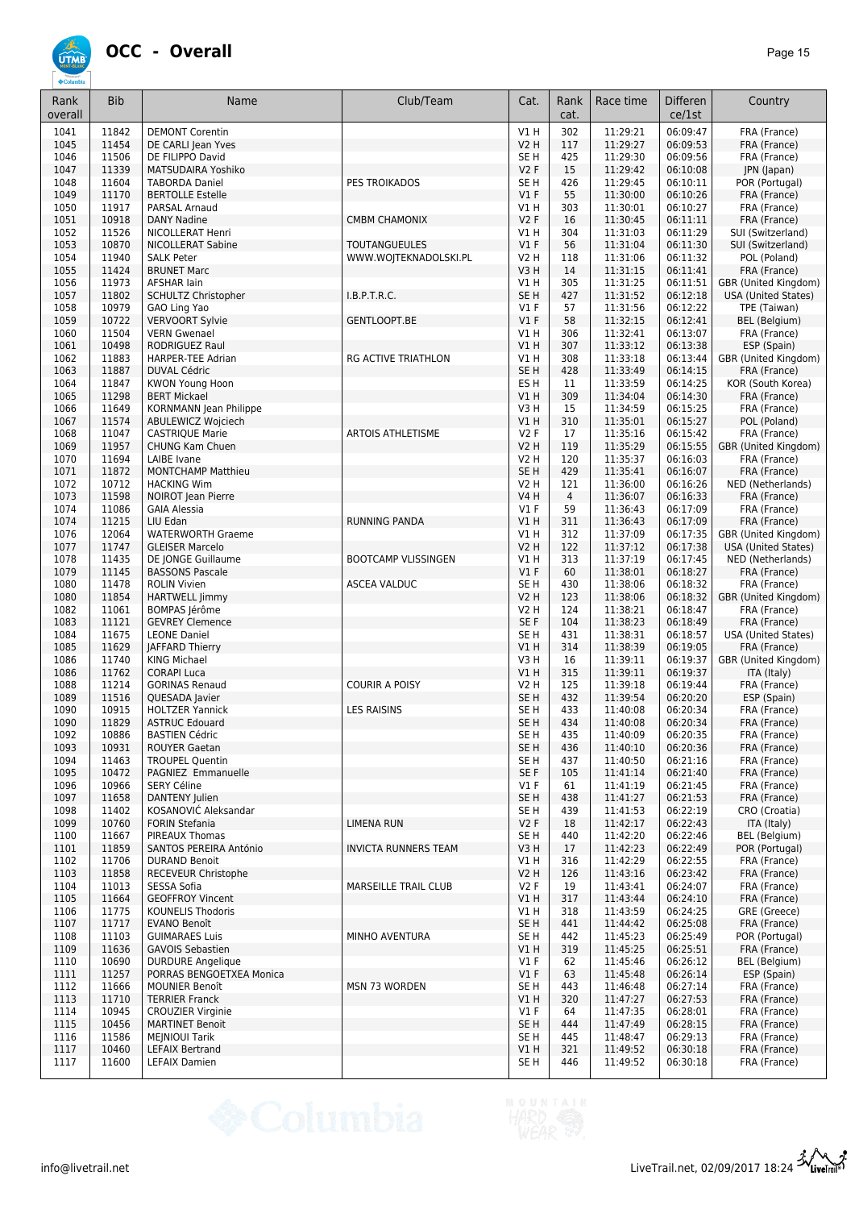

| Rank<br>overall | <b>Bib</b>     | Name                                             | Club/Team                   | Cat.                    | Rank<br>cat. | Race time            | <b>Differen</b><br>ce/1st | Country                                     |
|-----------------|----------------|--------------------------------------------------|-----------------------------|-------------------------|--------------|----------------------|---------------------------|---------------------------------------------|
| 1041            | 11842          | <b>DEMONT Corentin</b>                           |                             | V1 H                    | 302          | 11:29:21             | 06:09:47                  | FRA (France)                                |
| 1045            | 11454          | DE CARLI Jean Yves                               |                             | <b>V2 H</b>             | 117          | 11:29:27             | 06:09:53                  | FRA (France)                                |
| 1046            | 11506          | DE FILIPPO David                                 |                             | SE H                    | 425          | 11:29:30             | 06:09:56                  | FRA (France)                                |
| 1047            | 11339<br>11604 | <b>MATSUDAIRA Yoshiko</b>                        | PES TROIKADOS               | V2F<br>SE <sub>H</sub>  | 15<br>426    | 11:29:42             | 06:10:08<br>06:10:11      | JPN (Japan)                                 |
| 1048<br>1049    | 11170          | <b>TABORDA Daniel</b><br><b>BERTOLLE Estelle</b> |                             | V1F                     | 55           | 11:29:45<br>11:30:00 | 06:10:26                  | POR (Portugal)<br>FRA (France)              |
| 1050            | 11917          | PARSAL Arnaud                                    |                             | V1H                     | 303          | 11:30:01             | 06:10:27                  | FRA (France)                                |
| 1051            | 10918          | <b>DANY Nadine</b>                               | <b>CMBM CHAMONIX</b>        | V2F                     | 16           | 11:30:45             | 06:11:11                  | FRA (France)                                |
| 1052            | 11526          | NICOLLERAT Henri                                 |                             | V1H                     | 304          | 11:31:03             | 06:11:29                  | SUI (Switzerland)                           |
| 1053            | 10870          | <b>NICOLLERAT Sabine</b>                         | <b>TOUTANGUEULES</b>        | $VI$ F                  | 56           | 11:31:04             | 06:11:30                  | SUI (Switzerland)                           |
| 1054            | 11940          | <b>SALK Peter</b>                                | WWW.WOJTEKNADOLSKI.PL       | V2 H                    | 118          | 11:31:06             | 06:11:32                  | POL (Poland)                                |
| 1055            | 11424          | <b>BRUNET Marc</b>                               |                             | V3H                     | 14           | 11:31:15             | 06:11:41                  | FRA (France)                                |
| 1056<br>1057    | 11973<br>11802 | <b>AFSHAR lain</b><br><b>SCHULTZ Christopher</b> | I.B.P.T.R.C.                | V1H<br>SE <sub>H</sub>  | 305<br>427   | 11:31:25<br>11:31:52 | 06:11:51<br>06:12:18      | GBR (United Kingdom)<br>USA (United States) |
| 1058            | 10979          | GAO Ling Yao                                     |                             | $VI$ F                  | 57           | 11:31:56             | 06:12:22                  | TPE (Taiwan)                                |
| 1059            | 10722          | <b>VERVOORT Sylvie</b>                           | GENTLOOPT.BE                | V1F                     | 58           | 11:32:15             | 06:12:41                  | BEL (Belgium)                               |
| 1060            | 11504          | <b>VERN Gwenael</b>                              |                             | V1H                     | 306          | 11:32:41             | 06:13:07                  | FRA (France)                                |
| 1061            | 10498          | <b>RODRIGUEZ Raul</b>                            |                             | V1H                     | 307          | 11:33:12             | 06:13:38                  | ESP (Spain)                                 |
| 1062            | 11883          | <b>HARPER-TEE Adrian</b>                         | <b>RG ACTIVE TRIATHLON</b>  | V1H                     | 308          | 11:33:18             | 06:13:44                  | GBR (United Kingdom)                        |
| 1063            | 11887          | <b>DUVAL Cédric</b>                              |                             | SE <sub>H</sub>         | 428          | 11:33:49             | 06:14:15                  | FRA (France)                                |
| 1064            | 11847          | KWON Young Hoon<br><b>BERT Mickael</b>           |                             | ES <sub>H</sub>         | 11           | 11:33:59             | 06:14:25                  | KOR (South Korea)                           |
| 1065<br>1066    | 11298<br>11649 | KORNMANN Jean Philippe                           |                             | V1H<br>V3H              | 309<br>15    | 11:34:04<br>11:34:59 | 06:14:30<br>06:15:25      | FRA (France)<br>FRA (France)                |
| 1067            | 11574          | ABULEWICZ Wojciech                               |                             | V1 H                    | 310          | 11:35:01             | 06:15:27                  | POL (Poland)                                |
| 1068            | 11047          | <b>CASTRIQUE Marie</b>                           | <b>ARTOIS ATHLETISME</b>    | V2F                     | 17           | 11:35:16             | 06:15:42                  | FRA (France)                                |
| 1069            | 11957          | <b>CHUNG Kam Chuen</b>                           |                             | V2 H                    | 119          | 11:35:29             | 06:15:55                  | GBR (United Kingdom)                        |
| 1070            | 11694          | <b>LAIBE</b> Ivane                               |                             | V2 H                    | 120          | 11:35:37             | 06:16:03                  | FRA (France)                                |
| 1071            | 11872          | <b>MONTCHAMP Matthieu</b>                        |                             | SE <sub>H</sub>         | 429          | 11:35:41             | 06:16:07                  | FRA (France)                                |
| 1072            | 10712          | <b>HACKING Wim</b>                               |                             | V2 H                    | 121          | 11:36:00             | 06:16:26                  | NED (Netherlands)                           |
| 1073            | 11598          | NOIROT Jean Pierre                               |                             | <b>V4 H</b>             | 4            | 11:36:07             | 06:16:33                  | FRA (France)                                |
| 1074<br>1074    | 11086<br>11215 | <b>GAIA Alessia</b><br>LIU Edan                  | <b>RUNNING PANDA</b>        | $VI$ F<br>VIH           | 59<br>311    | 11:36:43<br>11:36:43 | 06:17:09<br>06:17:09      | FRA (France)                                |
| 1076            | 12064          | <b>WATERWORTH Graeme</b>                         |                             | V1H                     | 312          | 11:37:09             | 06:17:35                  | FRA (France)<br>GBR (United Kingdom)        |
| 1077            | 11747          | <b>GLEISER Marcelo</b>                           |                             | <b>V2 H</b>             | 122          | 11:37:12             | 06:17:38                  | <b>USA (United States)</b>                  |
| 1078            | 11435          | DE JONGE Guillaume                               | <b>BOOTCAMP VLISSINGEN</b>  | V1H                     | 313          | 11:37:19             | 06:17:45                  | NED (Netherlands)                           |
| 1079            | 11145          | <b>BASSONS Pascale</b>                           |                             | V1F                     | 60           | 11:38:01             | 06:18:27                  | FRA (France)                                |
| 1080            | 11478          | <b>ROLIN Vivien</b>                              | <b>ASCEA VALDUC</b>         | SE <sub>H</sub>         | 430          | 11:38:06             | 06:18:32                  | FRA (France)                                |
| 1080            | 11854          | <b>HARTWELL Jimmy</b>                            |                             | V2 H                    | 123          | 11:38:06             | 06:18:32                  | GBR (United Kingdom)                        |
| 1082            | 11061          | BOMPAS Jérôme                                    |                             | V2 H                    | 124          | 11:38:21             | 06:18:47                  | FRA (France)                                |
| 1083<br>1084    | 11121<br>11675 | <b>GEVREY Clemence</b><br><b>LEONE Daniel</b>    |                             | SE F<br>SE <sub>H</sub> | 104<br>431   | 11:38:23<br>11:38:31 | 06:18:49<br>06:18:57      | FRA (France)<br><b>USA (United States)</b>  |
| 1085            | 11629          | <b>JAFFARD Thierry</b>                           |                             | V1H                     | 314          | 11:38:39             | 06:19:05                  | FRA (France)                                |
| 1086            | 11740          | <b>KING Michael</b>                              |                             | V3H                     | 16           | 11:39:11             | 06:19:37                  | GBR (United Kingdom)                        |
| 1086            | 11762          | <b>CORAPI Luca</b>                               |                             | VIH                     | 315          | 11:39:11             | 06:19:37                  | ITA (Italy)                                 |
| 1088            | 11214          | <b>GORINAS Renaud</b>                            | <b>COURIR A POISY</b>       | <b>V2 H</b>             | 125          | 11:39:18             | 06:19:44                  | FRA (France)                                |
| 1089            | 11516          | QUESADA Javier                                   |                             | SE <sub>H</sub>         | 432          | 11:39:54             | 06:20:20                  | ESP (Spain)                                 |
| 1090            | 10915          | <b>HOLTZER Yannick</b>                           | <b>LES RAISINS</b>          | SE <sub>H</sub>         | 433          | 11:40:08             | 06:20:34                  | FRA (France)                                |
| 1090            | 11829          | <b>ASTRUC Edouard</b>                            |                             | SE <sub>H</sub>         | 434          | 11:40:08             | 06:20:34<br>06:20:35      | FRA (France)                                |
| 1092<br>1093    | 10886<br>10931 | <b>BASTIEN Cédric</b><br><b>ROUYER Gaetan</b>    |                             | SE H<br>SE <sub>H</sub> | 435<br>436   | 11:40:09<br>11:40:10 | 06:20:36                  | FRA (France)<br>FRA (France)                |
| 1094            | 11463          | <b>TROUPEL Quentin</b>                           |                             | SE H                    | 437          | 11:40:50             | 06:21:16                  | FRA (France)                                |
| 1095            | 10472          | PAGNIEZ Emmanuelle                               |                             | SE F                    | 105          | 11:41:14             | 06:21:40                  | FRA (France)                                |
| 1096            | 10966          | <b>SERY Céline</b>                               |                             | V1F                     | 61           | 11:41:19             | 06:21:45                  | FRA (France)                                |
| 1097            | 11658          | DANTENY Julien                                   |                             | SE <sub>H</sub>         | 438          | 11:41:27             | 06:21:53                  | FRA (France)                                |
| 1098            | 11402          | KOSANOVIĆ Aleksandar                             |                             | SE H                    | 439          | 11:41:53             | 06:22:19                  | CRO (Croatia)                               |
| 1099<br>1100    | 10760<br>11667 | <b>FORIN Stefania</b>                            | <b>LIMENA RUN</b>           | V2F                     | 18           | 11:42:17<br>11:42:20 | 06:22:43<br>06:22:46      | ITA (Italy)<br>BEL (Belgium)                |
| 1101            | 11859          | PIREAUX Thomas<br>SANTOS PEREIRA António         | <b>INVICTA RUNNERS TEAM</b> | SE H<br>V3H             | 440<br>17    | 11:42:23             | 06:22:49                  | POR (Portugal)                              |
| 1102            | 11706          | <b>DURAND Benoit</b>                             |                             | V1 H                    | 316          | 11:42:29             | 06:22:55                  | FRA (France)                                |
| 1103            | 11858          | RECEVEUR Christophe                              |                             | <b>V2 H</b>             | 126          | 11:43:16             | 06:23:42                  | FRA (France)                                |
| 1104            | 11013          | SESSA Sofia                                      | MARSEILLE TRAIL CLUB        | V2F                     | 19           | 11:43:41             | 06:24:07                  | FRA (France)                                |
| 1105            | 11664          | <b>GEOFFROY Vincent</b>                          |                             | VIH                     | 317          | 11:43:44             | 06:24:10                  | FRA (France)                                |
| 1106            | 11775          | <b>KOUNELIS Thodoris</b>                         |                             | V1 H                    | 318          | 11:43:59             | 06:24:25                  | GRE (Greece)                                |
| 1107            | 11717          | EVANO Benoît                                     |                             | SE <sub>H</sub>         | 441          | 11:44:42             | 06:25:08                  | FRA (France)                                |
| 1108<br>1109    | 11103<br>11636 | <b>GUIMARAES Luis</b><br><b>GAVOIS Sebastien</b> | MINHO AVENTURA              | SE H<br>V1H             | 442<br>319   | 11:45:23<br>11:45:25 | 06:25:49<br>06:25:51      | POR (Portugal)<br>FRA (France)              |
| 1110            | 10690          | <b>DURDURE Angelique</b>                         |                             | $VI$ F                  | 62           | 11:45:46             | 06:26:12                  | BEL (Belgium)                               |
| 1111            | 11257          | PORRAS BENGOETXEA Monica                         |                             | V1F                     | 63           | 11:45:48             | 06:26:14                  | ESP (Spain)                                 |
| 1112            | 11666          | <b>MOUNIER Benoît</b>                            | <b>MSN 73 WORDEN</b>        | SE H                    | 443          | 11:46:48             | 06:27:14                  | FRA (France)                                |
| 1113            | 11710          | <b>TERRIER Franck</b>                            |                             | V1 H                    | 320          | 11:47:27             | 06:27:53                  | FRA (France)                                |
| 1114            | 10945          | <b>CROUZIER Virginie</b>                         |                             | $VI$ F                  | 64           | 11:47:35             | 06:28:01                  | FRA (France)                                |
| 1115            | 10456          | <b>MARTINET Benoit</b>                           |                             | SE <sub>H</sub>         | 444          | 11:47:49             | 06:28:15                  | FRA (France)                                |
| 1116            | 11586          | <b>MEINIOUI Tarik</b>                            |                             | SE H                    | 445          | 11:48:47             | 06:29:13                  | FRA (France)                                |
| 1117<br>1117    | 10460<br>11600 | <b>LEFAIX Bertrand</b><br>LEFAIX Damien          |                             | V1 H<br>SE H            | 321<br>446   | 11:49:52<br>11:49:52 | 06:30:18<br>06:30:18      | FRA (France)<br>FRA (France)                |
|                 |                |                                                  |                             |                         |              |                      |                           |                                             |

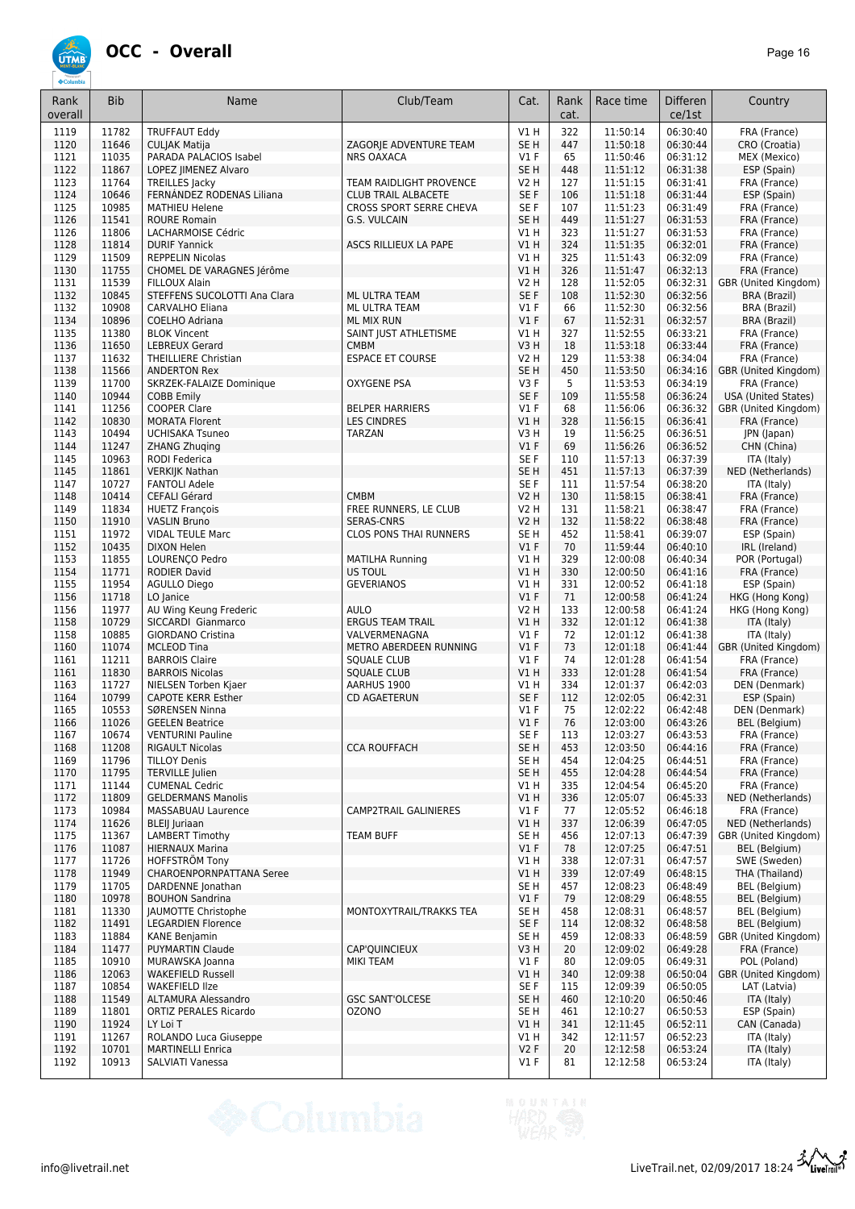

| Rank<br>overall | <b>Bib</b>     | Name                                                 | Club/Team                               | Cat.                    | Rank<br>cat. | Race time            | <b>Differen</b><br>ce/1st | Country                              |
|-----------------|----------------|------------------------------------------------------|-----------------------------------------|-------------------------|--------------|----------------------|---------------------------|--------------------------------------|
| 1119            | 11782          | <b>TRUFFAUT Eddy</b>                                 |                                         | V1 H                    | 322          | 11:50:14             | 06:30:40                  | FRA (France)                         |
| 1120            | 11646          | <b>CULJAK Matija</b>                                 | ZAGORJE ADVENTURE TEAM                  | SE <sub>H</sub>         | 447          | 11:50:18             | 06:30:44                  | CRO (Croatia)                        |
| 1121            | 11035          | PARADA PALACIOS Isabel                               | <b>NRS OAXACA</b>                       | $VI$ F                  | 65           | 11:50:46             | 06:31:12                  | MEX (Mexico)                         |
| 1122<br>1123    | 11867<br>11764 | LOPEZ JIMENEZ Alvaro<br><b>TREILLES Jacky</b>        | <b>TEAM RAIDLIGHT PROVENCE</b>          | SE <sub>H</sub><br>V2 H | 448<br>127   | 11:51:12<br>11:51:15 | 06:31:38<br>06:31:41      | ESP (Spain)<br>FRA (France)          |
| 1124            | 10646          | FERNÁNDEZ RODENAS Liliana                            | <b>CLUB TRAIL ALBACETE</b>              | SE <sub>F</sub>         | 106          | 11:51:18             | 06:31:44                  | ESP (Spain)                          |
| 1125            | 10985          | <b>MATHIEU Helene</b>                                | CROSS SPORT SERRE CHEVA                 | SE <sub>F</sub>         | 107          | 11:51:23             | 06:31:49                  | FRA (France)                         |
| 1126            | 11541          | <b>ROURE Romain</b>                                  | G.S. VULCAIN                            | SE <sub>H</sub>         | 449          | 11:51:27             | 06:31:53                  | FRA (France)                         |
| 1126            | 11806          | LACHARMOISE Cédric                                   |                                         | V1H                     | 323          | 11:51:27             | 06:31:53                  | FRA (France)                         |
| 1128            | 11814          | <b>DURIF Yannick</b>                                 | ASCS RILLIEUX LA PAPE                   | VIH                     | 324          | 11:51:35             | 06:32:01                  | FRA (France)                         |
| 1129            | 11509<br>11755 | <b>REPPELIN Nicolas</b><br>CHOMEL DE VARAGNES Jérôme |                                         | V1 H                    | 325          | 11:51:43             | 06:32:09                  | FRA (France)                         |
| 1130<br>1131    | 11539          | FILLOUX Alain                                        |                                         | V1 H<br>V2 H            | 326<br>128   | 11:51:47<br>11:52:05 | 06:32:13<br>06:32:31      | FRA (France)<br>GBR (United Kingdom) |
| 1132            | 10845          | STEFFENS SUCOLOTTI Ana Clara                         | ML ULTRA TEAM                           | SE F                    | 108          | 11:52:30             | 06:32:56                  | <b>BRA (Brazil)</b>                  |
| 1132            | 10908          | CARVALHO Eliana                                      | ML ULTRA TEAM                           | $VI$ F                  | 66           | 11:52:30             | 06:32:56                  | BRA (Brazil)                         |
| 1134            | 10896          | COELHO Adriana                                       | ML MIX RUN                              | $VI$ F                  | 67           | 11:52:31             | 06:32:57                  | <b>BRA (Brazil)</b>                  |
| 1135            | 11380          | <b>BLOK Vincent</b>                                  | SAINT JUST ATHLETISME                   | V1H                     | 327          | 11:52:55             | 06:33:21                  | FRA (France)                         |
| 1136            | 11650<br>11632 | <b>LEBREUX Gerard</b>                                | <b>CMBM</b>                             | V3H                     | 18           | 11:53:18             | 06:33:44                  | FRA (France)                         |
| 1137<br>1138    | 11566          | <b>THEILLIERE Christian</b><br><b>ANDERTON Rex</b>   | <b>ESPACE ET COURSE</b>                 | V2 H<br>SE <sub>H</sub> | 129<br>450   | 11:53:38<br>11:53:50 | 06:34:04<br>06:34:16      | FRA (France)<br>GBR (United Kingdom) |
| 1139            | 11700          | SKRZEK-FALAIZE Dominique                             | OXYGENE PSA                             | V3F                     | 5            | 11:53:53             | 06:34:19                  | FRA (France)                         |
| 1140            | 10944          | <b>COBB Emily</b>                                    |                                         | SE F                    | 109          | 11:55:58             | 06:36:24                  | USA (United States)                  |
| 1141            | 11256          | <b>COOPER Clare</b>                                  | <b>BELPER HARRIERS</b>                  | $VI$ F                  | 68           | 11:56:06             | 06:36:32                  | GBR (United Kingdom)                 |
| 1142            | 10830          | <b>MORATA Florent</b>                                | <b>LES CINDRES</b>                      | V1 H                    | 328          | 11:56:15             | 06:36:41                  | FRA (France)                         |
| 1143            | 10494          | <b>UCHISAKA Tsuneo</b>                               | TARZAN                                  | V3 H                    | 19           | 11:56:25             | 06:36:51                  | JPN (Japan)                          |
| 1144<br>1145    | 11247<br>10963 | <b>ZHANG Zhuging</b>                                 |                                         | $VI$ F<br>SE F          | 69<br>110    | 11:56:26             | 06:36:52<br>06:37:39      | CHN (China)                          |
| 1145            | 11861          | RODI Federica<br><b>VERKIJK Nathan</b>               |                                         | SE <sub>H</sub>         | 451          | 11:57:13<br>11:57:13 | 06:37:39                  | ITA (Italy)<br>NED (Netherlands)     |
| 1147            | 10727          | <b>FANTOLI Adele</b>                                 |                                         | SE F                    | 111          | 11:57:54             | 06:38:20                  | ITA (Italy)                          |
| 1148            | 10414          | CEFALI Gérard                                        | <b>CMBM</b>                             | <b>V2 H</b>             | 130          | 11:58:15             | 06:38:41                  | FRA (France)                         |
| 1149            | 11834          | <b>HUETZ François</b>                                | FREE RUNNERS, LE CLUB                   | V2 H                    | 131          | 11:58:21             | 06:38:47                  | FRA (France)                         |
| 1150            | 11910          | <b>VASLIN Bruno</b>                                  | <b>SERAS-CNRS</b>                       | <b>V2 H</b>             | 132          | 11:58:22             | 06:38:48                  | FRA (France)                         |
| 1151            | 11972          | <b>VIDAL TEULE Marc</b>                              | CLOS PONS THAI RUNNERS                  | SE <sub>H</sub>         | 452          | 11:58:41             | 06:39:07                  | ESP (Spain)                          |
| 1152<br>1153    | 10435<br>11855 | <b>DIXON Helen</b><br>LOURENÇO Pedro                 | <b>MATILHA Running</b>                  | $VI$ F<br>V1 H          | 70<br>329    | 11:59:44<br>12:00:08 | 06:40:10<br>06:40:34      | IRL (Ireland)<br>POR (Portugal)      |
| 1154            | 11771          | <b>RODIER David</b>                                  | US TOUL                                 | V1 H                    | 330          | 12:00:50             | 06:41:16                  | FRA (France)                         |
| 1155            | 11954          | <b>AGULLO Diego</b>                                  | <b>GEVERIANOS</b>                       | V1 H                    | 331          | 12:00:52             | 06:41:18                  | ESP (Spain)                          |
| 1156            | 11718          | LO Janice                                            |                                         | $VI$ F                  | 71           | 12:00:58             | 06:41:24                  | HKG (Hong Kong)                      |
| 1156            | 11977          | AU Wing Keung Frederic                               | <b>AULO</b>                             | <b>V2 H</b>             | 133          | 12:00:58             | 06:41:24                  | HKG (Hong Kong)                      |
| 1158            | 10729          | SICCARDI Gianmarco                                   | <b>ERGUS TEAM TRAIL</b>                 | V1H                     | 332          | 12:01:12             | 06:41:38                  | ITA (Italy)                          |
| 1158<br>1160    | 10885<br>11074 | <b>GIORDANO Cristina</b><br><b>MCLEOD Tina</b>       | VALVERMENAGNA<br>METRO ABERDEEN RUNNING | $VI$ F<br>$VI$ F        | 72<br>73     | 12:01:12<br>12:01:18 | 06:41:38<br>06:41:44      | ITA (Italy)<br>GBR (United Kingdom)  |
| 1161            | 11211          | <b>BARROIS Claire</b>                                | <b>SQUALE CLUB</b>                      | $VI$ F                  | 74           | 12:01:28             | 06:41:54                  | FRA (France)                         |
| 1161            | 11830          | <b>BARROIS Nicolas</b>                               | <b>SQUALE CLUB</b>                      | V1 H                    | 333          | 12:01:28             | 06:41:54                  | FRA (France)                         |
| 1163            | 11727          | NIELSEN Torben Kjaer                                 | AARHUS 1900                             | V1 H                    | 334          | 12:01:37             | 06:42:03                  | DEN (Denmark)                        |
| 1164            | 10799          | <b>CAPOTE KERR Esther</b>                            | <b>CD AGAETERUN</b>                     | SE F                    | 112          | 12:02:05             | 06:42:31                  | ESP (Spain)                          |
| 1165            | 10553          | SØRENSEN Ninna                                       |                                         | $VI$ F                  | 75           | 12:02:22             | 06:42:48                  | DEN (Denmark)                        |
| 1166<br>1167    | 11026<br>10674 | <b>GEELEN Beatrice</b><br><b>VENTURINI Pauline</b>   |                                         | $VI$ F<br>SE F          | 76<br>113    | 12:03:00<br>12:03:27 | 06:43:26<br>06:43:53      | <b>BEL</b> (Belgium)<br>FRA (France) |
| 1168            | 11208          | <b>RIGAULT Nicolas</b>                               | <b>CCA ROUFFACH</b>                     | SE H                    | 453          | 12:03:50             | 06:44:16                  | FRA (France)                         |
| 1169            | 11796          | <b>TILLOY Denis</b>                                  |                                         | SE H                    | 454          | 12:04:25             | 06:44:51                  | FRA (France)                         |
| 1170            | 11795          | <b>TERVILLE Julien</b>                               |                                         | SE H                    | 455          | 12:04:28             | 06:44:54                  | FRA (France)                         |
| 1171            | 11144          | <b>CUMENAL Cedric</b>                                |                                         | V1 H                    | 335          | 12:04:54             | 06:45:20                  | FRA (France)                         |
| 1172            | 11809          | <b>GELDERMANS Manolis</b>                            |                                         | V1H                     | 336          | 12:05:07             | 06:45:33                  | NED (Netherlands)                    |
| 1173<br>1174    | 10984<br>11626 | MASSABUAU Laurence<br><b>BLEIJ</b> Juriaan           | CAMP2TRAIL GALINIERES                   | $VI$ F<br>V1 H          | 77<br>337    | 12:05:52<br>12:06:39 | 06:46:18<br>06:47:05      | FRA (France)<br>NED (Netherlands)    |
| 1175            | 11367          | <b>LAMBERT Timothy</b>                               | <b>TEAM BUFF</b>                        | SE <sub>H</sub>         | 456          | 12:07:13             | 06:47:39                  | GBR (United Kingdom)                 |
| 1176            | 11087          | <b>HIERNAUX Marina</b>                               |                                         | $VI$ F                  | 78           | 12:07:25             | 06:47:51                  | BEL (Belgium)                        |
| 1177            | 11726          | <b>HOFFSTRÖM Tony</b>                                |                                         | V1H                     | 338          | 12:07:31             | 06:47:57                  | SWE (Sweden)                         |
| 1178            | 11949          | <b>CHAROENPORNPATTANA Seree</b>                      |                                         | V1 H                    | 339          | 12:07:49             | 06:48:15                  | THA (Thailand)                       |
| 1179            | 11705          | DARDENNE Jonathan                                    |                                         | SE H                    | 457          | 12:08:23             | 06:48:49                  | BEL (Belgium)                        |
| 1180            | 10978          | <b>BOUHON Sandrina</b>                               | MONTOXYTRAIL/TRAKKS TEA                 | $VI$ F                  | 79           | 12:08:29             | 06:48:55                  | BEL (Belgium)<br>BEL (Belgium)       |
| 1181<br>1182    | 11330<br>11491 | JAUMOTTE Christophe<br><b>LEGARDIEN Florence</b>     |                                         | SE H<br>SE F            | 458<br>114   | 12:08:31<br>12:08:32 | 06:48:57<br>06:48:58      | BEL (Belgium)                        |
| 1183            | 11884          | <b>KANE Benjamin</b>                                 |                                         | SE H                    | 459          | 12:08:33             | 06:48:59                  | GBR (United Kingdom)                 |
| 1184            | 11477          | <b>PUYMARTIN Claude</b>                              | CAP'QUINCIEUX                           | V3H                     | 20           | 12:09:02             | 06:49:28                  | FRA (France)                         |
| 1185            | 10910          | MURAWSKA Joanna                                      | MIKI TEAM                               | $VI$ F                  | 80           | 12:09:05             | 06:49:31                  | POL (Poland)                         |
| 1186            | 12063          | <b>WAKEFIELD Russell</b>                             |                                         | V1 H                    | 340          | 12:09:38             | 06:50:04                  | GBR (United Kingdom)                 |
| 1187<br>1188    | 10854<br>11549 | <b>WAKEFIELD IIze</b><br>ALTAMURA Alessandro         | <b>GSC SANT'OLCESE</b>                  | SE F<br>SE H            | 115<br>460   | 12:09:39<br>12:10:20 | 06:50:05<br>06:50:46      | LAT (Latvia)<br>ITA (Italy)          |
| 1189            | 11801          | ORTIZ PERALES Ricardo                                | <b>OZONO</b>                            | SE H                    | 461          | 12:10:27             | 06:50:53                  | ESP (Spain)                          |
| 1190            | 11924          | LY Loi T                                             |                                         | V1 H                    | 341          | 12:11:45             | 06:52:11                  | CAN (Canada)                         |
| 1191            | 11267          | ROLANDO Luca Giuseppe                                |                                         | V1H                     | 342          | 12:11:57             | 06:52:23                  | ITA (Italy)                          |
| 1192            | 10701          | <b>MARTINELLI Enrica</b>                             |                                         | V2F                     | 20           | 12:12:58             | 06:53:24                  | ITA (Italy)                          |
| 1192            | 10913          | SALVIATI Vanessa                                     |                                         | V1 F                    | 81           | 12:12:58             | 06:53:24                  | ITA (Italy)                          |



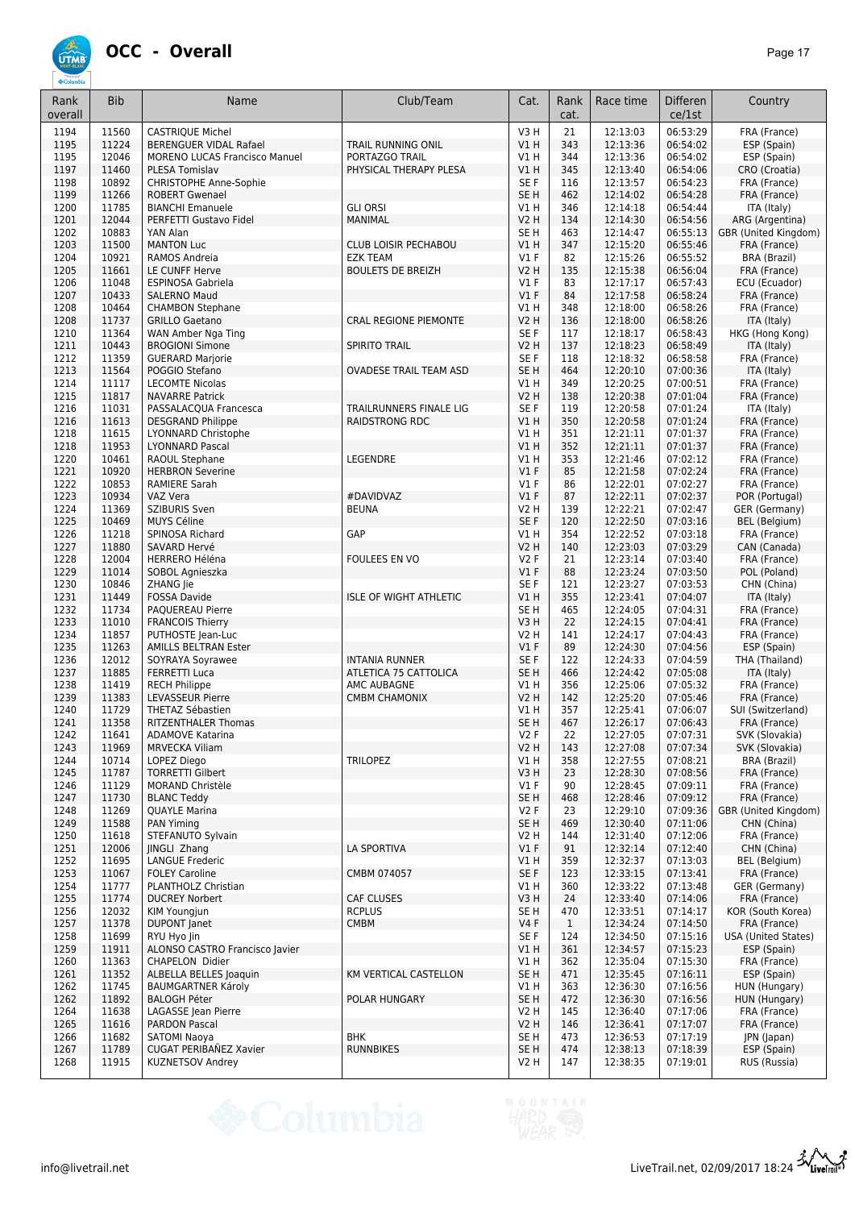

| Rank<br>overall | <b>Bib</b>     | Name                                                   | Club/Team                     | Cat.                               | Rank<br>cat.        | Race time            | <b>Differen</b><br>ce/1st | Country                                    |
|-----------------|----------------|--------------------------------------------------------|-------------------------------|------------------------------------|---------------------|----------------------|---------------------------|--------------------------------------------|
| 1194            | 11560          | <b>CASTRIQUE Michel</b>                                |                               | V3H                                | 21                  | 12:13:03             | 06:53:29                  | FRA (France)                               |
| 1195            | 11224          | <b>BERENGUER VIDAL Rafael</b>                          | TRAIL RUNNING ONIL            | V1 H                               | 343                 | 12:13:36             | 06:54:02                  | ESP (Spain)                                |
| 1195            | 12046          | <b>MORENO LUCAS Francisco Manuel</b>                   | PORTAZGO TRAIL                | V1 H                               | 344                 | 12:13:36             | 06:54:02                  | ESP (Spain)                                |
| 1197            | 11460          | PLESA Tomislav                                         | PHYSICAL THERAPY PLESA        | VIH                                | 345                 | 12:13:40             | 06:54:06                  | CRO (Croatia)                              |
| 1198<br>1199    | 10892<br>11266 | <b>CHRISTOPHE Anne-Sophie</b><br><b>ROBERT Gwenael</b> |                               | SE F<br>SE <sub>H</sub>            | 116<br>462          | 12:13:57<br>12:14:02 | 06:54:23<br>06:54:28      | FRA (France)                               |
| 1200            | 11785          | <b>BIANCHI Emanuele</b>                                | <b>GLI ORSI</b>               | V1H                                | 346                 | 12:14:18             | 06:54:44                  | FRA (France)<br>ITA (Italy)                |
| 1201            | 12044          | PERFETTI Gustavo Fidel                                 | MANIMAL                       | <b>V2 H</b>                        | 134                 | 12:14:30             | 06:54:56                  | ARG (Argentina)                            |
| 1202            | 10883          | YAN Alan                                               |                               | SE <sub>H</sub>                    | 463                 | 12:14:47             | 06:55:13                  | GBR (United Kingdom)                       |
| 1203            | 11500          | <b>MANTON Luc</b>                                      | CLUB LOISIR PECHABOU          | VIH                                | 347                 | 12:15:20             | 06:55:46                  | FRA (France)                               |
| 1204            | 10921          | RAMOS Andreia                                          | <b>EZK TEAM</b>               | $VI$ F                             | 82                  | 12:15:26             | 06:55:52                  | <b>BRA (Brazil)</b>                        |
| 1205            | 11661          | LE CUNFF Herve                                         | <b>BOULETS DE BREIZH</b>      | <b>V2 H</b>                        | 135                 | 12:15:38             | 06:56:04                  | FRA (France)                               |
| 1206<br>1207    | 11048<br>10433 | <b>ESPINOSA Gabriela</b><br><b>SALERNO Maud</b>        |                               | $VI$ F<br>$VI$ F                   | 83<br>84            | 12:17:17<br>12:17:58 | 06:57:43<br>06:58:24      | ECU (Ecuador)<br>FRA (France)              |
| 1208            | 10464          | <b>CHAMBON Stephane</b>                                |                               | V1H                                | 348                 | 12:18:00             | 06:58:26                  | FRA (France)                               |
| 1208            | 11737          | <b>GRILLO Gaetano</b>                                  | <b>CRAL REGIONE PIEMONTE</b>  | <b>V2 H</b>                        | 136                 | 12:18:00             | 06:58:26                  | ITA (Italy)                                |
| 1210            | 11364          | WAN Amber Nga Ting                                     |                               | SE <sub>F</sub>                    | 117                 | 12:18:17             | 06:58:43                  | HKG (Hong Kong)                            |
| 1211            | 10443          | <b>BROGIONI Simone</b>                                 | <b>SPIRITO TRAIL</b>          | <b>V2 H</b>                        | 137                 | 12:18:23             | 06:58:49                  | ITA (Italy)                                |
| 1212            | 11359          | <b>GUERARD Marjorie</b>                                |                               | SE <sub>F</sub>                    | 118                 | 12:18:32             | 06:58:58                  | FRA (France)                               |
| 1213<br>1214    | 11564<br>11117 | POGGIO Stefano<br><b>LECOMTE Nicolas</b>               | <b>OVADESE TRAIL TEAM ASD</b> | SE <sub>H</sub><br>V1H             | 464<br>349          | 12:20:10<br>12:20:25 | 07:00:36<br>07:00:51      | ITA (Italy)<br>FRA (France)                |
| 1215            | 11817          | <b>NAVARRE Patrick</b>                                 |                               | <b>V2 H</b>                        | 138                 | 12:20:38             | 07:01:04                  | FRA (France)                               |
| 1216            | 11031          | PASSALACQUA Francesca                                  | TRAILRUNNERS FINALE LIG       | SE F                               | 119                 | 12:20:58             | 07:01:24                  | ITA (Italy)                                |
| 1216            | 11613          | <b>DESGRAND Philippe</b>                               | RAIDSTRONG RDC                | V1H                                | 350                 | 12:20:58             | 07:01:24                  | FRA (France)                               |
| 1218            | 11615          | LYONNARD Christophe                                    |                               | V1 H                               | 351                 | 12:21:11             | 07:01:37                  | FRA (France)                               |
| 1218            | 11953          | <b>LYONNARD Pascal</b>                                 |                               | V1 H                               | 352                 | 12:21:11             | 07:01:37                  | FRA (France)                               |
| 1220            | 10461          | RAOUL Stephane                                         | LEGENDRE                      | V1 H                               | 353                 | 12:21:46             | 07:02:12                  | FRA (France)                               |
| 1221<br>1222    | 10920<br>10853 | <b>HERBRON Severine</b><br><b>RAMIERE Sarah</b>        |                               | $VI$ F<br>$VI$ F                   | 85<br>86            | 12:21:58<br>12:22:01 | 07:02:24<br>07:02:27      | FRA (France)<br>FRA (France)               |
| 1223            | 10934          | VAZ Vera                                               | #DAVIDVAZ                     | V1F                                | 87                  | 12:22:11             | 07:02:37                  | POR (Portugal)                             |
| 1224            | 11369          | <b>SZIBURIS Sven</b>                                   | <b>BEUNA</b>                  | V2 H                               | 139                 | 12:22:21             | 07:02:47                  | GER (Germany)                              |
| 1225            | 10469          | <b>MUYS Céline</b>                                     |                               | SE F                               | 120                 | 12:22:50             | 07:03:16                  | <b>BEL</b> (Belgium)                       |
| 1226            | 11218          | SPINOSA Richard                                        | GAP                           | V1H                                | 354                 | 12:22:52             | 07:03:18                  | FRA (France)                               |
| 1227            | 11880          | SAVARD Hervé                                           |                               | <b>V2 H</b>                        | 140                 | 12:23:03             | 07:03:29                  | CAN (Canada)                               |
| 1228            | 12004          | <b>HERRERO Héléna</b>                                  | FOULEES EN VO                 | V2F                                | 21<br>88            | 12:23:14             | 07:03:40                  | FRA (France)                               |
| 1229<br>1230    | 11014<br>10846 | SOBOL Agnieszka<br>ZHANG Jie                           |                               | $VI$ F<br>SE F                     | 121                 | 12:23:24<br>12:23:27 | 07:03:50<br>07:03:53      | POL (Poland)<br>CHN (China)                |
| 1231            | 11449          | <b>FOSSA Davide</b>                                    | <b>ISLE OF WIGHT ATHLETIC</b> | V1 H                               | 355                 | 12:23:41             | 07:04:07                  | ITA (Italy)                                |
| 1232            | 11734          | PAQUEREAU Pierre                                       |                               | SE <sub>H</sub>                    | 465                 | 12:24:05             | 07:04:31                  | FRA (France)                               |
| 1233            | 11010          | <b>FRANCOIS Thierry</b>                                |                               | V3H                                | 22                  | 12:24:15             | 07:04:41                  | FRA (France)                               |
| 1234            | 11857          | PUTHOSTE Jean-Luc                                      |                               | <b>V2 H</b>                        | 141                 | 12:24:17             | 07:04:43                  | FRA (France)                               |
| 1235            | 11263          | AMILLS BELTRAN Ester                                   | <b>INTANIA RUNNER</b>         | $VI$ F                             | 89                  | 12:24:30             | 07:04:56                  | ESP (Spain)<br>THA (Thailand)              |
| 1236<br>1237    | 12012<br>11885 | SOYRAYA Soyrawee<br><b>FERRETTI Luca</b>               | ATLETICA 75 CATTOLICA         | SE <sub>F</sub><br>SE <sub>H</sub> | 122<br>466          | 12:24:33<br>12:24:42 | 07:04:59<br>07:05:08      | ITA (Italy)                                |
| 1238            | 11419          | <b>RECH Philippe</b>                                   | AMC AUBAGNE                   | V1 H                               | 356                 | 12:25:06             | 07:05:32                  | FRA (France)                               |
| 1239            | 11383          | <b>LEVASSEUR Pierre</b>                                | <b>CMBM CHAMONIX</b>          | V2 H                               | 142                 | 12:25:20             | 07:05:46                  | FRA (France)                               |
| 1240            | 11729          | THETAZ Sébastien                                       |                               | V1 H                               | 357                 | 12:25:41             | 07:06:07                  | SUI (Switzerland)                          |
| 1241            | 11358          | <b>RITZENTHALER Thomas</b>                             |                               | SE <sub>H</sub>                    | 467                 | 12:26:17             | 07:06:43                  | FRA (France)                               |
| 1242            | 11641          | <b>ADAMOVE Katarina</b>                                |                               | V2 F                               | 22                  | 12:27:05             | 07:07:31                  | SVK (Slovakia)                             |
| 1243<br>1244    | 11969<br>10714 | <b>MRVECKA Viliam</b><br>LOPEZ Diego                   | <b>TRILOPEZ</b>               | V2 H<br>V1H                        | 143<br>358          | 12:27:08<br>12:27:55 | 07:07:34<br>07:08:21      | SVK (Slovakia)<br><b>BRA (Brazil)</b>      |
| 1245            | 11787          | <b>TORRETTI Gilbert</b>                                |                               | V3 H                               | 23                  | 12:28:30             | 07:08:56                  | FRA (France)                               |
| 1246            | 11129          | <b>MORAND Christèle</b>                                |                               | $VI$ F                             | 90                  | 12:28:45             | 07:09:11                  | FRA (France)                               |
| 1247            | 11730          | <b>BLANC Teddy</b>                                     |                               | SE H                               | 468                 | 12:28:46             | 07:09:12                  | FRA (France)                               |
| 1248            | 11269          | <b>QUAYLE Marina</b>                                   |                               | V2F                                | 23                  | 12:29:10             | 07:09:36                  | GBR (United Kingdom)                       |
| 1249            | 11588          | <b>PAN Yiming</b>                                      |                               | SE <sub>H</sub>                    | 469                 | 12:30:40             | 07:11:06                  | CHN (China)                                |
| 1250<br>1251    | 11618<br>12006 | STEFANUTO Sylvain<br>JINGLI Zhang                      | LA SPORTIVA                   | V2 H<br>$VI$ F                     | 144<br>91           | 12:31:40<br>12:32:14 | 07:12:06<br>07:12:40      | FRA (France)<br>CHN (China)                |
| 1252            | 11695          | <b>LANGUE Frederic</b>                                 |                               | V1 H                               | 359                 | 12:32:37             | 07:13:03                  | BEL (Belgium)                              |
| 1253            | 11067          | <b>FOLEY Caroline</b>                                  | CMBM 074057                   | SE F                               | 123                 | 12:33:15             | 07:13:41                  | FRA (France)                               |
| 1254            | 11777          | PLANTHOLZ Christian                                    |                               | V1H                                | 360                 | 12:33:22             | 07:13:48                  | GER (Germany)                              |
| 1255            | 11774          | <b>DUCREY Norbert</b>                                  | <b>CAF CLUSES</b>             | V3H                                | 24                  | 12:33:40             | 07:14:06                  | FRA (France)                               |
| 1256            | 12032          | KIM Youngjun                                           | <b>RCPLUS</b>                 | SE H                               | 470                 | 12:33:51             | 07:14:17                  | KOR (South Korea)                          |
| 1257<br>1258    | 11378<br>11699 | DUPONT Janet<br>RYU Hyo Jin                            | <b>CMBM</b>                   | <b>V4 F</b><br>SE F                | $\mathbf{1}$<br>124 | 12:34:24<br>12:34:50 | 07:14:50<br>07:15:16      | FRA (France)<br><b>USA (United States)</b> |
| 1259            | 11911          | ALONSO CASTRO Francisco Javier                         |                               | V1H                                | 361                 | 12:34:57             | 07:15:23                  | ESP (Spain)                                |
| 1260            | 11363          | <b>CHAPELON Didier</b>                                 |                               | V1 H                               | 362                 | 12:35:04             | 07:15:30                  | FRA (France)                               |
| 1261            | 11352          | ALBELLA BELLES Joaquin                                 | KM VERTICAL CASTELLON         | SE <sub>H</sub>                    | 471                 | 12:35:45             | 07:16:11                  | ESP (Spain)                                |
| 1262            | 11745          | <b>BAUMGARTNER Károly</b>                              |                               | V1 H                               | 363                 | 12:36:30             | 07:16:56                  | HUN (Hungary)                              |
| 1262            | 11892          | <b>BALOGH Péter</b>                                    | POLAR HUNGARY                 | SE <sub>H</sub>                    | 472                 | 12:36:30             | 07:16:56                  | HUN (Hungary)                              |
| 1264<br>1265    | 11638<br>11616 | LAGASSE Jean Pierre                                    |                               | <b>V2 H</b><br>V2 H                | 145                 | 12:36:40             | 07:17:06<br>07:17:07      | FRA (France)                               |
| 1266            | 11682          | <b>PARDON Pascal</b><br><b>SATOMI Naoya</b>            | <b>BHK</b>                    | SE H                               | 146<br>473          | 12:36:41<br>12:36:53 | 07:17:19                  | FRA (France)<br>JPN (Japan)                |
| 1267            | 11789          | CUGAT PERIBAÑEZ Xavier                                 | <b>RUNNBIKES</b>              | SE H                               | 474                 | 12:38:13             | 07:18:39                  | ESP (Spain)                                |
| 1268            | 11915          | KUZNETSOV Andrey                                       |                               | V2 H                               | 147                 | 12:38:35             | 07:19:01                  | RUS (Russia)                               |

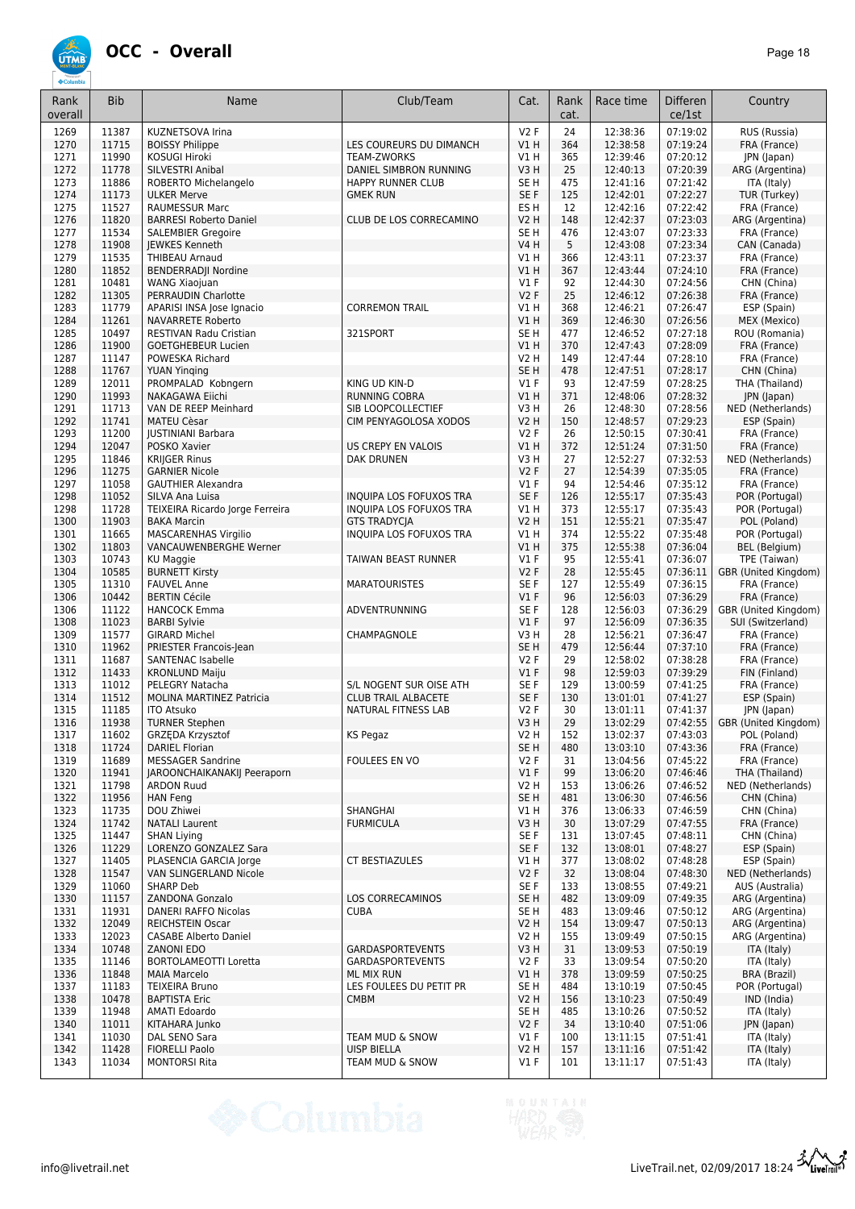

| Rank<br>overall | <b>Bib</b>     | Name                                                | Club/Team                                          | Cat.                                | Rank<br>cat. | Race time            | <b>Differen</b><br>ce/1st | Country                                   |
|-----------------|----------------|-----------------------------------------------------|----------------------------------------------------|-------------------------------------|--------------|----------------------|---------------------------|-------------------------------------------|
| 1269            | 11387          | KUZNETSOVA Irina                                    |                                                    | V2F                                 | 24           | 12:38:36             | 07:19:02                  | RUS (Russia)                              |
| 1270            | 11715          | <b>BOISSY Philippe</b>                              | LES COUREURS DU DIMANCH                            | V1H                                 | 364          | 12:38:58             | 07:19:24                  | FRA (France)                              |
| 1271            | 11990          | <b>KOSUGI Hiroki</b>                                | <b>TEAM-ZWORKS</b>                                 | V1 H                                | 365          | 12:39:46             | 07:20:12                  | JPN (Japan)                               |
| 1272<br>1273    | 11778<br>11886 | <b>SILVESTRI Anibal</b><br>ROBERTO Michelangelo     | DANIEL SIMBRON RUNNING<br>HAPPY RUNNER CLUB        | V <sub>3</sub> H<br>SE <sub>H</sub> | 25<br>475    | 12:40:13<br>12:41:16 | 07:20:39<br>07:21:42      | ARG (Argentina)<br>ITA (Italy)            |
| 1274            | 11173          | <b>ULKER Merve</b>                                  | <b>GMEK RUN</b>                                    | SE F                                | 125          | 12:42:01             | 07:22:27                  | TUR (Turkey)                              |
| 1275            | 11527          | <b>RAUMESSUR Marc</b>                               |                                                    | ES <sub>H</sub>                     | 12           | 12:42:16             | 07:22:42                  | FRA (France)                              |
| 1276            | 11820          | <b>BARRESI Roberto Daniel</b>                       | CLUB DE LOS CORRECAMINO                            | <b>V2 H</b>                         | 148          | 12:42:37             | 07:23:03                  | ARG (Argentina)                           |
| 1277            | 11534          | <b>SALEMBIER Gregoire</b>                           |                                                    | SE <sub>H</sub>                     | 476          | 12:43:07             | 07:23:33                  | FRA (France)                              |
| 1278            | 11908          | <b>IEWKES Kenneth</b>                               |                                                    | <b>V4 H</b>                         | 5            | 12:43:08             | 07:23:34                  | CAN (Canada)                              |
| 1279            | 11535<br>11852 | <b>THIBEAU Arnaud</b>                               |                                                    | V1 H                                | 366          | 12:43:11             | 07:23:37<br>07:24:10      | FRA (France)                              |
| 1280<br>1281    | 10481          | <b>BENDERRADJI Nordine</b><br><b>WANG Xiaojuan</b>  |                                                    | V1H<br>$VI$ F                       | 367<br>92    | 12:43:44<br>12:44:30 | 07:24:56                  | FRA (France)<br>CHN (China)               |
| 1282            | 11305          | PERRAUDIN Charlotte                                 |                                                    | V2F                                 | 25           | 12:46:12             | 07:26:38                  | FRA (France)                              |
| 1283            | 11779          | APARISI INSA Jose Ignacio                           | <b>CORREMON TRAIL</b>                              | V1 H                                | 368          | 12:46:21             | 07:26:47                  | ESP (Spain)                               |
| 1284            | 11261          | <b>NAVARRETE Roberto</b>                            |                                                    | V1H                                 | 369          | 12:46:30             | 07:26:56                  | MEX (Mexico)                              |
| 1285            | 10497          | RESTIVAN Radu Cristian                              | 321SPORT                                           | SE <sub>H</sub>                     | 477          | 12:46:52             | 07:27:18                  | ROU (Romania)                             |
| 1286            | 11900          | <b>GOETGHEBEUR Lucien</b>                           |                                                    | V1H                                 | 370          | 12:47:43             | 07:28:09                  | FRA (France)                              |
| 1287<br>1288    | 11147<br>11767 | POWESKA Richard                                     |                                                    | <b>V2 H</b><br>SE <sub>H</sub>      | 149<br>478   | 12:47:44<br>12:47:51 | 07:28:10<br>07:28:17      | FRA (France)<br>CHN (China)               |
| 1289            | 12011          | <b>YUAN Yinging</b><br>PROMPALAD Kobngern           | KING UD KIN-D                                      | $VI$ F                              | 93           | 12:47:59             | 07:28:25                  | THA (Thailand)                            |
| 1290            | 11993          | NAKAGAWA Eiichi                                     | <b>RUNNING COBRA</b>                               | VIH                                 | 371          | 12:48:06             | 07:28:32                  | JPN (Japan)                               |
| 1291            | 11713          | VAN DE REEP Meinhard                                | SIB LOOPCOLLECTIEF                                 | V3H                                 | 26           | 12:48:30             | 07:28:56                  | NED (Netherlands)                         |
| 1292            | 11741          | <b>MATEU Cèsar</b>                                  | CIM PENYAGOLOSA XODOS                              | <b>V2 H</b>                         | 150          | 12:48:57             | 07:29:23                  | ESP (Spain)                               |
| 1293            | 11200          | <b>JUSTINIANI Barbara</b>                           |                                                    | V2F                                 | 26           | 12:50:15             | 07:30:41                  | FRA (France)                              |
| 1294            | 12047          | POSKO Xavier                                        | <b>US CREPY EN VALOIS</b>                          | V1H                                 | 372          | 12:51:24             | 07:31:50                  | FRA (France)                              |
| 1295            | 11846          | <b>KRIJGER Rinus</b>                                | DAK DRUNEN                                         | V3H                                 | 27           | 12:52:27             | 07:32:53                  | NED (Netherlands)                         |
| 1296            | 11275          | <b>GARNIER Nicole</b>                               |                                                    | <b>V2F</b>                          | 27           | 12:54:39             | 07:35:05                  | FRA (France)                              |
| 1297            | 11058          | <b>GAUTHIER Alexandra</b>                           |                                                    | <b>V1 F</b>                         | 94           | 12:54:46             | 07:35:12                  | FRA (France)                              |
| 1298<br>1298    | 11052<br>11728 | SILVA Ana Luisa<br>TEIXEIRA Ricardo Jorge Ferreira  | INQUIPA LOS FOFUXOS TRA<br>INQUIPA LOS FOFUXOS TRA | SE F<br>V1H                         | 126<br>373   | 12:55:17<br>12:55:17 | 07:35:43<br>07:35:43      | POR (Portugal)<br>POR (Portugal)          |
| 1300            | 11903          | <b>BAKA Marcin</b>                                  | <b>GTS TRADYCIA</b>                                | <b>V2 H</b>                         | 151          | 12:55:21             | 07:35:47                  | POL (Poland)                              |
| 1301            | 11665          | <b>MASCARENHAS Virgilio</b>                         | INQUIPA LOS FOFUXOS TRA                            | $VI$ H                              | 374          | 12:55:22             | 07:35:48                  | POR (Portugal)                            |
| 1302            | 11803          | VANCAUWENBERGHE Werner                              |                                                    | VIH                                 | 375          | 12:55:38             | 07:36:04                  | <b>BEL</b> (Belgium)                      |
| 1303            | 10743          | <b>KU Maggie</b>                                    | TAIWAN BEAST RUNNER                                | $VI$ F                              | 95           | 12:55:41             | 07:36:07                  | TPE (Taiwan)                              |
| 1304            | 10585          | <b>BURNETT Kirsty</b>                               |                                                    | V2F                                 | 28           | 12:55:45             | 07:36:11                  | GBR (United Kingdom)                      |
| 1305            | 11310          | <b>FAUVEL Anne</b>                                  | <b>MARATOURISTES</b>                               | SE F                                | 127          | 12:55:49             | 07:36:15                  | FRA (France)                              |
| 1306            | 10442          | <b>BERTIN Cécile</b>                                |                                                    | $VI$ F                              | 96           | 12:56:03             | 07:36:29                  | FRA (France)                              |
| 1306<br>1308    | 11122<br>11023 | <b>HANCOCK Emma</b><br><b>BARBI Sylvie</b>          | ADVENTRUNNING                                      | SE F<br>$VI$ F                      | 128<br>97    | 12:56:03<br>12:56:09 | 07:36:29<br>07:36:35      | GBR (United Kingdom)<br>SUI (Switzerland) |
| 1309            | 11577          | <b>GIRARD Michel</b>                                | CHAMPAGNOLE                                        | V3H                                 | 28           | 12:56:21             | 07:36:47                  | FRA (France)                              |
| 1310            | 11962          | PRIESTER Francois-Jean                              |                                                    | SE <sub>H</sub>                     | 479          | 12:56:44             | 07:37:10                  | FRA (France)                              |
| 1311            | 11687          | <b>SANTENAC Isabelle</b>                            |                                                    | <b>V2F</b>                          | 29           | 12:58:02             | 07:38:28                  | FRA (France)                              |
| 1312            | 11433          | <b>KRONLUND Maiju</b>                               |                                                    | $VI$ F                              | 98           | 12:59:03             | 07:39:29                  | FIN (Finland)                             |
| 1313            | 11012          | PELEGRY Natacha                                     | S/L NOGENT SUR OISE ATH                            | SE F                                | 129          | 13:00:59             | 07:41:25                  | FRA (France)                              |
| 1314            | 11512          | <b>MOLINA MARTINEZ Patricia</b>                     | <b>CLUB TRAIL ALBACETE</b>                         | SE <sub>F</sub>                     | 130          | 13:01:01             | 07:41:27                  | ESP (Spain)                               |
| 1315            | 11185          | <b>ITO Atsuko</b>                                   | <b>NATURAL FITNESS LAB</b>                         | <b>V2F</b>                          | 30           | 13:01:11             | 07:41:37                  | JPN (Japan)                               |
| 1316            | 11938<br>11602 | <b>TURNER Stephen</b>                               |                                                    | V3H                                 | 29           | 13:02:29             | 07:42:55                  | GBR (United Kingdom)                      |
| 1317<br>1318    | 11724          | GRZĘDA Krzysztof<br><b>DARIEL Florian</b>           | KS Pegaz                                           | V2 H<br>SE <sub>H</sub>             | 152<br>480   | 13:02:37<br>13:03:10 | 07:43:03<br>07:43:36      | POL (Poland)<br>FRA (France)              |
| 1319            | 11689          | <b>MESSAGER Sandrine</b>                            | FOULEES EN VO                                      | V2F                                 | 31           | 13:04:56             | 07:45:22                  | FRA (France)                              |
| 1320            | 11941          | <b>JAROONCHAIKANAKIJ Peeraporn</b>                  |                                                    | $VI$ F                              | 99           | 13:06:20             | 07:46:46                  | THA (Thailand)                            |
| 1321            | 11798          | <b>ARDON Ruud</b>                                   |                                                    | V2 H                                | 153          | 13:06:26             | 07:46:52                  | NED (Netherlands)                         |
| 1322            | 11956          | <b>HAN Feng</b>                                     |                                                    | SE <sub>H</sub>                     | 481          | 13:06:30             | 07:46:56                  | CHN (China)                               |
| 1323            | 11735          | DOU Zhiwei                                          | <b>SHANGHAI</b>                                    | V1 H                                | 376          | 13:06:33             | 07:46:59                  | CHN (China)                               |
| 1324            | 11742          | <b>NATALI Laurent</b>                               | <b>FURMICULA</b>                                   | V3H                                 | 30           | 13:07:29             | 07:47:55                  | FRA (France)                              |
| 1325            | 11447          | <b>SHAN Liying</b>                                  |                                                    | SE F                                | 131          | 13:07:45             | 07:48:11                  | CHN (China)                               |
| 1326<br>1327    | 11229<br>11405 | LORENZO GONZALEZ Sara<br>PLASENCIA GARCIA Jorge     | <b>CT BESTIAZULES</b>                              | SE F<br>V1 H                        | 132<br>377   | 13:08:01<br>13:08:02 | 07:48:27<br>07:48:28      | ESP (Spain)<br>ESP (Spain)                |
| 1328            | 11547          | VAN SLINGERLAND Nicole                              |                                                    | V2F                                 | 32           | 13:08:04             | 07:48:30                  | NED (Netherlands)                         |
| 1329            | 11060          | <b>SHARP Deb</b>                                    |                                                    | SE F                                | 133          | 13:08:55             | 07:49:21                  | AUS (Australia)                           |
| 1330            | 11157          | ZANDONA Gonzalo                                     | LOS CORRECAMINOS                                   | SE <sub>H</sub>                     | 482          | 13:09:09             | 07:49:35                  | ARG (Argentina)                           |
| 1331            | 11931          | DANERI RAFFO Nicolas                                | <b>CUBA</b>                                        | SE H                                | 483          | 13:09:46             | 07:50:12                  | ARG (Argentina)                           |
| 1332            | 12049          | <b>REICHSTEIN Oscar</b>                             |                                                    | <b>V2 H</b>                         | 154          | 13:09:47             | 07:50:13                  | ARG (Argentina)                           |
| 1333            | 12023          | <b>CASABE Alberto Daniel</b>                        |                                                    | <b>V2 H</b>                         | 155          | 13:09:49             | 07:50:15                  | ARG (Argentina)                           |
| 1334            | 10748          | <b>ZANONI EDO</b>                                   | <b>GARDASPORTEVENTS</b>                            | V3H                                 | 31           | 13:09:53             | 07:50:19                  | ITA (Italy)                               |
| 1335<br>1336    | 11146<br>11848 | <b>BORTOLAMEOTTI Loretta</b><br><b>MAIA Marcelo</b> | <b>GARDASPORTEVENTS</b><br>ML MIX RUN              | V2F<br>V1H                          | 33<br>378    | 13:09:54<br>13:09:59 | 07:50:20<br>07:50:25      | ITA (Italy)<br>BRA (Brazil)               |
| 1337            | 11183          | <b>TEIXEIRA Bruno</b>                               | LES FOULEES DU PETIT PR                            | SE <sub>H</sub>                     | 484          | 13:10:19             | 07:50:45                  | POR (Portugal)                            |
| 1338            | 10478          | <b>BAPTISTA Eric</b>                                | <b>CMBM</b>                                        | <b>V2 H</b>                         | 156          | 13:10:23             | 07:50:49                  | IND (India)                               |
| 1339            | 11948          | AMATI Edoardo                                       |                                                    | SE H                                | 485          | 13:10:26             | 07:50:52                  | ITA (Italy)                               |
| 1340            | 11011          | KITAHARA Junko                                      |                                                    | V2F                                 | 34           | 13:10:40             | 07:51:06                  | JPN (Japan)                               |
| 1341            | 11030          | DAL SENO Sara                                       | TEAM MUD & SNOW                                    | V1 F                                | 100          | 13:11:15             | 07:51:41                  | ITA (Italy)                               |
| 1342            | 11428          | <b>FIORELLI Paolo</b>                               | <b>UISP BIELLA</b>                                 | <b>V2 H</b>                         | 157          | 13:11:16             | 07:51:42                  | ITA (Italy)                               |
| 1343            | 11034          | MONTORSI Rita                                       | TEAM MUD & SNOW                                    | $VI$ F                              | 101          | 13:11:17             | 07:51:43                  | ITA (Italy)                               |

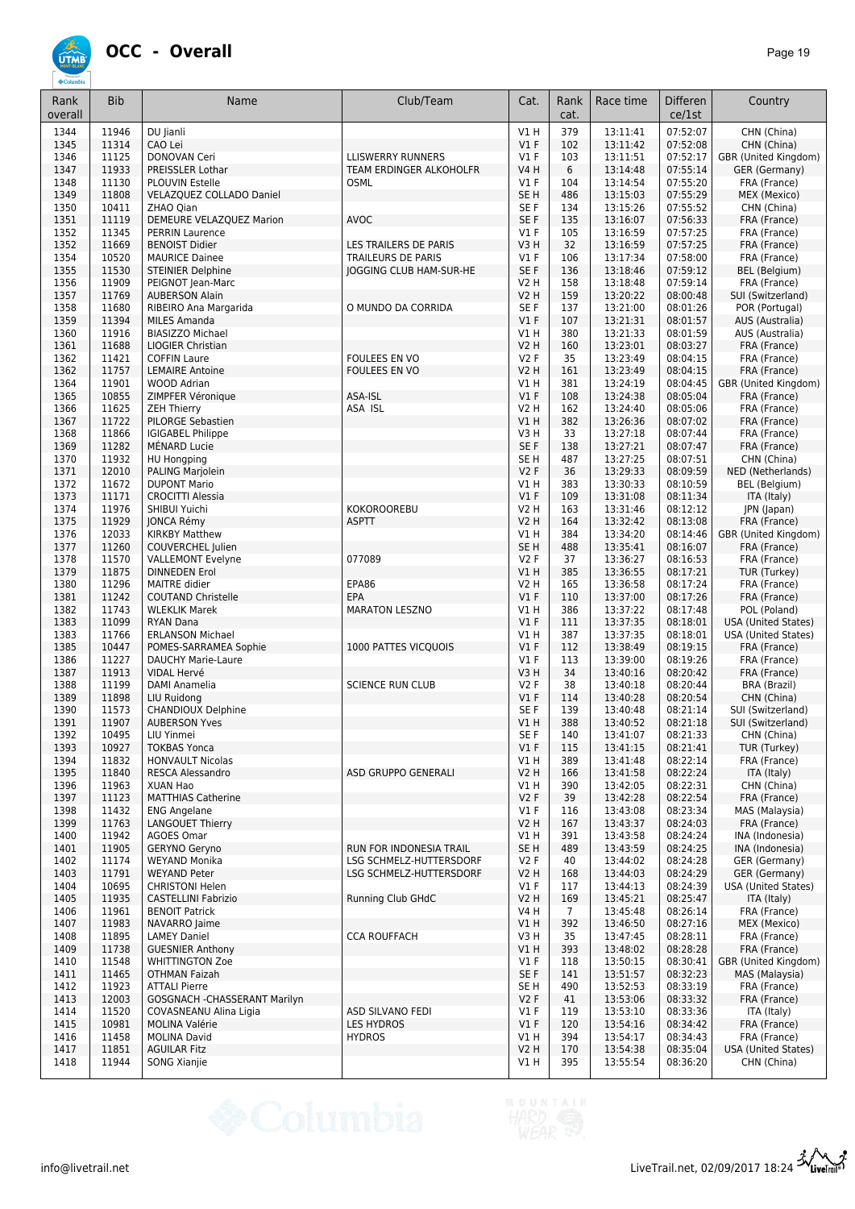

| Rank<br>overall | <b>Bib</b>     | Name                                                  | Club/Team                                     | Cat.                  | Rank<br>cat.   | Race time            | <b>Differen</b><br>ce/1st | Country                                   |
|-----------------|----------------|-------------------------------------------------------|-----------------------------------------------|-----------------------|----------------|----------------------|---------------------------|-------------------------------------------|
| 1344            | 11946          | DU Jianli                                             |                                               | V1H                   | 379            | 13:11:41             | 07:52:07                  | CHN (China)                               |
| 1345            | 11314          | CAO Lei                                               |                                               | V1F                   | 102            | 13:11:42             | 07:52:08                  | CHN (China)                               |
| 1346            | 11125          | DONOVAN Ceri                                          | <b>LLISWERRY RUNNERS</b>                      | $VI$ F                | 103            | 13:11:51             | 07:52:17                  | GBR (United Kingdom)                      |
| 1347<br>1348    | 11933<br>11130 | PREISSLER Lothar<br>PLOUVIN Estelle                   | <b>TEAM ERDINGER ALKOHOLFR</b><br><b>OSML</b> | <b>V4 H</b><br>$VI$ F | 6<br>104       | 13:14:48<br>13:14:54 | 07:55:14<br>07:55:20      | GER (Germany)                             |
| 1349            | 11808          | VELAZQUEZ COLLADO Daniel                              |                                               | SE <sub>H</sub>       | 486            | 13:15:03             | 07:55:29                  | FRA (France)<br>MEX (Mexico)              |
| 1350            | 10411          | ZHAO Qian                                             |                                               | SE F                  | 134            | 13:15:26             | 07:55:52                  | CHN (China)                               |
| 1351            | 11119          | DEMEURE VELAZQUEZ Marion                              | <b>AVOC</b>                                   | SE F                  | 135            | 13:16:07             | 07:56:33                  | FRA (France)                              |
| 1352            | 11345          | <b>PERRIN Laurence</b>                                |                                               | $VI$ F                | 105            | 13:16:59             | 07:57:25                  | FRA (France)                              |
| 1352            | 11669          | <b>BENOIST Didier</b>                                 | <b>LES TRAILERS DE PARIS</b>                  | V3H                   | 32             | 13:16:59             | 07:57:25                  | FRA (France)                              |
| 1354            | 10520          | <b>MAURICE Dainee</b>                                 | TRAILEURS DE PARIS                            | $VI$ F                | 106            | 13:17:34             | 07:58:00                  | FRA (France)                              |
| 1355<br>1356    | 11530<br>11909 | <b>STEINIER Delphine</b><br>PEIGNOT Jean-Marc         | <b>JOGGING CLUB HAM-SUR-HE</b>                | SE F<br>V2 H          | 136<br>158     | 13:18:46<br>13:18:48 | 07:59:12<br>07:59:14      | BEL (Belgium)<br>FRA (France)             |
| 1357            | 11769          | <b>AUBERSON Alain</b>                                 |                                               | <b>V2 H</b>           | 159            | 13:20:22             | 08:00:48                  | SUI (Switzerland)                         |
| 1358            | 11680          | RIBEIRO Ana Margarida                                 | O MUNDO DA CORRIDA                            | SE F                  | 137            | 13:21:00             | 08:01:26                  | POR (Portugal)                            |
| 1359            | 11394          | <b>MILES Amanda</b>                                   |                                               | V1F                   | 107            | 13:21:31             | 08:01:57                  | AUS (Australia)                           |
| 1360            | 11916          | <b>BIASIZZO Michael</b>                               |                                               | V1H                   | 380            | 13:21:33             | 08:01:59                  | AUS (Australia)                           |
| 1361            | 11688          | <b>LIOGIER Christian</b>                              |                                               | V2 H                  | 160            | 13:23:01             | 08:03:27                  | FRA (France)                              |
| 1362            | 11421          | <b>COFFIN Laure</b>                                   | FOULEES EN VO                                 | V2F                   | 35             | 13:23:49             | 08:04:15                  | FRA (France)                              |
| 1362<br>1364    | 11757<br>11901 | <b>LEMAIRE Antoine</b><br><b>WOOD Adrian</b>          | FOULEES EN VO                                 | V2 H<br>V1H           | 161<br>381     | 13:23:49<br>13:24:19 | 08:04:15<br>08:04:45      | FRA (France)<br>GBR (United Kingdom)      |
| 1365            | 10855          | ZIMPFER Véronique                                     | ASA-ISL                                       | V1F                   | 108            | 13:24:38             | 08:05:04                  | FRA (France)                              |
| 1366            | 11625          | <b>ZEH Thierry</b>                                    | ASA ISL                                       | <b>V2 H</b>           | 162            | 13:24:40             | 08:05:06                  | FRA (France)                              |
| 1367            | 11722          | PILORGE Sebastien                                     |                                               | VIH                   | 382            | 13:26:36             | 08:07:02                  | FRA (France)                              |
| 1368            | 11866          | <b>IGIGABEL Philippe</b>                              |                                               | V3H                   | 33             | 13:27:18             | 08:07:44                  | FRA (France)                              |
| 1369            | 11282          | MÉNARD Lucie                                          |                                               | SE F                  | 138            | 13:27:21             | 08:07:47                  | FRA (France)                              |
| 1370            | 11932          | <b>HU Hongping</b>                                    |                                               | SE <sub>H</sub>       | 487            | 13:27:25             | 08:07:51                  | CHN (China)                               |
| 1371            | 12010          | <b>PALING Marjolein</b>                               |                                               | V2F                   | 36             | 13:29:33             | 08:09:59                  | NED (Netherlands)                         |
| 1372            | 11672<br>11171 | <b>DUPONT Mario</b><br><b>CROCITTI Alessia</b>        |                                               | V1 H<br>V1F           | 383<br>109     | 13:30:33<br>13:31:08 | 08:10:59<br>08:11:34      | BEL (Belgium)                             |
| 1373<br>1374    | 11976          | SHIBUI Yuichi                                         | <b>KOKOROOREBU</b>                            | V2 H                  | 163            | 13:31:46             | 08:12:12                  | ITA (Italy)<br>JPN (Japan)                |
| 1375            | 11929          | JONCA Rémy                                            | <b>ASPTT</b>                                  | V2 H                  | 164            | 13:32:42             | 08:13:08                  | FRA (France)                              |
| 1376            | 12033          | <b>KIRKBY Matthew</b>                                 |                                               | V1 H                  | 384            | 13:34:20             | 08:14:46                  | GBR (United Kingdom)                      |
| 1377            | 11260          | COUVERCHEL Julien                                     |                                               | SE <sub>H</sub>       | 488            | 13:35:41             | 08:16:07                  | FRA (France)                              |
| 1378            | 11570          | <b>VALLEMONT Evelyne</b>                              | 077089                                        | V2F                   | 37             | 13:36:27             | 08:16:53                  | FRA (France)                              |
| 1379            | 11875          | <b>DINNEDEN Erol</b>                                  |                                               | V1H                   | 385            | 13:36:55             | 08:17:21                  | TUR (Turkey)                              |
| 1380            | 11296<br>11242 | <b>MAITRE</b> didier                                  | EPA86<br>EPA                                  | V2 H<br>V1F           | 165            | 13:36:58<br>13:37:00 | 08:17:24<br>08:17:26      | FRA (France)                              |
| 1381<br>1382    | 11743          | <b>COUTAND Christelle</b><br><b>WLEKLIK Marek</b>     | <b>MARATON LESZNO</b>                         | V1 H                  | 110<br>386     | 13:37:22             | 08:17:48                  | FRA (France)<br>POL (Poland)              |
| 1383            | 11099          | <b>RYAN Dana</b>                                      |                                               | V1F                   | 111            | 13:37:35             | 08:18:01                  | <b>USA (United States)</b>                |
| 1383            | 11766          | <b>ERLANSON Michael</b>                               |                                               | V1 H                  | 387            | 13:37:35             | 08:18:01                  | <b>USA (United States)</b>                |
| 1385            | 10447          | POMES-SARRAMEA Sophie                                 | 1000 PATTES VICQUOIS                          | V1F                   | 112            | 13:38:49             | 08:19:15                  | FRA (France)                              |
| 1386            | 11227          | <b>DAUCHY Marie-Laure</b>                             |                                               | $VI$ F                | 113            | 13:39:00             | 08:19:26                  | FRA (France)                              |
| 1387            | 11913          | <b>VIDAL Hervé</b>                                    |                                               | V3H                   | 34             | 13:40:16             | 08:20:42                  | FRA (France)                              |
| 1388<br>1389    | 11199<br>11898 | DAMI Anamelia<br>LIU Ruidong                          | <b>SCIENCE RUN CLUB</b>                       | V2F<br>V1F            | 38<br>114      | 13:40:18<br>13:40:28 | 08:20:44<br>08:20:54      | BRA (Brazil)<br>CHN (China)               |
| 1390            | 11573          | <b>CHANDIOUX Delphine</b>                             |                                               | SE F                  | 139            | 13:40:48             | 08:21:14                  | SUI (Switzerland)                         |
| 1391            | 11907          | <b>AUBERSON Yves</b>                                  |                                               | $VI$ H                | 388            | 13:40:52             | 08:21:18                  | SUI (Switzerland)                         |
| 1392            | 10495          | LIU Yinmei                                            |                                               | SE F                  | 140            | 13:41:07             | 08:21:33                  | CHN (China)                               |
| 1393            | 10927          | <b>TOKBAS Yonca</b>                                   |                                               | V1F                   | 115            | 13:41:15             | 08:21:41                  | TUR (Turkey)                              |
| 1394            | 11832          | <b>HONVAULT Nicolas</b>                               |                                               | V1H                   | 389            | 13:41:48             | 08:22:14                  | FRA (France)                              |
| 1395            | 11840          | <b>RESCA Alessandro</b>                               | ASD GRUPPO GENERALI                           | V2 H                  | 166            | 13:41:58             | 08:22:24<br>08:22:31      | ITA (Italy)<br>CHN (China)                |
| 1396<br>1397    | 11963<br>11123 | XUAN Hao<br><b>MATTHIAS Catherine</b>                 |                                               | V1 H<br>V2F           | 390<br>39      | 13:42:05<br>13:42:28 | 08:22:54                  | FRA (France)                              |
| 1398            | 11432          | <b>ENG Angelane</b>                                   |                                               | $VI$ F                | 116            | 13:43:08             | 08:23:34                  | MAS (Malaysia)                            |
| 1399            | 11763          | <b>LANGOUET Thierry</b>                               |                                               | V2 H                  | 167            | 13:43:37             | 08:24:03                  | FRA (France)                              |
| 1400            | 11942          | AGOES Omar                                            |                                               | V1 H                  | 391            | 13:43:58             | 08:24:24                  | INA (Indonesia)                           |
| 1401            | 11905          | GERYNO Geryno                                         | RUN FOR INDONESIA TRAIL                       | SE H                  | 489            | 13:43:59             | 08:24:25                  | INA (Indonesia)                           |
| 1402            | 11174          | <b>WEYAND Monika</b>                                  | LSG SCHMELZ-HUTTERSDORF                       | V2F                   | 40             | 13:44:02             | 08:24:28                  | GER (Germany)                             |
| 1403<br>1404    | 11791<br>10695 | <b>WEYAND Peter</b><br><b>CHRISTONI Helen</b>         | <b>LSG SCHMELZ-HUTTERSDORF</b>                | V2 H                  | 168<br>117     | 13:44:03<br>13:44:13 | 08:24:29                  | GER (Germany)                             |
| 1405            | 11935          | <b>CASTELLINI Fabrizio</b>                            | Running Club GHdC                             | $VI$ F<br><b>V2 H</b> | 169            | 13:45:21             | 08:24:39<br>08:25:47      | <b>USA (United States)</b><br>ITA (Italy) |
| 1406            | 11961          | <b>BENOIT Patrick</b>                                 |                                               | V4 H                  | $\overline{7}$ | 13:45:48             | 08:26:14                  | FRA (France)                              |
| 1407            | 11983          | NAVARRO Jaime                                         |                                               | V1H                   | 392            | 13:46:50             | 08:27:16                  | MEX (Mexico)                              |
| 1408            | 11895          | <b>LAMEY Daniel</b>                                   | <b>CCA ROUFFACH</b>                           | V3H                   | 35             | 13:47:45             | 08:28:11                  | FRA (France)                              |
| 1409            | 11738          | <b>GUESNIER Anthony</b>                               |                                               | VIH                   | 393            | 13:48:02             | 08:28:28                  | FRA (France)                              |
| 1410            | 11548          | <b>WHITTINGTON Zoe</b>                                |                                               | $VI$ F                | 118            | 13:50:15             | 08:30:41                  | GBR (United Kingdom)                      |
| 1411            | 11465          | <b>OTHMAN Faizah</b>                                  |                                               | SE F                  | 141            | 13:51:57             | 08:32:23                  | MAS (Malaysia)                            |
| 1412<br>1413    | 11923<br>12003 | <b>ATTALI Pierre</b><br>GOSGNACH - CHASSERANT Marilyn |                                               | SE H<br>V2F           | 490<br>41      | 13:52:53<br>13:53:06 | 08:33:19<br>08:33:32      | FRA (France)<br>FRA (France)              |
| 1414            | 11520          | COVASNEANU Alina Ligia                                | ASD SILVANO FEDI                              | $VI$ F                | 119            | 13:53:10             | 08:33:36                  | ITA (Italy)                               |
| 1415            | 10981          | <b>MOLINA Valérie</b>                                 | <b>LES HYDROS</b>                             | V1F                   | 120            | 13:54:16             | 08:34:42                  | FRA (France)                              |
| 1416            | 11458          | <b>MOLINA David</b>                                   | <b>HYDROS</b>                                 | V1 H                  | 394            | 13:54:17             | 08:34:43                  | FRA (France)                              |
| 1417            | 11851          | <b>AGUILAR Fitz</b>                                   |                                               | <b>V2 H</b>           | 170            | 13:54:38             | 08:35:04                  | USA (United States)                       |
| 1418            | 11944          | SONG Xianjie                                          |                                               | V1 H                  | 395            | 13:55:54             | 08:36:20                  | CHN (China)                               |